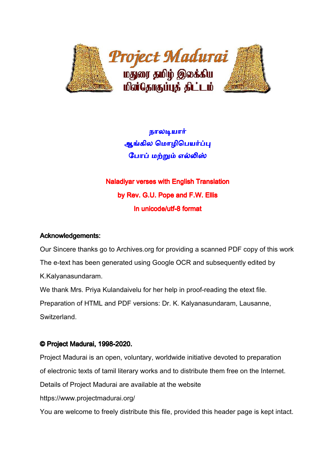

நாலடியார் ஆங்கில மொழிபெயர்ப்பு போப் மற்றும் எல்லிஸ்

Naladiyar verses with English Translation by Rev. G.U. Pope and F.W. Ellis In unicode/utf-8 format

# Acknowledgements:

Our Sincere thanks go to Archives.org for providing a scanned PDF copy of this work The e-text has been generated using Google OCR and subsequently edited by K.Kalyanasundaram. We thank Mrs. Priya Kulandaivelu for her help in proof-reading the etext file.

Preparation of HTML and PDF versions: Dr. K. Kalyanasundaram, Lausanne, Switzerland.

# © Project Madurai, 1998-2020.

Project Madurai is an open, voluntary, worldwide initiative devoted to preparation of electronic texts of tamil literary works and to distribute them free on the Internet. Details of Project Madurai are available at the website https://www.projectmadurai.org/

You are welcome to freely distribute this file, provided this header page is kept intact.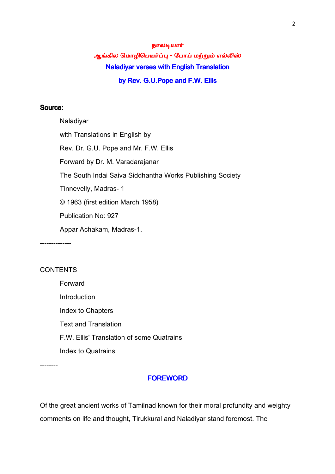# நாலயா ஆங்கில மொழிபெயர்ப்பு - போப் மற்றும் எல்லிஸ் Naladiyar verses with English Translation by Rev. G.U. Pope and F.W. Ellis

## Source:

Naladiyar with Translations in English by Rev. Dr. G.U. Pope and Mr. F.W. Ellis Forward by Dr. M. Varadarajanar The South Indai Saiva Siddhantha Works Publishing Society Tinnevelly, Madras- 1 © 1963 (first edition March 1958) Publication No: 927 Appar Achakam, Madras-1.

# **CONTENTS**

--------------

Forward **Introduction** Index to Chapters Text and Translation F.W. Ellis' Translation of some Quatrains Index to Quatrains

--------

#### **FOREWORD**

Of the great ancient works of Tamilnad known for their moral profundity and weighty comments on life and thought, Tirukkural and Naladiyar stand foremost. The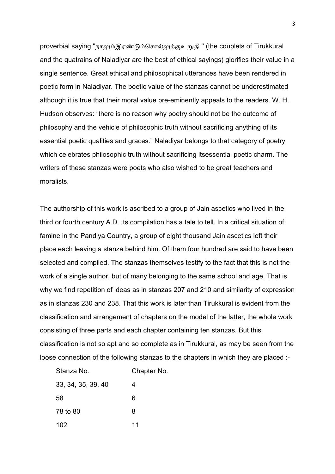proverbial saying "நாலும்இரண்டும்சொல்லுக்குஉறுதி" (the couplets of Tirukkural and the quatrains of Naladiyar are the best of ethical sayings) glorifies their value in a single sentence. Great ethical and philosophical utterances have been rendered in poetic form in Naladiyar. The poetic value of the stanzas cannot be underestimated although it is true that their moral value pre-eminently appeals to the readers. W. H. Hudson observes: "there is no reason why poetry should not be the outcome of philosophy and the vehicle of philosophic truth without sacrificing anything of its essential poetic qualities and graces." Naladiyar belongs to that category of poetry which celebrates philosophic truth without sacrificing itsessential poetic charm. The writers of these stanzas were poets who also wished to be great teachers and moralists.

The authorship of this work is ascribed to a group of Jain ascetics who lived in the third or fourth century A.D. Its compilation has a tale to tell. In a critical situation of famine in the Pandiya Country, a group of eight thousand Jain ascetics left their place each leaving a stanza behind him. Of them four hundred are said to have been selected and compiled. The stanzas themselves testify to the fact that this is not the work of a single author, but of many belonging to the same school and age. That is why we find repetition of ideas as in stanzas 207 and 210 and similarity of expression as in stanzas 230 and 238. That this work is later than Tirukkural is evident from the classification and arrangement of chapters on the model of the latter, the whole work consisting of three parts and each chapter containing ten stanzas. But this classification is not so apt and so complete as in Tirukkural, as may be seen from the loose connection of the following stanzas to the chapters in which they are placed :-

| Stanza No.         | Chapter No. |
|--------------------|-------------|
| 33, 34, 35, 39, 40 | 4           |
| 58                 | 6           |
| 78 to 80           | 8           |
| 102                | 11          |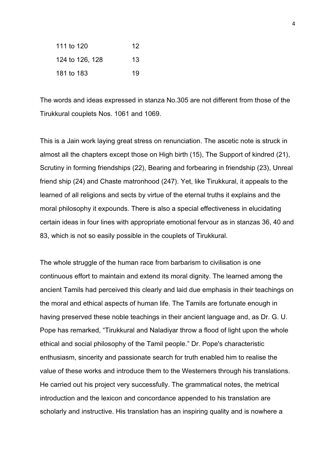| 111 to 120      | 12. |
|-----------------|-----|
| 124 to 126, 128 | 13  |
| 181 to 183      | 19  |

The words and ideas expressed in stanza No.305 are not different from those of the Tirukkural couplets Nos. 1061 and 1069.

This is a Jain work laying great stress on renunciation. The ascetic note is struck in almost all the chapters except those on High birth (15), The Support of kindred (21), Scrutiny in forming friendships (22), Bearing and forbearing in friendship (23), Unreal friend ship (24) and Chaste matronhood (247). Yet, like Tirukkural, it appeals to the learned of all religions and sects by virtue of the eternal truths it explains and the moral philosophy it expounds. There is also a special effectiveness in elucidating certain ideas in four lines with appropriate emotional fervour as in stanzas 36, 40 and 83, which is not so easily possible in the couplets of Tirukkural.

The whole struggle of the human race from barbarism to civilisation is one continuous effort to maintain and extend its moral dignity. The learned among the ancient Tamils had perceived this clearly and laid due emphasis in their teachings on the moral and ethical aspects of human life. The Tamils are fortunate enough in having preserved these noble teachings in their ancient language and, as Dr. G. U. Pope has remarked, "Tirukkural and Naladiyar throw a flood of light upon the whole ethical and social philosophy of the Tamil people." Dr. Pope's characteristic enthusiasm, sincerity and passionate search for truth enabled him to realise the value of these works and introduce them to the Westerners through his translations. He carried out his project very successfully. The grammatical notes, the metrical introduction and the lexicon and concordance appended to his translation are scholarly and instructive. His translation has an inspiring quality and is nowhere a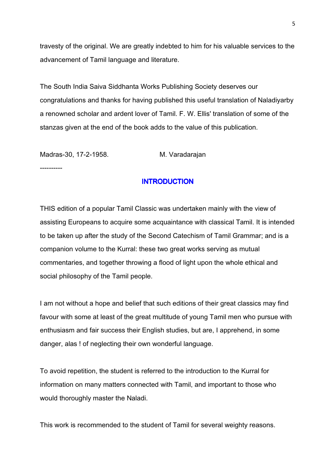travesty of the original. We are greatly indebted to him for his valuable services to the advancement of Tamil language and literature.

The South India Saiva Siddhanta Works Publishing Society deserves our congratulations and thanks for having published this useful translation of Naladiyarby a renowned scholar and ardent lover of Tamil. F. W. Ellis' translation of some of the stanzas given at the end of the book adds to the value of this publication.

Madras-30, 17-2-1958. M. Varadarajan

----------

# **INTRODUCTION**

THIS edition of a popular Tamil Classic was undertaken mainly with the view of assisting Europeans to acquire some acquaintance with classical Tamil. It is intended to be taken up after the study of the Second Catechism of Tamil Grammar; and is a companion volume to the Kurral: these two great works serving as mutual commentaries, and together throwing a flood of light upon the whole ethical and social philosophy of the Tamil people.

I am not without a hope and belief that such editions of their great classics may find favour with some at least of the great multitude of young Tamil men who pursue with enthusiasm and fair success their English studies, but are, I apprehend, in some danger, alas ! of neglecting their own wonderful language.

To avoid repetition, the student is referred to the introduction to the Kurral for information on many matters connected with Tamil, and important to those who would thoroughly master the Naladi.

This work is recommended to the student of Tamil for several weighty reasons.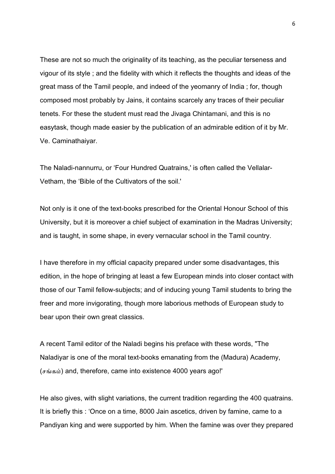These are not so much the originality of its teaching, as the peculiar terseness and vigour of its style ; and the fidelity with which it reflects the thoughts and ideas of the great mass of the Tamil people, and indeed of the yeomanry of India ; for, though composed most probably by Jains, it contains scarcely any traces of their peculiar tenets. For these the student must read the Jivaga Chintamani, and this is no easytask, though made easier by the publication of an admirable edition of it by Mr. Ve. Caminathaiyar.

The Naladi-nannurru, or 'Four Hundred Quatrains,' is often called the Vellalar-Vetham, the 'Bible of the Cultivators of the soil.'

Not only is it one of the text-books prescribed for the Oriental Honour School of this University, but it is moreover a chief subject of examination in the Madras University; and is taught, in some shape, in every vernacular school in the Tamil country.

I have therefore in my official capacity prepared under some disadvantages, this edition, in the hope of bringing at least a few European minds into closer contact with those of our Tamil fellow-subjects; and of inducing young Tamil students to bring the freer and more invigorating, though more laborious methods of European study to bear upon their own great classics.

A recent Tamil editor of the Naladi begins his preface with these words, "The Naladiyar is one of the moral text-books emanating from the (Madura) Academy, ( $\sigma$ ங்கம்) and, therefore, came into existence 4000 years ago!'

He also gives, with slight variations, the current tradition regarding the 400 quatrains. It is briefly this : 'Once on a time, 8000 Jain ascetics, driven by famine, came to a Pandiyan king and were supported by him. When the famine was over they prepared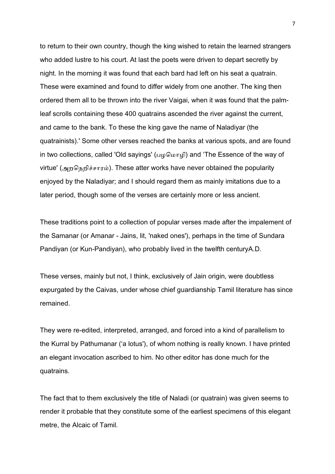to return to their own country, though the king wished to retain the learned strangers who added lustre to his court. At last the poets were driven to depart secretly by night. In the morning it was found that each bard had left on his seat a quatrain. These were examined and found to differ widely from one another. The king then ordered them all to be thrown into the river Vaigai, when it was found that the palmleaf scrolls containing these 400 quatrains ascended the river against the current, and came to the bank. To these the king gave the name of Naladiyar (the quatrainists).' Some other verses reached the banks at various spots, and are found in two collections, called 'Old sayings' (பழமொழி) and 'The Essence of the way of virtue' (அறநெறிச்சாரம்). These atter works have never obtained the popularity enjoyed by the Naladiyar; and I should regard them as mainly imitations due to a later period, though some of the verses are certainly more or less ancient.

These traditions point to a collection of popular verses made after the impalement of the Samanar (or Amanar - Jains, lit, 'naked ones'), perhaps in the time of Sundara Pandiyan (or Kun-Pandiyan), who probably lived in the twelfth centuryA.D.

These verses, mainly but not, I think, exclusively of Jain origin, were doubtless expurgated by the Caivas, under whose chief guardianship Tamil literature has since remained.

They were re-edited, interpreted, arranged, and forced into a kind of parallelism to the Kurral by Pathumanar ('a lotus'), of whom nothing is really known. I have printed an elegant invocation ascribed to him. No other editor has done much for the quatrains.

The fact that to them exclusively the title of Naladi (or quatrain) was given seems to render it probable that they constitute some of the earliest specimens of this elegant metre, the Alcaic of Tamil.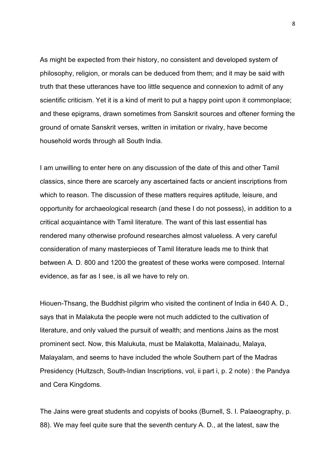As might be expected from their history, no consistent and developed system of philosophy, religion, or morals can be deduced from them; and it may be said with truth that these utterances have too little sequence and connexion to admit of any scientific criticism. Yet it is a kind of merit to put a happy point upon it commonplace; and these epigrams, drawn sometimes from Sanskrit sources and oftener forming the ground of ornate Sanskrit verses, written in imitation or rivalry, have become household words through all South India.

I am unwilling to enter here on any discussion of the date of this and other Tamil classics, since there are scarcely any ascertained facts or ancient inscriptions from which to reason. The discussion of these matters requires aptitude, leisure, and opportunity for archaeological research (and these I do not possess), in addition to a critical acquaintance with Tamil literature. The want of this last essential has rendered many otherwise profound researches almost valueless. A very careful consideration of many masterpieces of Tamil literature leads me to think that between A. D. 800 and 1200 the greatest of these works were composed. Internal evidence, as far as I see, is all we have to rely on.

Hiouen-Thsang, the Buddhist pilgrim who visited the continent of India in 640 A. D., says that in Malakuta the people were not much addicted to the cultivation of literature, and only valued the pursuit of wealth; and mentions Jains as the most prominent sect. Now, this Malukuta, must be Malakotta, Malainadu, Malaya, Malayalam, and seems to have included the whole Southern part of the Madras Presidency (Hultzsch, South-Indian Inscriptions, vol, ii part i, p. 2 note) : the Pandya and Cera Kingdoms.

The Jains were great students and copyists of books (Burnell, S. I. Palaeography, p. 88). We may feel quite sure that the seventh century A. D., at the latest, saw the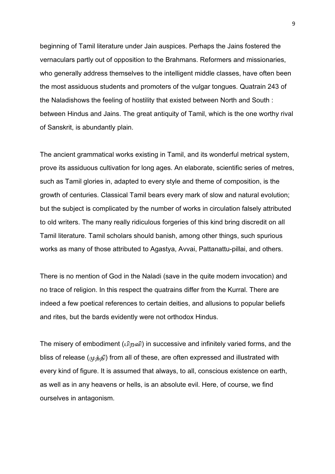beginning of Tamil literature under Jain auspices. Perhaps the Jains fostered the vernaculars partly out of opposition to the Brahmans. Reformers and missionaries, who generally address themselves to the intelligent middle classes, have often been the most assiduous students and promoters of the vulgar tongues. Quatrain 243 of the Naladishows the feeling of hostility that existed between North and South : between Hindus and Jains. The great antiquity of Tamil, which is the one worthy rival of Sanskrit, is abundantly plain.

The ancient grammatical works existing in Tamil, and its wonderful metrical system, prove its assiduous cultivation for long ages. An elaborate, scientific series of metres, such as Tamil glories in, adapted to every style and theme of composition, is the growth of centuries. Classical Tamil bears every mark of slow and natural evolution; but the subject is complicated by the number of works in circulation falsely attributed to old writers. The many really ridiculous forgeries of this kind bring discredit on all Tamil literature. Tamil scholars should banish, among other things, such spurious works as many of those attributed to Agastya, Avvai, Pattanattu-pillai, and others.

There is no mention of God in the Naladi (save in the quite modern invocation) and no trace of religion. In this respect the quatrains differ from the Kurral. There are indeed a few poetical references to certain deities, and allusions to popular beliefs and rites, but the bards evidently were not orthodox Hindus.

The misery of embodiment (பிறவி) in successive and infinitely varied forms, and the bliss of release ( $(\mu \dot{\rho} \dot{\rho})$ ) from all of these, are often expressed and illustrated with every kind of figure. It is assumed that always, to all, conscious existence on earth, as well as in any heavens or hells, is an absolute evil. Here, of course, we find ourselves in antagonism.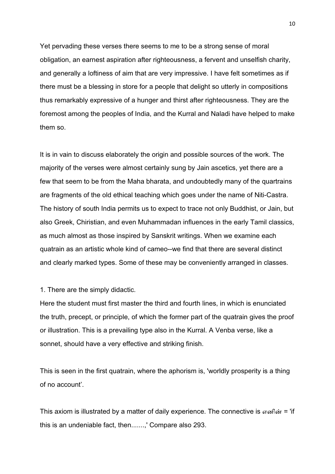Yet pervading these verses there seems to me to be a strong sense of moral obligation, an earnest aspiration after righteousness, a fervent and unselfish charity, and generally a loftiness of aim that are very impressive. I have felt sometimes as if there must be a blessing in store for a people that delight so utterly in compositions thus remarkably expressive of a hunger and thirst after righteousness. They are the foremost among the peoples of India, and the Kurral and Naladi have helped to make them so.

It is in vain to discuss elaborately the origin and possible sources of the work. The majority of the verses were almost certainly sung by Jain ascetics, yet there are a few that seem to be from the Maha bharata, and undoubtedly many of the quartrains are fragments of the old ethical teaching which goes under the name of Niti-Castra. The history of south India permits us to expect to trace not only Buddhist, or Jain, but also Greek, Chiristian, and even Muhammadan influences in the early Tamil classics, as much almost as those inspired by Sanskrit writings. When we examine each quatrain as an artistic whole kind of cameo--we find that there are several distinct and clearly marked types. Some of these may be conveniently arranged in classes.

#### 1. There are the simply didactic.

Here the student must first master the third and fourth lines, in which is enunciated the truth, precept, or principle, of which the former part of the quatrain gives the proof or illustration. This is a prevailing type also in the Kurral. A Venba verse, like a sonnet, should have a very effective and striking finish.

This is seen in the first quatrain, where the aphorism is, 'worldly prosperity is a thing of no account'.

This axiom is illustrated by a matter of daily experience. The connective is  $\pi \in \mathfrak{m}$  = 'if this is an undeniable fact, then.......,' Compare also 293.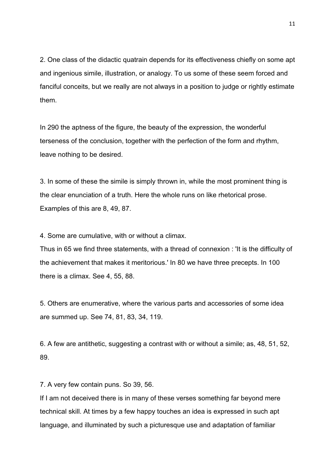2. One class of the didactic quatrain depends for its effectiveness chiefly on some apt and ingenious simile, illustration, or analogy. To us some of these seem forced and fanciful conceits, but we really are not always in a position to judge or rightly estimate them.

In 290 the aptness of the figure, the beauty of the expression, the wonderful terseness of the conclusion, together with the perfection of the form and rhythm, leave nothing to be desired.

3. In some of these the simile is simply thrown in, while the most prominent thing is the clear enunciation of a truth. Here the whole runs on like rhetorical prose. Examples of this are 8, 49, 87.

4. Some are cumulative, with or without a climax.

Thus in 65 we find three statements, with a thread of connexion : 'It is the difficulty of the achievement that makes it meritorious.' In 80 we have three precepts. In 100 there is a climax. See 4, 55, 88.

5. Others are enumerative, where the various parts and accessories of some idea are summed up. See 74, 81, 83, 34, 119.

6. A few are antithetic, suggesting a contrast with or without a simile; as, 48, 51, 52, 89.

7. A very few contain puns. So 39, 56.

If I am not deceived there is in many of these verses something far beyond mere technical skill. At times by a few happy touches an idea is expressed in such apt language, and illuminated by such a picturesque use and adaptation of familiar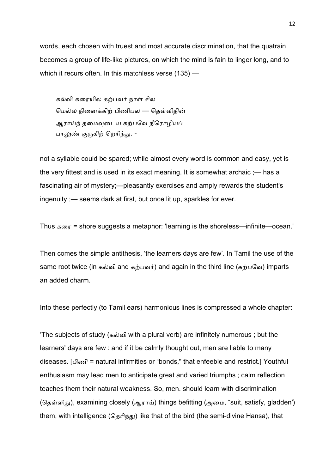words, each chosen with truest and most accurate discrimination, that the quatrain becomes a group of life-like pictures, on which the mind is fain to linger long, and to which it recurs often. In this matchless verse (135) —

கல்வி கரையில கற்பவர் நாள் சில மெல்ல நினைக்கிற் பிணிபல — தெள்ளிதின் ஆராய்ந் தமைவுடைய கற்பவே நீரொழியப் பாலுண் குருகிற் றெரிந்து. -

not a syllable could be spared; while almost every word is common and easy, yet is the very fittest and is used in its exact meaning. It is somewhat archaic ;— has a fascinating air of mystery;—pleasantly exercises and amply rewards the student's ingenuity ;— seems dark at first, but once lit up, sparkles for ever.

Thus கைர = shore suggests a metaphor: 'learning is the shoreless—infinite—ocean.'

Then comes the simple antithesis, 'the learners days are few'. In Tamil the use of the same root twice (in கல்வி and கற்பவர்) and again in the third line (கற்பவே) imparts an added charm.

Into these perfectly (to Tamil ears) harmonious lines is compressed a whole chapter:

'The subjects of study (கவி with a plural verb) are infinitely numerous ; but the learners' days are few : and if it be calmly thought out, men are liable to many diseases. [பிணி = natural infirmities or "bonds," that enfeeble and restrict.] Youthful enthusiasm may lead men to anticipate great and varied triumphs ; calm reflection teaches them their natural weakness. So, men. should learn with discrimination (தெள்ளிது), examining closely (ஆராய்) things befitting (அமை, "suit, satisfy, gladden') them, with intelligence (தெரிந்து) like that of the bird (the semi-divine Hansa), that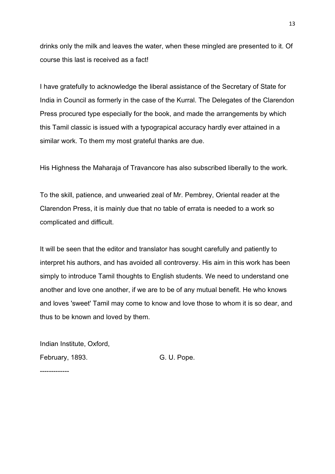drinks only the milk and leaves the water, when these mingled are presented to it. Of course this last is received as a fact!

I have gratefully to acknowledge the liberal assistance of the Secretary of State for India in Council as formerly in the case of the Kurral. The Delegates of the Clarendon Press procured type especially for the book, and made the arrangements by which this Tamil classic is issued with a typograpical accuracy hardly ever attained in a similar work. To them my most grateful thanks are due.

His Highness the Maharaja of Travancore has also subscribed liberally to the work.

To the skill, patience, and unwearied zeal of Mr. Pembrey, Oriental reader at the Clarendon Press, it is mainly due that no table of errata is needed to a work so complicated and difficult.

It will be seen that the editor and translator has sought carefully and patiently to interpret his authors, and has avoided all controversy. His aim in this work has been simply to introduce Tamil thoughts to English students. We need to understand one another and love one another, if we are to be of any mutual benefit. He who knows and loves 'sweet' Tamil may come to know and love those to whom it is so dear, and thus to be known and loved by them.

Indian Institute, Oxford, February, 1893. G. U. Pope.

-------------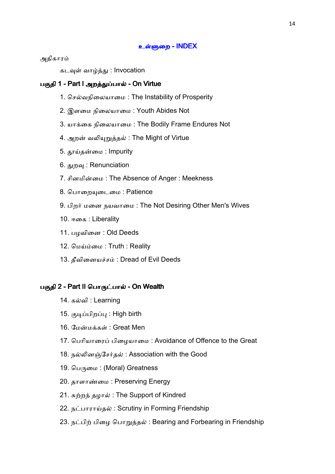#### உள்ளுறை - **INDEX**

அதிகார

கடவுள் வாழ்த்து : Invocation

## பகுதி 1 - Part I அறத்துப்பால் - On Virtue

- 1. செல்வநிலையாமை: The Instability of Prosperity
- 2. இளைம நிைலயாைம : Youth Abides Not
- 3. யாக்கை நிலையாமை: The Bodily Frame Endures Not
- 4. அறன் வலியுறுத்தல் : The Might of Virtue
- 5. தூய்தன்மை : Impurity
- 6. துறவு : Renunciation
- 7. சினமின்மை: The Absence of Anger: Meekness
- 8. பொறையுடைமை : Patience
- 9. பிறர் மனை நயவாமை : The Not Desiring Other Men's Wives
- 10. ஈகை: Liberality
- 11. பழவினை : Old Deeds
- 12. மெய்ம்மை: Truth : Reality
- 13. தீவினையச்சம்: Dread of Evil Deeds

#### பகுதி 2 - Part II பொருட்பால் - On Wealth

- 14. கவி : Learning
- 15. குடிப்பிறப்பு : High birth
- 16. மேன்மக்கள் : Great Men
- 17. பெரியாரைப் பிழையாமை : Avoidance of Offence to the Great
- 18. நல்லினஞ்சேர்தல்: Association with the Good
- 19. பெருமை: (Moral) Greatness
- 20. தாளாண்மை: Preserving Energy
- 21. சுற்றந் தழால்: The Support of Kindred
- 22. நட்பாராய்தல்: Scrutiny in Forming Friendship
- 23. நட்பிற் பிழை பொறுத்தல்: Bearing and Forbearing in Friendship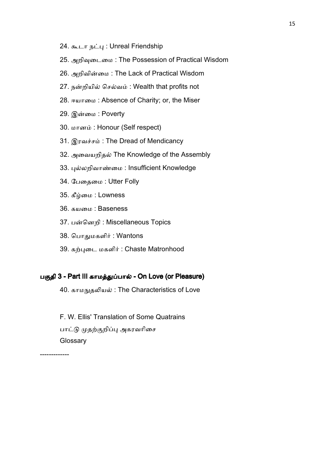- 24. கூடா நட்பு: Unreal Friendship
- 25. அறிவுடைமை: The Possession of Practical Wisdom
- 26. அறிவின்மை: The Lack of Practical Wisdom
- 27. நன்றியில் செல்வம்: Wealth that profits not
- 28. ஈயாமை: Absence of Charity; or, the Miser
- 29. இன்மை : Poverty
- 30. மானம்: Honour (Self respect)
- 31. இரவச்சம்: The Dread of Mendicancy
- 32. அவையறிதல் The Knowledge of the Assembly
- 33. புல்லறிவாண்மை: Insufficient Knowledge
- 34. பேதைமை : Utter Folly
- 35. கீழ்மை : Lowness
- 36. கயமை : Baseness
- 37. பன்னெறி: Miscellaneous Topics
- 38. பொதுமகளிர் : Wantons
- 39. கற்புடை மகளிர் : Chaste Matronhood

#### பகுதி 3 - Part III காமத்துப்பால் - On Love (or Pleasure)

40. காமநுதலியல்: The Characteristics of Love

F. W. Ellis' Translation of Some Quatrains பாட்டு முதற்குறிப்பு அகரவரிசை **Glossary** 

-------------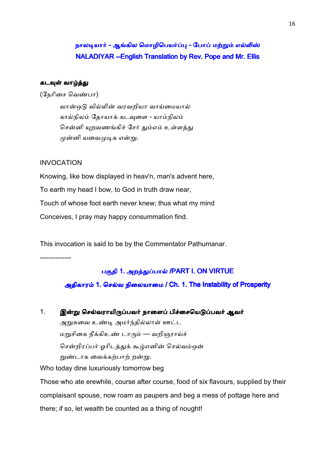# நாலடியார் - ஆங்கில மொழிபெயர்ப்பு - போப் மற்றும் எல்லிஸ் NALADIYAR --English Translation by Rev. Pope and Mr. Ellis

## கடவுள் வாழ்த்து

(நேரிசை வெண்பா)

வான்ஒடு வில்லின் வரவறியா வாய்மையால் கால்நிலம் தோயாக் கடவுளை - யாம்நிலம் சென்னி யுறவணங்கிச் சேர் தும்எம் உள்ளத்து முன்னி யவைமுடிக என்று.

#### INVOCATION

Knowing, like bow displayed in heav'n, man's advent here, To earth my head I bow, to God in truth draw near, Touch of whose foot earth never knew; thus what my mind Conceives, I pray may happy consummation find.

This invocation is said to be by the Commentator Pathumanar.

--------------

## பகுதி 1. அறத்துப்பால் /PART I. ON VIRTUE

அதிகாரம் 1. செல்வ நிலையாமை / Ch. 1. The Instability of Prosperity

1. இன்று செல்வராயிருப்பவர் நாளைப் பிச்சையெடுப்பவர் ஆவர் அறுசுவை உண்டி அமர்ந்தில்லாள் ஊட்ட மறுசிகை நீக்கிஉண் டாரும் — வறிஞராய்ச் சென்றிரப்பர் ஓரிடத்துக் கூழ்எனின் செல்வம்ஒன் றுண்டாக வைக்கற்பாற் றன்று. Who today dine luxuriously tomorrow beg

Those who ate erewhile, course after course, food of six flavours, supplied by their complaisant spouse, now roam as paupers and beg a mess of pottage here and there; if so, let wealth be counted as a thing of nought!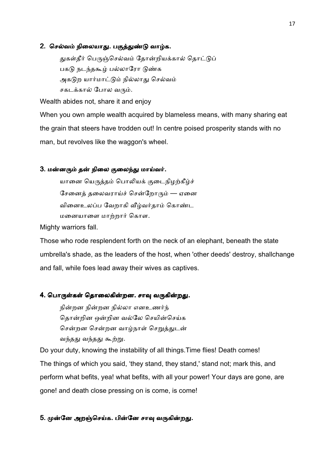#### 2. செல்வம் நிலையாது. பகுத்துண்டு வாழ்க.

துகள்தீர் பெருஞ்செல்வம் தோன்றியக்கால் தொட்டுப் பகடு நடந்தகூம் பல்லாரோ டுண்க அகடுற யார்மாட்டும் நில்லாது செல்வம் சகடக்கால் போல வரும்.

Wealth abides not, share it and enjoy

When you own ample wealth acquired by blameless means, with many sharing eat the grain that steers have trodden out! In centre poised prosperity stands with no man, but revolves like the waggon's wheel.

#### 3. மன்னரும் தன் நிலை குலைந்து மாய்வர்.

யானை யெருத்தம் பொலியக் குடைநிழற்கீழ்ச் சேனைத் தலைவராய்ச் சென்றோரும் — ஏனை வினைஉலப்ப வேறாகி வீழ்வர்தாம் கொண்ட மனையாளை மாற்றார் கொள.

Mighty warriors fall.

Those who rode resplendent forth on the neck of an elephant, beneath the state umbrella's shade, as the leaders of the host, when 'other deeds' destroy, shallchange and fall, while foes lead away their wives as captives.

# 4. பொருள்கள் தொலைகின்றன. சாவு வருகின்றது.

நின்றன நில்லா எனஉணர்ந் தொன்றின ஒன்றின வல்லே செயின்செய்க சென்றன சென்றன வாழ்நாள் செறுத்துடன் வந்தது வந்தது கூற்று.

Do your duty, knowing the instability of all things.Time flies! Death comes! The things of which you said, 'they stand, they stand,' stand not; mark this, and perform what befits, yea! what befits, with all your power! Your days are gone, are gone! and death close pressing on is come, is come!

### 5. முன்னே அறஞ்செய்க. பின்னே சாவு வருகின்றது.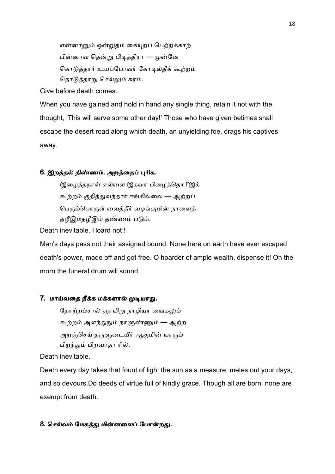என்னானும் ஒன்றுதம் கையுறப் பெற்றக்காற் பின்னாவ தென்று பிடித்திரா — முன்னே கொடுத்தார் உயப்போவர் கோடில்தீக் கூற்றம் தொடுத்தாறு செல்லும் சுரம்.

Give before death comes.

When you have gained and hold in hand any single thing, retain it not with the thought, 'This will serve some other day!' Those who have given betimes shall escape the desert road along which death, an unyielding foe, drags his captives away.

# 6. இறத்தல் திண்ணம். அறத்தைப் புரிக.

இழைத்தநாள் எல்லை இகவா பிழைத்தொரீஇக் கூற்றம் குதித்துவந்தார் ஈங்கில்லை — ஆற்றப் பெரும்பொருள் வைத்தீர் வழங்குமின் நாளைத் தழீஇம்தழீஇம் தண்ணம் படும்.

Death inevitable. Hoard not !

Man's days pass not their assigned bound. None here on earth have ever escaped death's power, made off and got free. O hoarder of ample wealth, dispense it! On the morn the funeral drum will sound.

#### 7. மாய்வதை நீக்க மக்களால் முடியாது.

தோற்றம்சால் ஞாயிறு நாழியா வைகலும் கூற்றம் அளந்துநும் நாளுண்ணும் — ஆற்ற அறஞ்செய் தருளுடையீர் ஆகுமின் யாரும் பிறந்தும் பிறவாதா ரில்.

Death inevitable.

Death every day takes that fount of light the sun as a measure, metes out your days, and so devours.Do deeds of virtue full of kindly grace. Though all are born, none are exempt from death.

## 8. செல்வம் மேகத்து மின்னலைப் போன்றது.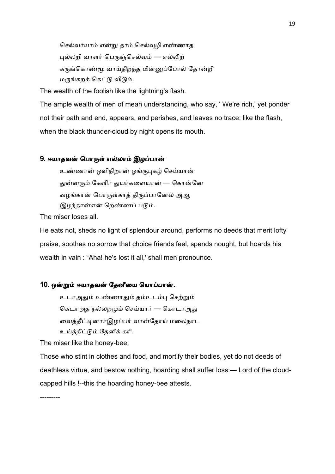செல்வர்யாம் என்று தாம் செல்வுழி எண்ணாத புல்லறி வாளர் பெருஞ்செல்வம் — எல்லிற் கருங்கொண்மூ வாய்திறந்த மின்னுப்போல் தோன்றி மருங்கறக் கெட்டு விடும்.

The wealth of the foolish like the lightning's flash.

The ample wealth of men of mean understanding, who say, ' We're rich,' yet ponder not their path and end, appears, and perishes, and leaves no trace; like the flash, when the black thunder-cloud by night opens its mouth.

## 9. ஈயாதவன் பொருள் எல்லாம் இழப்பான்

உண்ணான் ஒளிநிறான் ஓங்குபுகழ் செய்யான் துன்னரும் கேளிர் துயர்களையான் — கொன்னே வழங்கான் பொருள்காத் திருப்பானேல் அஆ இழந்தான்என் றெண்ணப் படும்.

The miser loses all.

He eats not, sheds no light of splendour around, performs no deeds that merit lofty praise, soothes no sorrow that choice friends feel, spends nought, but hoards his wealth in vain : "Aha! he's lost it all,' shall men pronounce.

#### 10. ஒன்றும் ஈயாதவன் தேனீயை யொப்பான்.

உடாஅதும் உண்ணாதும் தம்உடம்பு செற்றும் கெடாஅத நல்லறமும் செய்யார் — கொடாஅது வைத்தீட்டினார்இழப்பர் வான்தோய் மலைநாட உய்த்தீட்டும் தேனீக் கரி.

The miser like the honey-bee.

Those who stint in clothes and food, and mortify their bodies, yet do not deeds of deathless virtue, and bestow nothing, hoarding shall suffer loss:— Lord of the cloudcapped hills !--this the hoarding honey-bee attests.

---------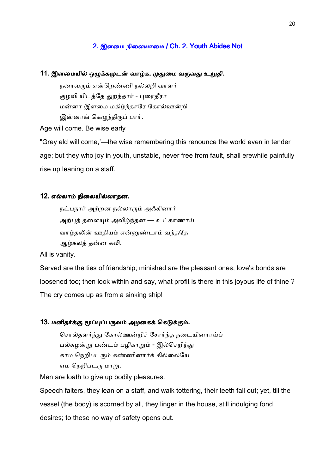## 2. இளமை நிலையாமை / Ch. 2. Youth Abides Not

### 11. இளமையில் ஒழுக்கமுடன் வாழ்க. முதுமை வருவது உறுதி.

நரைவரும் என்றெண்ணி நல்லறி வாளர் குழவி யிடத்தே துறந்தார் - புரைதீரா மன்னா இளமை மகிழ்ந்தாரே கோல்ஊன்றி இன்னாங் கெழுந்திருப் பார்.

Age will come. Be wise early

"Grey eld will come,'—the wise remembering this renounce the world even in tender age; but they who joy in youth, unstable, never free from fault, shall erewhile painfully rise up leaning on a staff.

### 12. எல்லாம் நிலையில்லாதன.

நட்புநார் அற்றன நல்லாரும் அஃகினார் அற்புத் தளையும் அவிழ்ந்தன — உட்காணாய் வாழ்தலின் ஊதியம் என்னுண்டாம் வந்ததே ஆழ்கலத் தன்ன கலி.

All is vanity.

Served are the ties of friendship; minished are the pleasant ones; love's bonds are loosened too; then look within and say, what profit is there in this joyous life of thine ? The cry comes up as from a sinking ship!

#### 13. மனிதர்க்கு மூப்புப்பருவம் அழகைக் கெடுக்கும்.

சொல்தளர்ந்து கோல்ஊன்றிச் சோர்ந்த நடையினராய்ப் பல்கழன்று பண்டம் பழிகாறும் - இல்செறிந்து காம நெறிபடரும் கண்ணினார்க் கில்லையே ஏம நெறிபடரு மாறு.

Men are loath to give up bodily pleasures.

Speech falters, they lean on a staff, and walk tottering, their teeth fall out; yet, till the vessel (the body) is scorned by all, they linger in the house, still indulging fond desires; to these no way of safety opens out.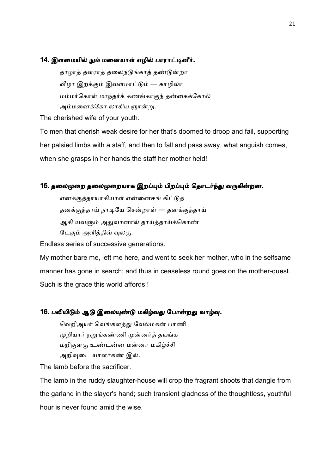#### 14. இளமையில் நும் மனையாள் எழில் பாராட்டினீர்.

தாழாத் தளராத் தலைநடுங்காத் தண்டுன்றா வீழா இறக்கும் இவள்மாட்டும் — காழிலா மம்மர்கொள் மாந்தர்க் கணங்காகுந் தன்கைக்கோல் அம்மனைக்கோ லாகிய ஞான்று.

The cherished wife of your youth.

To men that cherish weak desire for her that's doomed to droop and fail, supporting her palsied limbs with a staff, and then to fall and pass away, what anguish comes, when she grasps in her hands the staff her mother held!

## 15. தலைமுறை தலைமுறையாக இறப்பும் பிறப்பும் தொடர்ந்து வருகின்றன.

எனக்குத்தாயாகியாள் என்னைஈங் கிட்டுத் தனக்குத்தாய் நாடியே சென்றாள் — தனக்குத்தாய் ஆகி யவளும் அதுவானால் தாய்த்தாய்க்கொண் டேகும் அளித்திவ் வுலகு.

Endless series of successive generations.

My mother bare me, left me here, and went to seek her mother, who in the selfsame manner has gone in search; and thus in ceaseless round goes on the mother-quest. Such is the grace this world affords !

#### 16. பலியிடும் ஆடு இலையுண்டு மகிழ்வது போன்றது வாழ்வு.

வெறிஅயர் வெங்களத்து வேல்மகன் பாணி முறியார் நறுங்கண்ணி முன்னர்த் தயங்க மறிகுளகு உண்டன்ன மன்னா மகிழ்ச்சி அறிவுடை யாளர்கண் இல்.

The lamb before the sacrificer.

The lamb in the ruddy slaughter-house will crop the fragrant shoots that dangle from the garland in the slayer's hand; such transient gladness of the thoughtless, youthful hour is never found amid the wise.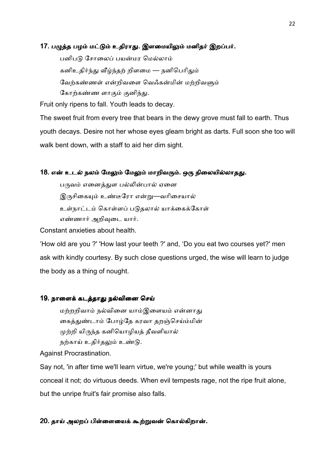### 17. பழுத்த பழம் மட்டும் உதிராது. இளமையிலும் மனிதர் இறப்பர்.

பனிபடு சோலைப் பயன்மர மெல்லாம் கனிஉதிர்ந்து வீழ்ந்தற் றிளமை — நனிபெரிதும் வேற்கண்ணள் என்றிவளை வெஃகன்மின் மற்றிவளும் கோற்கண்ண ளாகும் குனிந்து.

Fruit only ripens to fall. Youth leads to decay.

The sweet fruit from every tree that bears in the dewy grove must fall to earth. Thus youth decays. Desire not her whose eyes gleam bright as darts. Full soon she too will walk bent down, with a staff to aid her dim sight.

#### 18. என் உடல் நலம் மேலும் மேலும் மாறிவரும். ஒரு நிலையில்லாதது.

பருவம் எனைத்துள பல்லின்பால் ஏனை இருசிகையும் உண்டீரோ என்று—வரிசையால் உள்நாட்டம் கொள்ளப் படுதலால் யாக்கைக்கோள் எண்ணார் அறிவுடை யார்.

Constant anxieties about health.

'How old are you ?' 'How last your teeth ?' and, 'Do you eat two courses yet?' men ask with kindly courtesy. By such close questions urged, the wise will learn to judge the body as a thing of nought.

#### 19. நாளைக் கடத்தாது நல்வினை செய்

மற்றறிவாம் நல்வினை யாம்இளையம் என்னாது கைத்துண்டாம் போழ்தே கரவா தறஞ்செய்ம்மின் முற்றி யிருந்த கனியொழியத் தீவளியால் நற்காய் உதிர்தலும் உண்டு.

Against Procrastination.

Say not, 'in after time we'll learn virtue, we're young;' but while wealth is yours conceal it not; do virtuous deeds. When evil tempests rage, not the ripe fruit alone, but the unripe fruit's fair promise also falls.

#### 20. தாய் அலறப் பிள்ளையைக் கூற்றுவன் கொல்கிறான்.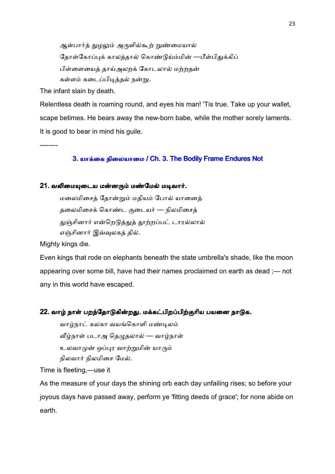ஆள்பார்த் துழலும் அருளில்கூற் றுண்மையால் தோள்கோப்புக் காலத்தால் கொண்டுய்ம்மின் —பீள்பிதுக்கிப் பிள்ளையைக் காய்அலறக் கோடலால் மற்றதன் கள்ளம் கடைப்பிடித்தல் நன்று.

The infant slain by death.

Relentless death is roaming round, and eyes his man! 'Tis true. Take up your wallet, scape betimes. He bears away the new-born babe, while the mother sorely laments. It is good to bear in mind his guile.

--------

# 3. யாக்கை நிலையாமை / Ch. 3. The Bodily Frame Endures Not

#### 21. வலிமையுடைய மன்னரும் மண்மேல் மடிவார்.

மலைமிசைத் தோன்றும் மதியம் போல் யானைத் தலைமிசைக் கொண்ட குடையர் — நிலமிசைத் துஞ்சினார் என்றெடுத்துத் தூற்றப்பட் டாரல்லால் எஞ்சினார் இவ்வுலகத் தில்.

Mighty kings die.

Even kings that rode on elephants beneath the state umbrella's shade, like the moon appearing over some bill, have had their names proclaimed on earth as dead ;— not any in this world have escaped.

#### 22. வாழ் நாள் பறந்தோடுகின்றது. மக்கட்பிறப்பிற்குரிய பயனை நாடுக.

வாழ்நாட் கலகா வயங்கொளி மண்டிலம் வீழ்நாள் படாஅ தெழுதலால் — வாழ்நாள் உலவாமுன் ஒப்புர வாற்றுமின் யாரும் நிலவார் நிலமிசை மேல்.

Time is fleeting,—use it

As the measure of your days the shining orb each day unfailing rises; so before your joyous days have passed away, perform ye 'fitting deeds of grace'; for none abide on earth.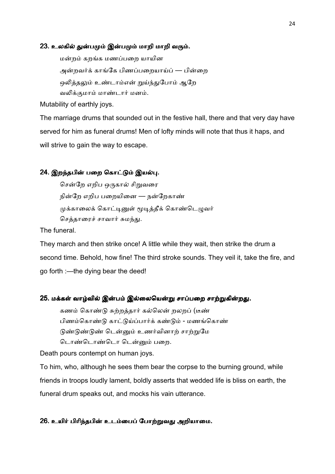#### 23. உலகில் துன்பமும் இன்பமும் மாறி மாறி வரும்.

மன்றம் கறங்க மணப்பறை யாயின அன்றவர்க் காங்கே பிணப்பறையாய்ப் — பின்றை ஒலித்தலும் உண்டாம்என் றுய்ந்துபோம் ஆறே வலிக்குமாம் மாண்டார் மனம்.

Mutability of earthly joys.

The marriage drums that sounded out in the festive hall, there and that very day have served for him as funeral drums! Men of lofty minds will note that thus it haps, and will strive to gain the way to escape.

## 24. இறந்தபின் பறை கொட்டும் இயல்பு.

சென்றே எறிப ஒருகால் சிறுவரை நின்றே எறிப பறையினை — நன்றேகாண் முக்காலைக் கொட்டினுள் மூடித்தீக் கொண்டெழுவர் செத்தாரைச் சாவார் சுமந்து.

The funeral.

They march and then strike once! A little while they wait, then strike the drum a second time. Behold, how fine! The third stroke sounds. They veil it, take the fire, and go forth :—the dying bear the deed!

#### 25. மக்கள் வாழ்வில் இன்பம் இல்லையென்று சாப்பறை சாற்றுகின்றது.

கணம் கொண்டு சுற்றத்தார் கல்லென் றலறப் (டீண் பிணம்கொண்டு காட்டுய்ப்பார்க் கண்டும் - மணங்கொண் டுண்டுண் டென்னும் உணர்வினாற் சாற்றுமே டொண்டொடை டென்னும் பறை.

Death pours contempt on human joys.

To him, who, although he sees them bear the corpse to the burning ground, while friends in troops loudly lament, boldly asserts that wedded life is bliss on earth, the funeral drum speaks out, and mocks his vain utterance.

## 26. உயிர் பிரிந்தபின் உடம்பைப் போற்றுவது அறியாமை.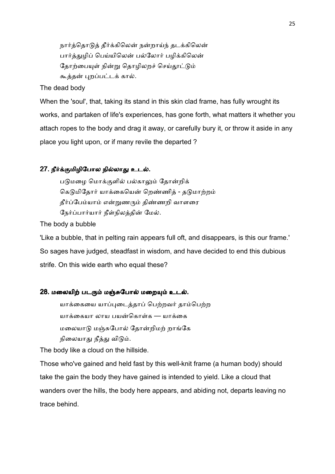நார்த்தொடுத் தீர்க்கிலென் நன்றாய்ந் தடக்கிலென் பார்த்துமிப் பெய்யிலென் பல்லோர் பழிக்கிலென் தோற்பையுள் நின்று தொழிலறச் செய்தூட்டும் கூத்தன் புறப்பட்டக் கால்.

The dead body

When the 'soul', that, taking its stand in this skin clad frame, has fully wrought its works, and partaken of life's experiences, has gone forth, what matters it whether you attach ropes to the body and drag it away, or carefully bury it, or throw it aside in any place you light upon, or if many revile the departed ?

# 27. நீர்க்குமிழிபோல நில்லாது உடல்.

படுமழை மொக்குளில் பல்காலும் தோன்றிக் கெடுமிதோர் யாக்கையென் றெண்ணித் - தடுமாற்றம் தீர்ப்பேம்யாம் என்றுணரும் திண்ணறி வாளரை நேர்ப்பார்யார் நீள்நிலத்தின் மேல்.

The body a bubble

'Like a bubble, that in pelting rain appears full oft, and disappears, is this our frame.' So sages have judged, steadfast in wisdom, and have decided to end this dubious strife. On this wide earth who equal these?

## 28. மலையிற் படரும் மஞ்சுபோல் மறையும் உடல்.

யாக்கையை யாப்புடைத்தாப் பெற்றவர் தாம்பெற்ற யாக்கையா லாய பயன்கொள்க — யாக்கை மலையாடு மஞ்சுபோல் தோன்றிமற் றாங்கே நிலையாது நீத்து விடும்.

The body like a cloud on the hillside.

Those who've gained and held fast by this well-knit frame (a human body) should take the gain the body they have gained is intended to yield. Like a cloud that wanders over the hills, the body here appears, and abiding not, departs leaving no trace behind.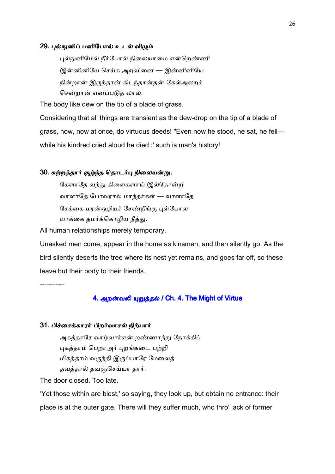#### 29. புல்நுனிப் பனிபோல் உடல் விழும்

புல்நுனிமேல் நீர்போல் நிலையாமை என்றெண்ணி இன்னினியே செய்க அறவினை — இன்னினியே நின்றான் இருந்தான் கிடந்தான்தன் கேள்அலறச் சென்றான் எனப்படுத லால்.

The body like dew on the tip of a blade of grass.

Considering that all things are transient as the dew-drop on the tip of a blade of grass, now, now at once, do virtuous deeds! "Even now he stood, he sat, he fell while his kindred cried aloud he died :' such is man's history!

#### 30. சுற்றத்தார் சூழ்ந்த தொடர்பு நிலையன்று.

கேளாதே வந்து கிளைகளாய் இல்தோன்றி வாளாதே போவரால் மாந்தர்கள் — வாளாதே சேக்கை மரன்ஒழியச் சேண்நீங்கு புள்போல யாக்கை தமர்க்கொழிய நீத்து.

All human relationships merely temporary.

Unasked men come, appear in the home as kinsmen, and then silently go. As the bird silently deserts the tree where its nest yet remains, and goes far off, so these leave but their body to their friends.

-----------

#### 4. அறன்வலி யுறுத்தல் / Ch. 4. The Might of Virtue

#### 31. பிச்சைக்காரர் பிறர்வாசல் நிற்பார்

அகத்தாரே வாழ்வார்என் றண்ணாந்து நோக்கிப் புகத்தாம் பெறாஅர் புறங்கடை பற்றி மிகத்தாம் வருந்தி இருப்பாரே மேலைத் தவத்தால் தவஞ்செய்யா தார்.

The door closed. Too late.

'Yet those within are blest,' so saying, they look up, but obtain no entrance: their place is at the outer gate. There will they suffer much, who thro' lack of former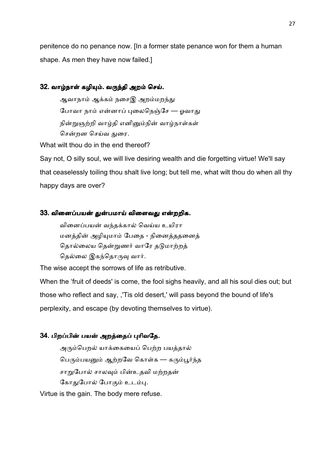penitence do no penance now. [In a former state penance won for them a human shape. As men they have now failed.]

## 32. வாழ்நாள் கழியும். வருந்தி அறம் செய்.

ஆவாநாம் ஆக்கம் நசைஇ அறம்மறந்து போவா நாம் என்னாப் புலைநெஞ்சே — ஓவாது நின்றுஞற்றி வாழ்தி எனினும்நின் வாழ்நாள்கள் சென்றன செய்வ துரை.

What wilt thou do in the end thereof?

Say not, O silly soul, we will live desiring wealth and die forgetting virtue! We'll say that ceaselessly toiling thou shalt live long; but tell me, what wilt thou do when all thy happy days are over?

## 33. வினைப்பயன் துன்பமாய் விளைவது என்றறிக.

வினைப்பயன் வந்தக்கால் வெய்ய உயிரா மனத்தின் அழியுமாம் பேதை - நினைத்ததனைத் தொல்லைய தென்றுணர் வாரே தடுமாற்றத் தெல்லை இகந்தொருவு வார்.

The wise accept the sorrows of life as retributive.

When the 'fruit of deeds' is come, the fool sighs heavily, and all his soul dies out; but those who reflect and say, ,'Tis old desert,' will pass beyond the bound of life's perplexity, and escape (by devoting themselves to virtue).

# 34. பிறப்பின் பயன் அறத்தைப் புரிவதே.

அரும்பெறல் யாக்கையைப் பெற்ற பயத்தால் பெரும்பயனும் ஆற்றவே கொள்க — கரும்பூர்ந்த சாறுபோல் சாலவும் பின்உதவி மற்றதன் கோதுபோல் போகும் உடம்பு.

Virtue is the gain. The body mere refuse.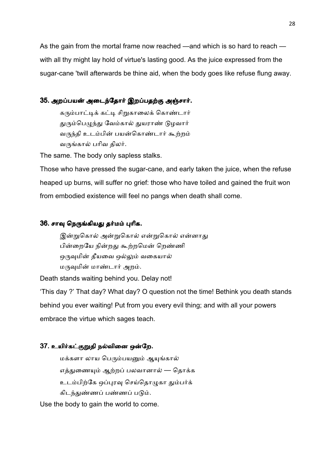As the gain from the mortal frame now reached —and which is so hard to reach with all thy might lay hold of virtue's lasting good. As the juice expressed from the sugar-cane 'twill afterwards be thine aid, when the body goes like refuse flung away.

## 35. அறப்பயன் அடைந்தோர் இறப்பதற்கு அஞ்சார்.

கரும்பாட்டிக் கட்டி சிறுகாலைக் கொண்டார் துரும்பெழுந்து வேம்கால் துயராண் டுழவார் வருந்தி உடம்பின் பயன்கொண்டார் கூற்றம் வருங்கால் பரிவ திலர்.

The same. The body only sapless stalks.

Those who have pressed the sugar-cane, and early taken the juice, when the refuse heaped up burns, will suffer no grief: those who have toiled and gained the fruit won from embodied existence will feel no pangs when death shall come.

# 36. சாவு நெருங்கியது தர்மம் புரிக.

இன்றுகொல் அன்றுகொல் என்றுகொல் என்னாது பின்றையே நின்றது கூற்றமென் றெண்ணி ஒருவுமின் தீயவை ஒல்லும் வகையால் மருவுமின் மாண்டார் அறம்.

Death stands waiting behind you. Delay not!

'This day ?' That day? What day? O question not the time! Bethink you death stands behind you ever waiting! Put from you every evil thing; and with all your powers embrace the virtue which sages teach.

#### 37. உயிர்கட்குறுதி நல்வினை ஒன்றே.

மக்களா லாய பெரும்பயனும் ஆயுங்கால் எத்துணையும் ஆற்றப் பலவானால் — தொக்க உடம்பிற்கே ஒப்புரவு செய்தொழுகா தும்பர்க் கிடந்துண்ணப் பண்ணப் படும்.

Use the body to gain the world to come.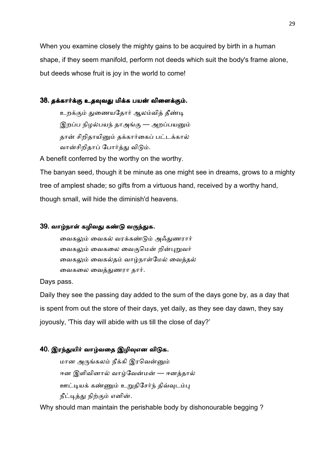When you examine closely the mighty gains to be acquired by birth in a human shape, if they seem manifold, perform not deeds which suit the body's frame alone, but deeds whose fruit is joy in the world to come!

# 38. தக்கார்க்கு உதவுவது மிக்க பயன் விளைக்கும்.

உறக்கும் துணையதோர் ஆலம்வித் தீண்டி இறப்ப நிழல்பயந் தாஅங்கு — அறப்பயனும் தான் சிறிதாயினும் தக்கார்கைப் பட்டக்கால் வான்சிறிதாப் போர்த்து விடும்.

A benefit conferred by the worthy on the worthy.

The banyan seed, though it be minute as one might see in dreams, grows to a mighty tree of amplest shade; so gifts from a virtuous hand, received by a worthy hand, though small, will hide the diminish'd heavens.

## 39. வாழ்நாள் கழிவது கண்டு வருந்துக.

வைகலும் வைகல் வரக்கண்டும் அஃகுணரார் வைகலும் வைகலை வைகுமென் றின்புறுவர் வைகலும் வைகல்தம் வாழ்நாள்மேல் வைத்தல் வைகலை வைத்துணரா தார்.

#### Days pass.

Daily they see the passing day added to the sum of the days gone by, as a day that is spent from out the store of their days, yet daily, as they see day dawn, they say joyously, 'This day will abide with us till the close of day?'

# 40. இரந்துயிர் வாழ்வதை இழிவுஎன விடுக.

மான அருங்கலம் நீக்கி இரவென்னும் ஈன இளிவினால் வாம்வேன்மன் — ஈனத்தால் ஊட்டியக் கண்ணும் உறுதிசேர்ந் திவ்வுடம்பு நீட்டித்து நிற்கும் எனின்.

Why should man maintain the perishable body by dishonourable begging ?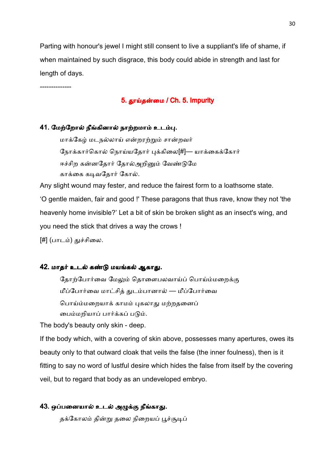Parting with honour's jewel I might still consent to live a suppliant's life of shame, if when maintained by such disgrace, this body could abide in strength and last for length of days.

--------------

# 5. தூய்தன்மை / Ch. 5. Impurity

# 41. மேற்றோல் நீங்கினால் நாற்றமாம் உடம்பு.

மாக்கேழ் மடநல்லாய் என்றரற்றும் சான்றவர் நோக்கார்கொல் நொய்யதோர் புக்கிலை[#]— யாக்கைக்கோர் ஈச்சிற கன்னதோர் தோல்அறினும் வேண்டுமே காக்கை கடிவதோர் கோல்.

Any slight wound may fester, and reduce the fairest form to a loathsome state. 'O gentle maiden, fair and good !' These paragons that thus rave, know they not 'the heavenly home invisible?' Let a bit of skin be broken slight as an insect's wing, and you need the stick that drives a way the crows !

[#] (பாடம்) துச்சிலை.

# 42. மாதர் உடல் கண்டு மயங்கல் ஆகாது.

தோற்போர்வை மேலும் தொளைபலவாய்ப் பொய்ம்மறைக்கு மீப்போர்வை மாட்சித் துடம்பானால் — மீப்போர்வை பொய்ம்மறையாக் காமம் புகலாது மற்றதனைப் பைம்மறியாப் பார்க்கப் படும்.

The body's beauty only skin - deep.

If the body which, with a covering of skin above, possesses many apertures, owes its beauty only to that outward cloak that veils the false (the inner foulness), then is it fitting to say no word of lustful desire which hides the false from itself by the covering veil, but to regard that body as an undeveloped embryo.

# 43. ஒப்பனையால் உடல் அழுக்கு நீங்காது.

தக்கோலம் தின்று தலை நிறையப் பூச்சூடிப்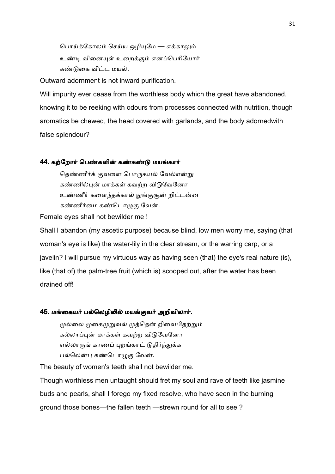பொய்க்கோலம் செய்ய ஒழியுமே — எக்காலும் உண்டி வினையுள் உறைக்கும் எனப்பெரியோர் கண்டுகை விட்ட மயல்.

Outward adornment is not inward purification.

Will impurity ever cease from the worthless body which the great have abandoned, knowing it to be reeking with odours from processes connected with nutrition, though aromatics be chewed, the head covered with garlands, and the body adornedwith false splendour?

#### 44. கற்றோர் பெண்களின் கண்கண்டு மயங்கார்

தெண்ணீர்க் குவளை பொருகயல் வேல்என்று கண்ணில்புன் மாக்கள் கவற்ற விடுவேனோ உண்ணீர் களைந்தக்கால் நுங்குசூன் றிட்டன்ன கண்ணீர்மை கண்டொழுகு வேன்.

Female eyes shall not bewilder me !

Shall I abandon (my ascetic purpose) because blind, low men worry me, saying (that woman's eye is like) the water-lily in the clear stream, or the warring carp, or a javelin? I will pursue my virtuous way as having seen (that) the eye's real nature (is), like (that of) the palm-tree fruit (which is) scooped out, after the water has been drained off!

#### 45. மங்கையர் பல்லெழிலில் மயங்குவர் அறிவிலார்.

முல்லை முகைமுறுவல் முத்தென் றிவைபிதற்றும் கல்லாப்புன் மாக்கள் கவற்ற விடுவேனோ எல்லாருங் காணப் புறங்காட் டுதிர்ந்துக்க பல்லென்பு கண்டொழுகு வேன்.

The beauty of women's teeth shall not bewilder me.

Though worthless men untaught should fret my soul and rave of teeth like jasmine buds and pearls, shall I forego my fixed resolve, who have seen in the burning ground those bones—the fallen teeth —strewn round for all to see ?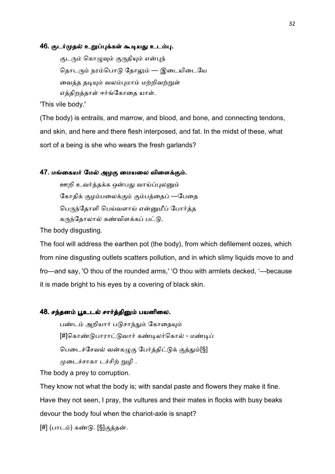#### 46. குடர்முதல் உறுப்புக்கள் கூடியது உடம்பு.

குடரும் கொழுவும் குருதியும் என்புந் தொடரும் நரம்பொடு தோலும் — இடையிடையே வைத்த தடியும் வலம்புமாம் மற்றிவற்றுள் எத்திறத்தாள் ஈர்ங்கோதை யாள்.

'This vile body.'

(The body) is entrails, and marrow, and blood, and bone, and connecting tendons, and skin, and here and there flesh interposed, and fat. In the midst of these, what sort of a being is she who wears the fresh garlands?

#### 47. மங்கையர் மேல் அழகு மையலை விளைக்கும்.

ஊறி உவர்த்தக்க ஒன்பது வாய்ப்புலனும் கோதிக் குழம்பலைக்கும் கும்பத்தைப் —பேதை பெருந்தோளி பெய்வளாய் என்னுமீப் போர்க்க கருந்தோலால் கண்விளக்கப் பட்டு.

The body disgusting.

The fool will address the earthen pot (the body), from which defilement oozes, which from nine disgusting outlets scatters pollution, and in which slimy liquids move to and fro—and say, 'O thou of the rounded arms,' 'O thou with armlets decked, '—because it is made bright to his eyes by a covering of black skin.

#### 48. சந்தனம் பூஉடல் சார்த்தினும் பயனிலை.

பண்டம் அறியார் படுசாந்தும் கோதையும் [#]கொண்டுபாராட்டுவார் கண்டிலர்கொல் - மண்டிப் பெடைச்சேவல் வன்கழுகு பேர்த்திட்டுக் குத்தும்[§] முடைச்சாகா டச்சிற் றுழி .

The body a prey to corruption.

They know not what the body is; with sandal paste and flowers they make it fine. Have they not seen, I pray, the vultures and their mates in flocks with busy beaks devour the body foul when the chariot-axle is snapt?

[#] (பாடம்) கண்டு. [§]குத்தன்.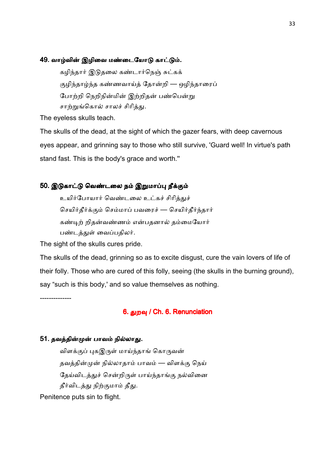#### 49. வாழ்வின் இழிவை மண்டையோடு காட்டும்.

கழிந்தார் இடுதலை கண்டார்நெஞ் சுட்கக் குழிந்தாழ்ந்த கண்ணவாய்த் தோன்றி — ஒழிந்தாரைப் போற்றி நெறிநின்மின் இற்றிதன் பண்பென்று சாற்றுங்கொல் சாலச் சிரித்து.

The eyeless skulls teach.

The skulls of the dead, at the sight of which the gazer fears, with deep cavernous eyes appear, and grinning say to those who still survive, 'Guard well! In virtue's path stand fast. This is the body's grace and worth.''

### 50. இடுகாட்டு வெண்டலை நம் இறுமாப்பு நீக்கும்

உயிர்போயார் வெண்டலை உட்கச் சிரித்துச் செயிர்தீர்க்கும் செம்மாப் பவரைச் — செயிர்தீர்ந்தார் கண்டிற் றிதன்வண்ணம் என்பதனால் தம்மையோர் பண்டத்துள் வைப்பதிலர்.

The sight of the skulls cures pride.

The skulls of the dead, grinning so as to excite disgust, cure the vain lovers of life of their folly. Those who are cured of this folly, seeing (the skulls in the burning ground), say "such is this body,' and so value themselves as nothing.

--------------

# 6. துறவு / Ch. 6. Renunciation

#### 51. தவத்தின்முன் பாவம் நில்லாது.

விளக்குப் புகஇருள் மாய்ந்தாங் கொருவன் தவத்தின்முன் நில்லாதாம் பாவம் — விளக்கு நெய் தேய்விடத்துச் சென்றிருள் பாய்ந்தாங்கு நல்வினை தீர்விடத்து நிற்குமாம் தீது. Penitence puts sin to flight.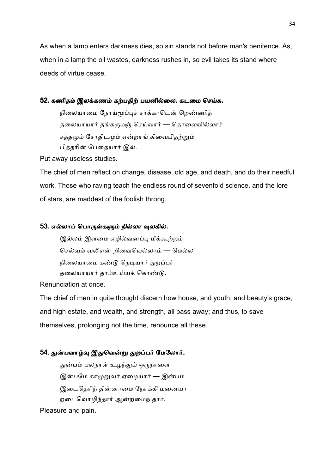As when a lamp enters darkness dies, so sin stands not before man's penitence. As, when in a lamp the oil wastes, darkness rushes in, so evil takes its stand where deeds of virtue cease.

# 52. கணிதம் இலக்கணம் கற்பதிற் பயனில்லை. கடமை செய்க.

நிலையாமை நோய்மூப்புச் சாக்காடென் றெண்ணித் தலையாயார் தங்கருமஞ் செய்வார் — தொலைவில்லாச் சத்தமும் சோதிடமும் என்றாங் கிவைபிதற்றும் பித்தரின் பேதையார் இல்.

Put away useless studies.

The chief of men reflect on change, disease, old age, and death, and do their needful work. Those who raving teach the endless round of sevenfold science, and the lore of stars, are maddest of the foolish throng.

# 53. எல்லாப் பொருள்களும் நில்லா வுலகில்.

இல்லம் இளமை எழில்வனப்பு மீக்கூற்றம் செல்வம் வலிஎன் றிவையெல்லாம் — மெல்ல நிலையாமை கண்டு நெடியார் துறப்பர் தலையாயார் தாம்உய்யக் கொண்டு.

Renunciation at once.

The chief of men in quite thought discern how house, and youth, and beauty's grace, and high estate, and wealth, and strength, all pass away; and thus, to save themselves, prolonging not the time, renounce all these.

# 54. துன்பவாழ்வு இதுவென்று துறப்பர் மேலோர்.

துன்பம் பலநாள் உழந்தும் ஒருநாளை இன்பமே காமுறுவர் ஏழையார் — இன்பம் இடைதெரிந் தின்னாமை நோக்கி மனையா றடைவொழிந்தார் ஆன்றமைந் தார்.

Pleasure and pain.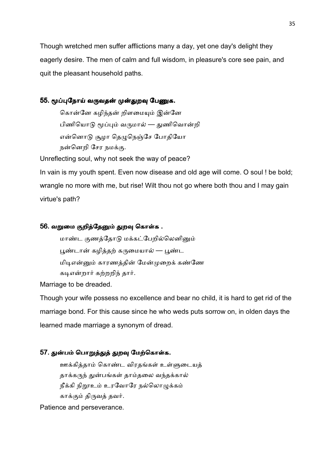Though wretched men suffer afflictions many a day, yet one day's delight they eagerly desire. The men of calm and full wisdom, in pleasure's core see pain, and quit the pleasant household paths.

# 55. மூப்புநோய் வருவதன் முன்துறவு பேணுக.

கொன்னே கழிந்தன் றிளமையும் இன்னே பிணியொடு மூப்பும் வருமால் — துணிவொன்றி என்னொடு சூழா தெழுநெஞ்சே போதியோ நன்னெறி சேர நமக்கு.

Unreflecting soul, why not seek the way of peace?

In vain is my youth spent. Even now disease and old age will come. O soul ! be bold; wrangle no more with me, but rise! Wilt thou not go where both thou and I may gain virtue's path?

# 56. வறுமை குறித்தேனும் துறவு கொள்க .

மாண்ட குணத்தோடு மக்கட்பேறில்லெனினும் பூண்டான் கழித்தற் கருமையால் — பூண்ட மிடிஎன்னும் காரணத்தின் மேன்முறைக் கண்ணே கடிஎன்றார் கற்றறிந் தார்.

Marriage to be dreaded.

Though your wife possess no excellence and bear no child, it is hard to get rid of the marriage bond. For this cause since he who weds puts sorrow on, in olden days the learned made marriage a synonym of dread.

# 57. துன்பம் பொறுத்துத் துறவு மேற்கொள்க.

ஊக்கித்தாம் கொண்ட விரதங்கள் உள்ளுடையத் தாக்கருந் துன்பங்கள் தாம்தலை வந்தக்கால் நீக்கி நிறூஉம் உரவோரே நல்லொழுக்கம் காக்கும் திருவத் தவர்.

Patience and perseverance.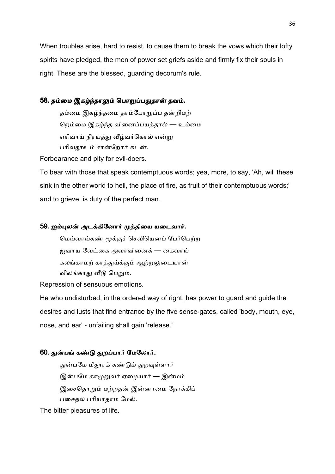When troubles arise, hard to resist, to cause them to break the vows which their lofty spirits have pledged, the men of power set griefs aside and firmly fix their souls in right. These are the blessed, guarding decorum's rule.

# 58. தம்மை இகழ்ந்தாலும் பொறுப்பதுதான் தவம்.

தம்மை இகழ்ந்தமை தாம்போறுப்ப தன்றிமற் றெம்மை இகழ்ந்த வினைப்பயத்தால் — உம்மை எரிவாய் நிரயத்து வீழ்வர்கொல் என்று பரிவதாஉம் சான்றோர் கடன்.

Forbearance and pity for evil-doers.

To bear with those that speak contemptuous words; yea, more, to say, 'Ah, will these sink in the other world to hell, the place of fire, as fruit of their contemptuous words;' and to grieve, is duty of the perfect man.

## 59. ஐம்புலன் அடக்கினோர் முத்தியை யடைவார்.

மெய்வாய்கண் மூக்குச் செவியெனப் பேர்பெற்ற <u>ஜ</u>வாய வேட்கை அவாவினைக் — கைவாய் கலங்காமற் காத்துய்க்கும் ஆற்றலுடையான் விலங்காது வீடு பெறும்.

Repression of sensuous emotions.

He who undisturbed, in the ordered way of right, has power to guard and guide the desires and lusts that find entrance by the five sense-gates, called 'body, mouth, eye, nose, and ear' - unfailing shall gain 'release.'

# 60. துன்பங் கண்டு துறப்பார் மேலோர்.

துன்பமே மீதூரக் கண்டும் துறவுள்ளார் இன்பமே காமுறுவர் ஏழையார் — இன்மம் இசைதொறும் மற்றதன் இன்னாமை நோக்கிப் பசைதல் பரியாதாம் மேல்.

The bitter pleasures of life.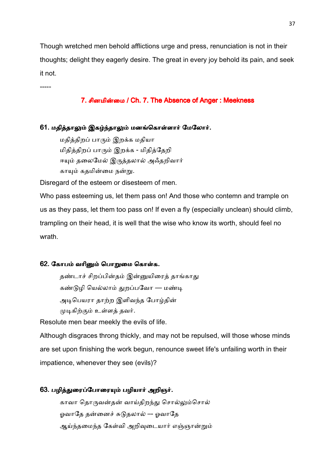Though wretched men behold afflictions urge and press, renunciation is not in their thoughts; delight they eagerly desire. The great in every joy behold its pain, and seek it not.

7. சினமின்மை / Ch. 7. The Absence of Anger : Meekness

## 61. மதித்தாலும் இகழ்ந்தாலும் மனங்கொள்ளார் மேலோர்.

மதித்திறப் பாரும் இறக்க மதியா மிதித்திறப் பாரும் இறக்க - மிதித்தேறி ஈயும் தலைமேல் இருத்தலால் அஃதறிவார் காயும் கதமின்மை நன்று.

Disregard of the esteem or disesteem of men.

-----

Who pass esteeming us, let them pass on! And those who contemn and trample on us as they pass, let them too pass on! If even a fly (especially unclean) should climb, trampling on their head, it is well that the wise who know its worth, should feel no wrath.

## 62. கோபம் வரினும் பொறுமை கொள்க.

தண்டாச் சிறப்பின்தம் இன்னுயிரைத் தாங்காது கண்டுழி யெல்லாம் துறப்பவோ — மண்டி அடிபெயரா தாற்ற இளிவந்த போழ்தின் முடிகிற்கும் உள்ளத் தவர்.

Resolute men bear meekly the evils of life.

Although disgraces throng thickly, and may not be repulsed, will those whose minds are set upon finishing the work begun, renounce sweet life's unfailing worth in their impatience, whenever they see (evils)?

## 63. பழித்துரைப்போரையும் பழியார் அறிஞர்.

காவா தொருவன்தன் வாய்திறந்து சொல்லும்சொல் ஓவாதே தன்னைச் சுடுதலால் –- ஓவாதே ஆய்ந்தமைந்த கேள்வி அறிவுடையார் எஞ்ஞான்றும்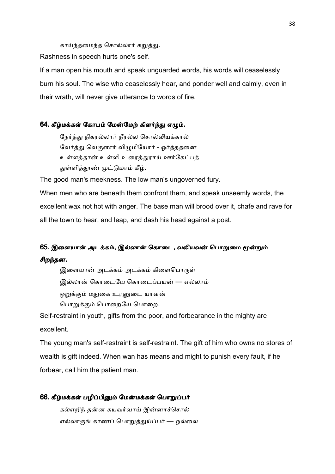காய்ந்தமைந்த சொல்லார் கறுத்து.

Rashness in speech hurts one's self.

If a man open his mouth and speak unguarded words, his words will ceaselessly burn his soul. The wise who ceaselessly hear, and ponder well and calmly, even in their wrath, will never give utterance to words of fire.

#### 64. கீழ்மக்கள் கோபம் மேன்மேற் கிளர்ந்து எழும்.

நேர்த்து நிகரல்லார் நீரல்ல சொல்லியக்கால் வேர்த்து வெகுளார் விமுமியோர் - ஓர்த்ததனை உள்ளத்தான் உள்ளி உரைத்துராய் ஊர்கேட்பத் துள்ளித்தூண் முட்டுமாம் கீழ்.

The good man's meekness. The low man's ungoverned fury.

When men who are beneath them confront them, and speak unseemly words, the excellent wax not hot with anger. The base man will brood over it, chafe and rave for all the town to hear, and leap, and dash his head against a post.

# 65. இளையான் அடக்கம், இல்லான் கொடை, வலியவன் பொறுமை மூன்றும் சிறந்தன.

இளையான் அடக்கம் அடக்கம் கிளைபொருள் இல்லான் கொடையே கொடைப்பயன் — எல்லாம் ஒறுக்கும் மதுகை உரனுடை யாளன் பொறுக்கும் பொறையே பொறை.

Self-restraint in youth, gifts from the poor, and forbearance in the mighty are excellent.

The young man's self-restraint is self-restraint. The gift of him who owns no stores of wealth is gift indeed. When wan has means and might to punish every fault, if he forbear, call him the patient man.

#### 66. கீழ்மக்கள் பழிப்பினும் மேன்மக்கள் பொறுப்பர்

கல்எறிந் தன்ன கயவர்வாய் இன்னாச்சொல் எல்லாருங் காணப் பொறுத்துய்ப்பர் — ஒல்லை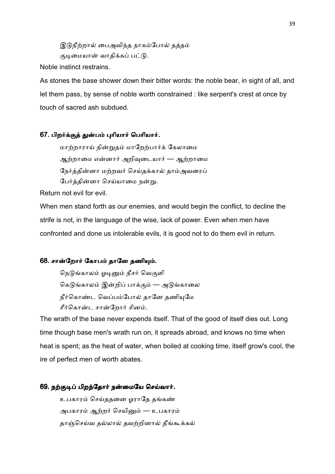இடுநீற்றால் பைஅவிந்த நாகம்போல் தத்தம் குடிமையான் வாகிக்கப் பட்டு.

Noble instinct restrains.

As stones the base shower down their bitter words: the noble bear, in sight of all, and let them pass, by sense of noble worth constrained : like serpent's crest at once by touch of sacred ash subdued.

## 67. பிறர்க்குத் துன்பம் புரியார் பெரியார்.

மாற்றாராய் நின்றுதம் மாறேற்பார்க் கேலாமை ஆற்றாமை என்னார் அறிவுடையார் — ஆற்றாமை நேர்த்தின்னா மற்றவர் செய்தக்கால் தாம்அவரைப் பேர்த்தின்னா செய்யாமை நன்று.

Return not evil for evil.

When men stand forth as our enemies, and would begin the conflict, to decline the strife is not, in the language of the wise, lack of power. Even when men have confronted and done us intolerable evils, it is good not to do them evil in return.

## 68. சான்றோர் கோபம் தானே தணியும்.

நெடுங்காலம் ஓடினும் நீசர் வெகுளி கெடுங்காலம் இன்றிப் பாக்கும் — அடுங்காலை நீர்கொண்ட வெப்பம்போல் தானே தணியுமே சீர்கொன்ட சான்றோர் சினம்.

The wrath of the base never expends itself. That of the good of itself dies out. Long time though base men's wrath run on, it spreads abroad, and knows no time when heat is spent; as the heat of water, when boiled at cooking time, itself grow's cool, the ire of perfect men of worth abates.

## 69. நற்குடிப் பிறந்தோர் நன்மையே செய்வார்.

உபகாரம் செய்கதனை ஓராகே கங்கண் அபகாரம் ஆற்றர் செயினும் — உபகாரம் தாஞ்செய்வ தல்லால் தவற்றினால் தீங்கூக்கல்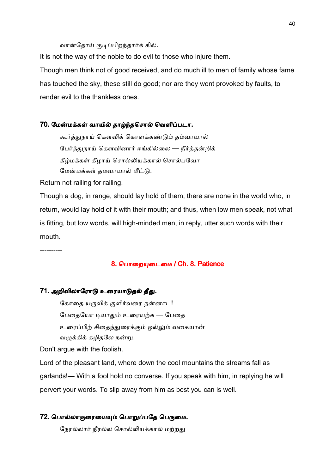#### வான்தோய் குடிப்பிறந்தார்க் கில்.

It is not the way of the noble to do evil to those who injure them. Though men think not of good received, and do much ill to men of family whose fame has touched the sky, these still do good; nor are they wont provoked by faults, to render evil to the thankless ones.

#### 70. மேன்மக்கள் வாயில் தாழ்ந்தசொல் வெளிப்படா.

கூர்த்துநாய் கௌவிக் கொளக்கண்டும் தம்வாயால் பேர்த்துநாய் கௌவினார் ஈங்கில்லை — நீர்த்தன்றிக் கீழ்மக்கள் கீழாய் சொல்லியக்கால் சொல்பவோ மேன்மக்கள் தமவாயால் மீட்டு.

Return not railing for railing.

Though a dog, in range, should lay hold of them, there are none in the world who, in return, would lay hold of it with their mouth; and thus, when low men speak, not what is fitting, but low words, will high-minded men, in reply, utter such words with their mouth.

----------

#### 8. பொறையுடைமை / Ch. 8. Patience

#### 71. அறிவிலாரோடு உரையாடுதல் தீது.

கோதை யருவிக் குளிர்வரை நன்னாட! பேதையோ டியாதும் உரையற்க — பேதை உரைப்பிற் சிதைந்துரைக்கும் ஒல்லும் வகையான் வழுக்கிக் கழிதலே நன்று.

Don't argue with the foolish.

Lord of the pleasant land, where down the cool mountains the streams fall as garlands!— With a fool hold no converse. If you speak with him, in replying he will pervert your words. To slip away from him as best you can is well.

#### 72. பொல்லாருரையையும் பொறுப்பதே பெருமை.

நேரல்லார் நீரல்ல சொல்லியக்கால் மற்றது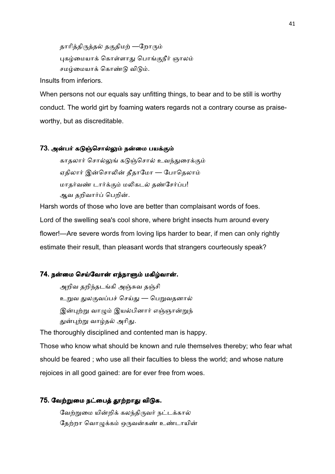தாரித்திருத்தல் தகுதிமற் —றோரும் புகழ்மையாக் கொள்ளாது பொங்குநீர் ஞாலம் சமம்மையாக் கொண்டு விடும்.

Insults from inferiors.

When persons not our equals say unfitting things, to bear and to be still is worthy conduct. The world girt by foaming waters regards not a contrary course as praiseworthy, but as discreditable.

#### 73. அன்பர் கடுஞ்சொல்லும் நன்மை பயக்கும்

காதலார் சொல்லுங் கடுஞ்சொல் உவந்துரைக்கும் ஏதிலார் இன்சொலின் தீதாமோ — போதெலாம் மாதர்வண் டார்க்கும் மலிகடல் தண்சேர்ப்ப! ஆவ தறிவார்ப் பெறின்.

Harsh words of those who love are better than complaisant words of foes. Lord of the swelling sea's cool shore, where bright insects hum around every flower!—Are severe words from loving lips harder to bear, if men can only rightly estimate their result, than pleasant words that strangers courteously speak?

#### 74. நன்மை செய்வோன் எந்நாளும் மகிழ்வான்.

அறிவ தறிந்தடங்கி அஞ்சுவ தஞ்சி உறுவ துலகுவப்பச் செய்து — பெறுவதனால் இன்புற்று வாழும் இயல்பினார் எஞ்ஞான்றுந் துன்புற்று வாழ்தல் அரிது.

The thoroughly disciplined and contented man is happy.

Those who know what should be known and rule themselves thereby; who fear what should be feared ; who use all their faculties to bless the world; and whose nature rejoices in all good gained: are for ever free from woes.

#### 75. வேற்றுமை நட்பைத் தூற்றாது விடுக.

வேற்றுமை யின்றிக் கலந்திருவர் நட்டக்கால் தேற்றா வொழுக்கம் ஒருவன்கண் உண்டாயின்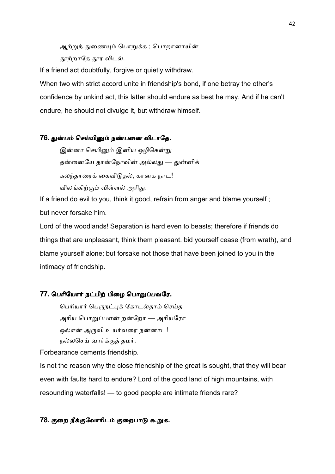ஆற்றுந் துணையும் பொறுக்க ; பொறானாயின் தூற்றாதே தூர விடல்.

If a friend act doubtfully, forgive or quietly withdraw.

When two with strict accord unite in friendship's bond, if one betray the other's confidence by unkind act, this latter should endure as best he may. And if he can't endure, he should not divulge it, but withdraw himself.

## 76. துன்பம் செய்யினும் நண்பனை விடாதே.

இன்னா செயினும் இனிய ஒழிகென்று தன்னையே தான்நோவின் அல்லது — துன்னிக் கலந்தாரைக் கைவிடுதல், கானக நாட! விலங்கிற்கும் விள்ளல் அரிது.

If a friend do evil to you, think it good, refrain from anger and blame yourself ; but never forsake him.

Lord of the woodlands! Separation is hard even to beasts; therefore if friends do things that are unpleasant, think them pleasant. bid yourself cease (from wrath), and blame yourself alone; but forsake not those that have been joined to you in the intimacy of friendship.

## 77. பெரியோர் நட்பிற் பிழை பொறுப்பவரே.

பெரியார் பெருநட்புக் கோடல்தாம் செய்த அரிய பொறுப்பஎன் றன்றோ — அரியரோ ஒல்என் அருவி உயர்வரை நன்னாட! நல்லசெய் வார்க்குத் தமர்.

Forbearance cements friendship.

Is not the reason why the close friendship of the great is sought, that they will bear even with faults hard to endure? Lord of the good land of high mountains, with resounding waterfalls! — to good people are intimate friends rare?

# 78. குறை நீக்குவோரிடம் குறைபாடு கூறுக.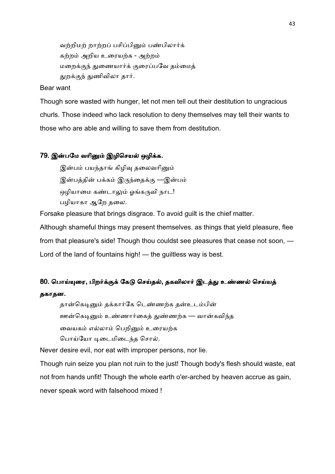வற்றிமற் றாற்றப் பசிப்பினும் பண்பிலார்க் கற்றம் அறிய உரையற்க - அற்றம் மறைக்குந் துணையார்க் குரைப்பவே தம்மைத் துறக்குந் துணிவிலா தார்.

#### Bear want

Though sore wasted with hunger, let not men tell out their destitution to ungracious churls. Those indeed who lack resolution to deny themselves may tell their wants to those who are able and willing to save them from destitution.

### 79. இன்பமே வரினும் இழிசெயல் ஒழிக்க.

இன்பம் பயந்தாங் கிழிவு தலைவரினும் இன்பத்தின் பக்கம் இருந்தைக்கு —இன்பம் ஒழியாமை கண்டாலும் ஓங்கருவி நாட! பழியாகா ஆேற தைல.

Forsake pleasure that brings disgrace. To avoid guilt is the chief matter.

Although shameful things may present themselves. as things that yield pleasure, flee from that pleasure's side! Though thou couldst see pleasures that cease not soon, — Lord of the land of fountains high! — the guiltless way is best.

# 80. பொய்யுரை, பிறர்க்குக் கேடு செய்தல், தகவிலார் இடத்து உண்ணல் செய்யத் தகாதன.

தான்கெடினும் தக்கார்கே டெண்ணற்க தன்உடம்பின் ஊன்கெடினும் உண்ணார்கைத் துண்ணற்க — வான்கவிந்த வையகம் எல்லாம் பெறினும் உரையற்க பொய்யோ டிடைமிடைந்த சொல்.

Never desire evil, nor eat with improper persons, nor lie.

Though ruin seize you plan not ruin to the just! Though body's flesh should waste, eat not from hands unfit! Though the whole earth o'er-arched by heaven accrue as gain, never speak word with falsehood mixed !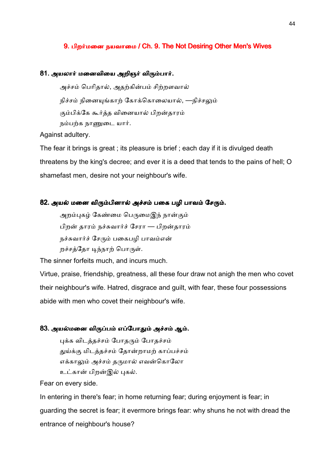#### 9. பிறர்மனை நயவாமை / Ch. 9. The Not Desiring Other Men's Wives

#### 81. அயலார் மனைவியை அறிஞர் விரும்பார்.

அச்சம் பெரிதால், அதற்கின்பம் சிற்றளவால் நிச்சம் நினையுங்காற் கோக்கொலையால், —நிச்சலும் கும்பிக்கே கூர்த்த வினையால் பிறன்தாரம் நம்பற்க நாணுடை யார்.

Against adultery.

The fear it brings is great ; its pleasure is brief ; each day if it is divulged death threatens by the king's decree; and ever it is a deed that tends to the pains of hell; O shamefast men, desire not your neighbour's wife.

### 82. அயல் மனை விரும்பினால் அச்சம் பகை பழி பாவம் சேரும்.

அறம்புகழ் கேண்மை பெருமைஇந் நான்கும் பிறன் தாரம் நச்சுவார்ச் சேரா — பிறன்தாரம் நச்சுவார்ச் சேரும் பகைபமி பாவம்என் றச்சத்தோ டிந்நாற் பொருள்.

The sinner forfeits much, and incurs much.

Virtue, praise, friendship, greatness, all these four draw not anigh the men who covet their neighbour's wife. Hatred, disgrace and guilt, with fear, these four possessions abide with men who covet their neighbour's wife.

#### 83. அயல்மனை விருப்பம் எப்போதும் அச்சம் ஆம்.

புக்க விடத்தச்சம் போதரும் போதச்சம் துய்க்கு மிடத்தச்சம் தோன்றாமற் காப்பச்சம் எக்காலும் அச்சம் தருமால் எவன்கொலோ உட்கான் பிறன்இல் புகல்.

Fear on every side.

In entering in there's fear; in home returning fear; during enjoyment is fear; in guarding the secret is fear; it evermore brings fear: why shuns he not with dread the entrance of neighbour's house?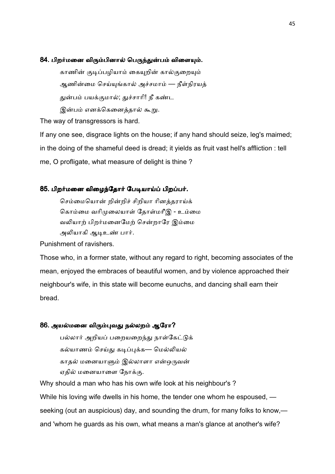#### 84. பிறர்மனை விரும்பினால் பெருந்துன்பம் விளையும்.

காணின் குடிப்பழியாம் கையுறின் கால்குறையும் ஆணின்மை செய்யுங்கால் அச்சமாம் — நீள்நிரயத் துன்பம் பயக்குமால்; துச்சாரி! நீ கண்ட இன்பம் எனக்கெனைத்தால் கூறு.

The way of transgressors is hard.

If any one see, disgrace lights on the house; if any hand should seize, leg's maimed; in the doing of the shameful deed is dread; it yields as fruit vast hell's affliction : tell me, O profligate, what measure of delight is thine ?

### 85. பிறர்மனை விழைந்தோர் பேடியாய்ப் பிறப்பர்.

செம்மையொன் றின்றிச் சிறியா ரினத்தராய்க் கொம்மை வரிமுலையாள் தோள்மரீஇ - உம்மை வலியாற் பிறர்மனைமேற் சென்றாரே இம்மை அலியாகி ஆடிஉண் பார்.

Punishment of ravishers.

Those who, in a former state, without any regard to right, becoming associates of the mean, enjoyed the embraces of beautiful women, and by violence approached their neighbour's wife, in this state will become eunuchs, and dancing shall earn their bread.

#### 86. அயல்மனை விரும்புவது நல்லறம் ஆரோ?

பல்லார் அறியப் பறையறைந்து நாள்கேட்டுக் கல்யாணம் செய்து கடிப்புக்க— மெல்லியல் காதல் மனையாளும் இல்லாளா என்ஒருவன் ஏதில் மனையாளை நோக்கு.

Why should a man who has his own wife look at his neighbour's ? While his loving wife dwells in his home, the tender one whom he espoused, seeking (out an auspicious) day, and sounding the drum, for many folks to know, and 'whom he guards as his own, what means a man's glance at another's wife?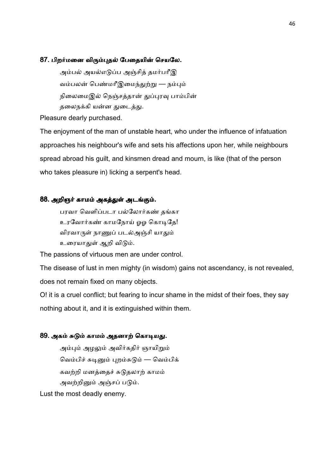#### 87. பிறர்மனை விரும்புதல் பேதையின் செயலே.

அம்பல் அயல்எடுப்ப அஞ்சித் தமர்பரீஇ வம்பலன் பெண்மரீஇமைந்துற்று — நம்பும் நிலைமைஇல் நெஞ்சத்தான் துப்புரவு பாம்பின் தலைநக்கி யன்ன துடைத்து.

Pleasure dearly purchased.

The enjoyment of the man of unstable heart, who under the influence of infatuation approaches his neighbour's wife and sets his affections upon her, while neighbours spread abroad his guilt, and kinsmen dread and mourn, is like (that of the person who takes pleasure in) licking a serpent's head.

### 88. அறிஞர் காமம் அகத்துள் அடங்கும்.

பரவா வெளிப்படா பல்லோர்கண் தங்கா உரவோர்கண் காமநோய் ஓஓ கொடிதே! விரவாருள் நாணுப் படல்அஞ்சி யாதும் உரையாதுள் ஆறி விடும்.

The passions of virtuous men are under control.

The disease of lust in men mighty (in wisdom) gains not ascendancy, is not revealed, does not remain fixed on many objects.

O! it is a cruel conflict; but fearing to incur shame in the midst of their foes, they say nothing about it, and it is extinguished within them.

## 89. அகம் சுடும் காமம் அதனாற் கொடியது.

அம்பும் அமலும் அவிர்கதிர் ஞாயிறும் வெம்பிச் சுடினும் புறம்சுடும் — வெம்பிக் கவற்றி மனத்தைச் சுடுதலாற் காமம் அவற்றினும் அஞ்சப் படும்.

Lust the most deadly enemy.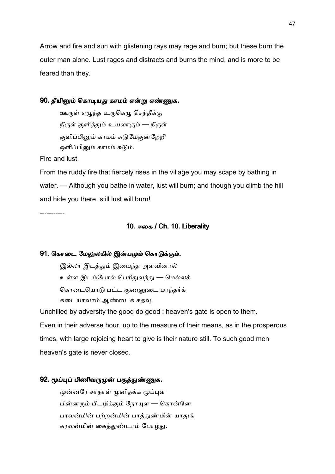Arrow and fire and sun with glistening rays may rage and burn; but these burn the outer man alone. Lust rages and distracts and burns the mind, and is more to be feared than they.

#### 90. தீயினும் கொடியது காமம் என்று எண்ணுக.

ஊருள் எழுந்த உருகெழு செந்தீக்கு நீருள் குளித்தும் உயலாகும் — நீருள் குளிப்பினும் காமம் சுடுமேகுன்றேறி ஒளிப்பினும் காமம் சுடும்.

Fire and lust.

From the ruddy fire that fiercely rises in the village you may scape by bathing in water. — Although you bathe in water, lust will burn; and though you climb the hill and hide you there, still lust will burn!

-----------

## 10. ஈகை / Ch. 10. Liberality

#### 91. கொடை மேலுலகில் இன்பமும் கொடுக்கும்.

இல்லா இடத்தும் இயைந்த அளவினால் உள்ள இடம்போல் பெரிதுவந்து — மெல்லக் கொடையொடு பட்ட குணனுடை மாந்தர்க் கடையாவாம் ஆண்டைக் கதவு.

Unchilled by adversity the good do good : heaven's gate is open to them. Even in their adverse hour, up to the measure of their means, as in the prosperous times, with large rejoicing heart to give is their nature still. To such good men heaven's gate is never closed.

## 92. மூப்புப் பிணிவருமுன் பகுத்துண்ணுக.

முன்னரே சாநாள் முனிதக்க மூப்புள பின்னரும் பீடழிக்கும் நோயுள $-$  கொன்னே பரவன்மின் பற்றன்மின் பாத்துண்மின் யாதுங் கரவன்மின் கைத்துண்டாம் போழ்து.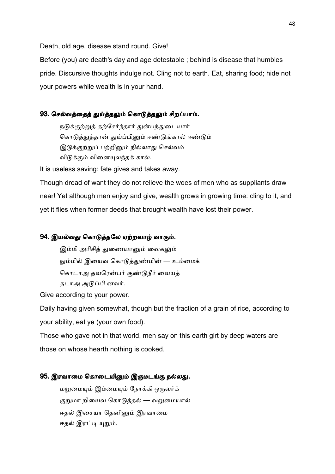Death, old age, disease stand round. Give!

Before (you) are death's day and age detestable ; behind is disease that humbles pride. Discursive thoughts indulge not. Cling not to earth. Eat, sharing food; hide not your powers while wealth is in your hand.

## 93. செல்வத்தைத் துய்த்தலும் கொடுத்தலும் சிறப்பாம்.

நடுக்குற்றுத் தற்சேர்ந்தார் துன்பந்துடையார் கொடுத்துத்தான் துய்ப்பினும் ஈண்டுங்கால் ஈண்டும் இடுக்குற்றுப் பற்றினும் நில்லாது செல்வம் விடுக்கும் வினையுலந்தக் கால்.

It is useless saving: fate gives and takes away.

Though dread of want they do not relieve the woes of men who as suppliants draw near! Yet although men enjoy and give, wealth grows in growing time: cling to it, and yet it flies when former deeds that brought wealth have lost their power.

## 94. இயல்வது கொடுத்தலே ஏற்றவாழ் வாகும்.

இம்மி அரிசித் துணையானும் வைகலும் நும்மில் இயைவ கொடுத்துண்மின் — உம்மைக் கொடாஅ தவரென்பர் குண்டுநீர் வையத் தடாஅ அடுப்பி னவர்.

Give according to your power.

Daily having given somewhat, though but the fraction of a grain of rice, according to your ability, eat ye (your own food).

Those who gave not in that world, men say on this earth girt by deep waters are those on whose hearth nothing is cooked.

#### 95. இரவாமை கொடையினும் இருமடங்கு நல்லது.

மறுமையும் இம்மையும் நோக்கி ஒருவர்க் குறுமா றியைவ கொடுத்தல் — வறுமையால் ஈதல் இசையா கெனினும் இரவாமை ஈதல் இரட்டி யுறும்.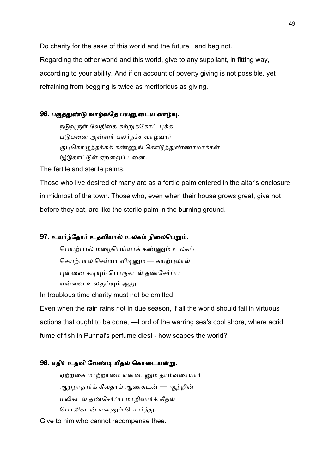Do charity for the sake of this world and the future ; and beg not. Regarding the other world and this world, give to any suppliant, in fitting way, according to your ability. And if on account of poverty giving is not possible, yet refraining from begging is twice as meritorious as giving.

## 96. பகுத்துண்டு வாழ்வதே பயனுடைய வாழ்வு.

நடுவூருள் வேதிகை சுற்றுக்கோட் புக்க படுபனை அன்னர் பலர்நச்ச வாழ்வார் குடிகொழுத்தக்கக் கண்ணுங் கொடுத்துண்ணாமாக்கள் இடுகாட்டுள் ஏற்றைப் பனை.

The fertile and sterile palms.

Those who live desired of many are as a fertile palm entered in the altar's enclosure in midmost of the town. Those who, even when their house grows great, give not before they eat, are like the sterile palm in the burning ground.

#### 97. உயர்ந்தோர் உதவியால் உலகம் நிலைபெறும்.

பெயற்பால் மழைபெய்யாக் கண்ணும் உலகம் செயற்பால செய்யா விடினும் — கயற்புலால் புன்னை கடியும் பொருகடல் தண்சேர்ப்ப என்னை உலகுய்யும் ஆறு.

In troublous time charity must not be omitted.

Even when the rain rains not in due season, if all the world should fail in virtuous actions that ought to be done, —Lord of the warring sea's cool shore, where acrid fume of fish in Punnai's perfume dies! - how scapes the world?

#### 98. எதிர் உதவி வேண்டி யீதல் கொடையன்று.

ஏற்றகை மாற்றாமை என்னானும் தாம்வரையார் ஆற்றாதார்க் கீவதாம் ஆண்கடன் — ஆற்றின் மலிகடல் தண்சேர்ப்ப மாறிவார்க் கீதல் பொலிகடன் என்னும் பெயர்த்து.

Give to him who cannot recompense thee.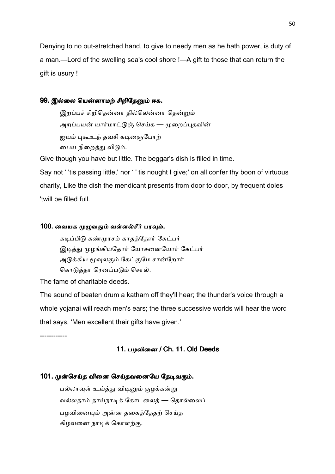Denying to no out-stretched hand, to give to needy men as he hath power, is duty of a man.—Lord of the swelling sea's cool shore !—A gift to those that can return the gift is usury !

## 99. இல்லை யென்னாமற் சிறிதேனும் ஈக.

இறப்பச் சிறிதென்னா தில்லென்னா தென்றும் அறப்பயன் யார்மாட்டுஞ் செய்க — முறைப்புதவின் ஐயம் புகூஉந் தவசி கடிஞைபோற் பைய நிறைத்து விடும்.

Give though you have but little. The beggar's dish is filled in time.

Say not ' 'tis passing little,' nor ' ' tis nought I give;' on all confer thy boon of virtuous charity, Like the dish the mendicant presents from door to door, by frequent doles 'twill be filled full.

#### 100. வையக முழுவதும் வள்ளல்சீர் பரவும்.

கடிப்பிடு கண்முரசம் காதத்தோர் கேட்பர் இடித்து முழங்கியதோர் யோசனையோர் கேட்பர் அடுக்கிய மூவுலகும் கேட்குமே சான்றோர் கொடுத்தா ரெனப்படும் சொல்.

The fame of charitable deeds.

The sound of beaten drum a katham off they'll hear; the thunder's voice through a whole yojanai will reach men's ears; the three successive worlds will hear the word that says, 'Men excellent their gifts have given.'

------------

#### 11. பழவினை / Ch. 11. Old Deeds

#### 101. முன்செய்த வினை செய்தவனையே தேடிவரும்.

பல்லாவுள் உய்த்து விடினும் குழக்கன்று வல்லதாம் தாய்நாடிக் கோடலைத் — தொல்லைப் பழவினையும் அன்ன தகைத்தேதற் செய்த கிழவனை நாடிக் கொளற்கு.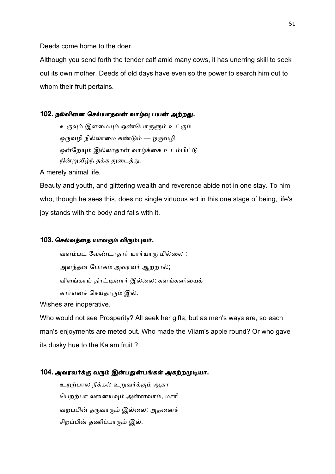Deeds come home to the doer.

Although you send forth the tender calf amid many cows, it has unerring skill to seek out its own mother. Deeds of old days have even so the power to search him out to whom their fruit pertains.

### 102. நல்வினை செய்யாதவன் வாழ்வு பயன் அற்றது.

உருவும் இளமையும் ஒண்பொருளும் உட்கும் ஒருவழி நில்லாமை கண்டும் — ஒருவழி ஒன்றேயும் இல்லாதான் வாழ்க்கை உடம்பிட்டு நின்றுவீழ்ந் தக்க துடைத்து.

A merely animal life.

Beauty and youth, and glittering wealth and reverence abide not in one stay. To him who, though he sees this, does no single virtuous act in this one stage of being, life's joy stands with the body and falls with it.

#### 103. செல்வத்தை யாவரும் விரும்புவர்.

வளம்பட வேண்டாதார் யார்யாரு மில்லை ;

அளந்தன போகம் அவரவர் ஆற்றால்;

விளங்காய் திரட்டினார் இல்லை; களங்கனியைக்

கார்எனச் செய்தாரும் இல்.

Wishes are inoperative.

Who would not see Prosperity? All seek her gifts; but as men's ways are, so each man's enjoyments are meted out. Who made the Vilam's apple round? Or who gave its dusky hue to the Kalam fruit ?

## 104. அவரவர்க்கு வரும் இன்பதுன்பங்கள் அகற்றமுடியா.

உறற்பால நீக்கல் உறுவர்க்கும் ஆகா பெறற்பா லனையவும் அன்னவாம்; மாரி வறப்பின் தருவாரும் இல்லை; அதனைச் சிறப்பின் தணிப்பாரும் இல்.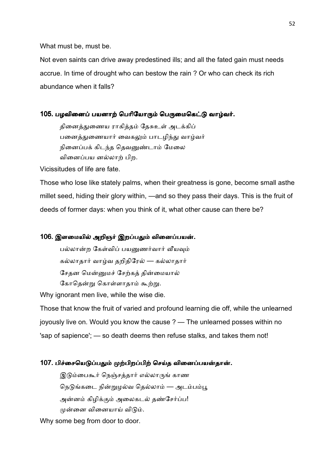What must be, must be.

Not even saints can drive away predestined ills; and all the fated gain must needs accrue. In time of drought who can bestow the rain ? Or who can check its rich abundance when it falls?

#### 105. பழவினைப் பயனாற் பெரியோரும் பெருமைகெட்டு வாழ்வர்.

தினைத்துணைய ராகித்தம் தேசுஉள் அடக்கிப் பனைத்துணையார் வைகலும் பாடழிந்து வாழ்வர் நினைப்பக் கிடந்த தெவனுண்டாம் மேலை வினைப்பய னல்லாற் பிற.

Vicissitudes of life are fate.

Those who lose like stately palms, when their greatness is gone, become small asthe millet seed, hiding their glory within, —and so they pass their days. This is the fruit of deeds of former days: when you think of it, what other cause can there be?

#### 106. இளமையில் அறிஞர் இறப்பதும் வினைப்பயன்.

பல்லான்ற கேள்விப் பயனுணர்வார் வீயவும் கல்லாதார் வாழ்வ தறிதிரேல் — கல்லாதார் சேதன மென்னுமச் சேற்கத் தின்மையால் கோதென்று கொள்ளாதாம் கூற்று.

Why ignorant men live, while the wise die.

Those that know the fruit of varied and profound learning die off, while the unlearned joyously live on. Would you know the cause ? — The unlearned posses within no 'sap of sapience'; — so death deems then refuse stalks, and takes them not!

#### 107. பிச்சையெடுப்பதும் முற்பிறப்பிற் செய்த வினைப்பயன்தான்.

இடும்பைகூர் நெஞ்சத்தார் எல்லாருங் காண நெடுங்கடை நின்றுழல்வ தெல்லாம் — அடம்பம்பூ அன்னம் கிமிக்கும் அலைகடல் தண்சேர்ப்ப! முன்னை வினையாய் விடும்.

Why some beg from door to door.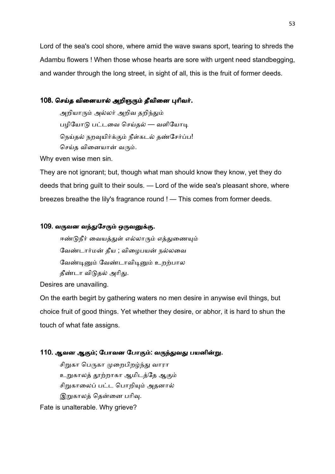Lord of the sea's cool shore, where amid the wave swans sport, tearing to shreds the Adambu flowers ! When those whose hearts are sore with urgent need standbegging, and wander through the long street, in sight of all, this is the fruit of former deeds.

## 108. செய்த வினையால் அறிஞரும் தீவினை புரிவர்.

அறியாரும் அல்லர் அறிவ தறிந்தும் பழியோடு பட்டவை செய்தல் — வளியோடி நெய்தல் நறவுயிர்க்கும் நீள்கடல் தண்சேர்ப்ப! செய்த வினையான் வரும்.

Why even wise men sin.

They are not ignorant; but, though what man should know they know, yet they do deeds that bring guilt to their souls. — Lord of the wide sea's pleasant shore, where breezes breathe the lily's fragrance round ! — This comes from former deeds.

## 109. வருவன வந்துசேரும் ஒருவனுக்கு.

ஈண்டுநீர் வையத்துள் எல்லாரும் எத்துணையும் வேண்டார்மன் தீய ; விழைபயன் நல்லவை வேண்டினும் வேண்டாவிடினும் உறற்பால தீண்டா விடுதல் அரிது.

Desires are unavailing.

On the earth begirt by gathering waters no men desire in anywise evil things, but choice fruit of good things. Yet whether they desire, or abhor, it is hard to shun the touch of what fate assigns.

# 110. ஆவன ஆகும்; போவன போகும்: வருந்துவது பயனின்று.

சிறுகா பெருகா முறைபிறழ்ந்து வாரா உறுகாலத் தூற்றாகா ஆமிடத்தே ஆகும் சிறுகாலைப் பட்ட பொறியும் அதனால் இறுகாலத் தென்னை பரிவு.

Fate is unalterable. Why grieve?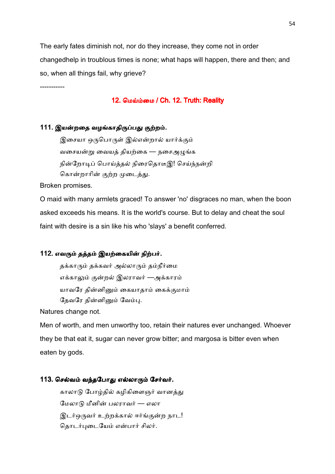The early fates diminish not, nor do they increase, they come not in order changedhelp in troublous times is none; what haps will happen, there and then; and so, when all things fail, why grieve?

## 12. மெய்ம்மை / Ch. 12. Truth: Reality

## 111. இயன்றதை வழங்காதிருப்பது குற்றம்.

இசையா ஒருபொருள் இல்என்றால் யார்க்கும் வசையன்று வையத் தியற்கை — நசைஅழுங்க நின்றோடிப் பொய்த்தல் நிரைதொடீஇ! செய்ந்நன்றி கொன்றாரின் குற்ற முடைத்து.

Broken promises.

-----------

O maid with many armlets graced! To answer 'no' disgraces no man, when the boon asked exceeds his means. It is the world's course. But to delay and cheat the soul faint with desire is a sin like his who 'slays' a benefit conferred.

## 112. எவரும் தத்தம் இயற்கையின் நிற்பர்.

தக்காரும் தக்கவர் அல்லாரும் தம்நீர்மை எக்காலும் குன்றல் இலராவர் —அக்காரம் யாவரே தின்னினும் கையாதாம் கைக்குமாம் தேவரே தின்னினும் வேம்பு.

Natures change not.

Men of worth, and men unworthy too, retain their natures ever unchanged. Whoever they be that eat it, sugar can never grow bitter; and margosa is bitter even when eaten by gods.

### 113. செல்வம் வந்தபோது எல்லாரும் சேர்வர்.

காலாடு போழ்தில் கழிகிளைஞர் வானத்து மேலாடு மீனின் பலராவர் — எலா இடர்ஒருவர் உற்றக்கால் ஈர்ங்குன்ற நாட! தொடர்புடையேம் என்பார் சிலர்.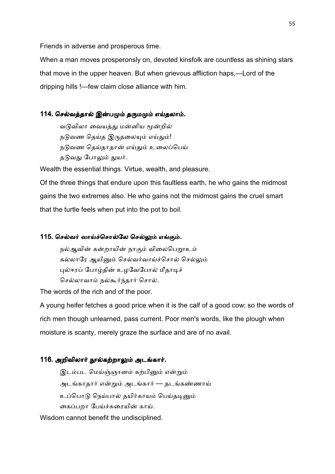Friends in adverse and prosperous time.

When a man moves prosperonsly on, devoted kinsfolk are countless as shining stars that move in the upper heaven. But when grievous affliction haps,—Lord of the dripping hills !—few claim close alliance with him.

## 114. செல்வத்தால் இன்பமும் தருமமும் எய்தலாம்.

வடுவிலா வையத்து மன்னிய மூன்றில் நடுவண தெய்த இருதலையும் எய்தும்! நடுவண தெய்தாதான் எய்தும் உலைப்பெய் தடுவது போலும் துயர்.

Wealth the essential things. Virtue, wealth, and pleasure.

Of the three things that endure upon this faultless earth, he who gains the midmost gains the two extremes also. He who gains not the midmost gains the cruel smart that the turtle feels when put into the pot to boil.

## 115. செல்வர் வாய்ச்சொல்லே செல்லும் எங்கும்.

நல்ஆவின் கன்றாயின் நாகும் விலைபெறூஉம் கல்லாரே ஆயினும் செல்வர்வாய்ச்சொல் செல்லும் புல்ஈரப் போழ்தின் உழவேபோல் மீதாடிச் செல்லாவாம் நல்கூர்ந்தார் சொல்.

The words of the rich and of the poor.

A young heifer fetches a good price when it is the calf of a good cow; so the words of rich men though unlearned, pass current. Poor men's words, like the plough when moisture is scanty, merely graze the surface and are of no avail.

## 116. அறிவிலார் நூல்கற்றாலும் அடங்கார்.

இடம்பட மெய்ஞ்ஞானம் கற்பினும் என்றும் அடங்காதார் என்றும் அடங்கார் — தடங்கண்ணாய் உப்பொடு நெய்பால் தயிர்காயம் பெய்தடினும் கைப்பறா பேய்ச்சுரையின் காய்.

Wisdom cannot benefit the undisciplined.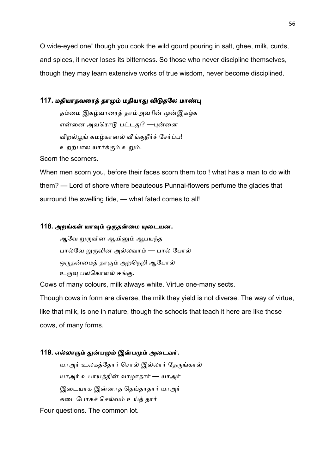O wide-eyed one! though you cook the wild gourd pouring in salt, ghee, milk, curds, and spices, it never loses its bitterness. So those who never discipline themselves, though they may learn extensive works of true wisdom, never become disciplined.

## 117. மதியாதவரைத் தாமும் மதியாது விடுதலே மாண்பு

தம்மை இகழ்வாரைத் தாம்அவரின் முன்இகழ்க என்னை அவரொடு பட்டது? —புன்னை விறல்பூங் கமழ்கானல் வீங்குநீர்ச் சேர்ப்ப! உறற்பால யார்க்கும் உறும்.

Scorn the scorners.

When men scorn you, before their faces scorn them too ! what has a man to do with them? — Lord of shore where beauteous Punnai-flowers perfume the glades that surround the swelling tide, — what fated comes to all!

### 118. அறங்கள் யாவும் ஒருதன்மை யுடையன.

ஆவே றுருவின ஆயினும் ஆபயந்த பால்வே றுருவின அல்லவாம் — பால் போல் ஒருதன்மைத் தாகும் அறநெறி ஆபோல் உருவு பலகொளல் ஈங்கு.

Cows of many colours, milk always white. Virtue one-many sects.

Though cows in form are diverse, the milk they yield is not diverse. The way of virtue, like that milk, is one in nature, though the schools that teach it here are like those cows, of many forms.

## 119. எல்லாரும் துன்பமும் இன்பமும் அடைவர்.

யாஅர் உலகத்தோர் சொல் இல்லார் தேருங்கால் யாஅர் உபாயத்தின் வாழாதார் — யாஅர் இடையாக இன்னாத தெய்தாதார் யாஅர் கடைபோகச் செல்வம் உய்த் தார்

Four questions. The common lot.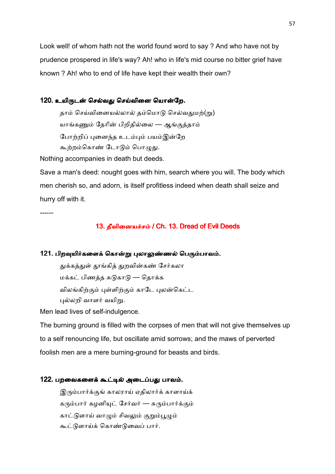Look well! of whom hath not the world found word to say ? And who have not by prudence prospered in life's way? Ah! who in life's mid course no bitter grief have known ? Ah! who to end of life have kept their wealth their own?

## 120. உயிருடன் செல்வது செய்வினை யொன்றே.

தாம் செய்வினையல்லால் தம்மொடு செல்வதுமற்(று) யாங்கணும் தேரின் பிறிதில்லை — ஆங்குத்தாம் போற்றிப் புனைந்த உடம்பும் பயம்இன்றே கூற்றம்கொண் டோடும் பொழுது.

Nothing accompanies in death but deeds.

Save a man's deed: nought goes with him, search where you will. The body which men cherish so, and adorn, is itself profitless indeed when death shall seize and hurry off with it.

------

## 13. தீவினையச்சம் / Ch. 13. Dread of Evil Deeds

#### 121. பிறவுயிர்களைக் கொன்று புலாலுண்ணல் பெரும்பாவம்.

துக்கத்துள் தூங்கித் துறவின்கண் சேர்கலா மக்கட் பிணத்த சுடுகாடு — தொக்க விலங்கிற்கும் புள்ளிற்கும் காடே புலன்கெட்ட புல்லறி வாளர் வயிறு.

Men lead lives of self-indulgence.

The burning ground is filled with the corpses of men that will not give themselves up to a self renouncing life, but oscillate amid sorrows; and the maws of perverted foolish men are a mere burning-ground for beasts and birds.

## 122. பறவைகளைக் கூட்டில் அடைப்பது பாவம்.

இரும்பார்க்குங் காலராய் ஏதிலார்க் காளாய்க் கரும்பார் கழனியுட் சேர்வர் — சுரும்பார்க்கும் காட்டுளாய் வாழும் சிவலும் குறும்பூழும் கூட்டுளாய்க் கொண்டுவைப் பார்.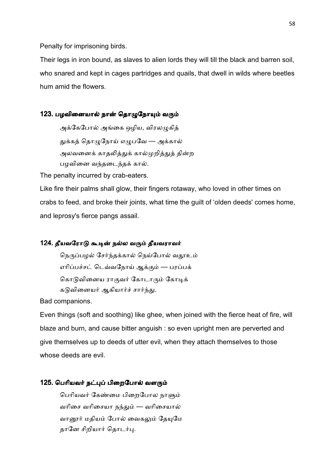Penalty for imprisoning birds.

Their legs in iron bound, as slaves to alien lords they will till the black and barren soil, who snared and kept in cages partridges and quails, that dwell in wilds where beetles hum amid the flowers.

## 123. பழவினையால் நான் தொழுநோயும் வரும்

அக்கேபோல் அங்கை ஒழிய, விரலமுகித் துக்கத் தொழுநோய் எழுபவே — அக்கால் அலவனைக் காதலித்துக் கால்முறித்துத் தின்ற பழவினை வந்தடைந்தக் கால்.

The penalty incurred by crab-eaters.

Like fire their palms shall glow, their fingers rotaway, who loved in other times on crabs to feed, and broke their joints, what time the guilt of 'olden deeds' comes home, and leprosy's fierce pangs assail.

#### 124. தீயவரோடு கூடின் நல்ல வரும் தீயவராவர்

நெருப்பழல் சேர்ந்தக்கால் நெய்போல் வதூஉம் எரிப்பச்சட் டெவ்வநோய் ஆக்கும் — பரப்பக் கொடுவினைய ராகுவர் கோடாரும் கோடிக் கடுவினையர் ஆகியார்ச் சார்ந்து.

Bad companions.

Even things (soft and soothing) like ghee, when joined with the fierce heat of fire, will blaze and burn, and cause bitter anguish : so even upright men are perverted and give themselves up to deeds of utter evil, when they attach themselves to those whose deeds are evil.

#### 125. பெரியவர் நட்புப் பிறைபோல் வளரும்

பெரியவர் கேண்மை பிறைபோல நாளும் வரிசை வரிசையா நந்தும் — வரிசையால் வானூர் மதியம் போல் வைகலும் தேயுமே தானே சிறியார் தொடர்பு.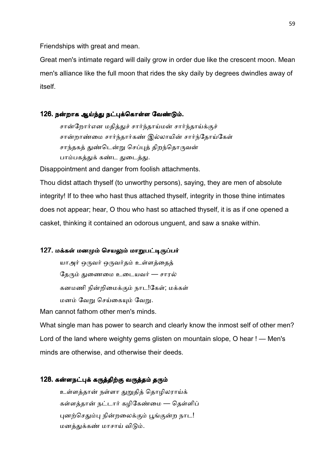Friendships with great and mean.

Great men's intimate regard will daily grow in order due like the crescent moon. Mean men's alliance like the full moon that rides the sky daily by degrees dwindles away of itself.

## 126. நன்றாக ஆய்ந்து நட்புக்கொள்ள வேண்டும்.

சான்றோர்என மதித்துச் சார்ந்தாய்மன் சார்ந்தாய்க்குச் சான்றாண்மை சார்ந்தார்கண் இல்லாயின் சார்ந்தோய்கேள் சாந்தகத் துண்டென்று செப்புத் திறந்தொருவன் பாம்பகத்துக் கண்ட துடைத்து.

Disappointment and danger from foolish attachments.

Thou didst attach thyself (to unworthy persons), saying, they are men of absolute integrity! If to thee who hast thus attached thyself, integrity in those thine intimates does not appear; hear, O thou who hast so attached thyself, it is as if one opened a casket, thinking it contained an odorous unguent, and saw a snake within.

## 127. மக்கள் மனமும் செயலும் மாறுபட்டிருப்பர்

யாஅர் ஒருவர் ஒருவர்தம் உள்ளத்தைத் தேரும் துணைமை உடையவர் — சாரல் கனமணி நின்றிமைக்கும் நாட!கேள்; மக்கள் மனம் வேறு செய்கையும் வேறு.

Man cannot fathom other men's minds.

What single man has power to search and clearly know the inmost self of other men? Lord of the land where weighty gems glisten on mountain slope, O hear ! — Men's minds are otherwise, and otherwise their deeds.

## 128. கன்ளநட்புக் கருத்திற்கு வருத்தம் தரும்

உள்ளத்தான் நள்ளா துறுதித் தொழிலராய்க் கள்ளத்தான் நட்டார் கழிகேண்மை — தெள்ளிப் புனற்செதும்பு நின்றலைக்கும் பூங்குன்ற நாட! மனத்துக்கண் மாசாய் விடும்.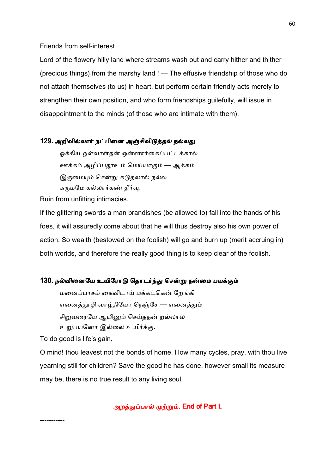Friends from self-interest

Lord of the flowery hilly land where streams wash out and carry hither and thither (precious things) from the marshy land ! — The effusive friendship of those who do not attach themselves (to us) in heart, but perform certain friendly acts merely to strengthen their own position, and who form friendships guilefully, will issue in disappointment to the minds (of those who are intimate with them).

#### 129. அறிவில்லார் நட்பினை அஞ்சிவிடுத்தல் நல்லது

ஒக்கிய ஒள்வாள்தன் ஒன்னார்கைப்பட்டக்கால் ஊக்கம் அழிப்பதூஉம் மெய்யாகும் — ஆக்கம் இருமையும் சென்று சுடுதலால் நல்ல கருமமே கல்லார்கண் தீர்வு.

Ruin from unfitting intimacies.

If the glittering swords a man brandishes (be allowed to) fall into the hands of his foes, it will assuredly come about that he will thus destroy also his own power of action. So wealth (bestowed on the foolish) will go and burn up (merit accruing in) both worlds, and therefore the really good thing is to keep clear of the foolish.

## 130. நல்வினையே உயிரோடு தொடர்ந்து சென்று நன்மை பயக்கும்

மனைப்பாசம் கைவிடாய் மக்கட்கென் றேங்கி எனைத்தூழி வாழ்தியோ நெஞ்சே — எனைத்தும் சிறுவரையே ஆயினும் செய்தநன் றல்லால் உறுபயனோ இல்லை உயிர்க்கு.

To do good is life's gain.

-----------

O mind! thou leavest not the bonds of home. How many cycles, pray, with thou live yearning still for children? Save the good he has done, however small its measure may be, there is no true result to any living soul.

அறத்துப்பால் முற்றும். End of Part I.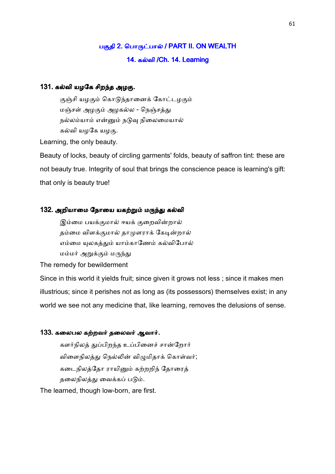# பகுதி 2. பொருட்பால் / PART II. ON WEALTH 14. கல்வி /Ch. 14. Learning

## 131. கல்வி யழகே சிறந்த அழகு.

குஞ்சி யழகும் கொடுந்தானைக் கோட்டழகும் மஞ்சள் அழகும் அழகல்ல - நெஞ்சத்து நல்லம்யாம் என்னும் நடுவு நிலைமையால் கல்வி யழகே யழகு.

Learning, the only beauty.

Beauty of locks, beauty of circling garments' folds, beauty of saffron tint: these are not beauty true. Integrity of soul that brings the conscience peace is learning's gift: that only is beauty true!

#### 132. அறியாமை நோயை யகற்றும் மருந்து கல்வி

இம்மை பயக்குமால் ஈயக் குறைவின்றால் தம்மை விளக்குமால் தாமுளராக் கேடின்றால் எம்மை யுலகத்தும் யாம்காணேம் கல்விபோல் மம்மர் அறுக்கும் மருந்து

The remedy for bewilderment

Since in this world it yields fruit; since given it grows not less ; since it makes men illustrious; since it perishes not as long as (its possessors) themselves exist; in any world we see not any medicine that, like learning, removes the delusions of sense.

#### 133. கலைபல கற்றவர் தலைவர் ஆவார்.

களர்நிலத் துப்பிறந்த உப்பினைச் சான்றோர் விளைநிலத்து நெல்லின் விழுமிதாக் கொள்வர்; கடைநிலத்தோ ராயினும் கற்றறிந் தோரைத் தலைநிலத்து வைக்கப் படும்.

The learned, though low-born, are first.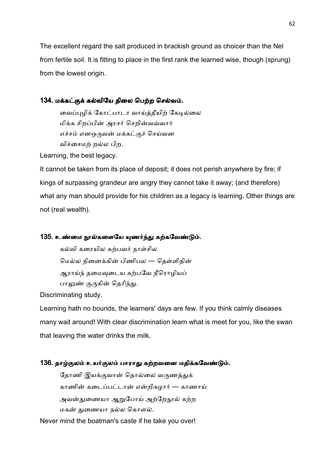The excellent regard the salt produced in brackish ground as choicer than the Nel from fertile soil. It is fitting to place in the first rank the learned wise, though (sprung) from the lowest origin.

## 134. மக்கட்குக் கல்வியே நிலை பெற்ற செல்வம்.

வைப்புழிக் கோட்பாடா வாய்த்தீயிற் கேடில்லை மிக்க சிறப்பின் அரசர் செறின்வவ்வார் எச்சம் எனஒருவன் மக்கட்குச் செய்வன விச்சைமற் றல்ல பிற.

Learning, the best legacy.

It cannot be taken from its place of deposit; it does not perish anywhere by fire; if kings of surpassing grandeur are angry they cannot take it away; (and therefore) what any man should provide for his children as a legacy is learning. Other things are not (real wealth).

## 135. உண்மை நூல்களையே யுணர்ந்து கற்கவேண்டும்.

கல்வி கரையில கற்பவர் நாள்சில மெல்ல நினைக்கின் பிணிபல — தெள்ளிதின் ஆராய்ந் தமைவுடைய கற்பவே நீரொழியப் பாலுண் குருகின் தெரிந்து.

Discriminating study.

Learning hath no bounds, the learners' days are few. If you think calmly diseases many wait around! With clear discrimination learn what is meet for you, like the swan that leaving the water drinks the milk.

# 136. தாழ்குலம் உயர்குலம் பாராது கற்றவனை மதிக்கவேண்டும்.

தோணி இயக்குவான் தொல்லை வருணத்துக் காணின் கடைப்பட்டான் என்றிகழார் — காணாய் அவன்துணையா ஆறுபோய் அற்றோநால் கற்ற மகன் துணையா நல்ல கொளல்.

Never mind the boatman's caste if he take you over!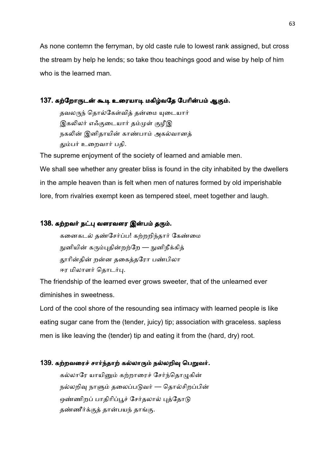As none contemn the ferryman, by old caste rule to lowest rank assigned, but cross the stream by help he lends; so take thou teachings good and wise by help of him who is the learned man.

## 137. கற்றோருடன் கூடி உரையாடி மகிழ்வதே பேரின்பம் ஆகும்.

தவலருந் தொல்கேள்வித் தன்மை யுடையார் இகலிலர் எஃகுடையார் தம்முள் குழீஇ நகலின் இனிதாயின் காண்பாம் அகல்வானக் தும்பர் உறைவார் பதி.

The supreme enjoyment of the society of learned and amiable men. We shall see whether any greater bliss is found in the city inhabited by the dwellers in the ample heaven than is felt when men of natures formed by old imperishable lore, from rivalries exempt keen as tempered steel, meet together and laugh.

# 138. கற்றவர் நட்பு வளரவளர இன்பம் தரும்.

கனைகடல் தண்சேர்ப்ப! கற்றறிந்தார் கேண்மை நுனியின் கரும்புதின்றற்றே — நுனிநீக்கித் தூரின்தின் றன்ன தகைத்தரோ பண்பிலா ஈர மிலாளர் தொடர்பு.

The friendship of the learned ever grows sweeter, that of the unlearned ever diminishes in sweetness.

Lord of the cool shore of the resounding sea intimacy with learned people is like eating sugar cane from the (tender, juicy) tip; association with graceless. sapless men is like leaving the (tender) tip and eating it from the (hard, dry) root.

## 139. கற்றவரைச் சார்ந்தாற் கல்லாரும் நல்லறிவு பெறுவர்.

கல்லாரே யாயினும் கற்றாரைச் சேர்ந்தொழுகின் நல்லறிவு நாளும் தலைப்படுவர் — தொல்சிறப்பின் ஒண்ணிறப் பாதிரிப்பூச் சேர்தலால் புத்தோடு தண்ணீர்க்குத் தான்பயந் தாங்கு.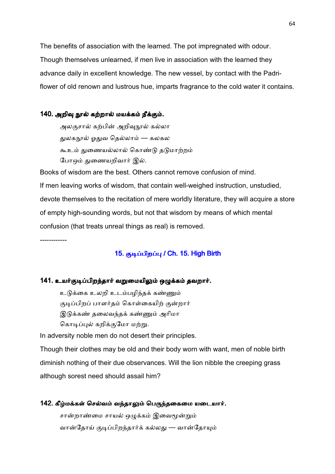The benefits of association with the learned. The pot impregnated with odour. Though themselves unlearned, if men live in association with the learned they advance daily in excellent knowledge. The new vessel, by contact with the Padriflower of old renown and lustrous hue, imparts fragrance to the cold water it contains.

## 140. அறிவு நூல் கற்றால் மயக்கம் நீக்கும்.

அலகுசால் கற்பின் அறிவநூல் கல்லா துலகநூல் ஓதுவ தெல்லாம் — கலகல கூஉம் துணையல்லால் கொண்டு தடுமாற்றம் போஒம் துணையறிவார் இல்.

Books of wisdom are the best. Others cannot remove confusion of mind. If men leaving works of wisdom, that contain well-weighed instruction, unstudied, devote themselves to the recitation of mere worldly literature, they will acquire a store of empty high-sounding words, but not that wisdom by means of which mental confusion (that treats unreal things as real) is removed.

------------

# 15. குடிப்பிறப்பு / Ch. 15. High Birth

#### 141. உயர்குடிப்பிறந்தார் வறுமையிலும் ஒழுக்கம் தவறார்.

உடுக்கை உலறி உடம்பழிந்தக் கண்ணும் குடிப்பிறப் பாளர்தம் கொள்கையிற் குன்றார் இடுக்கண் தலைவந்தக் கண்ணும் அரிமா கொடிப்புல் கறிக்குமோ மற்று.

In adversity noble men do not desert their principles.

Though their clothes may be old and their body worn with want, men of noble birth diminish nothing of their due observances. Will the lion nibble the creeping grass although sorest need should assail him?

#### 142. கீழ்மக்கள் செல்வம் வந்தாலும் பெருந்தகைமை யடையார்.

சான்றாண்மை சாயல் ஒழுக்கம் இவைமூன்றும் வான்தோய் குடிப்பிறந்தார்க் கல்லது — வான்தோயும்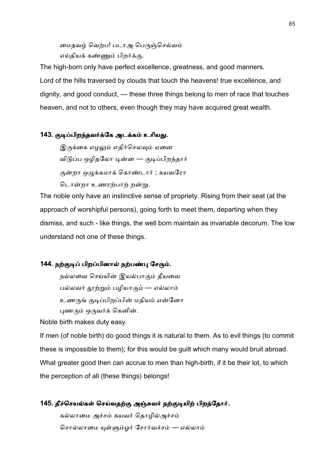மைதவழ் வெற்ப! படாஅ பெருஞ்செல்வம் எய்தியக் கண்ணும் பிறர்க்கு.

The high-born only have perfect excellence, greatness, and good manners. Lord of the hills traversed by clouds that touch the heavens! true excellence, and dignity, and good conduct, — these three things belong to men of race that touches heaven, and not to others, even though they may have acquired great wealth.

### 143. குடிப்பிறந்தவர்க்கே அடக்கம் உரியது.

இருக்கை எழலும் எகிர்செலவும் ஏனை விடுப்ப ஒழிதலோ டின்ன — குடிப்பிறந்தார் குன்றா ஒழுக்கமாக் கொண்டார் ; கயவரோ டொன்றா உணரற்பாற் றன்று.

The noble only have an instinctive sense of propriety. Rising from their seat (at the approach of worshipful persons), going forth to meet them, departing when they dismiss, and such - like things, the well born maintain as invariable decorum. The low understand not one of these things.

## 144. நற்குடிப் பிறப்பினால் நற்பண்பு சேரும்.

நல்லவை செய்யின் இயல்பாகும் தீயவை பல்லவர் தூற்றும் பழியாகும் — எல்லாம் உணருங் குடிப்பிறப்பின் மதியம் என்னோ புணரும் ஒருவர்க் கெனின்.

Noble birth makes duty easy.

If men (of noble birth) do good things it is natural to them. As to evil things (to commit these is impossible to them); for this would be guilt which many would bruit abroad. What greater good then can accrue to men than high-birth, if it be their lot, to which the perception of all (these things) belongs!

## 145. தீச்செயல்கள் செய்வதற்கு அஞ்சுவர் நற்குடியிற் பிறந்தோர்.

கல்லாமை அச்சம் கயவர் தொழில்அச்சம் சொல்லாமை யுள்ளும்ஓர் சோர்வச்சம் — எல்லாம்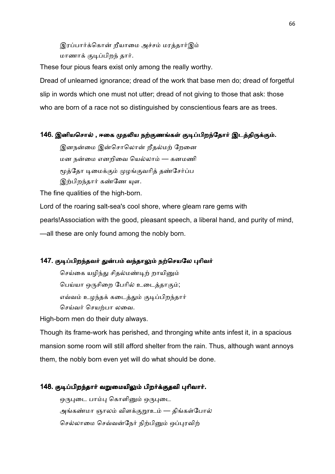இரப்பார்க்கொன் றீயாமை அச்சம் மரத்தார்இம் மாணாக் குடிப்பிறந் தார்.

These four pious fears exist only among the really worthy.

Dread of unlearned ignorance; dread of the work that base men do; dread of forgetful slip in words which one must not utter; dread of not giving to those that ask: those who are born of a race not so distinguished by conscientious fears are as trees.

## 146. இனியசொல் , ஈகை முதலிய நற்குணங்கள் குடிப்பிறந்தோர் இடத்திருக்கும்.

இனநன்மை இன்சொலொன் ரீதல்மற் றேனை மன நன்மை எனறிவை யெல்லாம் — கனமணி மூத்தோ டிமைக்கும் முழங்குவரித் தண்சேர்ப்ப இற்பிறந்தார் கண்ணே யுள.

The fine qualities of the high-born.

Lord of the roaring salt-sea's cool shore, where gleam rare gems with pearls!Association with the good, pleasant speech, a liberal hand, and purity of mind, —all these are only found among the nobly born.

# 147. குடிப்பிறந்தவர் துன்பம் வந்தாலும் நற்செயலே புரிவர்

செய்கை யழிந்து சிதல்மண்டிற் றாயினும் பெய்யா ஒருசிறை பேரில் உடைத்தாகும்; எவ்வம் உழந்தக் கடைத்தும் குடிப்பிறந்தார் செய்வர் செயற்பா லவை.

High-born men do their duty always.

Though its frame-work has perished, and thronging white ants infest it, in a spacious mansion some room will still afford shelter from the rain. Thus, although want annoys them, the nobly born even yet will do what should be done.

## 148. குடிப்பிறந்தார் வறுமையிலும் பிறர்க்குதவி புரிவார்.

ஒருபுடை பாம்பு கொளினும் ஒருபுடை அங்கண்மா ஞாலம் விளக்<u>குற</u>ாஉம் — திங்கள்போல் செல்லாமை செவ்வன்நேர் நிற்பினும் ஒப்புரவிற்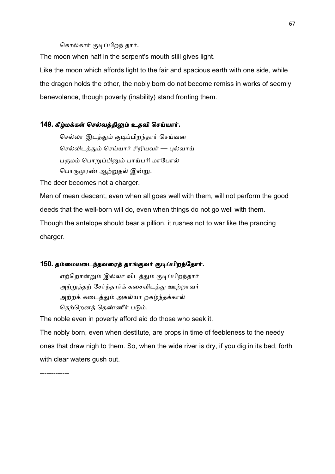#### கொல்கார் குடிப்பிறந் தார்.

The moon when half in the serpent's mouth still gives light.

Like the moon which affords light to the fair and spacious earth with one side, while the dragon holds the other, the nobly born do not become remiss in works of seemly benevolence, though poverty (inability) stand fronting them.

#### 149. கீழ்மக்கள் செல்வத்திலும் உதவி செய்யார்.

செல்லா இடத்தும் குடிப்பிறந்தார் செய்வன செல்லிடத்தும் செய்யார் சிறியவர் — புல்வாய் பருமம் பொறுப்பினும் பாய்பரி மாபோல் பொருமுரண் ஆற்றுதல் இன்று.

The deer becomes not a charger.

Men of mean descent, even when all goes well with them, will not perform the good deeds that the well-born will do, even when things do not go well with them.

Though the antelope should bear a pillion, it rushes not to war like the prancing charger.

#### 150. தம்மையடைந்தவரைத் தாங்குவர் குடிப்பிறந்தோர்.

எற்றொன்றும் இல்லா விடத்தும் குடிப்பிறந்தார் அற்றுத்தற் சேர்ந்தார்க் கசைவிடத்து ஊற்றாவர் அற்றக் கடைத்தும் அகல்யா றகழ்ந்தக்கால் தெற்றெனத் தெண்ணீர் படும்.

The noble even in poverty afford aid do those who seek it.

The nobly born, even when destitute, are props in time of feebleness to the needy ones that draw nigh to them. So, when the wide river is dry, if you dig in its bed, forth with clear waters gush out.

-------------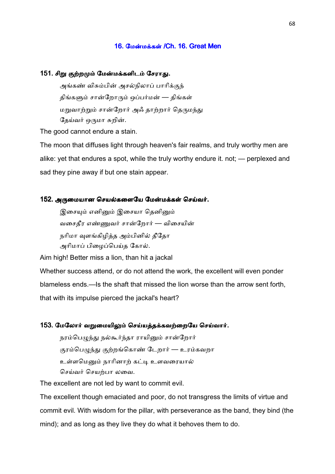#### 16. மேன்மக்கள் /Ch. 16. Great Men

#### 151. சிறு குற்றமும் மேன்மக்களிடம் சேராது.

அங்கண் விசும்பின் அசல்நிலாப் பாரிக்குந் திங்களும் சான்றோரும் ஒப்பர்மன் — திங்கள் மறுவாற்றும் சான்றோர் அஃ தாற்றார் தெருமந்து தேய்வர் ஒருமா சுறின்.

The good cannot endure a stain.

The moon that diffuses light through heaven's fair realms, and truly worthy men are alike: yet that endures a spot, while the truly worthy endure it. not; — perplexed and sad they pine away if but one stain appear.

#### 152. அருமையான செயல்களையே மேன்மக்கள் செய்வர்.

இசையும் எனினும் இசையா தெனினும் வசைதீர எண்ணுவர் சான்றோர் — விசையின் நரிமா வுளங்கிழித்த அம்பினில் தீதோ அரிமாப் பிழைப்பெய்த கோல்.

Aim high! Better miss a lion, than hit a jackal

Whether success attend, or do not attend the work, the excellent will even ponder blameless ends.—Is the shaft that missed the lion worse than the arrow sent forth, that with its impulse pierced the jackal's heart?

#### 153. மேலோர் வறுமையிலும் செய்யத்தக்கவற்றையே செய்வார்.

நரம்பெழுந்து நல்கூர்ந்தா ராயினும் சான்றோர் குரம்பெழுந்து குற்றங்கொண் டேறார் — உரம்கவறா உள்ளமெனும் நாரினாற் கட்டி உளவரையால் செய்வர் செயற்பா லவை.

The excellent are not led by want to commit evil.

The excellent though emaciated and poor, do not transgress the limits of virtue and commit evil. With wisdom for the pillar, with perseverance as the band, they bind (the mind); and as long as they live they do what it behoves them to do.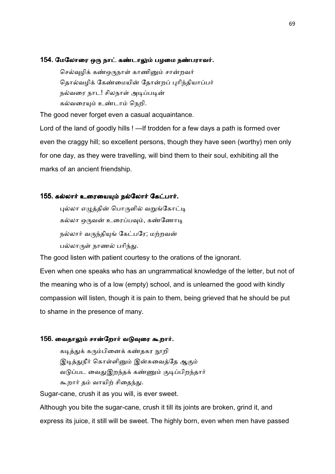#### 154. மேலோரை ஒரு நாட் கண்டாலும் பழமை நண்பராவர்.

செல்வுழிக் கண்ஒருநாள் காணினும் சான்றவர் தொல்வழிக் கேண்மையின் தோன்றப் புரிந்தியாப்பர் நல்வரை நாட! சிலநாள் அடிப்படின் கல்வரையும் உண்டாம் நெறி.

The good never forget even a casual acquaintance.

Lord of the land of goodly hills ! —If trodden for a few days a path is formed over even the craggy hill; so excellent persons, though they have seen (worthy) men only for one day, as they were travelling, will bind them to their soul, exhibiting all the marks of an ancient friendship.

#### 155. கல்லார் உரையையும் நல்லோர் கேட்பார்.

புல்லா எழுத்தின் பொருளில் வறுங்கோட்டி கல்லா ஒருவன் உரைப்பவும், கண்ணோடி நல்லார் வருந்தியுங் கேட்பரே; மற்றவன் பல்லாருள் நாணல் பரிந்து.

The good listen with patient courtesy to the orations of the ignorant.

Even when one speaks who has an ungrammatical knowledge of the letter, but not of the meaning who is of a low (empty) school, and is unlearned the good with kindly compassion will listen, though it is pain to them, being grieved that he should be put to shame in the presence of many.

### 156. வைதாலும் சான்றோர் வடுவுரை கூறார்.

கடித்துக் கரும்பினைக் கண்தகர <u>நூ</u>றி இடித்துநீர் கொள்ளினும் இன்சுவைத்தே ஆகும் வடுப்பட வைதுஇறந்தக் கண்ணும் குடிப்பிறந்தார் கூறார் தம் வாயிற் சிதைந்து.

Sugar-cane, crush it as you will, is ever sweet.

Although you bite the sugar-cane, crush it till its joints are broken, grind it, and express its juice, it still will be sweet. The highly born, even when men have passed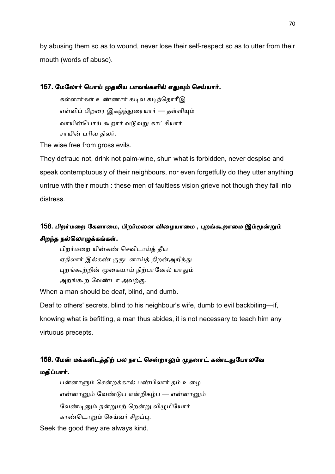by abusing them so as to wound, never lose their self-respect so as to utter from their mouth (words of abuse).

## 157. மேலோர் பொய் முதலிய பாவங்களில் எதுவும் செய்யார்.

கள்ளார்கள் உண்ணார் கடிவ கடிந்தொரீஇ எள்ளிப் பிறரை இகழ்ந்துரையார் — தள்ளியும் வாயின்பொய் கூறார் வடுவறு காட்சியார் சாயின் பரிவ திலர்.

The wise free from gross evils.

They defraud not, drink not palm-wine, shun what is forbidden, never despise and speak contemptuously of their neighbours, nor even forgetfully do they utter anything untrue with their mouth : these men of faultless vision grieve not though they fall into distress.

# 158. பிறர்மறை கேளாமை, பிறர்மனை விழையாமை , புறங்கூறாமை இம்மூன்றும் சிறந்த நல்லொழுக்கங்கள்.

பிறர்மறை யின்கண் செவிடாய்த் தீய ஏதிலார் இல்கண் குருடனாய்த் திறன்அறிந்து புறங்கூற்றின் மூகையாய் நிற்பானேல் யாதும் அறங்கூற வேண்டா அவற்கு.

When a man should be deaf, blind, and dumb.

Deaf to others' secrets, blind to his neighbour's wife, dumb to evil backbiting—if, knowing what is befitting, a man thus abides, it is not necessary to teach him any virtuous precepts.

# 159. மேன் மக்களிடத்திற் பல நாட் சென்றாலும் முதனாட் கண்டதுபோலவே மதிப்பார்.

பன்னாளும் சென்றக்கால் பண்பிலார் தம் உழை என்னானும் வேண்டுப என்றிகழ்ப — என்னானும் வேண்டினும் நன்றுமற் றென்று விமுமியோர் காண்டொறும் செய்வர் சிறப்பு.

Seek the good they are always kind.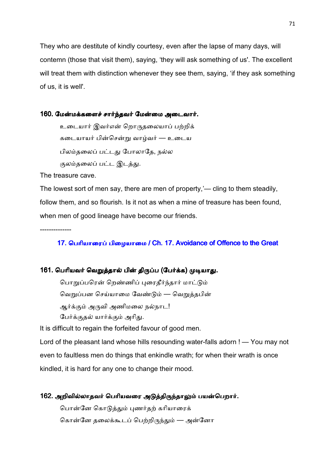They who are destitute of kindly courtesy, even after the lapse of many days, will contemn (those that visit them), saying, 'they will ask something of us'. The excellent will treat them with distinction whenever they see them, saying, 'if they ask something of us, it is well'.

#### 160. மேன்மக்களைச் சார்ந்தவர் மேன்மை அடைவார்.

உடையார் இவர்என் றொருதலையாப் பற்றிக் கடையாயர் பின்சென்று வாழ்வர் — உடைய பிலம்தலைப் பட்டது போலாகே, நல்ல குலம்தலைப் பட்ட இடத்து.

The treasure cave.

The lowest sort of men say, there are men of property,'— cling to them steadily, follow them, and so flourish. Is it not as when a mine of treasure has been found, when men of good lineage have become our friends.

--------------

# 17. பெரியாரைப் பிழையாமை / Ch. 17. Avoidance of Offence to the Great

## 161. பெரியவர் வெறுத்தால் பின் திருப்ப (பேர்க்க) முடியாது.

பொறுப்பரென் றெண்ணிப் புரைதீர்ந்தார் மாட்டும் வெறுப்பன செய்யாமை வேண்டும் — வெறுத்தபின் ஆர்க்கும் அருவி அணிமலை நல்நாட! பேர்க்குதல் யார்க்கும் அரிது.

It is difficult to regain the forfeited favour of good men.

Lord of the pleasant land whose hills resounding water-falls adorn ! — You may not even to faultless men do things that enkindle wrath; for when their wrath is once kindled, it is hard for any one to change their mood.

# 162. அறிவில்லாதவர் பெரியவரை அடுத்திருந்தாலும் பயன்பெறார். பொன்னே கொடுத்தும் புணர்தற் கரியாரைக்

கொன்னே தலைக்கூடப் பெற்றிருந்தும் — அன்னோ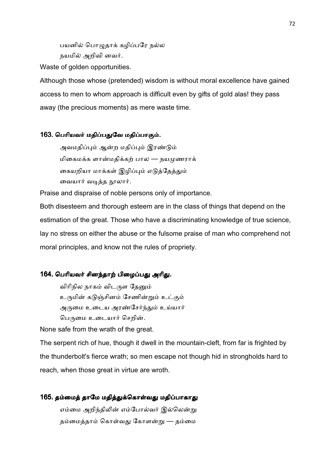பயனில் பொழுதாக் கழிப்பரே நல்ல நயமில் அறிவி னவர்.

Waste of golden opportunities.

Although those whose (pretended) wisdom is without moral excellence have gained access to men to whom approach is difficult even by gifts of gold alas! they pass away (the precious moments) as mere waste time.

### 163. பெரியவர் மதிப்பதுவே மதிப்பாகும்.

அவமதிப்பும் ஆன்ற மதிப்பும் இரண்டும் மிகைமக்க ளான்மதிக்கற் பால — நயமுணராக் கையறியா மாக்கள் இழிப்பும் எடுத்தேத்தும் வையார் வடித்த நூலார்.

Praise and dispraise of noble persons only of importance.

Both disesteem and thorough esteem are in the class of things that depend on the estimation of the great. Those who have a discriminating knowledge of true science, lay no stress on either the abuse or the fulsome praise of man who comprehend not moral principles, and know not the rules of propriety.

## 164. பெரியவர் சினந்தாற் பிழைப்பது அரிது.

விரிநில நாகம் விடருள தேனும் உருமின் கடுஞ்சினம் சேணின்றும் உட்கும் அருமை உடைய அரண்சேர்ந்தும் உய்யார் பெருமை உடையார் செறின்.

None safe from the wrath of the great.

The serpent rich of hue, though it dwell in the mountain-cleft, from far is frighted by the thunderbolt's fierce wrath; so men escape not though hid in strongholds hard to reach, when those great in virtue are wroth.

# 165. தம்மைத் தாமே மதித்துக்கொள்வது மதிப்பாகாது

எம்மை அறிந்திலின் எம்போல்வர் இல்லென்று தம்மைத்தாம் கொள்வது கோளன்று — தம்மை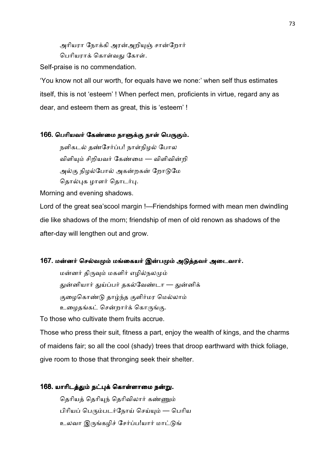அரியரா நோக்கி அரன்அறியுஞ் சான்றோர் பெரியாாக் கொள்வகு கோள்.

Self-praise is no commendation.

'You know not all our worth, for equals have we none:' when self thus estimates itself, this is not 'esteem' ! When perfect men, proficients in virtue, regard any as dear, and esteem them as great, this is 'esteem' !

## 166. பெரியவர் கேண்மை நாளுக்கு நாள் பெருகும்.

நளிகடல் தண்சேர்ப்ப! நாள்நிழல் போல விளியும் சிறியவர் கேண்மை — விளிவின்றி அல்கு நிழல்போல் அகன்றகன் றோடுமே தொல்புக ழாளர் தொடர்பு.

Morning and evening shadows.

Lord of the great sea'scool margin !—Friendships formed with mean men dwindling die like shadows of the morn; friendship of men of old renown as shadows of the after-day will lengthen out and grow.

#### 167. மன்னர் செல்வமும் மங்கையர் இன்பமும் அடுத்தவர் அடைவார்.

மன்னர் திருவும் மகளிர் எழில்நலமும் துன்னியார் துய்ப்பர் தகல்வேண்டா — துன்னிக் குழைகொண்டு தாழ்ந்த குளிர்மர மெல்லாம் உழைதங்கட் சென்றார்க் கொருங்கு.

To those who cultivate them fruits accrue.

Those who press their suit, fitness a part, enjoy the wealth of kings, and the charms of maidens fair; so all the cool (shady) trees that droop earthward with thick foliage, give room to those that thronging seek their shelter.

#### 168. யாரிடத்தும் நட்புக் கொள்ளாமை நன்று.

தெரியத் தெரியுந் தெரிவிலார் கண்ணும் பிரியப் பெரும்படர்நோய் செய்யும் — பெரிய உலவா இருங்கழிச் சேர்ப்ப!யார் மாட்டுங்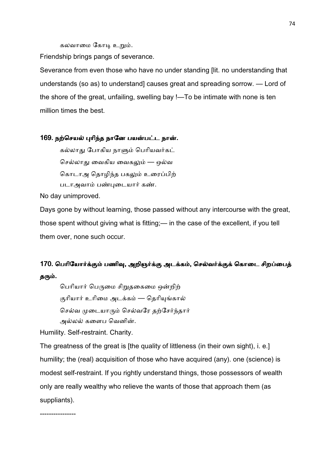கலவாமை கோடி உறும்.

Friendship brings pangs of severance.

Severance from even those who have no under standing [lit. no understanding that understands (so as) to understand] causes great and spreading sorrow. — Lord of the shore of the great, unfailing, swelling bay !—To be intimate with none is ten million times the best.

#### 169. நற்செயல் புரிந்த நானே பயன்பட்ட நான்.

கல்லாது போகிய நாளும் பெரியவர்கட் செல்லாது வைகிய வைகலும் — ஒல்வ கொடாஅ தொழிந்த பகலும் உரைப்பிற் படாஅவாம் பண்புடையார் கண்.

No day unimproved.

Days gone by without learning, those passed without any intercourse with the great, those spent without giving what is fitting;— in the case of the excellent, if you tell them over, none such occur.

## 170. பெரியோர்க்கும் பணிவு, அறிஞர்க்கு அடக்கம், செல்வர்க்குக் கொடை சிறப்பைத் தரும்.

பெரியார் பெருமை சிறுதகைமை ஒன்றிற் குரியார் உரிமை அடக்கம் — தெரியுங்கால் செல்வ முடையாரும் செல்வரே தற்சேர்ந்தார் அல்லல் களைப வெனின்.

Humility. Self-restraint. Charity.

----------------

The greatness of the great is [the quality of littleness (in their own sight), i. e.] humility; the (real) acquisition of those who have acquired (any). one (science) is modest self-restraint. If you rightly understand things, those possessors of wealth only are really wealthy who relieve the wants of those that approach them (as suppliants).

74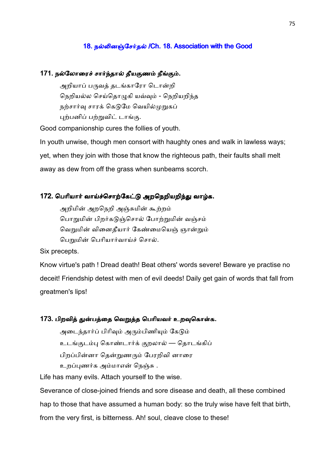## 18. நல்லினஞ்சேர்தல் /Ch. 18. Association with the Good

#### 171. நல்லோரைச் சார்ந்தால் தீயகுணம் நீங்கும்.

அறியாப் பருவத் தடங்காரோ டொன்றி நெறியல்ல செய்தொழுகி யவ்வும் - நெறியறிந்த நற்சார்வு சாரக் கெடுமே வெயில்முறுகப் புற்பனிப் பற்றுவிட் டாங்கு.

Good companionship cures the follies of youth.

In youth unwise, though men consort with haughty ones and walk in lawless ways; yet, when they join with those that know the righteous path, their faults shall melt away as dew from off the grass when sunbeams scorch.

## 172. பெரியார் வாய்ச்சொற்கேட்டு அறநெறியறிந்து வாழ்க.

அறிமின் அறநெறி அஞ்சுமின் கூற்றம் பொறுமின் பிறர்கடுஞ்சொல் போற்றுமின் வஞ்சம் வெறுமின் வினைதீயார் கேண்மையெஞ் ஞான்றும் பெறுமின் பெரியார்வாய்ச் சொல்.

Six precepts.

Know virtue's path ! Dread death! Beat others' words severe! Beware ye practise no deceit! Friendship detest with men of evil deeds! Daily get gain of words that fall from greatmen's lips!

#### 173. பிறவித் துன்பத்தை வெறுத்த பெரியவர் உறவுகொள்க.

அடைந்தார்ப் பிரிவும் அரும்பிணியும் கேடும் உடங்குடம்பு கொண்டார்க் குறலால் — தொடங்கிப் பிறப்பின்னா கென்றுணரும் பேரறிவி னாரை உறப்புணர்க அம்மாஎன் நெஞ்சு .

Life has many evils. Attach yourself to the wise.

Severance of close-joined friends and sore disease and death, all these combined hap to those that have assumed a human body: so the truly wise have felt that birth, from the very first, is bitterness. Ah! soul, cleave close to these!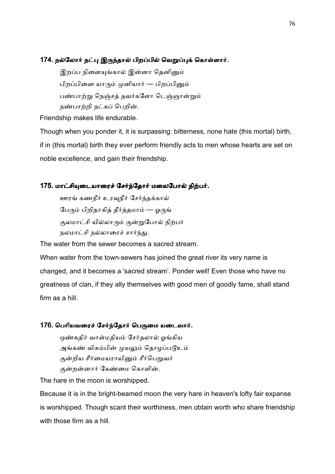## 174. நல்லோர் நட்பு இருந்தால் பிறப்பில் வெறுப்புக் கொள்ளார்.

இறப்ப நினையங்கால் இன்னா தெனினும் பிறப்பினை யாரும் முனியார் — பிறப்பினும் பண்பாற்று நெஞ்சத் தவர்களோ டெஞ்ஞான்றும் நண்பாற்றி நட்கப் பெறின்.

Friendship makes life endurable.

Though when you ponder it, it is surpassing: bitterness, none hate (this mortal) birth, if in (this mortal) birth they ever perform friendly acts to men whose hearts are set on noble excellence, and gain their friendship.

#### 175. மாட்சியுடையாரைச் சேர்ந்தோர் மலைபோல் நிற்பர்.

ஊரங் கணநீர் உரவுநீர் சேர்ந்தக்கால் பேரும் பிறிதாகித் தீர்த்தமாம் — ஓருங் குலமாட்சி யில்லாரும் குன்றுபோல் நிற்பர் நலமாட்சி நல்லாரைச் சார்ந்து.

The water from the sewer becomes a sacred stream.

When water from the town-sewers has joined the great river its very name is changed, and it becomes a 'sacred stream'. Ponder well! Even those who have no greatness of clan, if they ally themselves with good men of goodly fame, shall stand firm as a hill.

#### 176. பெரியவரைச் சேர்ந்தோர் பெருமை யடைவார்.

ஒண்கதிர் வாள்மதியம் சேர்தலால் ஓங்கிய அங்கண் விசும்பின் முயலும் தொழப்படூஉம் குன்றிய சீர்மையராயினும் சீர்பெறுவர் குன்றன்னார் கேண்மை கொளின்.

The hare in the moon is worshipped.

Because it is in the bright-beamed moon the very hare in heaven's lofty fair expanse is worshipped. Though scant their worthiness, men obtain worth who share friendship with those firm as a hill.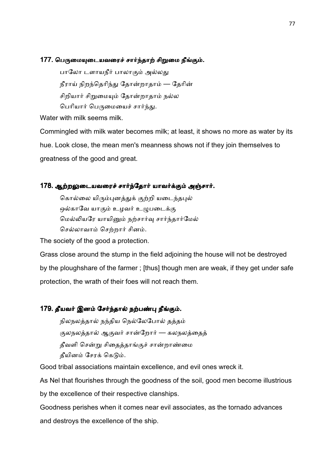## 177. பெருமையுடையவரைச் சார்ந்தாற் சிறுமை நீங்கும்.

பாலோ டளாயநீர் பாலாகும் அல்லது நீராய் நிறந்தெரிந்து தோன்றாதாம் — தேரின் சிறியார் சிறுமையும் தோன்றாதாம் நல்ல பெரியார் பெருமையைச் சார்ந்து.

Water with milk seems milk.

Commingled with milk water becomes milk; at least, it shows no more as water by its hue. Look close, the mean men's meanness shows not if they join themselves to greatness of the good and great.

## 178. ஆற்றலுடையவரைச் சார்ந்தோர் யாவர்க்கும் அஞ்சார்.

கொல்லை யிரும்புனத்துக் குற்றி யடைந்தபுல் ஒல்காவே யாகும் உழவர் உழுபடைக்கு மெல்லியரே யாயினும் நற்சார்வு சார்ந்தார்மேல் செல்லாவாம் செற்றார் சினம்.

The society of the good a protection.

Grass close around the stump in the field adjoining the house will not be destroyed by the ploughshare of the farmer ; [thus] though men are weak, if they get under safe protection, the wrath of their foes will not reach them.

## 179. தீயவர் இனம் சேர்ந்தால் நற்பண்பு நீங்கும்.

நிலநலத்தால் நந்திய நெல்லேபோல் தத்தம் குலநலத்தால் ஆகுவர் சான்றோர் — கலநலத்தைத் தீவளி சென்று சிதைத்தாங்குச் சான்றாண்மை தீயினம் சேரக் கெடும்.

Good tribal associations maintain excellence, and evil ones wreck it.

As Nel that flourishes through the goodness of the soil, good men become illustrious

by the excellence of their respective clanships.

Goodness perishes when it comes near evil associates, as the tornado advances and destroys the excellence of the ship.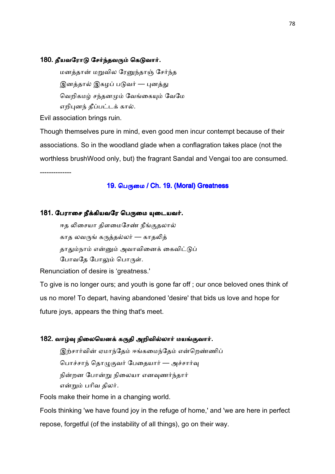#### 180. தீயவரோடு சேர்ந்தவரும் கெடுவார்.

மனத்தான் மறுவில ரேனுந்தாஞ் சேர்ந்த இனத்தால் இகழப் படுவர் — புனத்து வெறிகமழ் சந்தனமும் வேங்கையும் வேமே எறிபுனந் தீப்பட்டக் கால்.

Evil association brings ruin.

Though themselves pure in mind, even good men incur contempt because of their associations. So in the woodland glade when a conflagration takes place (not the worthless brushWood only, but) the fragrant Sandal and Vengai too are consumed. --------------

## 19. பெருமை / Ch. 19. (Moral) Greatness

#### 181. பேராசை நீக்கியவரே பெருமை யுடையவர்.

ஈத லிசையா திளமைசேண் நீங்குதலால் காத லவருங் கருத்தல்லர் — காதலித் தாதும்நாம் என்னும் அவாவினைக் கைவிட்டுப் போவதே போலும் பொருள்.

Renunciation of desire is 'greatness.'

To give is no longer ours; and youth is gone far off ; our once beloved ones think of us no more! To depart, having abandoned 'desire' that bids us love and hope for future joys, appears the thing that's meet.

#### 182. வாழ்வு நிலையெனக் கருதி அறிவில்லார் மயங்குவார்.

இற்சார்வின் ஏமாந்தேம் ஈங்கமைந்தேம் என்றெண்ணிப் பொச்சாந் தொழுகுவர் பேதையார் — அச்சார்வு நின்றன போன்று நிலையா எனவுணர்ந்தார் என்றும் பரிவ திலர்.

Fools make their home in a changing world.

Fools thinking 'we have found joy in the refuge of home,' and 'we are here in perfect repose, forgetful (of the instability of all things), go on their way.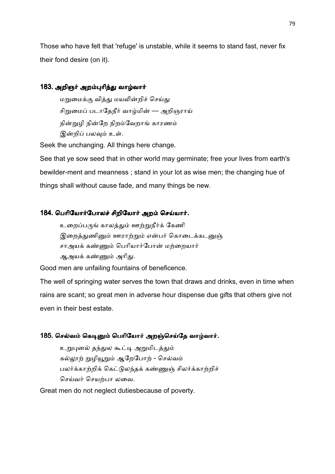Those who have felt that 'refuge' is unstable, while it seems to stand fast, never fix their fond desire (on it).

## 183. அறிஞர் அறம்புரிந்து வாழ்வார்

மறுமைக்கு வித்து மயலின்றிச் செய்து சிறுமைப் படாதேநீர் வாழ்மின் — அறிஞராய் நின்றுழி நின்றே நிறம்வேறாங் காரணம் இன்றிப் பலவும் உள்.

Seek the unchanging. All things here change.

See that ye sow seed that in other world may germinate; free your lives from earth's bewilder-ment and meanness ; stand in your lot as wise men; the changing hue of things shall without cause fade, and many things be new.

#### 184. பெரியோர்போலச் சிறியோர் அறம் செய்யார்.

உறைப்பருங் காலத்தும் ஊற்றுநீர்க் கேணி இறைத்துணினும் ஊராற்றும் என்பர் கொடைக்கடனுஞ் சாஅயக் கண்ணும் பெரியார்போன் மற்றையார் ஆஅயக் கண்ணும் அரிது.

Good men are unfailing fountains of beneficence.

The well of springing water serves the town that draws and drinks, even in time when rains are scant; so great men in adverse hour dispense due gifts that others give not even in their best estate.

#### 185. செல்வம் கெடினும் பெரியோர் அறஞ்செய்தே வாழ்வார்.

உறுபுனல் தந்துல கூட்டி அறுமிடத்தும் கல்லூற் றுழியூறும் ஆறேபோற் - செல்வம் பலர்க்காற்றிக் கெட்டுலந்தக் கண்ணுஞ் சிலர்க்காற்றிச் செய்வர் செயற்பா லவை.

Great men do not neglect dutiesbecause of poverty.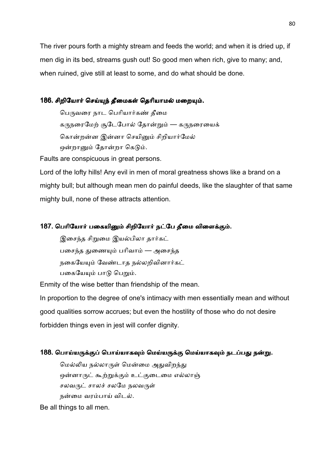The river pours forth a mighty stream and feeds the world; and when it is dried up, if men dig in its bed, streams gush out! So good men when rich, give to many; and, when ruined, give still at least to some, and do what should be done.

## 186. சிறியோர் செய்யுந் தீமைகள் தெரியாமல் மறையும்.

பெருவரை நாட பெரியார்கண் தீமை கருநரைமேற் சூடேபோல் தோன்றும் — கருநரையைக் கொன்றன்ன இன்னா செயினும் சிறியார்மேல் ஒன்றானும் தோன்றா கெடும்.

Faults are conspicuous in great persons.

Lord of the lofty hills! Any evil in men of moral greatness shows like a brand on a mighty bull; but although mean men do painful deeds, like the slaughter of that same mighty bull, none of these attracts attention.

## 187. பெரியோர் பகையினும் சிறியோர் நட்பே தீமை விளைக்கும்.

இசைந்த சிறுமை இயல்பிலா தார்கட் பசைந்த துணையும் பரிவாம் — அசைந்த நகையேயும் வேண்டாத நல்லறிவினார்கட் பகையேயும் பாடு பெறும்.

Enmity of the wise better than friendship of the mean.

In proportion to the degree of one's intimacy with men essentially mean and without good qualities sorrow accrues; but even the hostility of those who do not desire forbidden things even in jest will confer dignity.

## 188. பொய்யருக்குப் பொய்யாகவும் மெய்யருக்கு மெய்யாகவும் நடப்பது நன்று.

மெல்லிய நல்லாருள் மென்மை அதுவிறந்து ஒன்னாருட் கூற்றுக்கும் உட்குடைமை எல்லாஞ் சலவருட் சாலச் சலமே நலவருள் நன்மை வரம்பாய் விடல்.

Be all things to all men.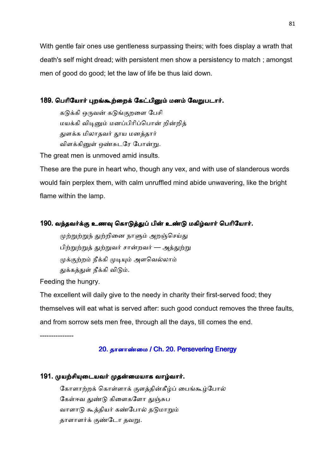With gentle fair ones use gentleness surpassing theirs; with foes display a wrath that death's self might dread; with persistent men show a persistency to match ; amongst men of good do good; let the law of life be thus laid down.

## 189. பெரியோர் புறங்கூற்றைக் கேட்பினும் மனம் வேறுபடார்.

கடுக்கி ஒருவன் கடுங்குறளை பேசி மயக்கி விடினும் மனப்பிரிப்பொன் றின்றித் துளக்க மிலாதவர் தூய மனத்தார் விளக்கினுள் ஒண்சுடரே போன்று.

The great men is unmoved amid insults.

These are the pure in heart who, though any vex, and with use of slanderous words would fain perplex them, with calm unruffled mind abide unwavering, like the bright flame within the lamp.

## 190. வந்தவர்க்கு உணவு கொடுத்துப் பின் உண்டு மகிழ்வார் பெரியோர்.

முற்றுற்றுந் துற்றினை நாளும் அறஞ்செய்து பிற்றுற்றுத் துற்றுவர் சான்றவர் — அத்துற்று முக்குற்றம் நீக்கி முடியும் அளவெல்லாம் துக்கத்துள் நீக்கி விடும்.

Feeding the hungry.

The excellent will daily give to the needy in charity their first-served food; they themselves will eat what is served after: such good conduct removes the three faults, and from sorrow sets men free, through all the days, till comes the end.

---------------

## 20. தாளாண்மை / Ch. 20. Persevering Energy

## 191. முயற்சியுடையவர் முதன்மையாக வாழ்வார்.

கோளாற்றக் கொள்ளாக் குளத்தின்கீழ்ப் பைங்கூழ்போல் கேள்ஈவ துண்டு கிளைகளோ துஞ்சுப வாளாடு கூத்தியர் கண்போல் தடுமாறும் தாளாளர்க் குண்டோ தவறு.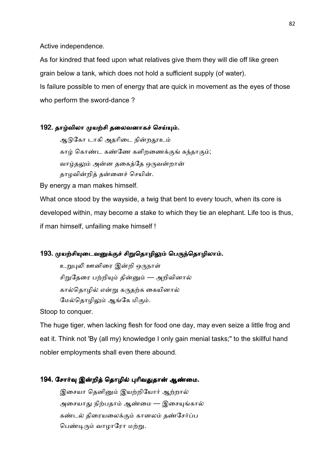Active independence.

As for kindred that feed upon what relatives give them they will die off like green grain below a tank, which does not hold a sufficient supply (of water). Is failure possible to men of energy that are quick in movement as the eyes of those who perform the sword-dance ?

#### 192. தாழ்விலா முயற்சி தலைவனாகச் செய்யும்.

ஆடுகோ டாகி அதரிடை நின்றதூஉம் காழ் கொண்ட கண்ணே களிறணைக்குங் கந்தாகும்; வாழ்தலும் அன்ன தகைத்தே ஒருவன்றான் தாழவின்றித் தன்னைச் செயின்.

By energy a man makes himself.

What once stood by the wayside, a twig that bent to every touch, when its core is developed within, may become a stake to which they tie an elephant. Life too is thus, if man himself, unfailing make himself !

#### 193. முயற்சியுடைவனுக்குச் சிறுதொழிலும் பெருந்தொழிலாம்.

உறுபுலி ஊனிரை இன்றி ஒருநாள் சிறுதேரை பற்றியும் தின்னும் — அறிவினால் கால்தொழில் என்று கருதற்க கையினால் மேல்தொழிலும் ஆங்கே மிகும்.

Stoop to conquer.

The huge tiger, when lacking flesh for food one day, may even seize a little frog and eat it. Think not 'By (all my) knowledge I only gain menial tasks;" to the skillful hand nobler employments shall even there abound.

## 194. சோர்வு இன்றித் தொழில் புரிவதுதான் ஆண்மை.

இசையா தெனினும் இயற்றியோர் ஆற்றால் அசையாது நிற்பதாம் ஆண்மை — இசையுங்கால் கண்டல் திரையலைக்கும் கானலம் தண்சேர்ப்ப பெண்டிரும் வாழாரோ மற்று.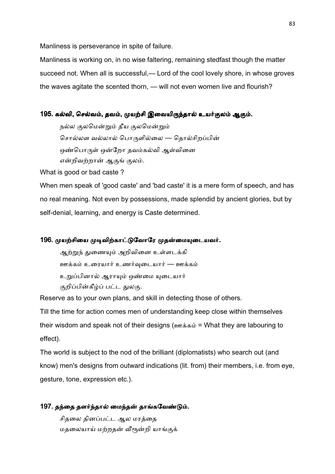Manliness is perseverance in spite of failure.

Manliness is working on, in no wise faltering, remaining stedfast though the matter succeed not. When all is successful,— Lord of the cool lovely shore, in whose groves the waves agitate the scented thorn, — will not even women live and flourish?

## 195. கல்வி, செல்வம், தவம், முயற்சி இவையிருந்தால் உயர்குலம் ஆகும்.

நல்ல குலமென்றும் தீய குலமென்றும் சொல்லள வல்லால் பொருளில்லை — தொல்சிறப்பின் ஒண்பொருள் ஒன்றோ தவம்கல்வி ஆள்வினை என்றிவற்றான் ஆகுங் குலம்.

What is good or bad caste ?

When men speak of 'good caste' and 'bad caste' it is a mere form of speech, and has no real meaning. Not even by possessions, made splendid by ancient glories, but by self-denial, learning, and energy is Caste determined.

#### 196. முயற்சியை முடிவிற்காட்டுவோரே முதன்மையுடையவர்.

ஆற்றுந் துணையும் அறிவினை உள்ளடக்கி ஊக்கம் உரையார் உணர்வுடையார் — ஊக்கம் உறுப்பினால் ஆராயும் ஒண்மை யுடையார் குறிப்பின்கீழ்ப் பட்ட துலகு.

Reserve as to your own plans, and skill in detecting those of others.

Till the time for action comes men of understanding keep close within themselves their wisdom and speak not of their designs (ஊக்கம் = What they are labouring to effect).

The world is subject to the nod of the brilliant (diplomatists) who search out (and know) men's designs from outward indications (lit. from) their members, i.e. from eye, gesture, tone, expression etc.).

#### 197. தந்தை தளர்ந்தால் மைந்தன் தாங்கவேண்டும்.

சிதலை தினப்பட்ட ஆல மரத்தை மதலையாய் மற்றதன் வீரூன்றி யாங்குக்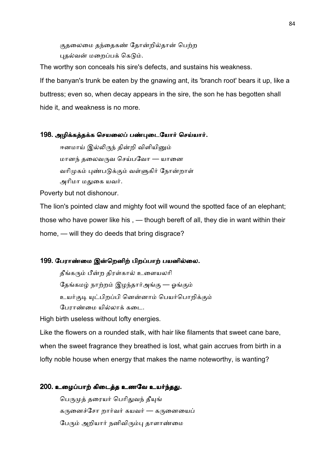குதலைமை தந்தைகண் தோன்றில்தான் பெற்ற புதல்வன் மறைப்பக் கெடும்.

The worthy son conceals his sire's defects, and sustains his weakness. If the banyan's trunk be eaten by the gnawing ant, its 'branch root' bears it up, like a buttress; even so, when decay appears in the sire, the son he has begotten shall hide it, and weakness is no more.

#### 198. அழிக்கத்தக்க செயலைப் பண்புடையோர் செய்யார்.

ஈனமாய் இல்லிருந் தின்றி விளியினும் மானந் தலைவருவ செய்பவோ — யானை வரிமுகம் புண்படுக்கும் வள்ளுகிர் நோன்றாள் அரிமா மதுகை யவர்.

Poverty but not dishonour.

The lion's pointed claw and mighty foot will wound the spotted face of an elephant; those who have power like his , — though bereft of all, they die in want within their home, — will they do deeds that bring disgrace?

#### 199. பேராண்மை இன்றெனிற் பிறப்பாற் பயனில்லை.

தீங்கரும் பீன்ற திரள்கால் உளையலரி

தேங்கமழ் நாற்றம் இழந்தார்அங்கு — ஓங்கும்

உயர்குடி யுட்பிறப்பி னென்னாம் பெயர்பொறிக்கும்

பேராண்மை யில்லாக் கடை.

High birth useless without lofty energies.

Like the flowers on a rounded stalk, with hair like filaments that sweet cane bare, when the sweet fragrance they breathed is lost, what gain accrues from birth in a lofty noble house when energy that makes the name noteworthy, is wanting?

#### 200. உழைப்பாற் கிடைத்த உணவே உயர்ந்தது.

பெருமுக் தரையர் பெரிதுவந் தீயுங் கருனைச்சோ றார்வர் கயவர் — கருனையைப் பேரும் அறியார் நனிவிரும்பு தாளாண்மை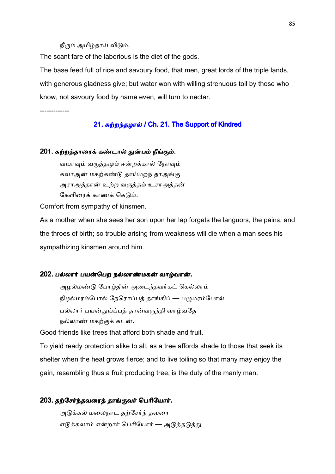#### நீரும் அமிழ்தாய் விடும்.

The scant fare of the laborious is the diet of the gods.

The base feed full of rice and savoury food, that men, great lords of the triple lands, with generous gladness give; but water won with willing strenuous toil by those who know, not savoury food by name even, will turn to nectar.

-------------

#### 21. சுற்றந்தழால் / Ch. 21. The Support of Kindred

#### 201. சுற்றத்தாரைக் கண்டால் துன்பம் நீங்கும்.

வயாவும் வருத்தமும் ஈன்றக்கால் நோவும் கவாஅன் மகற்கண்டு தாய்மறந் தாஅங்கு அசாஅத்தான் உற்ற வருத்தம் உசாஅத்தன் கேளிரைக் காணக் கெடும்.

Comfort from sympathy of kinsmen.

As a mother when she sees her son upon her lap forgets the languors, the pains, and the throes of birth; so trouble arising from weakness will die when a man sees his sympathizing kinsmen around him.

#### 202. பல்லார் பயன்பெற நல்லாண்மகன் வாழ்வான்.

அழல்மண்டு போழ்தின் அடைந்தவர்கட் கெல்லாம் நிழல்மரம்போல் நேரொப்பத் தாங்கிப் — பழுமரம்போல் பல்லார் பயன்துய்ப்பத் தான்வருந்தி வாழ்வதே நல்லாண் மகற்குக் கடன்.

Good friends like trees that afford both shade and fruit.

To yield ready protection alike to all, as a tree affords shade to those that seek its shelter when the heat grows fierce; and to live toiling so that many may enjoy the gain, resembling thus a fruit producing tree, is the duty of the manly man.

#### 203. தற்சேர்ந்தவரைத் தாங்குவர் பெரியோர்.

அடுக்கல் மலைநாட தற்சேர்ந் தவரை எடுக்கலாம் என்றார் பெரியோர் — அடுத்தடுத்து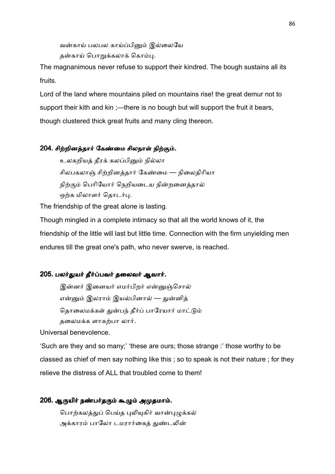வன்காய் பலபல காய்ப்பினும் இல்லையே தன்காய் பொறுக்கலாக் கொம்பு.

The magnanimous never refuse to support their kindred. The bough sustains all its fruits.

Lord of the land where mountains piled on mountains rise! the great demur not to support their kith and kin ;—there is no bough but will support the fruit it bears, though clustered thick great fruits and many cling thereon.

## 204. சிற்றினத்தார் கேண்மை சிலநாள் நிற்கும்.

உலகறியத் தீரக் கலப்பினும் நில்லா சிலபகலாஞ் சிற்றினத்தார் கேண்மை — நிலைதிரியா நிற்கும் பெரியோர் நெறியடைய நின்றனைத்தால் ஒற்க மிலாளர் தொடர்பு.

The friendship of the great alone is lasting.

Though mingled in a complete intimacy so that all the world knows of it, the friendship of the little will last but little time. Connection with the firm unyielding men endures till the great one's path, who never swerve, is reached.

## 205. பலர்துயர் தீர்ப்பவர் தலைவர் ஆவார்.

இன்னர் இனையர் எமர்பிறர் என்னுஞ்சொல் என்னும் இலராம் இயல்பினால் — துன்னித் தொலைமக்கள் துன்பந் தீர்ப் பாரேயார் மாட்டும் தலைமக்க ளாகற்பா லார்.

Universal benevolence.

'Such are they and so many;' 'these are ours; those strange :' those worthy to be classed as chief of men say nothing like this ; so to speak is not their nature ; for they relieve the distress of ALL that troubled come to them!

## 206. ஆருயிர் நண்பர்தரும் கூழும் அமுதமாம்.

பொற்கலத்துப் பெய்த புலியுகிர் வான்புமுக்கல் அக்காரம் பாலோ டமரார்கைத் துண்டலின்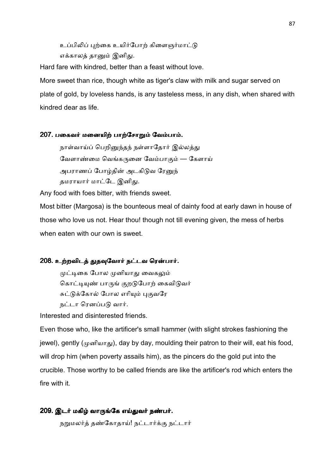உப்பிலிப் புற்கை உயிர்போற் கிளைஞர்மாட்டு எக்காலத் தானும் இனிது.

Hard fare with kindred, better than a feast without love.

More sweet than rice, though white as tiger's claw with milk and sugar served on plate of gold, by loveless hands, is any tasteless mess, in any dish, when shared with kindred dear as life.

#### 207. பகைவர் மனையிற் பாற்சோறும் வேம்பாம்.

நாள்வாய்ப் பெறினுந்தந் நள்ளாதோர் இல்லத்து வேளாண்மை வெங்கருனை வேம்பாகும் — கேளாய் அபராணப் போழ்தின் அடகிடுவ ரேனுந் தமராயார் மாட்டே இனிது.

Any food with foes bitter, with friends sweet.

Most bitter (Margosa) is the bounteous meal of dainty food at early dawn in house of those who love us not. Hear thou! though not till evening given, the mess of herbs when eaten with our own is sweet.

#### 208. உற்றவிடத் துதவுவோர் நட்டவ ரென்பார்.

முட்டிகை போல முனியாது வைகலும் கொட்டியுண் பாருங் குறடுபோற் கைவிடுவர் சுட்டுக்கோல் போல எரியும் புகுவரே நட்டா ரெனப்படு வார்.

Interested and disinterested friends.

Even those who, like the artificer's small hammer (with slight strokes fashioning the jewel), gently ( $(\mu \circ \mathfrak{g})$ , day by day, moulding their patron to their will, eat his food, will drop him (when poverty assails him), as the pincers do the gold put into the crucible. Those worthy to be called friends are like the artificer's rod which enters the fire with it.

#### 209. இடர் மகிழ் வாருங்கே எய்துவர் நண்பர்.

நறுமலர்த் தண்கோதாய்! நட்டார்க்கு நட்டார்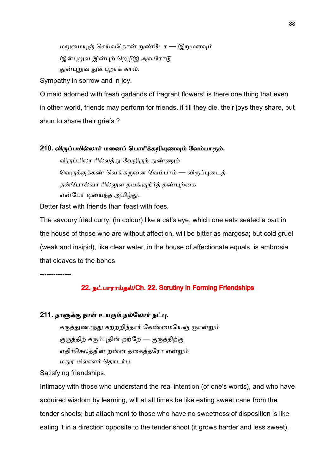மறுமையுஞ் செய்வதொன் றுண்டோ — இறுமளவும்

இன்புறவ இன்புற் றெழீஇ அவரோடு

துன்புறுவ துன்புறாக் கால்.

Sympathy in sorrow and in joy.

O maid adorned with fresh garlands of fragrant flowers! is there one thing that even in other world, friends may perform for friends, if till they die, their joys they share, but shun to share their griefs ?

#### 210. விருப்பமில்லார் மனைப் பொரிக்கறியுணவும் வேம்பாகும்.

விருப்பிலா ரில்லத்து வேறிருந் துண்ணும் வெருக்குக்கண் வெங்கருனை வேம்பாம் — விருப்புடைத் தன்போல்வா ரில்லுள தயங்குநீர்த் தண்புற்கை என்போ டியைந்த அமிழ்து.

Better fast with friends than feast with foes.

The savoury fried curry, (in colour) like a cat's eye, which one eats seated a part in the house of those who are without affection, will be bitter as margosa; but cold gruel (weak and insipid), like clear water, in the house of affectionate equals, is ambrosia that cleaves to the bones.

--------------

## 22. நட்பாராய்தல்/Ch. 22. Scrutiny in Forming Friendships

## 211. நாளுக்கு நாள் உயரும் நல்லோர் நட்பு.

கருத்துணர்ந்து கற்றறிந்தார் கேண்மையெஞ் ஞான்றும் குருத்திற் கரும்புதின் றற்றே — குருத்திற்கு எதிர்செலத்தின் றன்ன தகைத்தரோ என்றும் மதுர மிலாளர் தொடர்பு.

Satisfying friendships.

Intimacy with those who understand the real intention (of one's words), and who have acquired wisdom by learning, will at all times be like eating sweet cane from the tender shoots; but attachment to those who have no sweetness of disposition is like eating it in a direction opposite to the tender shoot (it grows harder and less sweet).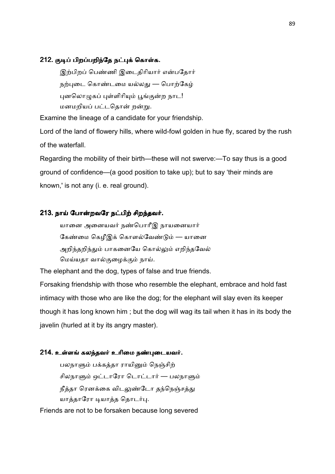#### 212. குடிப் பிறப்பறிந்தே நட்புக் கொள்க.

இற்பிறப் பெண்ணி இடைதிரியார் என்பதோர் நற்புடை கொண்டமை யல்லது — பொற்கேழ் புனலொமுகப் புள்ளிரியும் பூங்குன்ற நாட! மனமறியப் பட்டதொன் றன்று.

Examine the lineage of a candidate for your friendship.

Lord of the land of flowery hills, where wild-fowl golden in hue fly, scared by the rush of the waterfall.

Regarding the mobility of their birth—these will not swerve:—To say thus is a good ground of confidence—(a good position to take up); but to say 'their minds are known,' is not any (i. e. real ground).

#### 213. நாய் போன்றவரே நட்பிற் சிறந்தவர்.

யானை அனையவர் நண்பொரீஇ நாயனையார் கேண்மை கெழீஇக் கொளல்வேண்டும் — யானை அறிந்தறிந்தும் பாகனையே கொல்லும் எறிந்தவேல் மெய்யதா வால்குழைக்கும் நாய்.

The elephant and the dog, types of false and true friends.

Forsaking friendship with those who resemble the elephant, embrace and hold fast intimacy with those who are like the dog; for the elephant will slay even its keeper though it has long known him ; but the dog will wag its tail when it has in its body the javelin (hurled at it by its angry master).

#### 214. உள்ளங் கலந்தவர் உரிமை நண்புடையவர்.

பலநாளும் பக்கத்தா ராயினும் நெஞ்சிற் சிலநாளும் ஒட்டாரோ டொட்டார் — பலநாளும் நீத்தா ரெனக்கை விடலுண்டோ தந்நெஞ்சத்து யாத்தாரோ டியாத்த தொடர்பு.

Friends are not to be forsaken because long severed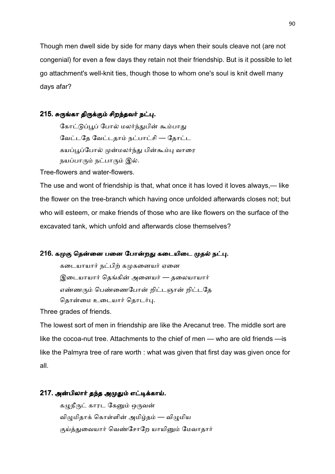Though men dwell side by side for many days when their souls cleave not (are not congenial) for even a few days they retain not their friendship. But is it possible to let go attachment's well-knit ties, though those to whom one's soul is knit dwell many days afar?

## 215. சுருங்கா திருக்கும் சிறந்தவர் நட்பு.

கோட்டுப்பூப் போல் மலர்ந்துபின் கூம்பாது வேட்டதே வேட்டதாம் நட்பாட்சி — தோட்ட கயப்பூப்போல் முன்மலர்ந்து பின்கூம்பு வாரை நயப்பாரும் நட்பாரும் இல்.

Tree-flowers and water-flowers.

The use and wont of friendship is that, what once it has loved it loves always,— like the flower on the tree-branch which having once unfolded afterwards closes not; but who will esteem, or make friends of those who are like flowers on the surface of the excavated tank, which unfold and afterwards close themselves?

#### 216. கமுகு தென்னை பனை போன்றது கடையிடை முதல் நட்பு.

கடையாயார் நட்பிற் கமுகனையர் ஏனை இடையாயார் தெங்கின் அனையர் — தலையாயார் எண்ணரும் பெண்ணைபோன் றிட்டஞான் றிட்டதே தொன்மை உடையார் தொடர்பு.

Three grades of friends.

The lowest sort of men in friendship are like the Arecanut tree. The middle sort are like the cocoa-nut tree. Attachments to the chief of men — who are old friends —is like the Palmyra tree of rare worth : what was given that first day was given once for all.

#### 217. அன்பிலார் தந்த அமுதும் எட்டிக்காய்.

கழுநீருட் காரட கேனும் ஒருவன் விழுமிதாக் கொள்ளின் அமிழ்தம் — விழுமிய குய்த்துவையார் வெண்சோறே யாயினும் மேவாதார்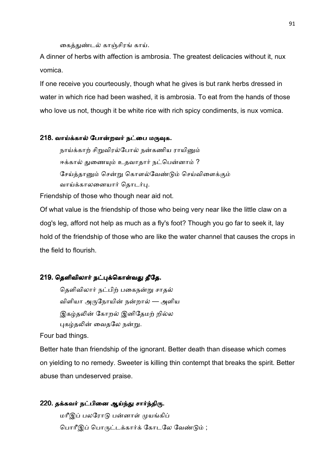கைத்துண்டல் காஞ்சிரங் காய்.

A dinner of herbs with affection is ambrosia. The greatest delicacies without it, nux vomica.

If one receive you courteously, though what he gives is but rank herbs dressed in water in which rice had been washed, it is ambrosia. To eat from the hands of those who love us not, though it be white rice with rich spicy condiments, is nux vomica.

#### 218. வாய்க்கால் போன்றவர் நட்பை மருவுக.

நாய்க்காற் சிறுவிரல்போல் நன்கணிய ராயினும் ஈக்கால் துணையும் உதவாதார் நட்பென்னாம் ? சேய்த்தானும் சென்று கொளல்வேண்டும் செய்விளைக்கும் வாய்க்காலனையார் தொடர்பு.

Friendship of those who though near aid not.

Of what value is the friendship of those who being very near like the little claw on a dog's leg, afford not help as much as a fly's foot? Though you go far to seek it, lay hold of the friendship of those who are like the water channel that causes the crops in the field to flourish.

#### 219. தெளிவிலார் நட்புக்கொள்வது தீதே.

தெளிவிலார் நட்பிற் பகைநன்று சாதல் விளியா அருநோயின் நன்றால் — அளிய இகழ்தலின் கோறல் இனிதேமற் றில்ல புகழ்தலின் வைதலே நன்று.

Four bad things.

Better hate than friendship of the ignorant. Better death than disease which comes on yielding to no remedy. Sweeter is killing thin contempt that breaks the spirit. Better abuse than undeserved praise.

# 220. தக்கவர் நட்பினை ஆய்ந்து சார்ந்திரு.

மரீஇப் பலரோடு பன்னாள் முயங்கிப் பொரீஇப் பொருட்டக்கார்க் கோடலே வேண்டும் ;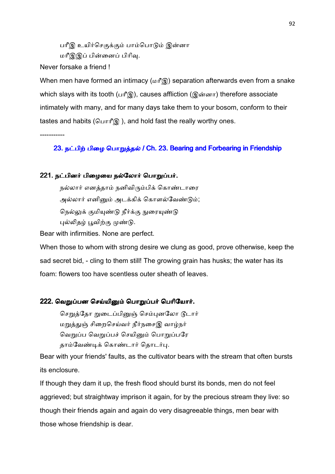பரீஇ உயிர்செகுக்கும் பாம்பொடும் இன்னா மரீஇஇப் பின்னைப் பிரிவ.

Never forsake a friend !

-----------

When men have formed an intimacy ( $\omega$ if') separation afterwards even from a snake which slays with its tooth (பரீஇ), causes affliction (இன்னா) therefore associate intimately with many, and for many days take them to your bosom, conform to their tastes and habits (பொரீஇ), and hold fast the really worthy ones.

23. நட்பிற் பிழை பொறுத்தல் / Ch. 23. Bearing and Forbearing in Friendship

#### 221. நட்பினர் பிழையை நல்லோர் பொறுப்பர்.

நல்லார் எனத்தாம் நனிவிரும்பிக் கொண்டாரை அல்லார் எனினும் அடக்கிக் கொளல்வேண்டும்; நெல்லுக் குமியுண்டு நீர்க்கு நுரையுண்டு புல்லிதழ் பூவிற்கு முண்டு.

Bear with infirmities. None are perfect.

When those to whom with strong desire we clung as good, prove otherwise, keep the sad secret bid, - cling to them still! The growing grain has husks; the water has its foam: flowers too have scentless outer sheath of leaves.

#### 222. வெறுப்பன செய்யினும் பொறுப்பர் பெரியோர்.

செறுத்தோ றுடைப்பினுஞ் செம்புனலோ டூடார் மறுத்துஞ் சிறைசெய்வர் நீர்நசைஇ வாழ்நர் வெறுப்ப வெறுப்பச் செயினும் பொறுப்பரே தாம்வேண்டிக் கொண்டார் தொடர்பு.

Bear with your friends' faults, as the cultivator bears with the stream that often bursts its enclosure.

If though they dam it up, the fresh flood should burst its bonds, men do not feel aggrieved; but straightway imprison it again, for by the precious stream they live: so though their friends again and again do very disagreeable things, men bear with those whose friendship is dear.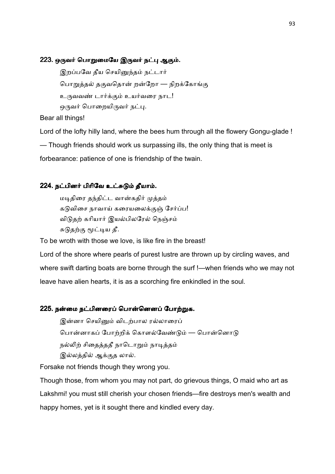#### 223. ஒருவர் பொறுமையே இருவர் நட்பு ஆகும்.

இறப்பவே தீய செயினுந்தம் நட்டார் பொறுத்தல் தகுவதொன் றன்றோ — நிறக்கோங்கு உருவவண் டார்க்கும் உயர்வரை நாட! ஒருவர் பொறையிருவர் நட்பு.

Bear all things!

Lord of the lofty hilly land, where the bees hum through all the flowery Gongu-glade !

— Though friends should work us surpassing ills, the only thing that is meet is

forbearance: patience of one is friendship of the twain.

## 224. நட்பினர் பிரிவே உட்சுடும் தீயாம்.

மடிதிரை தந்திட்ட வான்கதிர் முத்தம் கடுவிசை நாவாய் கரையலைக்குஞ் சேர்ப்ப! விடுதற் கரியார் இயல்பிலரேல் நெஞ்சம் சுடுதற்கு மூட்டிய தீ.

To be wroth with those we love, is like fire in the breast!

Lord of the shore where pearls of purest lustre are thrown up by circling waves, and where swift darting boats are borne through the surf !—when friends who we may not leave have alien hearts, it is as a scorching fire enkindled in the soul.

## 225. நன்மை நட்பினரைப் பொன்னெனப் போற்றுக.

இன்னா செயினும் விடற்பால ரல்லாரைப் பொன்னாகப் போற்றிக் கொளல்வேண்டும் — பொன்னொடு நல்லிற் சிதைத்ததீ நாடொறும் நாடித்தம் இல்லத்தில் ஆக்குத லால்.

Forsake not friends though they wrong you.

Though those, from whom you may not part, do grievous things, O maid who art as Lakshmi! you must still cherish your chosen friends—fire destroys men's wealth and happy homes, yet is it sought there and kindled every day.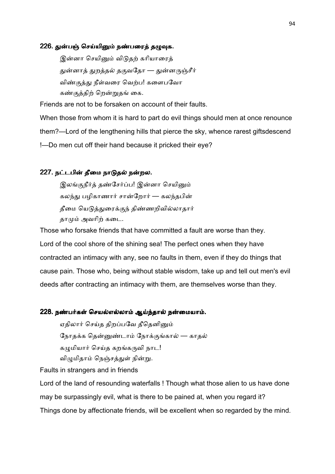#### 226. துன்பஞ் செய்யினும் நண்பரைத் தழுவுக.

இன்னா செயினும் விடுதற் கரியாரைத் துன்னாத் துறத்தல் தகுவதோ — துன்னருஞ்சீர் விண்குத்து நீள்வரை வெற்ப! களைபவோ கண்குத்திற் றென்றுதங் கை.

Friends are not to be forsaken on account of their faults.

When those from whom it is hard to part do evil things should men at once renounce them?—Lord of the lengthening hills that pierce the sky, whence rarest giftsdescend !—Do men cut off their hand because it pricked their eye?

#### 227. நட்டபின் தீமை நாடுதல் நன்றல.

இலங்குநீர்த் தண்சேர்ப்ப! இன்னா செயினும் கலந்து பழிகாணார் சான்றோர் — கலந்தபின் தீமை யெடுத்துரைக்குந் திண்ணறிவில்லாதார் தாமும் அவரிற் கடை.

Those who forsake friends that have committed a fault are worse than they. Lord of the cool shore of the shining sea! The perfect ones when they have contracted an intimacy with any, see no faults in them, even if they do things that cause pain. Those who, being without stable wisdom, take up and tell out men's evil deeds after contracting an intimacy with them, are themselves worse than they.

#### 228. நண்பர்கள் செயல்எல்லாம் ஆய்ந்தால் நன்மையாம்.

ஏதிலார் செய்த திறப்பவே தீதெனினும் நோதக்க தென்னுண்டாம் நோக்குங்கால் — காதல் கமுமியார் செய்த கறங்கருவி நாட! விழுமிதாம் நெஞ்சத்துள் நின்று.

Faults in strangers and in friends

Lord of the land of resounding waterfalls ! Though what those alien to us have done may be surpassingly evil, what is there to be pained at, when you regard it? Things done by affectionate friends, will be excellent when so regarded by the mind.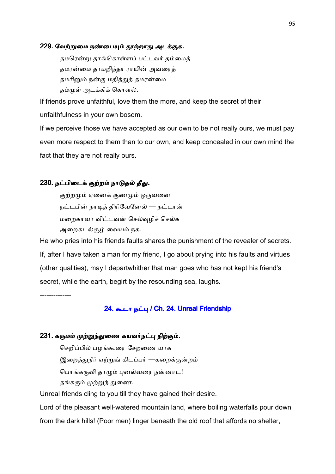#### 229. வேற்றுமை நண்பையும் தூற்றாது அடக்குக.

தமரென்று தாங்கொள்ளப் பட்டவர் தம்மைத் தமரன்மை தாமறிந்தா ராயின் அவரைத் தமரினும் நன்கு மதித்துத் தமரன்மை தம்முள் அடக்கிக் கொளல்.

If friends prove unfaithful, love them the more, and keep the secret of their unfaithfulness in your own bosom.

If we perceive those we have accepted as our own to be not really ours, we must pay even more respect to them than to our own, and keep concealed in our own mind the fact that they are not really ours.

## 230. நட்பிடைக் குற்றம் நாடுதல் தீது.

குற்றமும் ஏனைக் குணமும் ஒருவனை நட்டபின் நாடித் திரிவேனேல் — நட்டான் மறைகாவா விட்டவன் செல்வுமிச் செல்க அறைகடல்சூழ் வையம் நக.

He who pries into his friends faults shares the punishment of the revealer of secrets. If, after I have taken a man for my friend, I go about prying into his faults and virtues (other qualities), may I departwhither that man goes who has not kept his friend's secret, while the earth, begirt by the resounding sea, laughs.

--------------

## 24. கூடா நட்பு / Ch. 24. Unreal Friendship

#### 231. கருமம் முற்றுந்துணை கயவர்நட்பு நிற்கும்.

செறிப்பில் பழங்கூரை சேறணை யாக இறைத்துநீர் ஏற்றுங் கிடப்பர் —கறைக்குன்றம் பொங்கருவி தாழும் புனல்வரை நன்னாட! தங்கரும் முற்றுந் துணை.

Unreal friends cling to you till they have gained their desire.

Lord of the pleasant well-watered mountain land, where boiling waterfalls pour down from the dark hills! (Poor men) linger beneath the old roof that affords no shelter,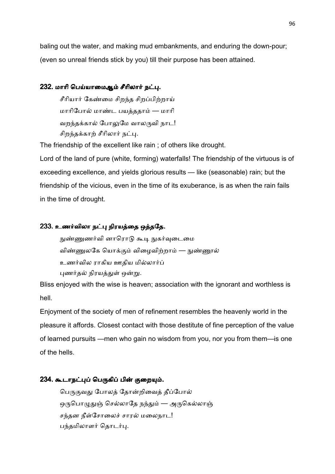baling out the water, and making mud embankments, and enduring the down-pour; (even so unreal friends stick by you) till their purpose has been attained.

## 232. மாரி பெய்யாமைஆம் சீரிலார் நட்பு.

சீரியார் கேண்மை சிறந்த சிறப்பிற்றாய் மாரிபோல் மாண்ட பயத்ததாம் — மாரி வறந்தக்கால் போலுமே வாலருவி நாட! சிறந்தக்காற் சீரிலார் நட்பு.

The friendship of the excellent like rain ; of others like drought.

Lord of the land of pure (white, forming) waterfalls! The friendship of the virtuous is of exceeding excellence, and yields glorious results — like (seasonable) rain; but the friendship of the vicious, even in the time of its exuberance, is as when the rain fails in the time of drought.

## 233. உணர்விலா நட்பு நிரயத்தை ஒத்ததே.

நுண்ணுணர்வி னாரொடு கூடி நுகர்வுடைமை விண்ணுலகே யொக்கும் விமைவிற்றாம் — நுண்ணூல் உணர்வில ராகிய ஊதிய மில்லார்ப் புணர்தல் நிரயத்துள் ஒன்று.

Bliss enjoyed with the wise is heaven; association with the ignorant and worthless is hell.

Enjoyment of the society of men of refinement resembles the heavenly world in the pleasure it affords. Closest contact with those destitute of fine perception of the value of learned pursuits —men who gain no wisdom from you, nor you from them—is one of the hells.

#### 234. கூடாநட்புப் பெருகிப் பின் குறையும்.

பெருகுவது போலத் தோன்றிவைத் தீப்போல் ஒருபொழுதுஞ் செல்லாதே நந்தும் — அருகெல்லாஞ் சந்தன நீள்சோலைச் சாரல் மலைநாட! பந்தமிலாளர் தொடர்பு.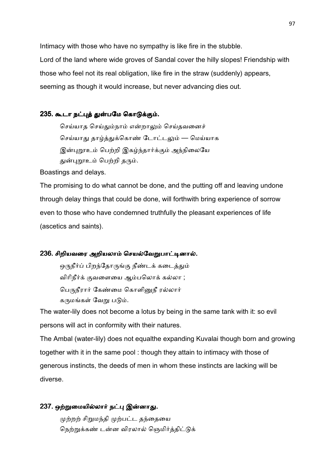Intimacy with those who have no sympathy is like fire in the stubble. Lord of the land where wide groves of Sandal cover the hilly slopes! Friendship with those who feel not its real obligation, like fire in the straw (suddenly) appears, seeming as though it would increase, but never advancing dies out.

## 235. கூடா நட்புத் துன்பமே கொடுக்கும்.

செய்யாத செய்தும்நாம் என்றாலும் செய்தவனைச் செய்யாது தாழ்த்துக்கொண் டோட்டலும் — மெய்யாக இன்புறூஉம் பெற்றி இகழ்ந்தார்க்கும் அந்நிலையே துன்புறூஉம் பெற்றி தரும்.

Boastings and delays.

The promising to do what cannot be done, and the putting off and leaving undone through delay things that could be done, will forthwith bring experience of sorrow even to those who have condemned truthfully the pleasant experiences of life (ascetics and saints).

## 236. சிறியவரை அறியலாம் செயல்வேறுபாட்டினால்.

ஒருநீர்ப் பிறந்தோருங்கு நீண்டக் கடைத்தும் விரிநீர்க் குவளையை ஆம்பலொக் கல்லா ; பெருநீரார் கேண்மை கொளினுநீ ரல்லார் கருமங்கள் வேறு படும்.

The water-lily does not become a lotus by being in the same tank with it: so evil persons will act in conformity with their natures.

The Ambal (water-lily) does not equalthe expanding Kuvalai though born and growing together with it in the same pool : though they attain to intimacy with those of generous instincts, the deeds of men in whom these instincts are lacking will be diverse.

## 237. ஒற்றுமையில்லார் நட்பு இன்னாது.

முற்றற் சிறுமந்தி முற்பட்ட தந்தையை நெற்றுக்கண் டன்ன விரலால் ஞெமிர்த்திட்டுக்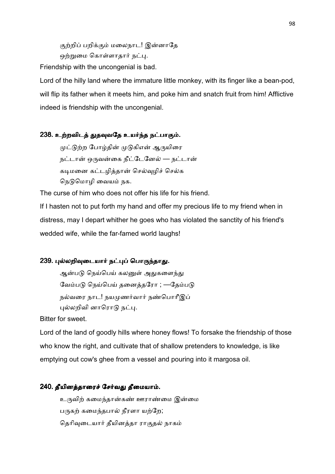குற்றிப் பறிக்கும் மலைநாட! இன்னாதே ஒற்றுமை கொள்ளாதார் நட்பு.

Friendship with the uncongenial is bad.

Lord of the hilly land where the immature little monkey, with its finger like a bean-pod, will flip its father when it meets him, and poke him and snatch fruit from him! Afflictive indeed is friendship with the uncongenial.

## 238. உற்றவிடத் துதவுவதே உயர்ந்த நட்பாகும்.

முட்டுற்ற போழ்தின் முடுகிஎன் ஆருயிரை நட்டான் ஒருவன்கை நீட்டேனேல் — நட்டான் கடிமனை கட்டழித்தான் செல்வுழிச் செல்க நெடுமொழி வையம் நக.

The curse of him who does not offer his life for his friend.

If I hasten not to put forth my hand and offer my precious life to my friend when in distress, may I depart whither he goes who has violated the sanctity of his friend's wedded wife, while the far-famed world laughs!

#### 239. புல்லறிவுடையார் நட்புப் பொருந்தாது.

ஆன்படு நெய்பெய் கலனுள் அதுகளைந்து வேம்படு நெய்பெய் தனைத்தரோ ; —தேம்படு நல்வரை நாட! நயமுணர்வார் நண்பொரீஇப் புல்லறிவி னாரொடு நட்பு.

Bitter for sweet.

Lord of the land of goodly hills where honey flows! To forsake the friendship of those who know the right, and cultivate that of shallow pretenders to knowledge, is like emptying out cow's ghee from a vessel and pouring into it margosa oil.

#### 240. தீயினத்தாரைச் சேர்வது தீமையாம்.

உருவிற் கமைந்தான்கண் ஊராண்மை இன்மை பருகற் கமைந்தபால் நீரளா யற்றே; தெரிவுடையார் தீயினத்தா ராகுதல் நாகம்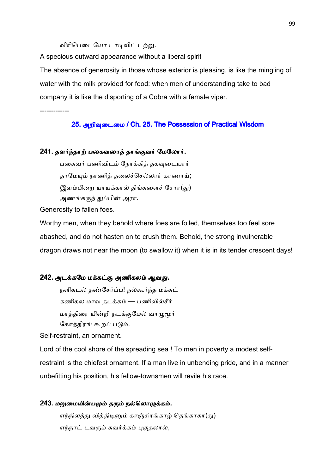விரிபெடையோ டாடிவிட் டற்று.

A specious outward appearance without a liberal spirit

The absence of generosity in those whose exterior is pleasing, is like the mingling of water with the milk provided for food: when men of understanding take to bad company it is like the disporting of a Cobra with a female viper.

-------------

25. அறிவுடைமை / Ch. 25. The Possession of Practical Wisdom

#### 241. தளர்ந்தாற் பகைவரைத் தாங்குவர் மேலோர்.

பகைவர் பணிவிடம் நோக்கித் தகவுடையார் தாமேயும் நாணித் தலைச்செல்லார் காணாய்; இளம்பிறை யாயக்கால் திங்களைச் சேரா(து) அணங்கருந் துப்பின் அரா.

Generosity to fallen foes.

Worthy men, when they behold where foes are foiled, themselves too feel sore abashed, and do not hasten on to crush them. Behold, the strong invulnerable dragon draws not near the moon (to swallow it) when it is in its tender crescent days!

#### 242. அடக்கமே மக்கட்கு அணிகலம் ஆவது.

நளிகடல் தண்சேர்ப்ப! நல்கூர்ந்த மக்கட் கணிகல மாவ தடக்கம் — பணிவில்சீர் மாத்திரை யின்றி நடக்குமேல் வாழுமூர் கோத்திரங் கூறப் படும்.

Self-restraint, an ornament.

Lord of the cool shore of the spreading sea ! To men in poverty a modest selfrestraint is the chiefest ornament. If a man live in unbending pride, and in a manner unbefitting his position, his fellow-townsmen will revile his race.

#### 243. மறுமையின்பமும் தரும் நல்லொழுக்கம்.

எந்நிலத்து வித்திடினும் காஞ்சிரங்காழ் தெங்காகா(து) எந்நாட் டவரும் சுவர்க்கம் புகுதலால்,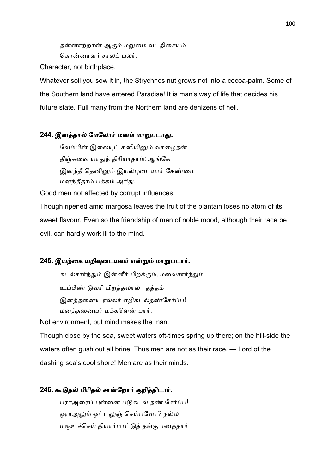தன்னாற்றான் ஆகும் மறுமை வடதிசையும் கொன்னாளர் சாலப் பலர்.

Character, not birthplace.

Whatever soil you sow it in, the Strychnos nut grows not into a cocoa-palm. Some of the Southern land have entered Paradise! It is man's way of life that decides his future state. Full many from the Northern land are denizens of hell.

#### 244. இனத்தால் மேலோர் மனம் மாறுபடாது.

வேம்பின் இலையுட் கனியினும் வாழைகன் தீஞ்சுவை யாதுந் திரியாதாம்; ஆங்கே இனந்தீ தெனினும் இயல்புடையார் கேண்மை மனந்தீதாம் பக்கம் அரிது.

Good men not affected by corrupt influences.

Though ripened amid margosa leaves the fruit of the plantain loses no atom of its sweet flavour. Even so the friendship of men of noble mood, although their race be evil, can hardly work ill to the mind.

#### 245. இயற்கை யறிவுடையவர் என்றும் மாறுபடார்.

கடல்சார்ந்தும் இன்னீர் பிறக்கும், மலைசார்ந்தும் உப்பீண் டுவரி பிறத்தலால் ; தத்தம் இனத்தனைய ரல்லர் எறிகடல்தண்சேர்ப்ப! மனத்தனையர் மக்களென் பார்.

Not environment, but mind makes the man.

Though close by the sea, sweet waters oft-times spring up there; on the hill-side the waters often gush out all brine! Thus men are not as their race. — Lord of the dashing sea's cool shore! Men are as their minds.

#### 246. கூடுதல் பிரிதல் சான்றோர் குறித்திடார்.

பராஅரைப் புன்னை படுகடல் தண் சேர்ப்ப! ஒராஅலும் ஒட்டலுஞ் செய்பவோ? நல்ல மரூஉச்செய் தியார்மாட்டுத் தங்கு மனத்தார்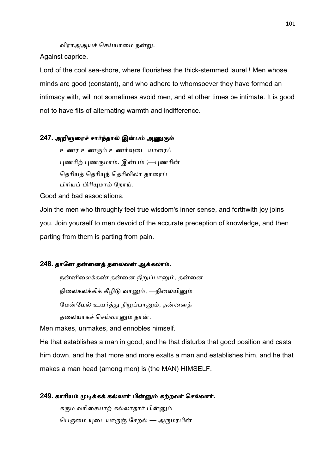விராஅஅயச் செய்யாமை நன்று.

Against caprice.

Lord of the cool sea-shore, where flourishes the thick-stemmed laurel ! Men whose minds are good (constant), and who adhere to whomsoever they have formed an intimacy with, will not sometimes avoid men, and at other times be intimate. It is good not to have fits of alternating warmth and indifference.

## 247. அறிஞரைச் சார்ந்தால் இன்பம் அணுகும்

உணர உணரும் உணர்வுடை யாரைப் புணரிற் புணருமாம். இன்பம் ;—புணரின் தெரியத் தெரியுந் தெரிவிலா தாரைப் பிரியப் பிரியுமாம் நோய்.

Good and bad associations.

Join the men who throughly feel true wisdom's inner sense, and forthwith joy joins you. Join yourself to men devoid of the accurate preception of knowledge, and then parting from them is parting from pain.

#### 248. தானே தன்னைத் தலைவன் ஆக்கலாம்.

நன்னிலைக்கண் தன்னை நிறுப்பானும், தன்னை நிலைகலக்கிக் கீழிடு வானும், —நிலையினும் மேன்மேல் உயர்த்து நிறுப்பானும், தன்னைத் தலையாகச் செய்வானும் தான்.

Men makes, unmakes, and ennobles himself.

He that establishes a man in good, and he that disturbs that good position and casts him down, and he that more and more exalts a man and establishes him, and he that makes a man head (among men) is (the MAN) HIMSELF.

# 249. காரியம் முடிக்கக் கல்லார் பின்னும் கற்றவர் செல்வார்.

கரும வரிசையாற் கல்லாதார் பின்னும் பெருமை யுடையாருஞ் சேறல் — அருமரபின்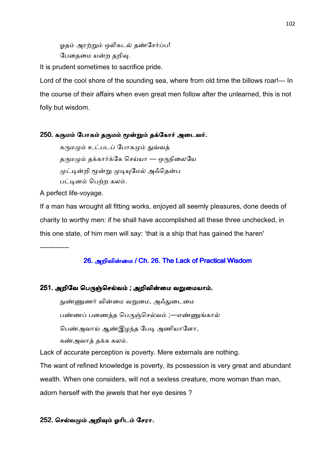ஓதம் அரற்றும் ஒலிகடல் தண்சேர்ப்ப! பேதைமை யன்ற தறிவு.

It is prudent sometimes to sacrifice pride.

Lord of the cool shore of the sounding sea, where from old time the billows roar!— In the course of their affairs when even great men follow after the unlearned, this is not folly but wisdom.

#### 250. கருமம் போகம் தருமம் மூன்றும் தக்கோர் அடைவர்.

கருமமும் உட்படப் போகமும் துவ்வத் தருமமும் தக்கார்க்கே செய்யா — ஒருநிலையே முட்டின்றி மூன்று முடியுமேல் அஃதென்ப பட்டினம் பெற்ற கலம்.

A perfect life-voyage.

If a man has wrought all fitting works, enjoyed all seemly pleasures, done deeds of charity to worthy men: if he shall have accomplished all these three unchecked, in this one state, of him men will say: 'that is a ship that has gained the haren'

-------------

## 26. அறிவின்மை / Ch. 26. The Lack of Practical Wisdom

## 251. அறிவே பெருஞ்செல்வம் ; அறிவின்மை வறுமையாம்.

நுண்ணுணர் வின்மை வறுமை, அஃதுடைமை பண்ணப் பணைத்த பெருஞ்செல்வம் ;—எண்ணுங்கால் பெண்அவாய் ஆண்இழந்த பேடி அணியாளோ, கண்அவாத் தக்க கலம்.

Lack of accurate perception is poverty. Mere externals are nothing.

The want of refined knowledge is poverty, its possession is very great and abundant wealth. When one considers, will not a sexless creature, more woman than man, adorn herself with the jewels that her eye desires ?

## 252. செல்வமும் அறிவும் ஓரிடம் சேரா.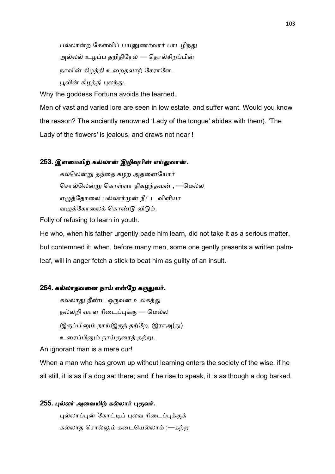பல்லான்ற கேள்விப் பயனுணர்வார் பாடழிந்து அல்லல் உழப்ப தறிதிரேல் — தொல்சிறப்பின் நாவின் கிழத்தி உறைதலாற் சேராளே, பூவின் கிழத்தி புலந்து.

Why the goddess Fortuna avoids the learned.

Men of vast and varied lore are seen in low estate, and suffer want. Would you know the reason? The anciently renowned 'Lady of the tongue' abides with them). 'The Lady of the flowers' is jealous, and draws not near !

#### 253. இளமையிற் கல்லான் இழிவுபின் எய்துவான்.

கல்லென்று தந்தை கழற அதனையோர் சொல்லென்று கொள்ளா திகழ்ந்தவன் , —மெல்ல எழுத்தோலை பல்லார்முன் நீட்ட விளியா வழுக்கோலைக் கொண்டு விடும்.

Folly of refusing to learn in youth.

He who, when his father urgently bade him learn, did not take it as a serious matter, but contemned it; when, before many men, some one gently presents a written palmleaf, will in anger fetch a stick to beat him as guilty of an insult.

#### 254. கல்லாதவனை நாய் என்றே கருதுவர்.

கல்லாது நீண்ட ஒருவன் உலகத்து நல்லறி வாள ரிடைப்புக்கு — மெல்ல இருப்பினும் நாய்இருந் தற்றே, இராஅ(து) உரைப்பினும் நாய்குரைத் தற்று.

An ignorant man is a mere cur!

When a man who has grown up without learning enters the society of the wise, if he sit still, it is as if a dog sat there; and if he rise to speak, it is as though a dog barked.

#### 255. புல்லர் அவையிற் கல்லார் புகுவர்.

புல்லாப்புன் கோட்டிப் புலவ ரிடைப்புக்குக் கல்லாத சொல்லும் கடையெல்லாம் ;—கற்ற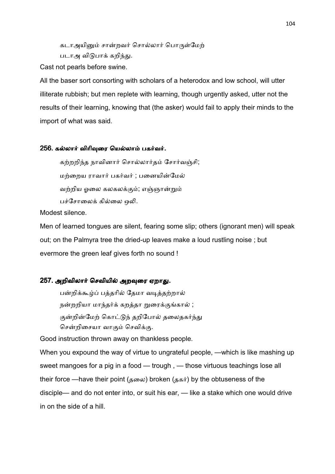கடாஅயினும் சான்றவர் சொல்லார் பொருள்மேற் படாஅ விடுபாக் கறிந்து.

Cast not pearls before swine.

All the baser sort consorting with scholars of a heterodox and low school, will utter illiterate rubbish; but men replete with learning, though urgently asked, utter not the results of their learning, knowing that (the asker) would fail to apply their minds to the import of what was said.

#### 256. கல்லார் விரிவுரை யெல்லாம் பகர்வர்.

கற்றறிந்த நாவினார் சொல்லார்தம் சோர்வஞ்சி; மற்றைய ராவார் பகர்வர் ; பனையின்மேல் வற்றிய ஒலை கலகலக்கும்; எஞ்ஞான்றும் பச்சோலைக் கில்லை ஒலி.

Modest silence.

Men of learned tongues are silent, fearing some slip; others (ignorant men) will speak out; on the Palmyra tree the dried-up leaves make a loud rustling noise ; but evermore the green leaf gives forth no sound !

## 257. அறிவிலார் செவியில் அறவுரை ஏறாது.

பன்றிக்கூழ்ப் பத்தரில் தேமா வடித்தற்றால் நன்றறியா மாந்தர்க் கறத்தா றுரைக்குங்கால் ; குன்றின்மேற் கொட்டுந் தறிபோல் தலைதகர்ந்து சென்றிசையா வாகும் செவிக்கு.

Good instruction thrown away on thankless people.

When you expound the way of virtue to ungrateful people, —which is like mashing up sweet mangoes for a pig in a food — trough , — those virtuous teachings lose all their force —have their point (தலை) broken (தகர்) by the obtuseness of the disciple— and do not enter into, or suit his ear, — like a stake which one would drive in on the side of a hill.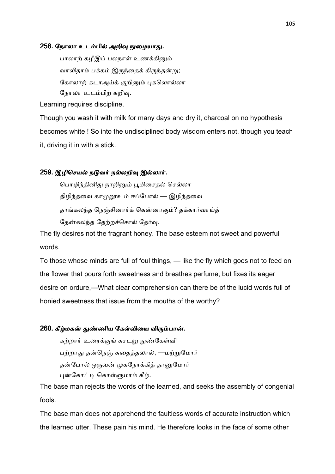#### 258. நோலா உடம்பில் அறிவு நுழையாது.

பாலாற் கழீஇப் பலநாள் உணக்கினும் வாலிதாம் பக்கம் இருந்தைக் கிருந்தன்று; கோலாற் கடாஅய்க் குறினும் புகலொல்லா நோலா உடம்பிற் கறிவு.

Learning requires discipline.

Though you wash it with milk for many days and dry it, charcoal on no hypothesis becomes white ! So into the undisciplined body wisdom enters not, though you teach it, driving it in with a stick.

#### 259. இழிசெயல் நடுவர் நல்லறிவு இல்லார்.

பொழிந்தினிது நாறினும் பூமிசைதல் செல்லா திழிந்தவை காமுறூஉம் ஈப்போல் — இழிந்தவை தாங்கலந்த நெஞ்சினார்க் கென்னாகும்? தக்கார்வாய்த் தேன்கலந்த தேற்றச்சொல் தேர்வு.

The fly desires not the fragrant honey. The base esteem not sweet and powerful words.

To those whose minds are full of foul things, — like the fly which goes not to feed on the flower that pours forth sweetness and breathes perfume, but fixes its eager desire on ordure,—What clear comprehension can there be of the lucid words full of honied sweetness that issue from the mouths of the worthy?

#### 260. கீழ்மகன் துண்ணிய கேள்வியை விரும்பான்.

கற்றார் உரைக்குங் கசடறு நுண்கேள்வி பற்றாது தன்நெஞ் சுதைத்தலால், —மற்றுமோர் தன்போல் ஒருவன் முகநோக்கித் தானுமோர் புன்கோட்டி கொள்ளுமாம் கீழ்.

The base man rejects the words of the learned, and seeks the assembly of congenial fools.

The base man does not apprehend the faultless words of accurate instruction which the learned utter. These pain his mind. He therefore looks in the face of some other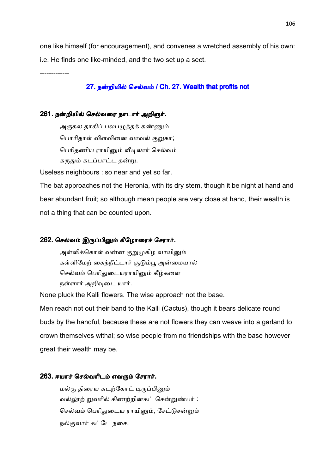one like himself (for encouragement), and convenes a wretched assembly of his own: i.e. He finds one like-minded, and the two set up a sect.

-------------

## 27. நன்றியில் செல்வம் / Ch. 27. Wealth that profits not

## 261. நன்றியில் செல்வரை நாடார் அறிஞர்.

அருகல தாகிப் பலபழுத்தக் கண்ணும் பொரிதாள் விளவினை வாவல் குறுகா; பெரிதணிய ராயினும் வீடிலார் செல்வம் கருதும் கடப்பாட்ட தன்று.

Useless neighbours : so near and yet so far.

The bat approaches not the Heronia, with its dry stem, though it be night at hand and bear abundant fruit; so although mean people are very close at hand, their wealth is not a thing that can be counted upon.

#### 262. செல்வம் இருப்பினும் கீழோரைச் சேரார்.

அள்ளிக்கொள் வன்ன குறுமுகிழ வாயினும் கள்ளிமேற் கைந்நீட்டார் சூடும்பூ அன்மையால் செல்வம் பெரிதுடையராயினும் கீழ்களை நள்ளார் அறிவுடை யார்.

None pluck the Kalli flowers. The wise approach not the base.

Men reach not out their band to the Kalli (Cactus), though it bears delicate round buds by the handful, because these are not flowers they can weave into a garland to crown themselves withal; so wise people from no friendships with the base however great their wealth may be.

#### 263. ஈயாச் செல்வரிடம் எவரும் சேரார்.

மல்கு திரைய கடற்கோட் டிருப்பினும் வல்லாற் றுவரில் கிணற்றின்கட் சென்றுண்பர் : செல்வம் பெரிதுடைய ராயினும், சேட்டுசன்றும் நல்குவார் கட்டே நசை.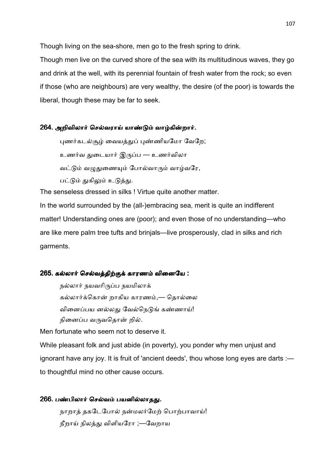Though living on the sea-shore, men go to the fresh spring to drink.

Though men live on the curved shore of the sea with its multitudinous waves, they go and drink at the well, with its perennial fountain of fresh water from the rock; so even if those (who are neighbours) are very wealthy, the desire (of the poor) is towards the liberal, though these may be far to seek.

#### 264. அறிவிலார் செல்வராய் யாண்டும் வாழ்கின்றார்.

புணர்கடல்சூம் வையத்துப் புண்ணியமோ வேறே; உணர்வ துடையார் இருப்ப — உணர்விலா வட்டும் வமுதுணையும் போல்வாரும் வாழ்வரே, பட்டும் துகிலும் உடுத்து.

The senseless dressed in silks ! Virtue quite another matter.

In the world surrounded by the (all-)embracing sea, merit is quite an indifferent matter! Understanding ones are (poor); and even those of no understanding—who are like mere palm tree tufts and brinjals—live prosperously, clad in silks and rich garments.

#### 265. கல்லார் செல்வத்திற்குக் காரணம் வினையே :

நல்லார் நயவரிருப்ப நயமிலாக் கல்லார்க்கொன் றாகிய காரணம்,— தொல்லை வினைப்பய னல்லது வேல்நெடுங் கண்ணாய்! நினைப்ப வருவதொன் றில்.

Men fortunate who seem not to deserve it.

While pleasant folk and just abide (in poverty), you ponder why men unjust and ignorant have any joy. It is fruit of 'ancient deeds', thou whose long eyes are darts : to thoughtful mind no other cause occurs.

266. பண்பிலார் செல்வம் பயனில்லாதது. நாறாத் தகடேபோல் நன்மலர்மேற் பொற்பாவாய்! நீறாய் நிலத்து விளியரோ ;—வேறாய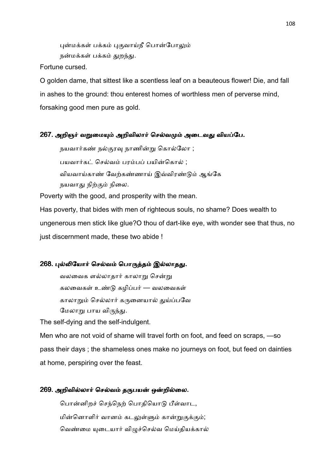புன்மக்கள் பக்கம் புகுவாய்நீ பொன்போலும் நன்மக்கள் பக்கம் துறந்து.

Fortune cursed.

O golden dame, that sittest like a scentless leaf on a beauteous flower! Die, and fall in ashes to the ground: thou enterest homes of worthless men of perverse mind, forsaking good men pure as gold.

## 267. அறிஞர் வறுமையும் அறிவிலார் செல்வமும் அடைவது வியப்பே.

நயவார்கண் நல்குரவு நாணின்று கொல்லோ ; பயவார்கட் செல்வம் பரம்பப் பயின்கொல் ; வியவாய்காண் வேற்கண்ணாய் இவ்விரண்டும் ஆங்கே நயவாது நிற்கும் நிலை.

Poverty with the good, and prosperity with the mean.

Has poverty, that bides with men of righteous souls, no shame? Does wealth to ungenerous men stick like glue?O thou of dart-like eye, with wonder see that thus, no just discernment made, these two abide !

## 268. புல்லியோர் செல்வம் பொருத்தம் இல்லாதது.

வலவைக ளல்லாதார் காலாறு சென்று கலவைகள் உண்டு கழிப்பர் — வலவைகள் காலாறும் செல்லார் கருனையால் துய்ப்பவே மேலாறு பாய விருந்து.

The self-dying and the self-indulgent.

Men who are not void of shame will travel forth on foot, and feed on scraps, —so pass their days ; the shameless ones make no journeys on foot, but feed on dainties at home, perspiring over the feast.

#### 269. அறிவில்லார் செல்வம் தருபயன் ஒன்றில்லை.

பொன்னிறச் செந்நெற் பொதியொடு பீள்வாட, மின்னொளிர் வானம் கடலுள்ளும் கான்றுகுக்கும்; வெண்மை யுடையார் விழுச்செல்வ மெய்தியக்கால்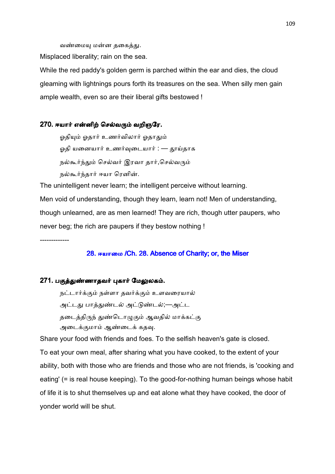வண்மையு மன்ன தகைத்து.

Misplaced liberality; rain on the sea.

While the red paddy's golden germ is parched within the ear and dies, the cloud gleaming with lightnings pours forth its treasures on the sea. When silly men gain ample wealth, even so are their liberal gifts bestowed !

#### 270. ஈயார் என்னிற் செல்வரும் வறிஞரே.

ஓதியும் ஓதார் உணர்விலார் ஓதாதும் ஓதி யனையார் உணர்வுடையார் : — தூய்தாக நல்கூர்ந்தும் செல்வர் இரவா தார்,செல்வரும் நல்கூர்ந்தார் ஈயா ரெனின்.

The unintelligent never learn; the intelligent perceive without learning. Men void of understanding, though they learn, learn not! Men of understanding, though unlearned, are as men learned! They are rich, though utter paupers, who never beg; the rich are paupers if they bestow nothing !

-------------

# 28. ஈயாமை /Ch. 28. Absence of Charity; or, the Miser

#### 271. பகுத்துண்ணாதவர் புகார் மேலுலகம்.

நட்டார்க்கும் நள்ளா தவர்க்கும் உளவரையால் அட்டது பாத்துண்டல் அட்டுண்டல்;—அட்ட தடைத்திருந் துண்டொழுகும் ஆவதில் மாக்கட்கு அடைக்குமாம் ஆண்டைக் கதவு.

Share your food with friends and foes. To the selfish heaven's gate is closed. To eat your own meal, after sharing what you have cooked, to the extent of your ability, both with those who are friends and those who are not friends, is 'cooking and eating' (= is real house keeping). To the good-for-nothing human beings whose habit of life it is to shut themselves up and eat alone what they have cooked, the door of yonder world will be shut.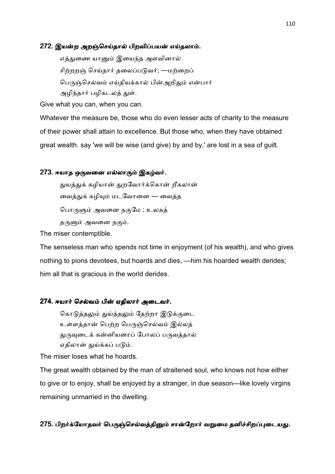#### 272. இயன்ற அறஞ்செய்தால் பிறவிப்பயன் எய்தலாம்.

எத்துணை யானும் இயைந்த அளவினால் சிற்றறஞ் செய்தார் தலைப்படுவர்; —மற்றைப் பெருஞ்செல்வம் எய்தியக்கால் பின்அறிதும் என்பார் அழிந்தார் பழிகடலத் துள்.

Give what you can, when you can.

Whatever the measure be, those who do even lesser acts of charity to the measure of their power shall attain to excellence. But those who, when they have obtained great wealth. say 'we will be wise (and give) by and by,' are lost in a sea of guilt.

## 273. ஈயாத ஒருவனை எல்லாரும் இகழ்வர்.

துயத்துக் கழியான் துறவோர்க்கொன் றீகலான் வைத்துக் கழியும் மடவோனை — வைத்த பொருளும் அவனை நகுமே ; உலகத் தருளும் அவனை நகும்.

The miser contemptible.

The senseless man who spends not time in enjoyment (of his wealth), and who gives nothing to pions devotees, but hoards and dies, —him his hoarded wealth derides; him all that is gracious in the world derides.

#### 274. ஈயார் செல்வம் பின் ஏதிலார் அடைவர்.

கொடுத்தலும் துய்த்தலும் தேற்றா இடுக்குடை உள்ளத்தான் பெற்ற பெருஞ்செல்வம் இல்லத் துருவடைக் கன்னியரைப் போலப் பருவத்தால் ஏதிலான் துய்க்கப் படும்.

The miser loses what he hoards.

The great wealth obtained by the man of straitened soul, who knows not how either to give or to enjoy, shall be enjoyed by a stranger, in due season—like lovely virgins remaining unmarried in the dwelling.

# 275. பிறர்க்யோதவர் பெருஞ்செல்வத்தினும் சான்றோர் வறுமை தனிச்சிறப்புடையது.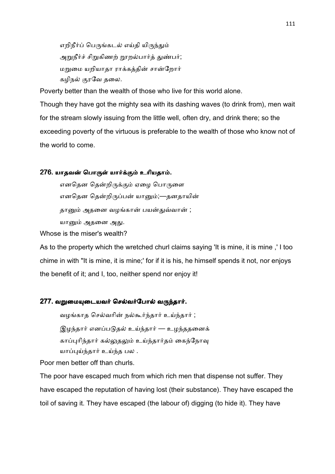எறிநீர்ப் பெருங்கடல் எய்தி யிருந்தும் அறுநீர்ச் சிறுகிணற் றூறல்பார்த் துண்பர்; மறுமை யறியாதா ராக்கத்தின் சான்றோர் கழிநல் குரவே தலை.

Poverty better than the wealth of those who live for this world alone.

Though they have got the mighty sea with its dashing waves (to drink from), men wait for the stream slowly issuing from the little well, often dry, and drink there; so the exceeding poverty of the virtuous is preferable to the wealth of those who know not of the world to come.

# 276. யாதவன் பொருள் யார்க்கும் உரியதாம்.

எனதென தென்றிருக்கும் ஏழை பொருளை எனதென தென்றிருப்பன் யானும்;—தனதாயின் தானும் அதனை வழங்கான் பயன்துவ்வான் ; யானும் அதனை அது.

Whose is the miser's wealth?

As to the property which the wretched churl claims saying 'It is mine, it is mine ,' I too chime in with "It is mine, it is mine;' for if it is his, he himself spends it not, nor enjoys the benefit of it; and I, too, neither spend nor enjoy it!

#### 277. வறுமையுடையவர் செல்வர்போல் வருந்தார்.

வழங்காத செல்வரின் நல்கூர்ந்தார் உய்ந்தார் ; இழந்தார் எனப்படுதல் உய்ந்தார் — உழந்ததனைக் காப்புரிந்தார் கல்லுதலும் உய்ந்தார்தம் கைந்நோவு யாப்புய்ந்தார் உய்ந்த பல .

Poor men better off than churls.

The poor have escaped much from which rich men that dispense not suffer. They have escaped the reputation of having lost (their substance). They have escaped the toil of saving it. They have escaped (the labour of) digging (to hide it). They have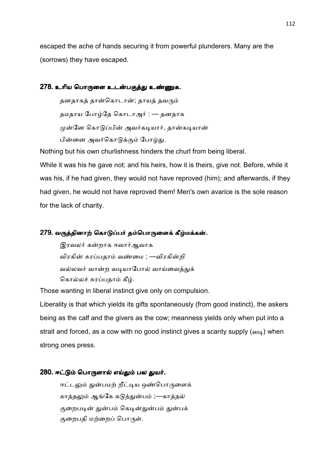escaped the ache of hands securing it from powerful plunderers. Many are the (sorrows) they have escaped.

## 278. உரிய பொருளை உடன்பகுத்து உண்ணுக.

தனதாகத் தான்கொடான்; தாயத் தவரும் தமதாய போழ்தே கொடாஅர் : — தனதாக முன்னே கொடுப்பின் அவர்கடியார். கான்கடியான் பின்னை அவர்கொடுக்கும் போழ்து.

Nothing but his own churlishness hinders the churl from being liberal.

While it was his he gave not; and his heirs, how it is theirs, give not. Before, while it was his, if he had given, they would not have reproved (him); and afterwards, if they had given, he would not have reproved them! Men's own avarice is the sole reason for the lack of charity.

# 279. வருத்தினாற் கொடுப்பர் தம்பொருளைக் கீழ்மக்கன்.

இரவலர் கன்றாக ஈவார்ஆவாக விரகின் சுரப்பதாம் வண்மை ; —விரகின்றி வல்லவர் வான்ற வடியாபோல் வாய்வைத்துக் கொல்லச் சுரப்பதாம் கீழ்.

Those wanting in liberal instinct give only on compulsion.

Liberality is that which yields its gifts spontaneously (from good instinct), the askers being as the calf and the givers as the cow; meanness yields only when put into a strait and forced, as a cow with no good instinct gives a scanty supply  $(a_{14})$  when strong ones press.

## 280. ஈட்டும் பொருளால் எய்தும் பல துயர்.

ஈட்டலும் துன்பமற் றீட்டிய ஒண்பொருளைக் காத்தலும் ஆங்கே கடுந்துன்பம் ;—காத்தல் குறைபடின் துன்பம் கெடின்துன்பம் துன்பக் குறைபதி மற்றைப் பொருள்.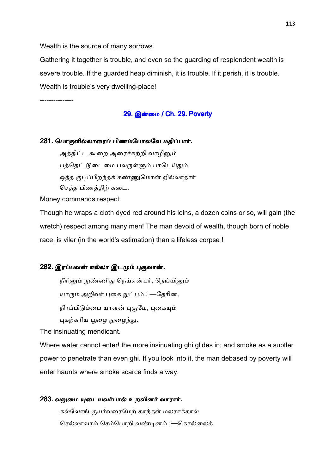Wealth is the source of many sorrows.

Gathering it together is trouble, and even so the guarding of resplendent wealth is severe trouble. If the guarded heap diminish, it is trouble. If it perish, it is trouble. Wealth is trouble's very dwelling-place!

---------------

# 29. இன்மை / Ch. 29. Poverty

#### 281. பொருளில்லாரைப் பிணம்போலவே மதிப்பார்.

அத்திட்ட கூறை அரைச்சுற்றி வாழினும் பத்தெட் டுடைமை பலருள்ளும் பாடெய்தும்; ஒத்த குடிப்பிறந்தக் கண்ணுமொன் றில்லாதார் செத்த பிணத்திற் கடை.

Money commands respect.

Though he wraps a cloth dyed red around his loins, a dozen coins or so, will gain (the wretch) respect among many men! The man devoid of wealth, though born of noble race, is viler (in the world's estimation) than a lifeless corpse !

#### 282. இரப்பவன் எல்லா இடமும் புகுவான்.

நீரினும் நுண்ணிது நெய்என்பர், நெய்யினும்

யாரும் அறிவர் புகை நுட்பம் ; —தேரின,

நிரப்பிடும்பை யாளன் புகுமே, புகையும்

புகற்கரிய பூழை நுழைந்து.

The insinuating mendicant.

Where water cannot enter! the more insinuating ghi glides in; and smoke as a subtler power to penetrate than even ghi. If you look into it, the man debased by poverty will enter haunts where smoke scarce finds a way.

#### 283. வறுமை யுடையவர்பால் உறவினர் வாரார்.

கல்லோங் குயர்வரைமேற் காந்தள் மலராக்கால் செல்லாவாம் செம்பொறி வண்டினம் ;—கொல்லைக்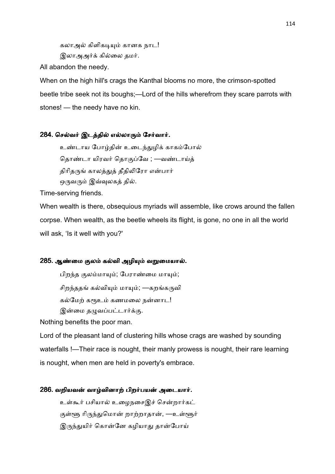கலாஅல் கிளிகடியும் கானக நாட! இலாஅஅர்க் கில்லை தமர்.

All abandon the needy.

When on the high hill's crags the Kanthal blooms no more, the crimson-spotted beetle tribe seek not its boughs;—Lord of the hills wherefrom they scare parrots with stones! — the needy have no kin.

# 284. செல்வர் இடத்தில் எல்லாரும் சேர்வார்.

உண்டாய போழ்தின் உடைந்துழிக் காகம்போல் தொண்டா யிரவர் தொகுப்வே ; —வண்டாய்த் திரிதருங் காலத்துத் தீதிலிரோ என்பார் ஒருவரும் இவ்வுலகத் தில்.

Time-serving friends.

When wealth is there, obsequious myriads will assemble, like crows around the fallen corpse. When wealth, as the beetle wheels its flight, is gone, no one in all the world will ask, 'Is it well with you?'

## 285. ஆண்மை குலம் கல்வி அழியும் வறுமையால்.

பிறந்த குலம்மாயும்; பேராண்மை மாயும்;

சிறந்ததங் கல்வியும் மாயும்; —கறங்கருவி

கல்மேற் கரூஉம் கணமலை நன்னாட!

இன்மை தழுவப்பட்டார்க்கு.

Nothing benefits the poor man.

Lord of the pleasant land of clustering hills whose crags are washed by sounding waterfalls !—Their race is nought, their manly prowess is nought, their rare learning is nought, when men are held in poverty's embrace.

# 286. வறியவன் வாழ்வினாற் பிறர்பயன் அடையார்.

உள்கூர் பசியால் உழைநசைஇச் சென்றார்கட் குள்ளூ ரிருந்துமொன் றாற்றாதான், —உள்ளூர் இருந்துயிர் கொன்னே கழியாது தான்போய்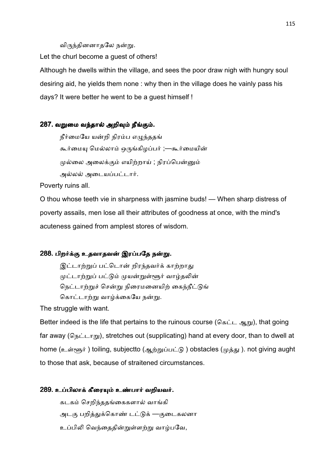#### விருந்தினனாதலே நன்று.

Let the churl become a guest of others!

Although he dwells within the village, and sees the poor draw nigh with hungry soul desiring aid, he yields them none : why then in the village does he vainly pass his days? It were better he went to be a guest himself !

# 287. வறுமை வந்தால் அறிவும் நீங்கும்.

நீர்மையே யன்றி நிரம்ப எழுந்ததங் கூர்மையு மெல்லாம் ஒருங்கிழப்பர் ;—கூர்மையின் முல்லை அலைக்கும் எயிற்றாய் ; நிரப்பென்னும் அல்லல் அடையப்பட்டார்.

Poverty ruins all.

O thou whose teeth vie in sharpness with jasmine buds! — When sharp distress of poverty assails, men lose all their attributes of goodness at once, with the mind's acuteness gained from amplest stores of wisdom.

## 288. பிறர்க்கு உதவாதவன் இரப்பதே நன்று.

இட்டாற்றுப் பட்டொன் றிரந்தவர்க் காற்றாது முட்டாற்றுப் பட்டும் முயன்றுள்ளூர் வாழ்தலின் நெட்டாற்றுச் சென்று நிரைமனையிற் கைந்நீட்டுங் கொட்டாற்று வாழ்க்கையே நன்று.

The struggle with want.

Better indeed is the life that pertains to the ruinous course ( $\delta \xi L = \xi_0 m$ ), that going far away ( $G_{\text{B}}$  $\text{L}_{\text{m}}$ ), stretches out (supplicating) hand at every door, than to dwell at home (உள்ளூர்) toiling, subjectto (ஆற்றுப்பட்டு) obstacles (முத்து). not giving aught to those that ask, because of straitened circumstances.

#### 289. உப்பிலாக் கீரையும் உண்பார் வறியவர்.

கடகம் செறிந்ததங்கைகளால் வாங்கி அடகு பறித்துக்கொண் டட்டுக் —குடைகலனா உப்பிலி வெந்தைதின்றுள்ளற்று வாழ்பவே,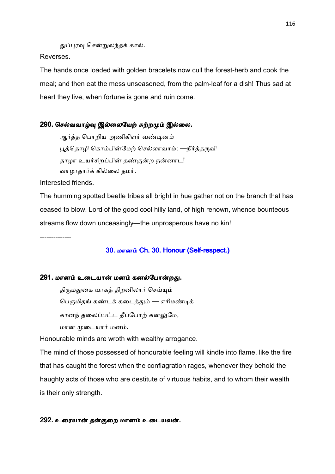துப்புரவு சென்றுலந்தக் கால்.

Reverses.

The hands once loaded with golden bracelets now cull the forest-herb and cook the meal; and then eat the mess unseasoned, from the palm-leaf for a dish! Thus sad at heart they live, when fortune is gone and ruin come.

# 290. செல்வவாழ்வு இல்லையேற் சுற்றமும் இல்லை.

ஆர்த்த பொறிய அணிகிளர் வண்டினம் பூத்தொழி கொம்பின்மேற் செல்லாவாம்; —நீர்த்தருவி தாழா உயர்சிறப்பின் தண்குன்ற நன்னாட! வாழாதார்க் கில்லை தமர்.

Interested friends.

The humming spotted beetle tribes all bright in hue gather not on the branch that has ceased to blow. Lord of the good cool hilly land, of high renown, whence bounteous streams flow down unceasingly—the unprosperous have no kin!

--------------

# 30. மானம் Ch. 30. Honour (Self-respect.)

# 291. மானம் உடையான் மனம் கனல்போன்றது.

திருமதுகை யாகத் திறனிலார் செய்யும் பெருமிதங் கண்டக் கடைத்தும் — எரிமண்டிக் கானந் தலைப்பட்ட தீப்போற் கனலுமே, மான முடையார் மனம்.

Honourable minds are wroth with wealthy arrogance.

The mind of those possessed of honourable feeling will kindle into flame, like the fire that has caught the forest when the conflagration rages, whenever they behold the haughty acts of those who are destitute of virtuous habits, and to whom their wealth is their only strength.

## 292. உரையான் தன்குறை மானம் உடையவன்.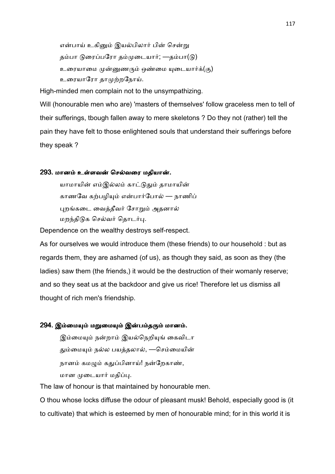என்பாய் உகினும் இயல்பிலார் பின் சென்று தம்பா டுரைப்பரோ தம்முடையார்; —தம்பா(டு) உரையாமை முன்னுணரும் ஒண்மை யுடையார்க்(கு) உரையாரோ தாமுற்றநோய்.

High-minded men complain not to the unsympathizing.

Will (honourable men who are) 'masters of themselves' follow graceless men to tell of their sufferings, tbough fallen away to mere skeletons ? Do they not (rather) tell the pain they have felt to those enlightened souls that understand their sufferings before they speak ?

#### 293. மானம் உள்ளவன் செல்வரை மதியான்.

யாமாயின் எம்இல்லம் காட்டுதும் தாமாயின் காணவே கற்பழியும் என்பார்போல் — நாணிப் புறங்கடை வைத்தீவர் சோறும் அதனால் மறந்திடுக செல்வர் தொடர்பு.

Dependence on the wealthy destroys self-respect.

As for ourselves we would introduce them (these friends) to our household : but as regards them, they are ashamed (of us), as though they said, as soon as they (the ladies) saw them (the friends,) it would be the destruction of their womanly reserve; and so they seat us at the backdoor and give us rice! Therefore let us dismiss all thought of rich men's friendship.

# 294. இம்மையும் மறுமையும் இன்பம்தரும் மானம்.

இம்மையும் நன்றாம் இயல்நெறியுங் கைவிடா தும்மையும் நல்ல பயத்தலால், —செம்மையின் நானம் கமழும் கதுப்பினாய்! நன்றேகாண், மான முடையார் மதிப்பு.

The law of honour is that maintained by honourable men.

O thou whose locks diffuse the odour of pleasant musk! Behold, especially good is (it to cultivate) that which is esteemed by men of honourable mind; for in this world it is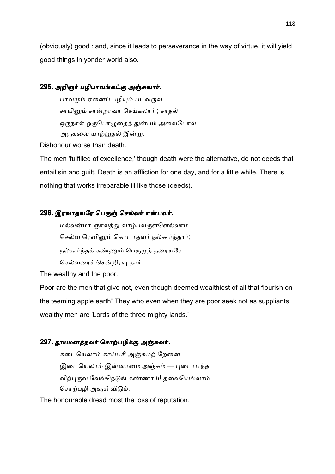(obviously) good : and, since it leads to perseverance in the way of virtue, it will yield good things in yonder world also.

# 295. அறிஞர் பழிபாவங்கட்கு அஞ்சுவார்.

பாவமும் ஏனைப் பழியும் படவருவ சாயினும் சான்றாவா செய்கலார் ; சாதல் ஒருநாள் ஒருபொழுதைத் துன்பம் அவைபோல் அருகவை யாற்றுகல் இன்று.

Dishonour worse than death.

The men 'fulfilled of excellence,' though death were the alternative, do not deeds that entail sin and guilt. Death is an affliction for one day, and for a little while. There is nothing that works irreparable ill like those (deeds).

# 296. இரவாதவரே பெருஞ் செல்வர் என்பவர்.

மல்லன்மா ஞாலத்து வாழ்பவருள்ளெல்லாம் செல்வ ரெனினும் கொடாதவர் நல்கூர்ந்தார்; நல்கூர்ந்தக் கண்ணும் பெருமுத் தரையரே, செல்வரைச் சென்றிரவு தார்.

The wealthy and the poor.

Poor are the men that give not, even though deemed wealthiest of all that flourish on the teeming apple earth! They who even when they are poor seek not as suppliants wealthy men are 'Lords of the three mighty lands.'

# 297. தூயமனத்தவர் சொற்பழிக்கு அஞ்சுவர்.

கடையெலாம் காய்பசி அஞ்சுமற் றேனை இடையெலாம் இன்னாமை அஞ்சும் — புடைபரந்த விற்புருவ வேல்நெடுங் கண்ணாய்! தலையெல்லாம் சொற்பழி அஞ்சி விடும்.

The honourable dread most the loss of reputation.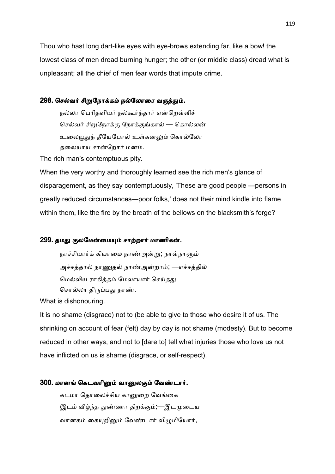Thou who hast long dart-like eyes with eye-brows extending far, like a bow! the lowest class of men dread burning hunger; the other (or middle class) dread what is unpleasant; all the chief of men fear words that impute crime.

## 298. செல்வர் சிறுநோக்கம் நல்லோரை வருத்தும்.

நல்லா பெரிதளியர் நல்கூர்ந்தார் என்றெள்ளிச் செல்வர் சிறுநோக்கு நோக்குங்கால் — கொல்லன் உலையூதுந் தீயேபோல் உள்கனலும் கொல்லோ தலையாய சான்றோர் மனம்.

The rich man's contemptuous pity.

When the very worthy and thoroughly learned see the rich men's glance of disparagement, as they say contemptuously, 'These are good people —persons in greatly reduced circumstances—poor folks,' does not their mind kindle into flame within them, like the fire by the breath of the bellows on the blacksmith's forge?

# 299. தமது குலமேன்மையும் சாற்றார் மாணிகன்.

நாச்சியார்க் கியாமை நாண்அன்று; நாள்நாளும் அச்சத்தால் நாணுதல் நாண்அன்றாம்; —எச்சத்தில் மெல்லிய ராகித்தம் மேலாயார் செய்தது சொல்லா திருப்பது நாண்.

What is dishonouring.

It is no shame (disgrace) not to (be able to give to those who desire it of us. The shrinking on account of fear (felt) day by day is not shame (modesty). But to become reduced in other ways, and not to [dare to] tell what injuries those who love us not have inflicted on us is shame (disgrace, or self-respect).

## 300. மானங் கெடவரினும் வானுலகும் வேண்டார்.

கடமா தொலைச்சிய கானுறை வேங்கை இடம் வீழ்ந்த துண்ணா திறக்கும்;—இடமுடைய வானகம் கையுறினும் வேண்டார் விமுமியோர்,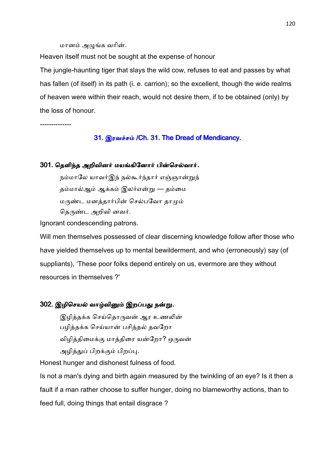மானம் அழுங்க வரின்.

Heaven itself must not be sought at the expense of honour

The jungle-haunting tiger that slays the wild cow, refuses to eat and passes by what has fallen (of itself) in its path (i. e. carrion); so the excellent, though the wide realms of heaven were within their reach, would not desire them, if to be obtained (only) by the loss of honour.

--------------

#### 31. இரவச்சம் /Ch. 31. The Dread of Mendicancy.

#### 301. தெளிந்த அறிவினர் மயங்கினோர் பின்செல்வார்.

நம்மாலே யாவர்இந் நல்கூர்ந்தார் எஞ்ஞான்றுந் தம்மால்ஆம் ஆக்கம் இலர்என்று — தம்மை மருண்ட மனத்தார்பின் செல்பவோ தாமும் தெருண்ட அறிவி னவர்.

Ignorant condescending patrons.

Will men themselves possessed of clear discerning knowledge follow after those who have yielded themselves up to mental bewilderment, and who (erroneously) say (of suppliants), 'These poor folks depend entirely on us, evermore are they without resources in themselves ?'

# 302. இழிசெயல் வாழ்வினும் இறப்பது நன்று.

இழித்தக்க செய்தொருவன் ஆர உணலின் பழித்தக்க செய்யான் பசித்தல் தவறோ விழித்திமைக்கு மாத்திரை யன்றோ? ஒருவன் அழித்துப் பிறக்கும் பிறப்பு.

Honest hunger and dishonest fulness of food.

Is not a man's dying and birth again measured by the twinkling of an eye? Is it then a fault if a man rather choose to suffer hunger, doing no blameworthy actions, than to feed full, doing things that entail disgrace ?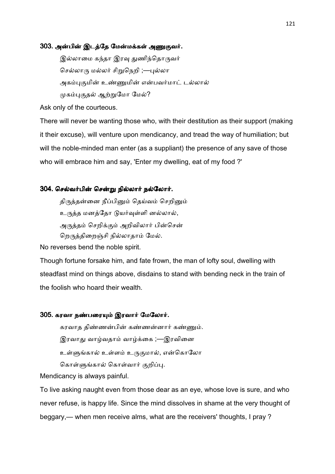#### 303. அன்பின் இடத்தே மேன்மக்கள் அணுகுவர்.

இல்லாமை கந்தா இரவு துணிந்தொருவர் செல்லாரு மல்லர் சிறுநெறி ;—புல்லா அகம்புகுமின் உண்ணுமின் என்பவர்மாட் டல்லால் முகம்புகுதல் ஆற்றுமோ மேல்?

Ask only of the courteous.

There will never be wanting those who, with their destitution as their support (making it their excuse), will venture upon mendicancy, and tread the way of humiliation; but will the noble-minded man enter (as a suppliant) the presence of any save of those who will embrace him and say, 'Enter my dwelling, eat of my food ?'

#### 304. செல்வர்பின் சென்று நில்லார் நல்லோர்.

திருத்தன்னை நீப்பினும் தெய்வம் செறினும் உருத்த மனத்தோ டுயர்வுள்ளி னல்லால், அருத்தம் செறிக்கும் அறிவிலார் பின்சென் றெருத்திறைஞ்சி நில்லாதாம் மேல்.

No reverses bend the noble spirit.

Though fortune forsake him, and fate frown, the man of lofty soul, dwelling with steadfast mind on things above, disdains to stand with bending neck in the train of the foolish who hoard their wealth.

## 305. கரவா நண்பரையும் இரவார் மேலோர்.

கரவாத திண்ணன்பின் கண்ணன்னார் கண்ணும். இரவாது வாழ்வதாம் வாழ்க்கை ;—இரவினை உள்ளுங்கால் உள்ளம் உருகுமால், என்கொலோ கொள்ளுங்கால் கொள்வார் குறிப்பு.

Mendicancy is always painful.

To live asking naught even from those dear as an eye, whose love is sure, and who never refuse, is happy life. Since the mind dissolves in shame at the very thought of beggary,— when men receive alms, what are the receivers' thoughts, I pray ?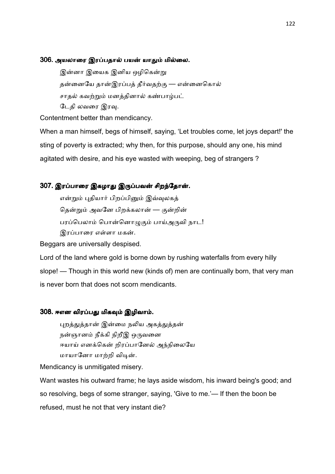### 306. அயலாரை இரப்பதால் பயன் யாதும் மில்லை.

இன்னா இயைக இனிய ஒழிகென்று தன்னையே தான்இரப்பத் தீர்வதற்கு — என்னைகொல் சாதல் கவற்றும் மனத்தினால் கண்பாழ்பட் டேதி லவரை இரவு.

Contentment better than mendicancy.

When a man himself, begs of himself, saying, 'Let troubles come, let joys depart!' the sting of poverty is extracted; why then, for this purpose, should any one, his mind agitated with desire, and his eye wasted with weeping, beg of strangers ?

# 307. இரப்பாரை இகழாது இருப்பவன் சிறந்தோன்.

என்றும் புதியார் பிறப்பினும் இவ்வுலகத் தென்றும் அவனே பிறக்கலான் — குன்றின் பரப்பெலாம் பொன்னொழுகும் பாய்அருவி நாட! இரப்பாரை எள்ளா மகன்.

Beggars are universally despised.

Lord of the land where gold is borne down by rushing waterfalls from every hilly slope! — Though in this world new (kinds of) men are continually born, that very man is never born that does not scorn mendicants.

### 308. ஈஎன விரப்பது மிகவும் இழிவாம்.

புறத்துத்தான் இன்மை நலிய அகத்துத்தன் நன்ஞானம் நீக்கி நிறீஇ ஒருவனை ஈயாய் எனக்கென் றிரப்பானேல் அந்நிலையே மாயானோ மாற்றி விடின்.

Mendicancy is unmitigated misery.

Want wastes his outward frame; he lays aside wisdom, his inward being's good; and so resolving, begs of some stranger, saying, 'Give to me.'— If then the boon be refused, must he not that very instant die?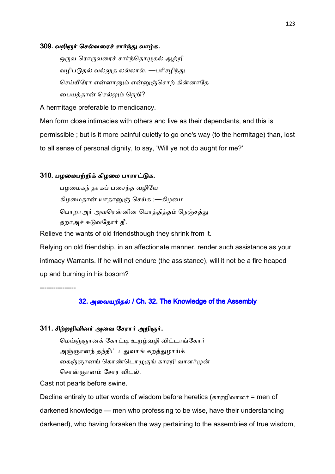#### 309. வறிஞர் செல்வரைச் சார்ந்து வாழ்க.

ஒருவ ரொருவரைச் சார்ந்தொழுகல் ஆற்றி வழிபடுதல் வல்லுத லல்லால், —பரிசழிந்து செய்யீரோ என்னானும் என்னுஞ்சொற் கின்னாதே பையத்தான் செல்லும் நெறி?

A hermitage preferable to mendicancy.

Men form close intimacies with others and live as their dependants, and this is permissible ; but is it more painful quietly to go one's way (to the hermitage) than, lost to all sense of personal dignity, to say, 'Will ye not do aught for me?'

## 310. பழமைபற்றிக் கிழமை பாராட்டுக.

பழமைகந் தாகப் பசைந்த வழியே கிழமைதான் யாதானுஞ் செய்க ;—கிழமை பொறாஅர் அவரென்னின பொத்தித்தம் நெஞ்சத்து தறாஅச் சுடுவதோர் தீ.

Relieve the wants of old friendsthough they shrink from it.

Relying on old friendship, in an affectionate manner, render such assistance as your intimacy Warrants. If he will not endure (the assistance), will it not be a fire heaped up and burning in his bosom?

----------------

# 32. அவையறிதல் / Ch. 32. The Knowledge of the Assembly

## 311. சிற்றறிவினர் அவை சேரார் அறிஞர்.

மெய்ஞ்ஞானக் கோட்டி உறழ்வழி விட்டாங்கோர் அஞ்ஞானந் தந்திட் டதுவாங் கறத்துழாய்க் கைஞ்ஞானங் கொண்டொழுகுங் காரறி வாளர்முன் சொன்ஞானம் சோர விடல்.

Cast not pearls before swine.

Decline entirely to utter words of wisdom before heretics (காரறிவாளர் = men of darkened knowledge — men who professing to be wise, have their understanding darkened), who having forsaken the way pertaining to the assemblies of true wisdom,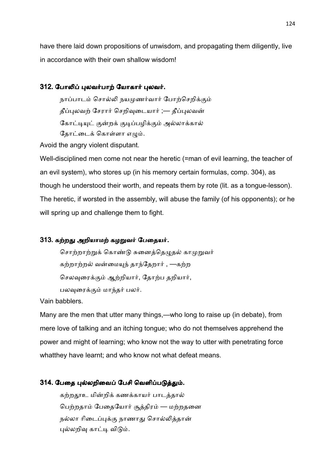have there laid down propositions of unwisdom, and propagating them diligently, live in accordance with their own shallow wisdom!

# 312. போலிப் புலவர்பாற் யோகார் புலவர்.

நாப்பாடம் சொல்லி நயமுணர்வார் போற்செறிக்கும் தீப்புலவற் சேரார் செறிவுடையார் ;— தீப்புலவன் கோட்டியுட் குன்றக் குடிப்பழிக்கும் அல்லாக்கால் கோட்டைக் கொள்ளா எமும்.

Avoid the angry violent disputant.

Well-disciplined men come not near the heretic (=man of evil learning, the teacher of an evil system), who stores up (in his memory certain formulas, comp. 304), as though he understood their worth, and repeats them by rote (lit. as a tongue-lesson). The heretic, if worsted in the assembly, will abuse the family (of his opponents); or he will spring up and challenge them to fight.

# 313. கற்றது அறியாமற் கழறுவர் பேதையர்.

சொற்றாற்றுக் கொண்டு சுனைத்தெழுதல் காமுறுவர் கற்றாற்றல் வன்மையுந் தாந்தேறார் , —கற்ற செலவரைக்கும் ஆற்றியார், தோற்ப தறியார், பலவுரைக்கும் மாந்தர் பலர்.

Vain babblers.

Many are the men that utter many things,—who long to raise up (in debate), from mere love of talking and an itching tongue; who do not themselves apprehend the power and might of learning; who know not the way to utter with penetrating force whatthey have learnt; and who know not what defeat means.

# 314. பேதை புல்லறிவைப் பேசி வெளிப்படுத்தும்.

கற்றதூஉ மின்றிக் கணக்காயர் பாடத்தால் பெற்றதாம் பேதையோர் சூத்திரம் — மற்றதனை நல்லா ரிடைப்புக்கு நாணாது சொல்லித்தான் புல்லறிவு காட்டி விடும்.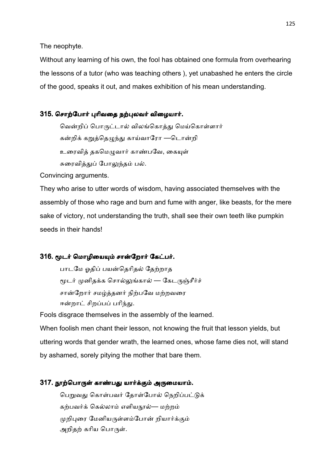The neophyte.

Without any learning of his own, the fool has obtained one formula from overhearing the lessons of a tutor (who was teaching others ), yet unabashed he enters the circle of the good, speaks it out, and makes exhibition of his mean understanding.

# 315. சொற்போர் புரிவதை நற்புலவர் விழையார்.

வென்றிப் பொருட்டால் விலங்கொத்து மெய்கொள்ளார் கன்றிக் கறுத்தெழுந்து காய்வாரோ —டொன்றி உரைவித் தகமெமுவார் காண்பவே, கையுள் சுரைவித்துப் போலுந்தம் பல்.

Convincing arguments.

They who arise to utter words of wisdom, having associated themselves with the assembly of those who rage and burn and fume with anger, like beasts, for the mere sake of victory, not understanding the truth, shall see their own teeth like pumpkin seeds in their hands!

# 316. மூடர் மொழியையும் சான்றோர் கேட்பர்.

பாடமே ஓதிப் பயன்தெரிதல் தேற்றாத மூடர் முனிதக்க சொல்லுங்கால் — கேடருஞ்சீர்ச் சான்றோர் சமழ்த்தனர் நிற்பவே மற்றவரை ஈன்றாட் சிறப்பப் பரிந்து.

Fools disgrace themselves in the assembly of the learned.

When foolish men chant their lesson, not knowing the fruit that lesson yields, but uttering words that gender wrath, the learned ones, whose fame dies not, will stand by ashamed, sorely pitying the mother that bare them.

# 317. நூற்பொருள் காண்பது யார்க்கும் அருமையாம்.

பெறுவது கொள்பவர் தோள்போல் நெறிப்பட்டுக் கற்பவர்க் கெல்லாம் எளியநூல்— மற்றம் முறிபுரை மேனியருள்ளம்போன் றியார்க்கும் அறிதற் கரிய பொருள்.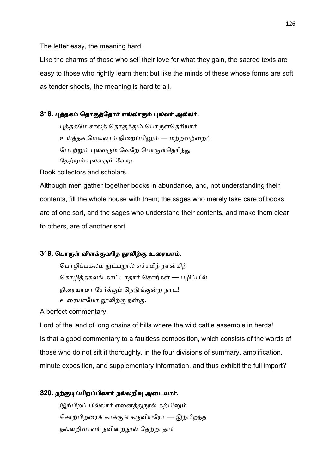The letter easy, the meaning hard.

Like the charms of those who sell their love for what they gain, the sacred texts are easy to those who rightly learn then; but like the minds of these whose forms are soft as tender shoots, the meaning is hard to all.

# 318. புத்தகம் தொகுத்தோர் எல்லாரும் புலவர் அல்லர்.

புத்தகமே சாலத் தொகுத்தும் பொருள்தெரியார் உய்த்தக மெல்லாம் நிறைப்பினும் — மற்றவற்றைப் போற்றும் புலவரும் வேறே பொருள்தெரிந்து தேற்றும் புலவரும் வேறு.

Book collectors and scholars.

Although men gather together books in abundance, and, not understanding their contents, fill the whole house with them; the sages who merely take care of books are of one sort, and the sages who understand their contents, and make them clear to others, are of another sort.

# 319. பொருள் விளக்குவதே நூலிற்கு உரையாம்.

பொழிப்பகலம் நுட்பநூல் எச்சமிந் நான்கிற் கொழித்தகலங் காட்டாதார் சொற்கள் — பழிப்பில் நிரையாமா சேர்க்கும் நெடுங்குன்ற நாட! உரையாமோ நூலிற்கு நன்கு.

A perfect commentary.

Lord of the land of long chains of hills where the wild cattle assemble in herds! Is that a good commentary to a faultless composition, which consists of the words of those who do not sift it thoroughly, in the four divisions of summary, amplification, minute exposition, and supplementary information, and thus exhibit the full import?

#### 320. நற்குடிப்பிறப்பிலார் நல்லறிவு அடையார்.

இற்பிறப் பில்லார் எனைத்துநூல் கற்பினும் சொற்பிறரைக் காக்குங் கருவியரோ — இற்பிறந்த நல்லறிவாளர் நவின்றநூல் தேற்றாதார்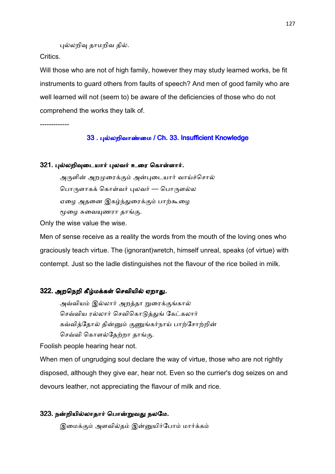புல்லறிவு தாமறிவ தில்.

Critics.

Will those who are not of high family, however they may study learned works, be fit instruments to guard others from faults of speech? And men of good family who are well learned will not (seem to) be aware of the deficiencies of those who do not comprehend the works they talk of.

-------------

# 33 . புல்லறிவாண்மை / Ch. 33. Insufficient Knowledge

# 321. புல்லறிவுடையார் புலவர் உரை கொள்ளார்.

அருளின் அறமுரைக்கும் அன்புடையார் வாய்ச்சொல் பொருளாகக் கொள்வர் புலவர் — பொருளல்ல ஏழை அதனை இகழ்ந்துரைக்கும் பாற்கூழை மூழை சுவையுணரா தாங்கு.

Only the wise value the wise.

Men of sense receive as a reality the words from the mouth of the loving ones who graciously teach virtue. The (ignorant)wretch, himself unreal, speaks (of virtue) with contempt. Just so the ladle distinguishes not the flavour of the rice boiled in milk.

# 322. அறநெறி கீழ்மக்கள் செவியில் ஏறாது.

அவ்வியம் இல்லார் அறத்தா றுரைக்குங்கால் செவ்விய ரல்லார் செவிகொடுத்துங் கேட்கலார் கவ்வித்தோல் தின்னும் குணுங்கர்நாய் பாற்சோற்றின் செவ்வி கொளல்தேற்றா தாங்கு.

Foolish people hearing hear not.

When men of ungrudging soul declare the way of virtue, those who are not rightly disposed, although they give ear, hear not. Even so the currier's dog seizes on and devours leather, not appreciating the flavour of milk and rice.

# 323. நன்றியில்லாதார் பொன்றுவது நலமே.

இமைக்கும் அளவில்தம் இன்னுயிர்போம் மார்க்கம்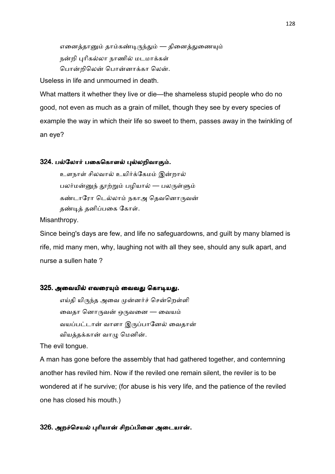எனைத்தானும் தாம்கண்டிருந்தும் — தினைத்துணையும் நன்றி புரிகல்லா நாணில் மடமாக்கள் பொன்றிலென் பொன்னாக்கா லென்.

Useless in life and unmourned in death.

What matters it whether they live or die—the shameless stupid people who do no good, not even as much as a grain of millet, though they see by every species of example the way in which their life so sweet to them, passes away in the twinkling of an eye?

## 324. பல்லோர் பகைகொளல் புல்லறிவாகும்.

உளநாள் சிலவால் உயிர்க்கேமம் இன்றால் பலர்மன்னுந் தூற்றும் பழியால் — பலருள்ளும் கண்டாரோ டெல்லாம் நகாஅ தெவனொருவன் தண்டித் தனிப்பகை கோள்.

Misanthropy.

Since being's days are few, and life no safeguardowns, and guilt by many blamed is rife, mid many men, why, laughing not with all they see, should any sulk apart, and nurse a sullen hate ?

# 325. அவையில் எவரையும் வைவது கொடியது.

எய்தி யிருந்த அவை முன்னர்ச் சென்றெள்ளி வைதா னொருவன் ஒருவனை — வையம் வயப்பட்டான் வாளா இருப்பானேல் வைதான் வியத்தக்கான் வாழு மெனின்.

The evil tongue.

A man has gone before the assembly that had gathered together, and contemning another has reviled him. Now if the reviled one remain silent, the reviler is to be wondered at if he survive; (for abuse is his very life, and the patience of the reviled one has closed his mouth.)

## 326. அறச்செயல் புரியான் சிறப்பினை அடையான்.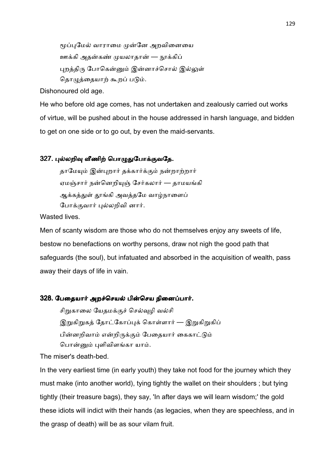மூப்புமேல் வாராமை முன்னே அறவினையை <u>ஊ</u>க்கி அதன்கண் முயலாதான் — நூக்கிப் புறத்திரு போகென்னும் இன்னாச்சொல் இல்லுள் தொழுத்தையாற் கூறப் படும்.

Dishonoured old age.

He who before old age comes, has not undertaken and zealously carried out works of virtue, will be pushed about in the house addressed in harsh language, and bidden to get on one side or to go out, by even the maid-servants.

# 327. புல்லறிவு வீணிற் பொழுதுபோக்குவதே.

தாமேயும் இன்புறார் தக்கார்க்கும் நன்றாற்றார் ஏமஞ்சார் நன்னெறியுஞ் சேர்கலார் — தாமயங்கி ஆக்கத்துள் தூங்கி அவத்தமே வாழ்நாளைப் போக்குவார் புல்லறிவி னார்.

Wasted lives.

Men of scanty wisdom are those who do not themselves enjoy any sweets of life, bestow no benefactions on worthy persons, draw not nigh the good path that safeguards (the soul), but infatuated and absorbed in the acquisition of wealth, pass away their days of life in vain.

## 328. பேதையார் அறச்செயல் பின்செய நினைப்பார்.

சிறுகாலை யேதமக்குச் செல்வுழி வல்சி இறுகிறுகத் தோட்கோப்புக் கொள்ளார் — இறுகிறுகிப் பின்னறிவாம் என்றிருக்கும் பேதையார் கைகாட்டும் பொன்னும் புளிவிளங்கா யாம்.

The miser's death-bed.

In the very earliest time (in early youth) they take not food for the journey which they must make (into another world), tying tightly the wallet on their shoulders ; but tying tightly (their treasure bags), they say, 'In after days we will learn wisdom;' the gold these idiots will indict with their hands (as legacies, when they are speechless, and in the grasp of death) will be as sour vilam fruit.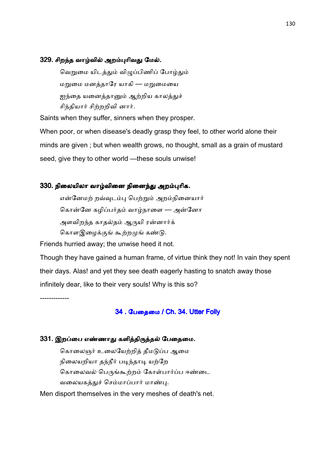#### 329. சிறந்த வாழ்வில் அறம்புரிவது மேல்.

வெறுமை யிடத்தும் விழுப்பிணிப் போழ்தும் மறுமை மனத்தாரே யாகி — மறுமையை ஐந்தை யனைத்தானும் ஆற்றிய காலத்துச் சிந்தியார் சிற்றறிவி னார்.

Saints when they suffer, sinners when they prosper.

When poor, or when disease's deadly grasp they feel, to other world alone their minds are given ; but when wealth grows, no thought, small as a grain of mustard seed, give they to other world —these souls unwise!

### 330. நிலையிலா வாழ்வினை நினைந்து அறம்புரிக.

என்னேமற் றவ்வுடம்பு பெற்றும் அறம்நினையார் கொன்னே கழிப்பர்தம் வாழ்நாளை — அன்னோ அளவிறந்த காதல்தம் ஆருயி ரன்னார்க் கொளஇழைக்குங் கூற்றமுங் கண்டு.

Friends hurried away; the unwise heed it not.

Though they have gained a human frame, of virtue think they not! In vain they spent their days. Alas! and yet they see death eagerly hasting to snatch away those infinitely dear, like to their very souls! Why is this so?

-------------

# 34 . பேதைமை / Ch. 34. Utter Folly

## 331. இறப்பை எண்ணாது களித்திருத்தல் பேதைமை.

கொலைஞர் உலையேற்றித் தீமடுப்ப ஆமை நிலையறியா தந்நீர் படிந்தாடி யற்றே கொலைவல் பெருங்கூற்றம் கோள்பார்ப்ப ஈண்டை வலையகத்துச் செம்மாப்பார் மாண்பு.

Men disport themselves in the very meshes of death's net.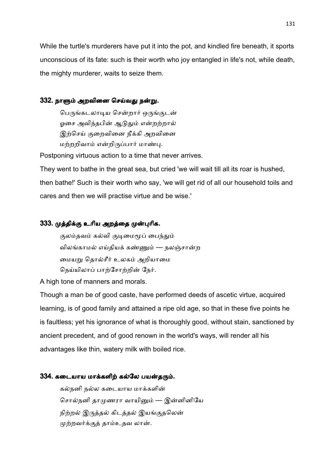While the turtle's murderers have put it into the pot, and kindled fire beneath, it sports unconscious of its fate: such is their worth who joy entangled in life's not, while death, the mighty murderer, waits to seize them.

# 332. நாளும் அறவினை செய்வது நன்று.

பெருங்கடலாடிய சென்றார் ஒருங்குடன் ஓசை அவிந்தபின் ஆடுதும் என்றற்றால் இற்செய் குறைவினை நீக்கி அறவினை மற்றறிவாம் என்றிருப்பார் மாண்பு.

Postponing virtuous action to a time that never arrives.

They went to bathe in the great sea, but cried 'we will wait till all its roar is hushed, then bathe!' Such is their worth who say, 'we will get rid of all our household toils and cares and then we will practise virtue and be wise.'

# 333. முத்திக்கு உரிய அறத்தை முன்புரிக.

குலம்தவம் கல்வி குடிமைமூப் பைந்தும் விலங்காமல் எய்தியக் கண்ணும் — நலஞ்சான்ற மையறு தொல்சீர் உலகம் அறியாமை நெய்யிலாப் பாற்சோற்றின் நேர்.

A high tone of manners and morals.

Though a man be of good caste, have performed deeds of ascetic virtue, acquired learning, is of good family and attained a ripe old age, so that in these five points he is faultless; yet his ignorance of what is thoroughly good, without stain, sanctioned by ancient precedent, and of good renown in the world's ways, will render all his advantages like thin, watery milk with boiled rice.

## 334. கடையாய மாக்களிற் கல்லே பயன்தரும்.

கல்நனி நல்ல கடையாய மாக்களின் சொல்நனி தாமுணரா வாயினும் — இன்னினியே நிற்றல் இருத்தல் கிடத்தல் இயங்குதலென் முற்றவர்க்குத் தாம்உதவ லான்.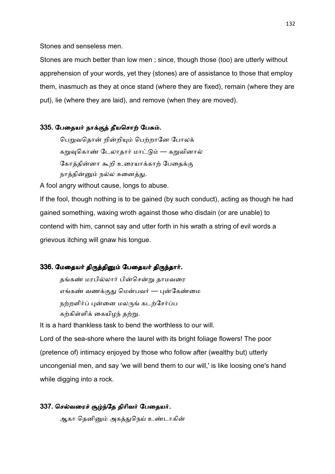Stones and senseless men.

Stones are much better than low men ; since, though those (too) are utterly without apprehension of your words, yet they (stones) are of assistance to those that employ them, inasmuch as they at once stand (where they are fixed), remain (where they are put), lie (where they are laid), and remove (when they are moved).

# 335. பேதையர் நாக்குத் தீயசொற் பேசும்.

பெறுவதொன் றின்றியும் பெற்றானே போலக் கறுவுகொண் டேலாதார் மாட்டும் — கறுவினால் கோத்தின்னா கூறி உரையாக்காற் பேதைக்கு நாத்தின்னும் நல்ல சுனைத்து.

A fool angry without cause, longs to abuse.

If the fool, though nothing is to be gained (by such conduct), acting as though he had gained something, waxing wroth against those who disdain (or are unable) to contend with him, cannot say and utter forth in his wrath a string of evil words a grievous itching will gnaw his tongue.

## 336. மேதையர் திருத்தினும் பேதையர் திருந்தார்.

தங்கண் மரபில்லார் பின்சென்று தாமவரை எங்கண் வணக்குது மென்பவர் — புன்கேண்மை நற்றளிர்ப் புன்னை மலருங் கடற்சேர்ப்ப கற்கிள்ளிக் கையிழந் தற்று.

It is a hard thankless task to bend the worthless to our will.

Lord of the sea-shore where the laurel with its bright foliage flowers! The poor (pretence of) intimacy enjoyed by those who follow after (wealthy but) utterly uncongenial men, and say 'we will bend them to our will,' is like loosing one's hand while digging into a rock.

# 337. செல்வரைச் சூழ்ந்தே திரிவர் பேதையர்.

ஆகா தெனினும் அகத்துநெய் உண்டாகின்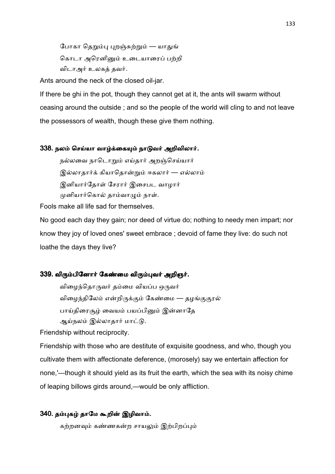போகா தெறும்பு புறஞ்சுற்றும் — யாதுங் கொடா அரெனினும் உடையாரைப் பற்றி விடாஅர் உலகக் தவர்.

Ants around the neck of the closed oil-jar.

If there be ghi in the pot, though they cannot get at it, the ants will swarm without ceasing around the outside ; and so the people of the world will cling to and not leave the possessors of wealth, though these give them nothing.

#### 338. நலம் செய்யா வாழ்க்கையும் நாடுவர் அறிவிலார்.

நல்லவை நாடொறும் எய்தார் அறஞ்செய்யார் இல்லாதார்க் கியாதொன்றும் ஈகலார் — எல்லாம் இனியார்தோள் சேரார் இசைபட வாழார் முனியார்கொல் தாம்வாழும் நாள்.

Fools make all life sad for themselves.

No good each day they gain; nor deed of virtue do; nothing to needy men impart; nor know they joy of loved ones' sweet embrace ; devoid of fame they live: do such not loathe the days they live?

## 339. விரும்பினோர் கேண்மை விரும்புவர் அறிஞர்.

விழைந்தொருவர் தம்மை வியப்ப ஒருவர் விழைந்திலேம் என்றிருக்கும் கேண்மை — தழங்குகுரல் பாய்திரைசூழ் வையம் பயப்பினும் இன்னாதே ஆய்நலம் இல்லாதார் மாட்டு.

Friendship without reciprocity.

Friendship with those who are destitute of exquisite goodness, and who, though you cultivate them with affectionate deference, (morosely) say we entertain affection for none,'—though it should yield as its fruit the earth, which the sea with its noisy chime of leaping billows girds around,—would be only affliction.

#### 340. தம்புகழ் தாமே கூறின் இழிவாம்.

கற்றனவும் கண்ணகன்ற சாயலும் இற்பிறப்பும்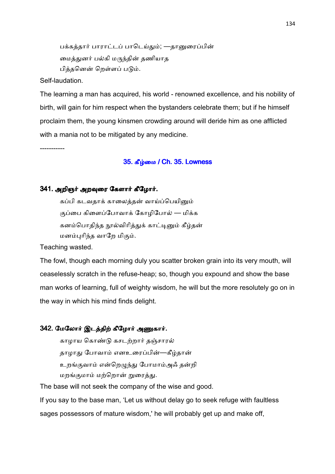பக்கத்தார் பாராட்டப் பாடெய்தும்; —தானுரைப்பின் மைத்துனர் பல்கி மருந்தின் தணியாத பித்தனென் றெள்ளப் படும்.

Self-laudation.

The learning a man has acquired, his world - renowned excellence, and his nobility of birth, will gain for him respect when the bystanders celebrate them; but if he himself proclaim them, the young kinsmen crowding around will deride him as one afflicted with a mania not to be mitigated by any medicine.

-----------

#### 35. கீழ்மை / Ch. 35. Lowness

## 341. அறிஞர் அறவுரை கேளார் கீழோர்.

கப்பி கடவதாக் காலைத்தன் வாய்ப்பெயினும் குப்பை கிளைப்போவாக் கோழிபோல் — மிக்க கனம்பொகிந்த நூல்விரித்துக் காட்டினும் கீழ்தன் மனம்புரிந்த வாறே மிகும்.

Teaching wasted.

The fowl, though each morning duly you scatter broken grain into its very mouth, will ceaselessly scratch in the refuse-heap; so, though you expound and show the base man works of learning, full of weighty wisdom, he will but the more resolutely go on in the way in which his mind finds delight.

# 342. மேலோர் இடத்திற் கீழோர் அணுகார்.

காழாய கொண்டு கசடற்றார் தஞ்சாரல் தாழாது போவாம் எனஉரைப்பின்—கீழ்தான் உறங்குவாம் என்றெழுந்து போமாம்அஃ தன்றி மறங்குமாம் மற்றொன் றுரைத்து.

The base will not seek the company of the wise and good.

If you say to the base man, 'Let us without delay go to seek refuge with faultless sages possessors of mature wisdom,' he will probably get up and make off,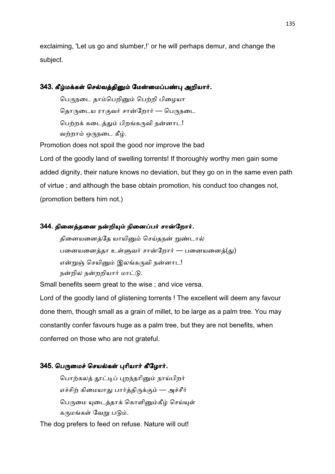exclaiming, 'Let us go and slumber,!' or he will perhaps demur, and change the subject.

# 343. கீழ்மக்கள் செல்வத்தினும் மேன்மைப்பண்பு அறியார்.

பெருநடை தாம்பெறினும் பெற்றி பிழையா தொருடைய ராகுவர் சான்றோர் — பெருநடை பெற்றக் கடைத்தும் பிறங்கருவி நன்னாட! வற்றாம் ஒருநடை கீழ்.

Promotion does not spoil the good nor improve the bad Lord of the goodly land of swelling torrents! If thoroughly worthy men gain some added dignity, their nature knows no deviation, but they go on in the same even path of virtue ; and although the base obtain promotion, his conduct too changes not, (promotion betters him not.)

# 344. தினைத்தனை நன்றியும் நினைப்பர் சான்றோர்.

தினையனைத்தே யாயினும் செய்தநன் றுண்டால் பனையனைத்தா உள்ளுவர் சான்றோர் — பனையனைத் $(s<sub>1</sub>)$ என்றுஞ் செயினும் இலங்கருவி நன்னாட! நன்றில நன்றறியார் மாட்டு.

Small benefits seem great to the wise ; and vice versa.

Lord of the goodly land of glistening torrents ! The excellent will deem any favour done them, though small as a grain of millet, to be large as a palm tree. You may constantly confer favours huge as a palm tree, but they are not benefits, when conferred on those who are not grateful.

# 345. பெருமைச் செயல்கள் புரியார் கீழோர்.

பொற்கலத் தூட்டிப் புறந்தரினும் நாய்பிறர் எச்சிற் கிமையாது பார்த்திருக்கும் — அச்சீர் பெருமை யுடைத்தாக் கொளினும்கீழ் செய்யுள் கருமங்கள் வேறு படும்.

The dog prefers to feed on refuse. Nature will out!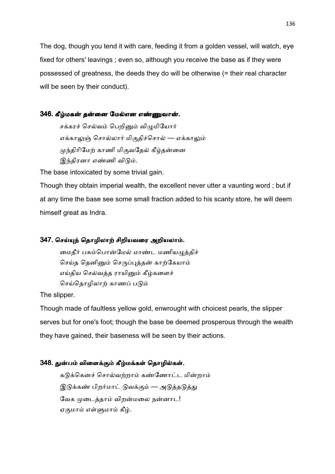The dog, though you tend it with care, feeding it from a golden vessel, will watch, eye fixed for others' leavings ; even so, although you receive the base as if they were possessed of greatness, the deeds they do will be otherwise (= their real character will be seen by their conduct).

## 346. கீழ்மகன் தன்னை மேல்என எண்ணுவான்.

சக்கரச் செல்வம் பெறினும் விழுமியோர் எக்காலுஞ் சொல்லார் மிகுதிச்சொல் — எக்காலும் முந்திரிமேற் காணி மிகுவதேல் கீழ்தன்னை இந்திரனா எண்ணி விடும்.

The base intoxicated by some trivial gain.

Though they obtain imperial wealth, the excellent never utter a vaunting word ; but if at any time the base see some small fraction added to his scanty store, he will deem himself great as Indra.

# 347. செய்யுந் தொழிலாற் சிறியவரை அறியலாம்.

மைதீர் பசும்பொன்மேல் மாண்ட மணியழுத்திச் செய்த தெனினும் செருப்புத்தன் காற்கேயாம் எய்திய செல்வத்த ராயினும் கீழ்களைச் செய்தொழிலாற் காணப் படும்

The slipper.

Though made of faultless yellow gold, enwrought with choicest pearls, the slipper serves but for one's foot; though the base be deemed prosperous through the wealth they have gained, their baseness will be seen by their actions.

# 348. துன்பம் விளைக்கும் கீழ்மக்கள் தொழில்கள்.

கடுக்கெனச் சொல்வற்றாம் கண்ணோட்ட மின்றாம் இடுக்கண் பிறர்மாட் டுவக்கும் — அடுத்தடுத்து வேக முடைத்தாம் விறன்மலை நன்னாட! ஏகுமாம் எள்ளுமாம் கீழ்.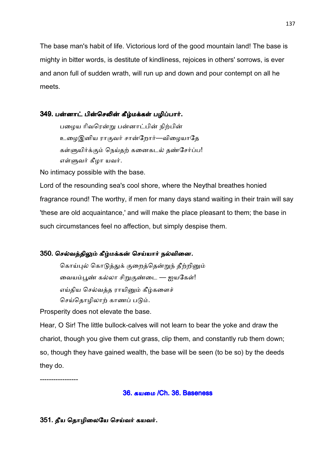The base man's habit of life. Victorious lord of the good mountain land! The base is mighty in bitter words, is destitute of kindliness, rejoices in others' sorrows, is ever and anon full of sudden wrath, will run up and down and pour contempt on all he meets.

# 349. பன்னாட் பின்செலின் கீழ்மக்கள் பழிப்பார்.

பழைய ரிவரென்று பன்னாட்பின் நிற்பின் உழைஇனிய ராகுவர் சான்றோர்—விழையாதே கள்ளுயிர்க்கும் நெய்தற் கனைகடல் தண்சேர்ப்ப! எள்ளுவர் கீழா யவர்.

No intimacy possible with the base.

Lord of the resounding sea's cool shore, where the Neythal breathes honied fragrance round! The worthy, if men for many days stand waiting in their train will say 'these are old acquaintance,' and will make the place pleasant to them; the base in such circumstances feel no affection, but simply despise them.

# 350. செல்வத்திலும் கீழ்மக்கன் செய்யார் நல்வினை.

கொய்புல் கொடுத்துக் குறைத்தென்றுந் தீற்றினும் வையம்பூண் கல்லா சிறுகுண்டை — ஐயகேள்! எய்திய செல்வத்த ராயினும் கீழ்களைச் செய்தொழிலாற் காணப் படும்.

Prosperity does not elevate the base.

Hear, O Sir! The little bullock-calves will not learn to bear the yoke and draw the chariot, though you give them cut grass, clip them, and constantly rub them down; so, though they have gained wealth, the base will be seen (to be so) by the deeds they do.

-----------------

# 36. கயமை /Ch. 36. Baseness

# 351. தீய தொழிலையே செய்வர் கயவர்.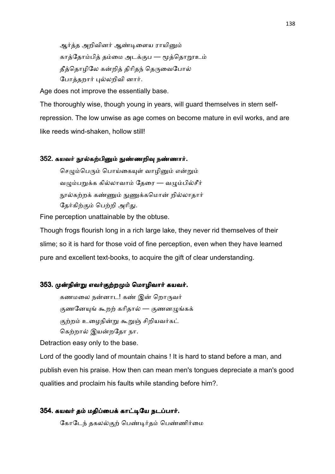ஆர்த்த அறிவினர் ஆண்டிளைய ராயினும் காத்தோம்பித் தம்மை அடக்குப — மூத்தொறூஉம் தீத்தொழிலே கன்றித் திரிதந் தெருவைபோல் போத்தறார் புல்லறிவி னார்.

Age does not improve the essentially base.

The thoroughly wise, though young in years, will guard themselves in stern selfrepression. The low unwise as age comes on become mature in evil works, and are like reeds wind-shaken, hollow still!

## 352. கயவர் நூல்கற்பினும் நுண்ணறிவு நண்ணார்.

செழும்பெரும் பொய்கையுள் வாழினும் என்றும் வழும்பறுக்க கில்லாவாம் தேரை — வழும்பில்சீர் <u>ந</u>ூல்கற்றக் கண்ணும் நுணுக்கமொன் றில்லாதார் தேர்கிற்கும் பெற்றி அரிது.

Fine perception unattainable by the obtuse.

Though frogs flourish long in a rich large lake, they never rid themselves of their slime; so it is hard for those void of fine perception, even when they have learned pure and excellent text-books, to acquire the gift of clear understanding.

#### 353. முன்நின்று எவர்குற்றமும் மொழிவார் கயவர்.

கணமலை நன்னாட! கண் இன் றொருவர் குணனேயுங் கூறற் கரிதால் — குணனழுங்கக் குற்றம் உழைநின்று கூறுஞ் சிறியவர்கட் கெற்றால் இயன்றதோ நா.

Detraction easy only to the base.

Lord of the goodly land of mountain chains ! It is hard to stand before a man, and publish even his praise. How then can mean men's tongues depreciate a man's good qualities and proclaim his faults while standing before him?.

## 354. கயவர் தம் மதிப்பைக் காட்டியே நடப்பார்.

கோடேந் தகலல்குற் பெண்டர்தம் பெண்ணிர்மை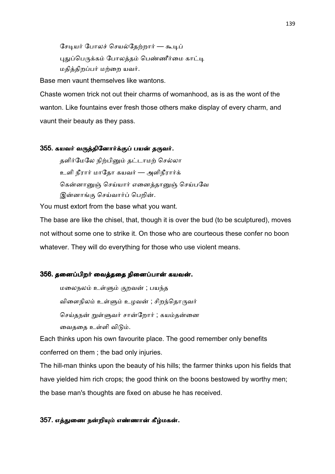சேடியர் போலச் செயல்தேற்றார் — கூடிப் புதுப்பெருக்கம் போலத்தம் பெண்ணீர்மை காட்டி மதித்திறப்பர் மற்றை யவர்.

Base men vaunt themselves like wantons.

Chaste women trick not out their charms of womanhood, as is as the wont of the wanton. Like fountains ever fresh those others make display of every charm, and vaunt their beauty as they pass.

## 355. கயவர் வருத்தினோர்க்குப் பயன் தருவர்.

தளிர்மேலே நிற்பினும் தட்டாமற் செல்லா உளி நீரார் மாதோ கயவர் — அளிநீரார்க் கென்னானுஞ் செய்யார் எனைத்தானுஞ் செய்பவே இன்னாங்கு செய்வார்ப் பெறின்.

You must extort from the base what you want.

The base are like the chisel, that, though it is over the bud (to be sculptured), moves not without some one to strike it. On those who are courteous these confer no boon whatever. They will do everything for those who use violent means.

## 356. தனைப்பிறர் வைத்ததை நினைப்பான் கயவன்.

மலைநலம் உள்ளும் குறவன் ; பயந்த விளைநிலம் உள்ளும் உழவன் ; சிறந்தொருவர் செய்தநன் றுள்ளுவர் சான்றோர் ; கயம்தன்னை வைததை உள்ளி விடும்.

Each thinks upon his own favourite place. The good remember only benefits conferred on them ; the bad only injuries.

The hill-man thinks upon the beauty of his hills; the farmer thinks upon his fields that have yielded him rich crops; the good think on the boons bestowed by worthy men; the base man's thoughts are fixed on abuse he has received.

#### 357. எத்துணை நன்றியும் எண்ணான் கீழ்மகன்.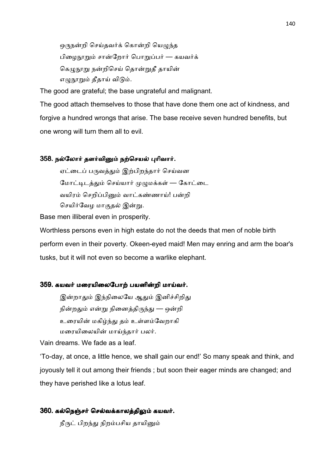ஒருநன்றி செய்தவர்க் கொன்றி யெழுந்த பிழைநூறும் சான்றோர் பொறுப்பர் — கயவர்க் கெமுநூறு நன்றிசெய் தொன்றுதீ தாயின் எழுநூறும் தீதாய் விடும்.

The good are grateful; the base ungrateful and malignant.

The good attach themselves to those that have done them one act of kindness, and forgive a hundred wrongs that arise. The base receive seven hundred benefits, but one wrong will turn them all to evil.

# 358. நல்லோர் தளர்வினும் நற்செயல் புரிவார்.

ஏட்டைப் பருவத்தும் இற்பிறந்தார் செய்வன மோட்டிடத்தும் செய்யார் முழுமக்கள் — கோட்டை வயிரம் செறிப்பினும் வாட்கண்ணாய்! பன்றி செயிர்வேழ மாகுதல் இன்று.

Base men illiberal even in prosperity.

Worthless persons even in high estate do not the deeds that men of noble birth perform even in their poverty. Okeen-eyed maid! Men may enring and arm the boar's tusks, but it will not even so become a warlike elephant.

#### 359. கயவர் மரையிலைபோற் பயனின்றி மாய்வர்.

இன்றாதும் இந்நிலையே ஆதும் இனிச்சிறிது நின்றதும் என்று நினைத்திருந்து — ஒன்றி உரையின் மகிழ்ந்து தம் உள்ளம்வேறாகி மரையிலையின் மாய்ந்தார் பலர்.

Vain dreams. We fade as a leaf.

'To-day, at once, a little hence, we shall gain our end!' So many speak and think, and joyously tell it out among their friends ; but soon their eager minds are changed; and they have perished like a lotus leaf.

#### 360. கல்நெஞ்சர் செல்வக்காலத்திலும் கயவர்.

நீருட் பிறந்து நிறம்பசிய தாயினும்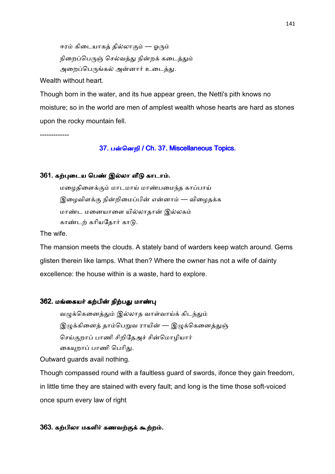ஈரம் கிடையாகத் தில்லாகும் — ஓரும் நிறைப்பெருஞ் செல்வத்து நின்றக் கடைத்தும் அறைப்பெருங்கல் அன்னார் உடைத்து.

Wealth without heart.

Though born in the water, and its hue appear green, the Netti's pith knows no moisture; so in the world are men of amplest wealth whose hearts are hard as stones upon the rocky mountain fell.

-------------

## 37. பன்னெறி / Ch. 37. Miscellaneous Topics.

# 361. கற்புடைய பெண் இல்லா வீடு காடாம்.

மழைதிளைக்கும் மாடமாய் மாண்பமைந்த காப்பாய் இழைவிளக்கு நின்றிமைப்பின் என்னாம் — விழைதக்க மாண்ட மனையாளை யில்லாதான் இல்லகம் காண்டற் கரியதோர் காடு.

The wife.

The mansion meets the clouds. A stately band of warders keep watch around. Gems glisten therein like lamps. What then? Where the owner has not a wife of dainty excellence: the house within is a waste, hard to explore.

#### 362. மங்கையர் கற்பின் நிற்பது மாண்பு

வழுக்கெனைத்தும் இல்லாத வாள்வாய்க் கிடந்தும் இழுக்கினைத் தாம்பெறுவ ராயின் — இழுக்கெனைத்துஞ் செய்குறாப் பாணி சிறிதேஅச் சின்மொழியார் கையுறாப் பாணி பெரிது.

Outward guards avail nothing.

Though compassed round with a faultless guard of swords, ifonce they gain freedom, in little time they are stained with every fault; and long is the time those soft-voiced once spurn every law of right

# 363. கற்பிலா மகளிர் கணவற்குக் கூற்றம்.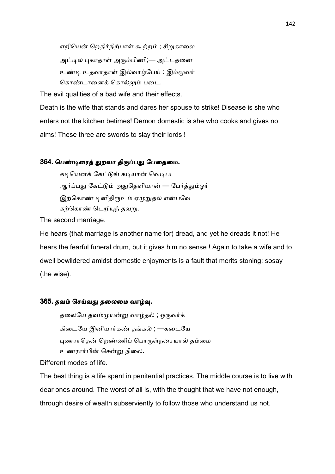எறியென் றெதிர்நிற்பாள் கூற்றம் ; சிறுகாலை அட்டில் புகாதாள் அரும்பிணி;— அட்டதனை உண்டி உதவாதாள் இல்வாழ்பேய் : இம்மூவர் கொண்டானைக் கொல்லும் படை.

The evil qualities of a bad wife and their effects.

Death is the wife that stands and dares her spouse to strike! Disease is she who enters not the kitchen betimes! Demon domestic is she who cooks and gives no alms! These three are swords to slay their lords !

# 364. பெண்டிரைத் துறவா திருப்பது பேதைமை.

கடியெனக் கேட்டுங் கடியான் வெடிபட ஆர்ப்பது கேட்டும் அதுதெளியான் — பேர்த்தும்ஓர் இற்கொண் டினிதிரூஉம் ஏமுறுதல் என்பவே கற்கொண் டெறியுந் தவறு.

The second marriage.

He hears (that marriage is another name for) dread, and yet he dreads it not! He hears the fearful funeral drum, but it gives him no sense ! Again to take a wife and to dwell bewildered amidst domestic enjoyments is a fault that merits stoning; sosay (the wise).

## 365. தவம் செய்வது தலைமை வாழ்வு.

தலையே தவம்முயன்று வாழ்தல் ; ஒருவர்க் கிடையே இனியார்கண் தங்கல் ; —கடையே புணராதென் றெண்ணிப் பொருள்நசையால் தம்மை உணரார்பின் சென்று நிலை.

Different modes of life.

The best thing is a life spent in penitential practices. The middle course is to live with dear ones around. The worst of all is, with the thought that we have not enough, through desire of wealth subserviently to follow those who understand us not.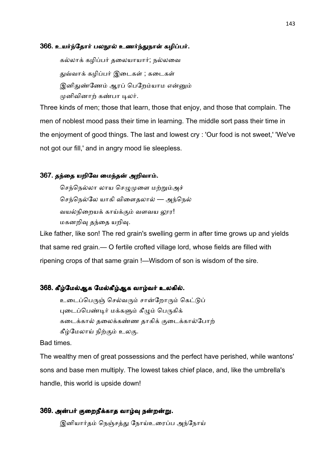#### 366. உயர்ந்தோர் பலநூல் உணர்ந்துநாள் கழிப்பர்.

கல்லாக் கழிப்பர் தலையாயார்; நல்லவை துவ்வாக் கழிப்பர் இடைகள் ; கடைகள் இனிதுண்ணேம் ஆரப் பெறேம்யாம என்னும் முனிவினாற் கண்பா டிலர்.

Three kinds of men; those that learn, those that enjoy, and those that complain. The men of noblest mood pass their time in learning. The middle sort pass their time in the enjoyment of good things. The last and lowest cry : 'Our food is not sweet,' 'We've not got our fill,' and in angry mood lie sleepless.

## 367. தந்தை யறிவே மைந்தன் அறிவாம்.

செந்நெல்லா லாய செழுமுளை மற்றும்அச் செந்நெல்லே யாகி விளைதலால் — அந்நெல் வயல்நிறையக் காய்க்கும் வளவய லார! மகனறிவு தந்தை யறிவு.

Like father, like son! The red grain's swelling germ in after time grows up and yields that same red grain.— O fertile crofted village lord, whose fields are filled with ripening crops of that same grain !—Wisdom of son is wisdom of the sire.

### 368. கீழ்மேல்ஆக மேல்கீழ்ஆக வாழ்வர் உலகில்.

உடைப்பெருஞ் செல்வரும் சான்றோரும் கெட்டுப் புடைப்பெண்டிர் மக்களும் கீழும் பெருகிக் கடைக்கால் தலைக்கண்ண தாகிக் குடைக்கால்போற் கீழ்மேலாய் நிற்கும் உலகு.

# Bad times.

The wealthy men of great possessions and the perfect have perished, while wantons' sons and base men multiply. The lowest takes chief place, and, like the umbrella's handle, this world is upside down!

#### 369. அன்பர் குறைநீக்காத வாழ்வு நன்றன்று.

இனியார்தம் நெஞ்சத்து நோய்உரைப்ப அந்நோய்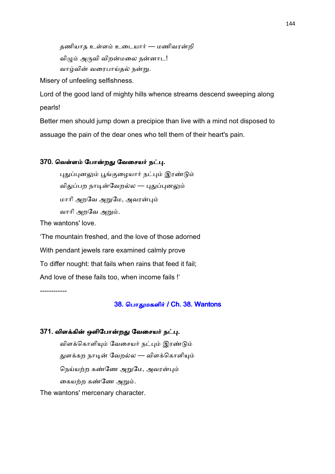தணியாத உள்ளம் உடையார் — மணிவரன்றி

விழும் அருவி விறன்மலை நன்னாட!

வாழ்வின் வரைபாய்தல் நன்று.

Misery of unfeeling selfishness.

Lord of the good land of mighty hills whence streams descend sweeping along pearls!

Better men should jump down a precipice than live with a mind not disposed to assuage the pain of the dear ones who tell them of their heart's pain.

# 370. வெள்ளம் போன்றது வேசையர் நட்பு.

புதுப்புனலும் பூங்குழையார் நட்பும் இரண்டும் விதுப்பற நாடின்வேறல்ல — புதுப்புனலும் மாரி அறவே அறுமே, அவரன்பும் வாரி அறவே அறும்.

The wantons' love.

'The mountain freshed, and the love of those adorned With pendant jewels rare examined calmly prove To differ nought: that fails when rains that feed it fail; And love of these fails too, when income fails !' ------------

38. பொதுமகளிர் / Ch. 38. Wantons

## 371. விளக்கின் ஒளிபோன்றது வேசையர் நட்பு.

விளக்கொளியும் வேசையர் நட்பும் இரண்டும் துளக்கற நாடின் வேறல்ல — விளக்கொளியும் நெய்யற்ற கண்ணே அறுமே, அவரன்பும் கையற்ற கண்ணே அறும்.

The wantons' mercenary character.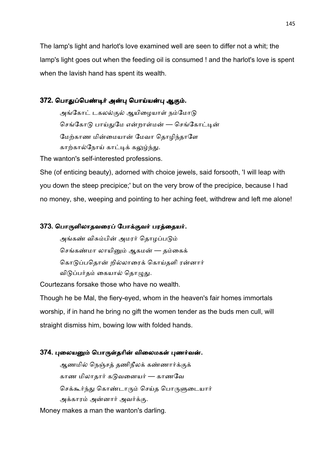The lamp's light and harlot's love examined well are seen to differ not a whit; the lamp's light goes out when the feeding oil is consumed ! and the harlot's love is spent when the lavish hand has spent its wealth.

## 372. பொதுப்பெண்டிர் அன்பு பொய்யன்பு ஆகும்.

அங்கோட் டகலல்குல் ஆயிழையாள் நம்மோடு செங்கோடு பாய்துமே என்றாள்மன் — செங்கோட்டின் மேற்காண மின்மையான் மேவா தொழிந்தாளே காற்கால்நோய் காட்டிக் கலுழ்ந்து.

The wanton's self-interested professions.

She (of enticing beauty), adorned with choice jewels, said forsooth, 'I will leap with you down the steep precipice;' but on the very brow of the precipice, because I had no money, she, weeping and pointing to her aching feet, withdrew and left me alone!

## 373. பொருளிலாதவரைப் போக்குவர் பரத்தையர்.

அங்கண் விசும்பின் அமரர் தொழப்படும் செங்கண்மா லாயினும் ஆகமன் — தம்கைக் கொடுப்பதொன் றில்லாரைக் கொய்தளி ரன்னார் விடுப்பர்தம் கையால் தொழுது.

Courtezans forsake those who have no wealth.

Though he be Mal, the fiery-eyed, whom in the heaven's fair homes immortals worship, if in hand he bring no gift the women tender as the buds men cull, will straight dismiss him, bowing low with folded hands.

## 374. புலையனும் பொருள்தரின் விலைமகள் பணர்வன்.

ஆணமில் நெஞ்சத் தணிநீலக் கண்ணார்க்குக் காண மிலாதார் கடுவனையர் — காணவே செக்கூர்ந்து கொண்டாரும் செய்த பொருளுடையார் அக்காரம் அன்னார் அவர்க்கு.

Money makes a man the wanton's darling.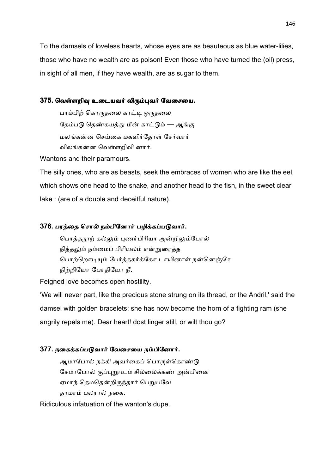To the damsels of loveless hearts, whose eyes are as beauteous as blue water-lilies, those who have no wealth are as poison! Even those who have turned the (oil) press, in sight of all men, if they have wealth, are as sugar to them.

## 375. வெள்ளறிவு உடையவர் விரும்புவர் வேசையை.

பாம்பிற் கொருதலை காட்டி ஒருதலை தேம்படு தெண்கயத்து மீன் காட்டும் — ஆங்கு மலங்கன்ன செய்கை மகளிர்தோள் சேர்வார் விலங்கன்ன வெள்ளறிவி னார்.

Wantons and their paramours.

The silly ones, who are as beasts, seek the embraces of women who are like the eel, which shows one head to the snake, and another head to the fish, in the sweet clear lake : (are of a double and deceitful nature).

## 376. பரத்தை சொல் நம்பினோர் பழிக்கப்படுவார்.

பொத்தநூற் கல்லும் புணர்பிரியா அன்றிலும்போல் நித்தலும் நம்மைப் பிரியலம் என்றுரைத்த பொற்றொடியும் பேர்த்தகர்க்கோ டாயினாள் நன்னெஞ்சே நிற்றியோ போதியோ நீ.

Feigned love becomes open hostility.

'We will never part, like the precious stone strung on its thread, or the Andril,' said the damsel with golden bracelets: she has now become the horn of a fighting ram (she angrily repels me). Dear heart! dost linger still, or wilt thou go?

## 377. நகைக்கப்படுவார் வேசையை நம்பினோர்.

ஆமாபோல் நக்கி அவர்கைப் பொருள்கொண்டு சேமாபோல் குப்புறூஉம் சில்லைக்கண் அன்பினை ஏமாந் தெமதென்றிருந்தார் பெறுபவே தாமாம் பலரால் நகை.

Ridiculous infatuation of the wanton's dupe.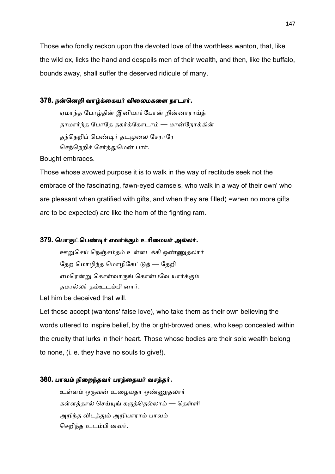Those who fondly reckon upon the devoted love of the worthless wanton, that, like the wild ox, licks the hand and despoils men of their wealth, and then, like the buffalo, bounds away, shall suffer the deserved ridicule of many.

#### 378. நன்னெறி வாழ்க்கையர் விலைமகளை நாடார்.

ஏமாந்த போழ்தின் இனியார்போன் றின்னாராய்க் தாமார்ந்த போதே தகர்க்கோடாம் — மான்நோக்கின் தந்நெறிப் பெண்டிர் தடமுலை சேராரே செந்நெறிச் சேர்த்துமென் பார்.

Bought embraces.

Those whose avowed purpose it is to walk in the way of rectitude seek not the embrace of the fascinating, fawn-eyed damsels, who walk in a way of their own' who are pleasant when gratified with gifts, and when they are filled( =when no more gifts are to be expected) are like the horn of the fighting ram.

### 379. பொருட்பெண்டிர் எவர்க்கும் உரிமையர் அல்லர்.

ஊறுசெய் நெஞ்சம்தம் உள்ளடக்கி ஒண்ணுதலார் தேற மொழிந்த மொழிகேட்டுத் — தேறி எமரென்று கொள்வாருங் கொள்பவே யார்க்கும் தமரல்லர் தம்உடம்பி னார்.

Let him be deceived that will.

Let those accept (wantons' false love), who take them as their own believing the words uttered to inspire belief, by the bright-browed ones, who keep concealed within the cruelty that lurks in their heart. Those whose bodies are their sole wealth belong to none, (i. e. they have no souls to give!).

## 380. பாவம் நிறைந்தவர் பரத்தையர் வசத்தர்.

உள்ளம் ஒருவன் உமையதா ஒண்ணுகலார் கள்ளத்தால் செய்யுங் கருத்தெல்லாம் — தெள்ளி அறிந்த விடத்தும் அறியாராம் பாவம் செறிந்த உடம்பி னவர்.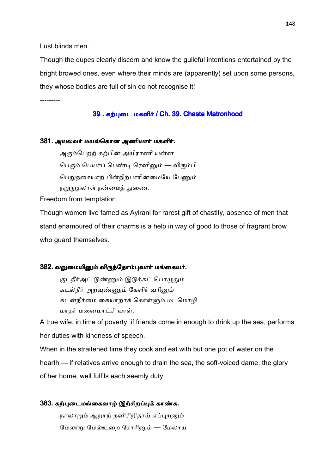Lust blinds men.

Though the dupes clearly discern and know the guileful intentions entertained by the bright browed ones, even where their minds are (apparently) set upon some persons, they whose bodies are full of sin do not recognise it!

---------

#### 39 . கற்புடை மகளிர் / Ch. 39. Chaste Matronhood

#### 381. அயலவர் மயல்கொன அணியார் மகளிர்.

அரும்பெறற் கற்பின் அயிராணி யன்ன பெரும் பெயர்ப் பெண்டி ரெனினும் — விரும்பி பெறுநசையாற் பின்நிற்பாரின்மையே பேணும் நறுநுதலாள் நன்மைத் துணை.

Freedom from temptation.

Though women live famed as Ayirani for rarest gift of chastity, absence of men that stand enamoured of their charms is a help in way of good to those of fragrant brow who guard themselves.

#### 382. வறுமையினும் விருந்தோம்புவார் மங்கையர்.

குடநீர்அட் டுண்ணும் இடுக்கட் பொழுதும் கடல்நீர் அறவுண்ணும் கேளிர் வரினும் கடன்நீர்மை கையாறாக் கொள்ளும் மடமொழி மாதர் மனைமாட்சி யாள்.

A true wife, in time of poverty, if friends come in enough to drink up the sea, performs her duties with kindness of speech.

When in the straitened time they cook and eat with but one pot of water on the hearth,— if relatives arrive enough to drain the sea, the soft-voiced dame, the glory of her home, well fulfils each seemly duty.

# 383. கற்புடைமங்கைவாழ் இற்சிறப்புக் காண்க.

நாலாறும் ஆறாய் நனிசிறிதாய் எப்புறனும் மேலாறு மேல்உறை சோரினும் — மேலாய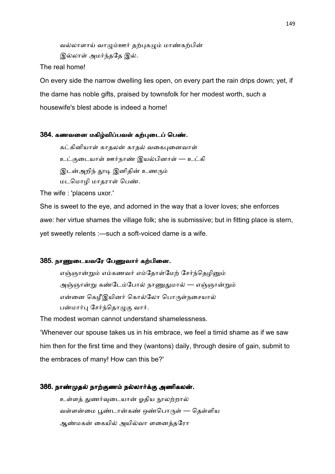வல்லாளாய் வாழும்ஊர் தற்புகழும் மாண்கற்பின் இல்லாள் அமர்ந்ததே இல்.

The real home!

On every side the narrow dwelling lies open, on every part the rain drips down; yet, if the dame has noble gifts, praised by townsfolk for her modest worth, such a housewife's blest abode is indeed a home!

## 384. கணவனை மகிழ்விப்பவள் கற்புடைப் பெண்.

கட்கினியாள் காதலன் காதல் வகைபுனைவாள்

உட்குடையாள் ஊர்நாண் இயல்பினாள் — உட்கி

இடன்அறிந் தூடி இனிதின் உணரும்

மடமொழி மாதராள் பெண்.

The wife : 'placens uxor.'

She is sweet to the eye, and adorned in the way that a lover loves; she enforces awe: her virtue shames the village folk; she is submissive; but in fitting place is stern, yet sweetly relents :—such a soft-voiced dame is a wife.

### 385. நாணுடையவரே பேணுவார் கற்பினை.

எஞ்ஞான்றும் எம்கணவர் எம்தோள்மேற் சேர்ந்தெழினும் அஞ்ஞான்று கண்டேம்போல் நாணுதுமால் — எஞ்ஞான்றும் என்னை கெழீஇயினர் கொல்லோ பொருள்நசையால் பன்மார்பு சேர்ந்தொழுகு வார்.

The modest woman cannot understand shamelessness.

'Whenever our spouse takes us in his embrace, we feel a timid shame as if we saw him then for the first time and they (wantons) daily, through desire of gain, submit to the embraces of many! How can this be?'

## 386. நாண்முதல் நாற்குணம் நல்லார்க்கு அணிகலன்.

உள்ளக் துணர்வுடையான் ஒதிய நூலற்றால் வள்ளன்மை பூண்டான்கண் ஒண்பொருள் — தெள்ளிய ஆண்மகன் கையில் அயில்வா ளனைத்தரோ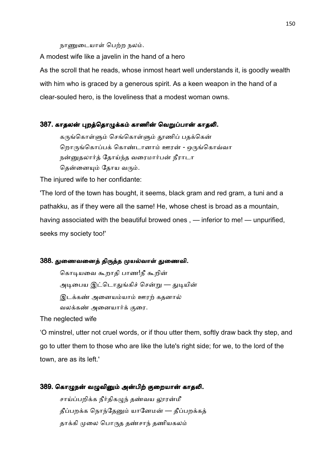நாணுடையாள் பெற்ற நலம்.

A modest wife like a javelin in the hand of a hero

As the scroll that he reads, whose inmost heart well understands it, is goodly wealth with him who is graced by a generous spirit. As a keen weapon in the hand of a clear-souled hero, is the loveliness that a modest woman owns.

#### 387. காதலன் புறத்தொழுக்கம் காணின் வெறுப்பான் காதலி.

கருங்கொள்ளும் செங்கொள்ளும் தூணிப் பதக்கென் றொருங்கொப்பக் கொண்டானாம் ஊரன் - ஒருங்கொவ்வா நன்னுதலார்த் தோய்ந்த வரைமார்பன் நீராடா தென்னையும் தோய வரும்.

The injured wife to her confidante:

'The lord of the town has bought, it seems, black gram and red gram, a tuni and a pathakku, as if they were all the same! He, whose chest is broad as a mountain, having associated with the beautiful browed ones , — inferior to me! — unpurified, seeks my society too!'

#### 388. துணைவனைத் திருத்த முயல்வாள் துணைவி.

கொடியவை கூறாதி பாண!நீ கூறின் அடிபைய இட்டொதுங்கிச் சென்று — துடியின் இடக்கண் அனையம்யாம் ஊரற் கதனால் வலக்கண் அனையார்க் குரை.

The neglected wife

'O minstrel, utter not cruel words, or if thou utter them, softly draw back thy step, and go to utter them to those who are like the lute's right side; for we, to the lord of the town, are as its left.'

#### 389. கொழுநன் வழுவினும் அன்பிற் குறையான் காதலி.

சாய்ப்பறிக்க நீர்திகமுந் தண்வய லாரன்மீ தீப்பறக்க நொந்தேனும் யானேமன் — தீப்பறக்கத் தாக்கி முலை பொருத தண்சாந் தணியகலம்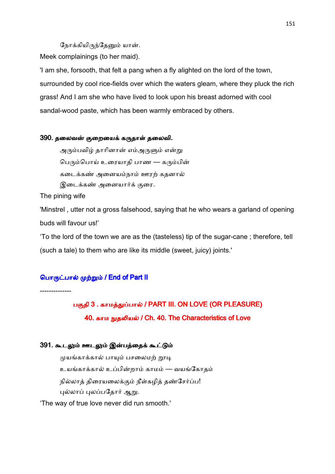நோக்கியிருந்தேனும் யான்.

Meek complainings (to her maid).

'I am she, forsooth, that felt a pang when a fly alighted on the lord of the town, surrounded by cool rice-fields over which the waters gleam, where they pluck the rich grass! And I am she who have lived to look upon his breast adorned with cool sandal-wood paste, which has been warmly embraced by others.

#### 390. தலைவன் குறையைக் கருதாள் தலைவி.

அரும்பவிழ் தாரினான் எம்அருளும் என்று பெரும்பொய் உரையாதி பாண — கரும்பின் கடைக்கண் அனையம்நாம் ஊரற் கதனால் இடைக்கண் அனையார்க் குரை.

The pining wife

'Minstrel , utter not a gross falsehood, saying that he who wears a garland of opening buds will favour us!'

'To the lord of the town we are as the (tasteless) tip of the sugar-cane ; therefore, tell (such a tale) to them who are like its middle (sweet, juicy) joints.'

## பொருட்பால் முற்றும் / End of Part II

--------------

பகுதி 3 . காமத்துப்பால் / PART III. ON LOVE (OR PLEASURE) 40. காம நுதலியல் / Ch. 40. The Characteristics of Love

### 391. கூடலும் ஊடலும் இன்பத்தைக் கூட்டும்

முயங்காக்கால் பாயும் பசலைமற் றூடி உயங்காக்கால் உப்பின்றாம் காமம் — வயங்கோதம் நில்லாத் திரையலைக்கும் நீள்கமித் தண்சேர்ப்ப! புல்லாப் புலப்பதோர் ஆறு.

'The way of true love never did run smooth.'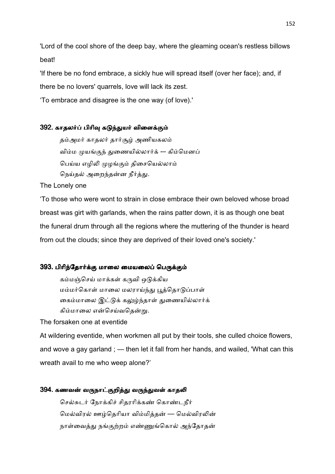'Lord of the cool shore of the deep bay, where the gleaming ocean's restless billows beat!

'If there be no fond embrace, a sickly hue will spread itself (over her face); and, if there be no lovers' quarrels, love will lack its zest.

'To embrace and disagree is the one way (of love).'

## 392. காதலர்ப் பிரிவு கடுந்துயர் விளைக்கும்

தம்அமர் காதலர் தார்சூழ் அணியகலம் விம்ம முயங்குந் துணையில்லார்க் -– கிம்மெனப் பெய்ய எழிலி முழங்கும் திசையெல்லாம் நெய்தல் அறைந்தன்ன நீர்த்து.

The Lonely one

'To those who were wont to strain in close embrace their own beloved whose broad breast was girt with garlands, when the rains patter down, it is as though one beat the funeral drum through all the regions where the muttering of the thunder is heard from out the clouds; since they are deprived of their loved one's society.'

### 393. பிரிந்தோர்க்கு மாலை மையலைப் பெருக்கும்

கம்மஞ்செய் மாக்கள் கருவி ஒடுக்கிய மம்மர்கொள் மாலை மலராய்ந்து பூத்தொடுப்பாள் கைம்மாலை இட்டுக் கலுழ்ந்தாள் துணையில்லார்க் கிம்மாலை என்செய்வதென்று.

The forsaken one at eventide

At wildering eventide, when workmen all put by their tools, she culled choice flowers, and wove a gay garland ; — then let it fall from her hands, and wailed, 'What can this wreath avail to me who weep alone?'

### 394. கணவன் வருநாட்குறித்து வருந்துவள் காதலி

செல்சுடர் நோக்கிச் சிதரரிக்கண் கொண்டநீர் மெல்விரல் ஊழ்தெரியா விம்மித்தன் — மெல்விரலின் நாள்வைத்து நங்குற்றம் எண்ணுங்கொல் அந்தோதன்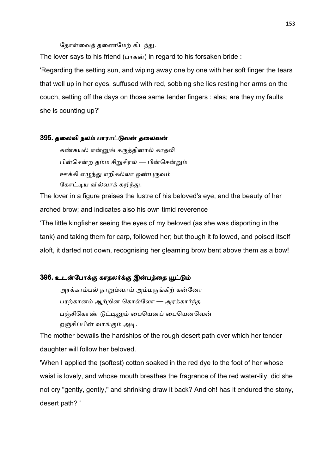#### தோள்வைத் தணைமேற் கிடந்து.

The lover says to his friend ( $\mu$ ாகன்) in regard to his forsaken bride : 'Regarding the setting sun, and wiping away one by one with her soft finger the tears that well up in her eyes, suffused with red, sobbing she lies resting her arms on the couch, setting off the days on those same tender fingers : alas; are they my faults she is counting up?'

#### 395. தலைவி நலம் பாராட்டுவன் தலைவன்

கண்கயல் என்னுங் கருத்தினால் காதலி பின்சென்ற தம்ம சிறுசிரல் — பின்சென்றும் ஊக்கி எழுந்து எறிகல்லா ஒண்புருவம் கோட்டிய வில்வாக் கறிந்து.

The lover in a figure praises the lustre of his beloved's eye, and the beauty of her arched brow; and indicates also his own timid reverence

'The little kingfisher seeing the eyes of my beloved (as she was disporting in the tank) and taking them for carp, followed her; but though it followed, and poised itself aloft, it darted not down, recognising her gleaming brow bent above them as a bow!

## 396. உடன்போக்கு காதலர்க்கு இன்பத்தை யூட்டும்

அரக்காம்பல் நாறும்வாய் அம்மருங்கிற் கன்னோ பரற்கானம் ஆற்றின கொல்லோ — அரக்கார்ந்த பஞ்சிகொண் டூட்டினும் பையெனப் பையெனவென் றஞ்சிப்பின் வாங்கும் அடி.

The mother bewails the hardships of the rough desert path over which her tender daughter will follow her beloved.

'When I applied the (softest) cotton soaked in the red dye to the foot of her whose waist is lovely, and whose mouth breathes the fragrance of the red water-lily, did she not cry "gently, gently," and shrinking draw it back? And oh! has it endured the stony, desert path? '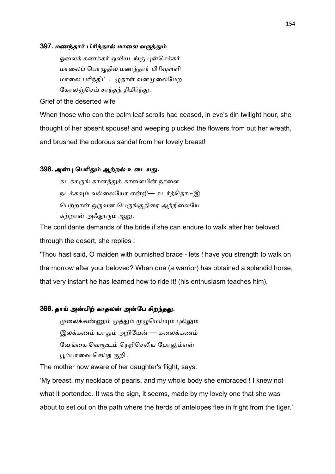#### 397. மணந்தார் பிரிந்தால் மாலை வருத்தும்

ஓலைக் கணக்கர் ஒலியடங்கு புன்செக்கர் மாலைப் பொமுதில் மணந்தார் பிரிவுள்ளி மாலை பரிந்திட் டழுதாள் வனமுலைமேற கோலஞ்செய் சாந்தந் திமிர்ந்து.

Grief of the deserted wife

When those who con the palm leaf scrolls had ceased, in eve's din twilight hour, she thought of her absent spouse! and weeping plucked the flowers from out her wreath, and brushed the odorous sandal from her lovely breast!

## 398. அன்பு பெரிதும் ஆற்றல் உடையது.

கடக்கருங் கானத்துக் காளைபின் நாளை நடக்கவும் வல்லையோ என்றி— சுடர்த்தொடீஇ பெற்றான் ஒருவன பெருங்குதிரை அந்நிலையே கற்றான் அஃதூரும் ஆறு.

The confidante demands of the bride if she can endure to walk after her beloved through the desert, she replies :

'Thou hast said, O maiden with burnished brace - lets ! have you strength to walk on the morrow after your beloved? When one (a warrior) has obtained a splendid horse, that very instant he has learned how to ride it! (his enthusiasm teaches him).

## 399. தாய் அன்பிற் காதலன் அன்பே சிறந்தது.

முலைக்கண்ணும் முத்தும் முழுமெய்யும் புல்லும் இலக்கணம் யாதும் அறியேன் — கலைக்கணம் வேங்கை வெரூஉம் நெறிசெலிய போலும்என் பூம்பாவை செய்த குறி .

The mother now aware of her daughter's flight, says:

'My breast, my necklace of pearls, and my whole body she embraced ! I knew not what it portended. It was the sign, it seems, made by my lovely one that she was about to set out on the path where the herds of antelopes flee in fright from the tiger.'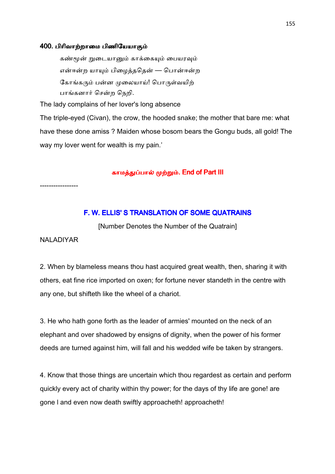#### 400. பிரிவாற்றாமை பிணியேயாகும்

கண்மூன் றுடையானும் காக்கையும் பையரவும் என்ஈன்ற யாயும் பிழைத்ததென் — பொன்ஈன்ற கோங்கரும் பன்ன முலையாய்! பொருள்வயிற் பாங்கனார் சென்ற நெறி.

The lady complains of her lover's long absence

The triple-eyed (Civan), the crow, the hooded snake; the mother that bare me: what have these done amiss ? Maiden whose bosom bears the Gongu buds, all gold! The way my lover went for wealth is my pain.'

#### காமத்துப்பால் முற்றும். End of Part III

-----------------

## F. W. ELLIS'S TRANSLATION OF SOME QUATRAINS

[Number Denotes the Number of the Quatrain]

### NALADIYAR

2. When by blameless means thou hast acquired great wealth, then, sharing it with others, eat fine rice imported on oxen; for fortune never standeth in the centre with any one, but shifteth like the wheel of a chariot.

3. He who hath gone forth as the leader of armies' mounted on the neck of an elephant and over shadowed by ensigns of dignity, when the power of his former deeds are turned against him, will fall and his wedded wife be taken by strangers.

4. Know that those things are uncertain which thou regardest as certain and perform quickly every act of charity within thy power; for the days of thy life are gone! are gone l and even now death swiftly approacheth! approacheth!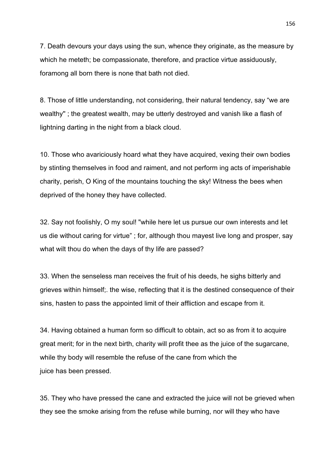7. Death devours your days using the sun, whence they originate, as the measure by which he meteth; be compassionate, therefore, and practice virtue assiduously, foramong all born there is none that bath not died.

8. Those of little understanding, not considering, their natural tendency, say "we are wealthy'' ; the greatest wealth, may be utterly destroyed and vanish like a flash of lightning darting in the night from a black cloud.

10. Those who avariciously hoard what they have acquired, vexing their own bodies by stinting themselves in food and raiment, and not perform ing acts of imperishable charity, perish, O King of the mountains touching the sky! Witness the bees when deprived of the honey they have collected.

32. Say not foolishly, O my soul! "while here let us pursue our own interests and let us die without caring for virtue" ; for, although thou mayest live long and prosper, say what wilt thou do when the days of thy life are passed?

33. When the senseless man receives the fruit of his deeds, he sighs bitterly and grieves within himself;. the wise, reflecting that it is the destined consequence of their sins, hasten to pass the appointed limit of their affliction and escape from it.

34. Having obtained a human form so difficult to obtain, act so as from it to acquire great merit; for in the next birth, charity will profit thee as the juice of the sugarcane, while thy body will resemble the refuse of the cane from which the juice has been pressed.

35. They who have pressed the cane and extracted the juice will not be grieved when they see the smoke arising from the refuse while burning, nor will they who have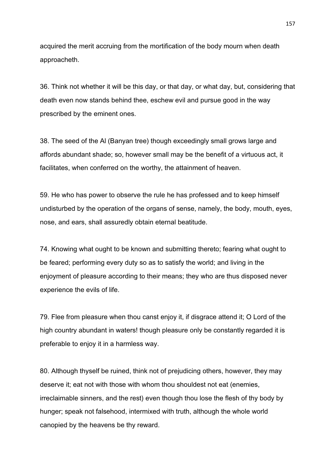acquired the merit accruing from the mortification of the body mourn when death approacheth.

36. Think not whether it will be this day, or that day, or what day, but, considering that death even now stands behind thee, eschew evil and pursue good in the way prescribed by the eminent ones.

38. The seed of the Al (Banyan tree) though exceedingly small grows large and affords abundant shade; so, however small may be the benefit of a virtuous act, it facilitates, when conferred on the worthy, the attainment of heaven.

59. He who has power to observe the rule he has professed and to keep himself undisturbed by the operation of the organs of sense, namely, the body, mouth, eyes, nose, and ears, shall assuredly obtain eternal beatitude.

74. Knowing what ought to be known and submitting thereto; fearing what ought to be feared; performing every duty so as to satisfy the world; and living in the enjoyment of pleasure according to their means; they who are thus disposed never experience the evils of life.

79. Flee from pleasure when thou canst enjoy it, if disgrace attend it; O Lord of the high country abundant in waters! though pleasure only be constantly regarded it is preferable to enjoy it in a harmless way.

80. Although thyself be ruined, think not of prejudicing others, however, they may deserve it; eat not with those with whom thou shouldest not eat (enemies, irreclaimable sinners, and the rest) even though thou lose the flesh of thy body by hunger; speak not falsehood, intermixed with truth, although the whole world canopied by the heavens be thy reward.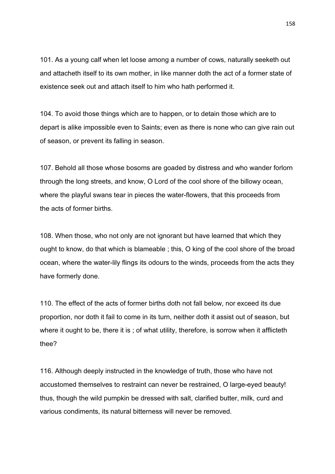101. As a young calf when let loose among a number of cows, naturally seeketh out and attacheth itself to its own mother, in like manner doth the act of a former state of existence seek out and attach itself to him who hath performed it.

104. To avoid those things which are to happen, or to detain those which are to depart is alike impossible even to Saints; even as there is none who can give rain out of season, or prevent its falling in season.

107. Behold all those whose bosoms are goaded by distress and who wander forlorn through the long streets, and know, O Lord of the cool shore of the billowy ocean, where the playful swans tear in pieces the water-flowers, that this proceeds from the acts of former births.

108. When those, who not only are not ignorant but have learned that which they ought to know, do that which is blameable ; this, O king of the cool shore of the broad ocean, where the water-lily flings its odours to the winds, proceeds from the acts they have formerly done.

110. The effect of the acts of former births doth not fall below, nor exceed its due proportion, nor doth it fail to come in its turn, neither doth it assist out of season, but where it ought to be, there it is ; of what utility, therefore, is sorrow when it afflicteth thee?

116. Although deeply instructed in the knowledge of truth, those who have not accustomed themselves to restraint can never be restrained, O large-eyed beauty! thus, though the wild pumpkin be dressed with salt, clarified butter, milk, curd and various condiments, its natural bitterness will never be removed.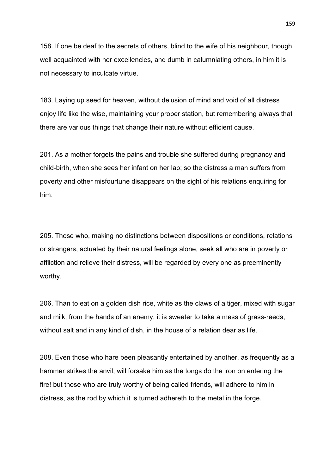158. If one be deaf to the secrets of others, blind to the wife of his neighbour, though well acquainted with her excellencies, and dumb in calumniating others, in him it is not necessary to inculcate virtue.

183. Laying up seed for heaven, without delusion of mind and void of all distress enjoy life like the wise, maintaining your proper station, but remembering always that there are various things that change their nature without efficient cause.

201. As a mother forgets the pains and trouble she suffered during pregnancy and child-birth, when she sees her infant on her lap; so the distress a man suffers from poverty and other misfourtune disappears on the sight of his relations enquiring for him.

205. Those who, making no distinctions between dispositions or conditions, relations or strangers, actuated by their natural feelings alone, seek all who are in poverty or affliction and relieve their distress, will be regarded by every one as preeminently worthy.

206. Than to eat on a golden dish rice, white as the claws of a tiger, mixed with sugar and milk, from the hands of an enemy, it is sweeter to take a mess of grass-reeds, without salt and in any kind of dish, in the house of a relation dear as life.

208. Even those who hare been pleasantly entertained by another, as frequently as a hammer strikes the anvil, will forsake him as the tongs do the iron on entering the fire! but those who are truly worthy of being called friends, will adhere to him in distress, as the rod by which it is turned adhereth to the metal in the forge.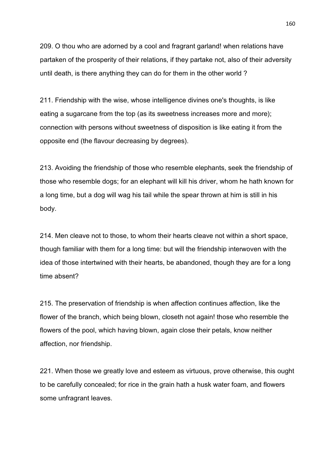209. O thou who are adorned by a cool and fragrant garland! when relations have partaken of the prosperity of their relations, if they partake not, also of their adversity until death, is there anything they can do for them in the other world ?

211. Friendship with the wise, whose intelligence divines one's thoughts, is like eating a sugarcane from the top (as its sweetness increases more and more); connection with persons without sweetness of disposition is like eating it from the opposite end (the flavour decreasing by degrees).

213. Avoiding the friendship of those who resemble elephants, seek the friendship of those who resemble dogs; for an elephant will kill his driver, whom he hath known for a long time, but a dog will wag his tail while the spear thrown at him is still in his body.

214. Men cleave not to those, to whom their hearts cleave not within a short space, though familiar with them for a long time: but will the friendship interwoven with the idea of those intertwined with their hearts, be abandoned, though they are for a long time absent?

215. The preservation of friendship is when affection continues affection, like the flower of the branch, which being blown, closeth not again! those who resemble the flowers of the pool, which having blown, again close their petals, know neither affection, nor friendship.

221. When those we greatly love and esteem as virtuous, prove otherwise, this ought to be carefully concealed; for rice in the grain hath a husk water foam, and flowers some unfragrant leaves.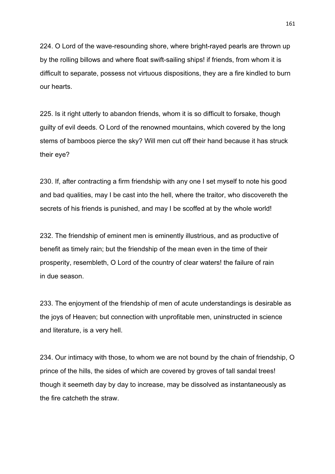224. O Lord of the wave-resounding shore, where bright-rayed pearls are thrown up by the rolling billows and where float swift-sailing ships! if friends, from whom it is difficult to separate, possess not virtuous dispositions, they are a fire kindled to burn our hearts.

225. Is it right utterly to abandon friends, whom it is so difficult to forsake, though guilty of evil deeds. O Lord of the renowned mountains, which covered by the long stems of bamboos pierce the sky? Will men cut off their hand because it has struck their eye?

230. If, after contracting a firm friendship with any one I set myself to note his good and bad qualities, may I be cast into the hell, where the traitor, who discovereth the secrets of his friends is punished, and may I be scoffed at by the whole world!

232. The friendship of eminent men is eminently illustrious, and as productive of benefit as timely rain; but the friendship of the mean even in the time of their prosperity, resembleth, O Lord of the country of clear waters! the failure of rain in due season.

233. The enjoyment of the friendship of men of acute understandings is desirable as the joys of Heaven; but connection with unprofitable men, uninstructed in science and literature, is a very hell.

234. Our intimacy with those, to whom we are not bound by the chain of friendship, O prince of the hills, the sides of which are covered by groves of tall sandal trees! though it seemeth day by day to increase, may be dissolved as instantaneously as the fire catcheth the straw.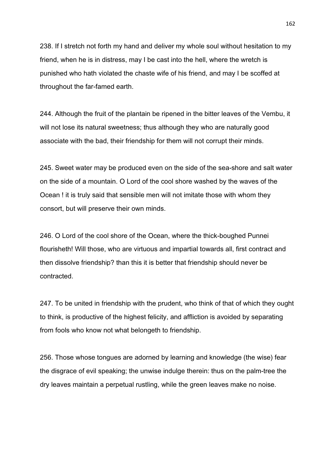238. If I stretch not forth my hand and deliver my whole soul without hesitation to my friend, when he is in distress, may I be cast into the hell, where the wretch is punished who hath violated the chaste wife of his friend, and may I be scoffed at throughout the far-famed earth.

244. Although the fruit of the plantain be ripened in the bitter leaves of the Vembu, it will not lose its natural sweetness; thus although they who are naturally good associate with the bad, their friendship for them will not corrupt their minds.

245. Sweet water may be produced even on the side of the sea-shore and salt water on the side of a mountain. O Lord of the cool shore washed by the waves of the Ocean ! it is truly said that sensible men will not imitate those with whom they consort, but will preserve their own minds.

246. O Lord of the cool shore of the Ocean, where the thick-boughed Punnei flourisheth! Will those, who are virtuous and impartial towards all, first contract and then dissolve friendship? than this it is better that friendship should never be contracted.

247. To be united in friendship with the prudent, who think of that of which they ought to think, is productive of the highest felicity, and affliction is avoided by separating from fools who know not what belongeth to friendship.

256. Those whose tongues are adorned by learning and knowledge (the wise) fear the disgrace of evil speaking; the unwise indulge therein: thus on the palm-tree the dry leaves maintain a perpetual rustling, while the green leaves make no noise.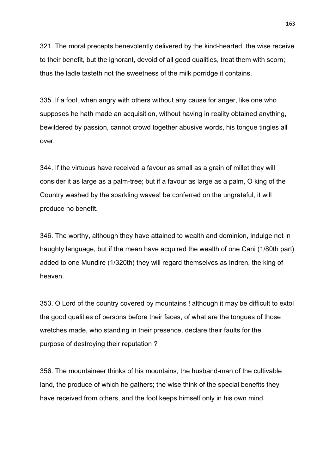321. The moral precepts benevolently delivered by the kind-hearted, the wise receive to their benefit, but the ignorant, devoid of all good qualities, treat them with scorn; thus the ladle tasteth not the sweetness of the milk porridge it contains.

335. If a fool, when angry with others without any cause for anger, like one who supposes he hath made an acquisition, without having in reality obtained anything, bewildered by passion, cannot crowd together abusive words, his tongue tingles all over.

344. If the virtuous have received a favour as small as a grain of millet they will consider it as large as a palm-tree; but if a favour as large as a palm, O king of the Country washed by the sparkling waves! be conferred on the ungrateful, it will produce no benefit.

346. The worthy, although they have attained to wealth and dominion, indulge not in haughty language, but if the mean have acquired the wealth of one Cani (1/80th part) added to one Mundire (1/320th) they will regard themselves as Indren, the king of heaven.

353. O Lord of the country covered by mountains ! although it may be difficult to extol the good qualities of persons before their faces, of what are the tongues of those wretches made, who standing in their presence, declare their faults for the purpose of destroying their reputation ?

356. The mountaineer thinks of his mountains, the husband-man of the cultivable land, the produce of which he gathers; the wise think of the special benefits they have received from others, and the fool keeps himself only in his own mind.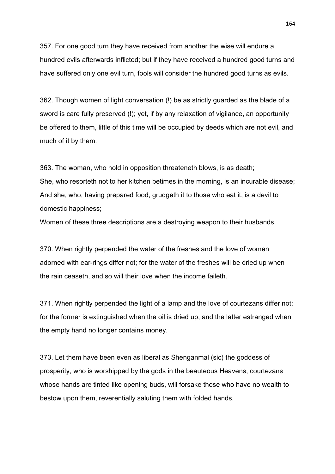357. For one good turn they have received from another the wise will endure a hundred evils afterwards inflicted; but if they have received a hundred good turns and have suffered only one evil turn, fools will consider the hundred good turns as evils.

362. Though women of light conversation (!) be as strictly guarded as the blade of a sword is care fully preserved (!); yet, if by any relaxation of vigilance, an opportunity be offered to them, little of this time will be occupied by deeds which are not evil, and much of it by them.

363. The woman, who hold in opposition threateneth blows, is as death; She, who resorteth not to her kitchen betimes in the morning, is an incurable disease; And she, who, having prepared food, grudgeth it to those who eat it, is a devil to domestic happiness;

Women of these three descriptions are a destroying weapon to their husbands.

370. When rightly perpended the water of the freshes and the love of women adorned with ear-rings differ not; for the water of the freshes will be dried up when the rain ceaseth, and so will their love when the income faileth.

371. When rightly perpended the light of a lamp and the love of courtezans differ not; for the former is extinguished when the oil is dried up, and the latter estranged when the empty hand no longer contains money.

373. Let them have been even as liberal as Shenganmal (sic) the goddess of prosperity, who is worshipped by the gods in the beauteous Heavens, courtezans whose hands are tinted like opening buds, will forsake those who have no wealth to bestow upon them, reverentially saluting them with folded hands.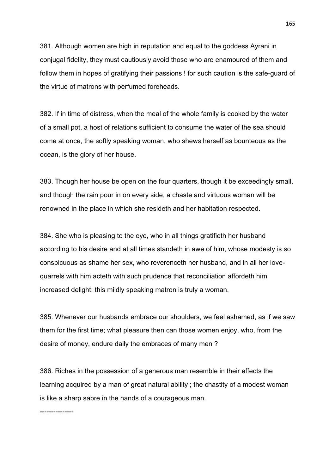381. Although women are high in reputation and equal to the goddess Ayrani in conjugal fidelity, they must cautiously avoid those who are enamoured of them and follow them in hopes of gratifying their passions ! for such caution is the safe-guard of the virtue of matrons with perfumed foreheads.

382. If in time of distress, when the meal of the whole family is cooked by the water of a small pot, a host of relations sufficient to consume the water of the sea should come at once, the softly speaking woman, who shews herself as bounteous as the ocean, is the glory of her house.

383. Though her house be open on the four quarters, though it be exceedingly small, and though the rain pour in on every side, a chaste and virtuous woman will be renowned in the place in which she resideth and her habitation respected.

384. She who is pleasing to the eye, who in all things gratifieth her husband according to his desire and at all times standeth in awe of him, whose modesty is so conspicuous as shame her sex, who reverenceth her husband, and in all her lovequarrels with him acteth with such prudence that reconciliation affordeth him increased delight; this mildly speaking matron is truly a woman.

385. Whenever our husbands embrace our shoulders, we feel ashamed, as if we saw them for the first time; what pleasure then can those women enjoy, who, from the desire of money, endure daily the embraces of many men ?

386. Riches in the possession of a generous man resemble in their effects the learning acquired by a man of great natural ability ; the chastity of a modest woman is like a sharp sabre in the hands of a courageous man.

---------------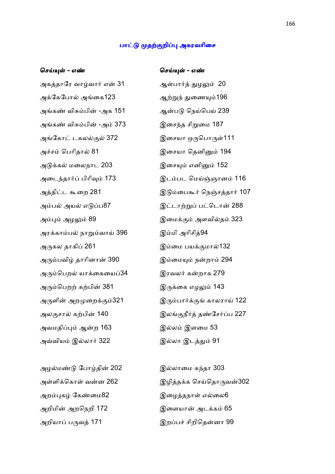#### பாட்டு முதற்குறிப்பு அகரவரிசை

## ெச4? - எ1 ெச4? - எ1

அகத்தாரே வாழ்வார் என் 31 கூட ஆள்பார்த் துழலும் 20 அேகேபா அைக123 ஆ!\* 2ைண5196 அங்கண் விசும்பின் -அக 151 ஆன்படு நெய்பெய் 239 அங்கண் விசும்பின் -அம் 373 இசைந்த சிறுமை 187 அங்கோட் டகலல்குல் 372 இசையா ஒருபொருள்111 அச்சம் பெரிதால் 81 குரை இசையா தெனினும் 194 அடுக்கல் மலைநாட 203 குரையும் எனினும் 152 அடைந்தார்ப் பிரிவும் 173 இடம்பட மெய்ஞ்ஞானம் 116 அம்பல் அயல் எடுப்ப87 இட்டாற்றுப் பட்டொன் 288 அ8 அழ 89 இைம
 அளவித 323 அரக்காம்பல் நாறும்வாய் 396 இம்மி அரிசித்94 அ1கல தாகி0 261 இைம பய
மா132 அரும்பவிழ் தாரினான் 390 கையில் இம்மையும் நன்றாம் 294 அரும்பெறல் யாக்கையைப்34 இரவலர் கன்றாக 279 அரும்பெறற் கற்பின் 381 இருக்கை எழலும் 143 அருளின் அறமுறைக்கும்321 இரும்பார்க்குங் காலராய் 122 அலகுசால் கற்பின் 140 இலங்குநீர்த் தண்சேர்ப்ப 227 அவமதிப்பும் ஆன்ற 163 கால இல்லம் இளமை 53 அLவிய இலா# 322 இலா இட2 91

அழல்மண்டு போழ்தின் 202 கால இல்லாமை கந்தா 303 அறம்புகழ் கேண்மை82 இழைத்தநாள் எல்லை6 அறிமின் அறநெறி 172 இளையான் அடக்கம் 65

அத்திட்ட கூறை 281 இடும்பைகூர் நெஞ்சத்தார் 107

அள்ளிக்கொள் வன்ன 262 கை இழித்தக்க செய்தொருவன்302 அறியாப் பருவக் 171 மான மறையில் இறப்பச் சிறிகென்னா 99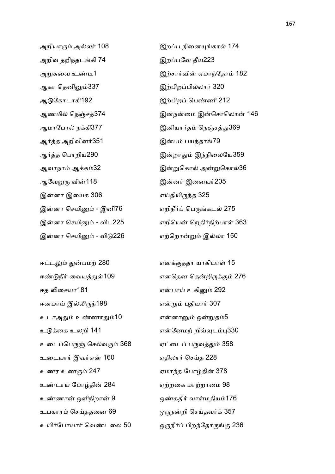அறியாரும் அல்லர் 108 இறப்ப நினையுங்கால் 174 அறிவ தறிந்தடங்கி 74 கால இறப்பவே தீய223 ஆகா ெதனிC337 இ!பிற0பிலா# 320 ஆேகாடாகி192 இ!பிற0 ெபணி 212 ஆர்த்த அறிவினர்351 காரண இன்பம் பயந்தாங்79 ஆவேறுரு வின்118 மான முன்னர் இனையர்205 இன்னா இயைக 306 எய்தியிருந்த 325 இன்னா செயினும் - இனி76 எறிநீர்ப் பெருங்கடல் 275 இன்னா செயினும் - விடு226 எற்றொன்றும் இல்லா 150

ஈண்டுநீர் வையத்துள்109 எனதென தென்றிருக்கும் 276 ஈத லிசையா181 மால் மான் என்பாய் உகினும் 292 ஈனமாய் இல்லிருந்198 என்றும் புதியார் 307 உடாஅதும் உண்ணாதும்10 என்னானும் ஒன்றுதம்5 உடுக்கை உலறி 141 மார்க்கிய வான்னேமற் றிவ்வுடம்பு330 உடைப்பெருஞ் செல்வரும் 368 ஏட்டைப் பருவத்தும் 358 உடையார் இவர்என் 160 எதிலார் செய்த 228 உணர உணரும் 247 ஏமாந்த போழ்தின் 378 உண்டாய போழ்தின் 284 எற்றகை மாற்றாமை 98 உண்ணான் ஒளிநிறான் 9 ஒண்கதிர் வாள்மதியம்176 உபகாரம் செய்ததனை 69 ஒருநன்றி செய்தவர்க் 357

அ:ைவ உ71 இ!சா#வி ஏமா\*ேதா 182 ஆணமில் நெஞ்சத்374 இனநன்மை இன்சொலொன் 146 ஆமாேபா நகி377 இனியா#த ெந9ச2369 ஆர்த்த பொறிய290 மான முறை இன்றாதும் இந்நிலையே359 ஆவாநாம் ஆக்கம்32 இன்றுகொல் அன்றுகொல்36 இன்னா செயினும் - விட225 வார் வெறியன் றெதிர்நிற்பாள் 363

ஈட்டலும் துன்பமற் 280 எனக்குத்தா யாகியாள் 15 உயிர்போயார் வெண்டலை 50 ஒருநீர்ப் பிறந்தோருங்கு 236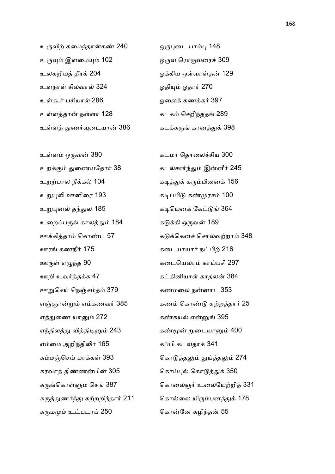உருவிற் கமைந்தான்கண் 240 ஒருபுடை பாம்பு 148 உருவும் இளமையும் 102 மாவை ஒருவ ரொருவரைச் 309 உலகறியத் தீரக் 204 மாவை உலகிய ஒள்வாள்தன் 129 உளநாள் சிலவால் 324 ஆதியும் ஓதார் 270 உ\$<# பசியா 286 ஓைல கணக# 397 உள்ளத்தான் நள்ளா 128 கடை கடகம் செறிந்ததங் 289 உள்ளத் துணர்வுடையான் 386 கடக்கருங் கானத்துக் 398

உறக்கும் துணையதோர் 38 கடல்சார்ந்தும் இன்னீர் 245 உற!பால நீக 104 க72 க1பிைன 156 உறுபுலி ஊனிரை 193 கால கடிப்பிடு கண்முரசம் 100 உறுபுனல் தந்துல 185 காரணை கடியெனக் கேட்டுங் 364 உைற0ப1 கால2 184 ககி ஒ1வ 189 ஊரங் கணநீர் 175 கையாயார் நட்பிற் 216 ஊருள் எழுந்த 90 கைடையெலாம் காய்பசி 297 ஊறி உவ#தக 47 க;கினியா\$ காதல 384 ஊறுசெய் நெஞ்சம்தம் 379 கணமலை நன்னாட 353 எத்துணை யானும் 272 கண்கயல் என்னுங் 395 எந்நிலத்து வித்திடினும் 243 கண்மூன் றுடையானும் 400 எைம அறி\*தி4# 165 க0பி கடவதா 341 கரவாத திணபி 305 ெகா)8 ெகா2 350 கருமமும் உட்படாப் 250 மான கொன்னே கழிந்தன் 55

உள்ளம் ஒருவன் 380 கடை கடமா தொலைச்சிய 300 ஊக்கித்தாம் கொண்ட 57 கூடுக்கெனச் சொல்வற்றாம் 348 எஞ்ஞான்றும் எம்கணவர் 385 கணம் கொண்டு சுற்றத்தார் 25 கம்மஞ்செய் மாக்கள் 393 காடுத்தலும் துய்த்தலும் 274 க1ெகா\$E ெச 387 ெகாைலஞ# உைலேய!றி 331 கருத்துணர்ந்து கற்றறிந்தார் 211 கொல்லை யிரும்புனத்துக் 178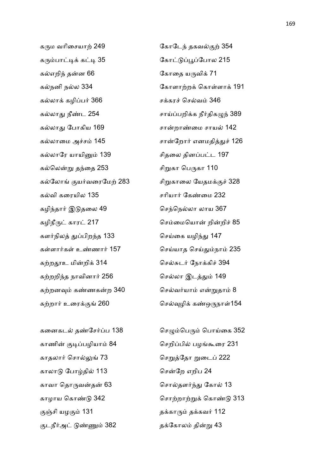கரும வரிசையாற் 249 மான முகாடேந் தகவல்குற் 354 கரும்பாட்டிக் கட்டி 35 காட்டுப்பூப்போல 215 கல்எறிந் தன்ன 66 முடி கொதை யருவிக் 71 கலா கழி0ப# 366 சகர ெசவ 346 கலா2 நீட 254 சா)0பறிக நீ#திகI\* 389 கல்லாது போகிய 169 கான் சான்றாண்மை சாயல் 142 கல்லாரே யாயினும் 139 சிதலை தினப்பட்ட 197 கல்லென்று தந்தை 253 சிறுகா பெருகா 110 கல்லோங் குயர்வரைமேற் 283 சிறுகாலை யேதமக்குச் 328 கல்வி கரையில 135 காரண சரியார் கேண்மை 232 கழிந்தார் இடுதலை 49 மான மிசந்நெல்லா லாய 367 கழிநீ1; கார; 217 ெசைமெயா றிறி 85 களர்நிலத் துப்பிறந்த 133 கார் மிசய்கை யழிந்து 147 கள்ளார்கள் உண்ணார் 157 கால செய்யாத செய்தும்நாம் 235 க!ற6உ மிறி 314 ெச:ட# ேநாகி 394 கற்றறிந்த நாவினார் 256 கால செல்லா இடத்தும் 149 கற்றனவும் கண்ணகன்ற 340 கல்வர்யாம் என்றுதாம் 8 க!றா# உைர
 260 ெச+ழி கஒ1நா\$154

காணின் குடிப்பழியாம் 84 செறிப்பில் பழங்கூரை 231 காதலார் சொல்லுங் 73 கார் மிசறுத்தோ றுடைப் 222 காலா ேபா3தி 113 ெசேற எறிப 24 காவா தொருவன்தன் 63 கால் தொல்தளர்ந்து கோல் 13 9சி யழ
 131 தகா1 தகவ# 112 குடநீர்அட் டுண்ணும் 382 கை தக்கோலம் தின்று 43

கல்நனி நல்ல 334 ் பார்க்கி கோளாற்றக் கொள்ளாக் 191 கலாைம அச 145 சாேறா# எனமதி2 126

கனைகடல் தண்சேர்ப்ப 138 கேழும்பெரும் பொய்கை 352 காழாய ெகா 342 ெசா!றா! ெகா 313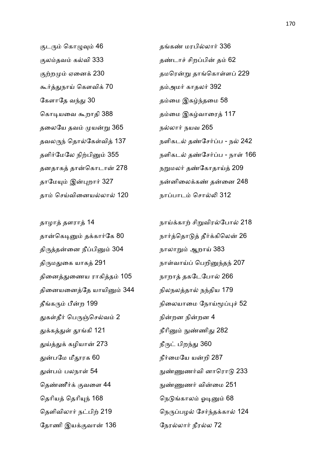குடரும் கொழுவும் 46 காப்பில்லார் 336 குலம்தவம் கல்வி 333 கால தண்டாச் சிறப்பின் தம் 62 கூர்த்துநாய் கௌவிக் 70 கூட தம்அமர் காதலர் 392 கேளாதே வந்து 30 கூட மை தம்மை இகழ்ந்தமை 58 கொடியவை கூறாதி 388 கும்மை இகம்வாரைத் 117 தலையே தவம் முயன்று 365 கூட நல்லார் நயவ 265 தனதாகத் தான்கொடான் 278 நறுமலர் தண்கோதாய்த் 209 தாம் செய்வினையல்லால் 120 நாப்பாடம் சொல்லி 312

திருத்தன்னை நீப்பினும் 304 நாலாறும் ஆறாய் 383 திருமதுகை யாகத் 291 மார்மா நாள்வாய்ப் பெறினுந்தந் 207 தினைத்துணைய ராகித்தம் 105 நாறாத் தகடேபோல் 266 தினையனைத்தே யாயினும் 344 நிலநலத்தால் நந்திய 179 துகள்தீர் பெருஞ்செல்வம் 2 நின்றன நின்றன 4 துக்கத்துள் தூங்கி 121 நீரினும் நுண்ணிது 282 துய்த்துக் கழியான் 273 நீருட் பிறந்து 360 துன்பமே மீதூரக 60 நீர்மையே யன்றி 287 தெண்ணீர்க் குவளை 44 நுண்ணுணர் வின்மை 251 தெரியத் தெரியுந் 168 முதல் முத்திருந்தாலம் ஓடினும் 68 ேதாணி இய
வா 136 ேநரலா# நீரல 72

குற்றமும் ஏனைக் 230 கால மிரன்று தாங்கொள்ளப் 229 தவலருந் தொல்கேள்வித் 137 குறிகடல் தண்சேர்ப்ப - நல் 242 தளிர்மேலே நிற்பினும் 355 கூர் நளிகடல் தண்சேர்ப்ப - நாள் 166 தாமேயும் இன்புறார் 327 கான்னிலைக்கண் தன்னை 248

தாழா தளரா 14 நா)கா! சிவிரேபா 218 தான்கெடினும் தக்கார்கே 80 நார்த்தொடுத் தீர்க்கிலென் 26 தீங்கரும் பீன்ற 199 நிலையாமை நோய்மூப்புச் 52 2ப பலநா\$ 54 =Fண#வி னாெரா 233 தெளிவிலார் நட்பிற் 219 மான மறை நெருப்பழல் சேர்ந்தக்கால் 124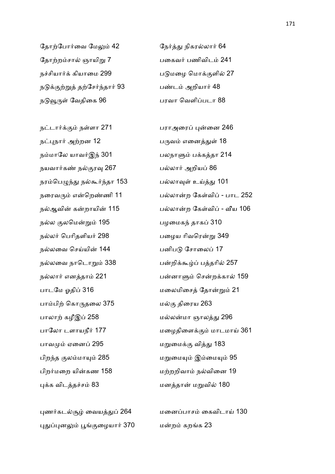தோற்போர்வை மேலும் 42 கேர்த்து நிகரல்லார் 64 தோற்றம்சால் ஞாயிறு 7 பகைவர் பணிவிடம் 241 நசியா# கியாைம 299 பமைழ ெமா
ளி 27 நடுக்குற்றுத் தற்சேர்ந்தார் 93 பண்டம் அறியார் 48 நடுவூருள் வேதிகை 96 பரவா வெளிப்படா 88

நட்பநார் அற்றன 12 பை பருவம் எனைத்துள் 18 நம்மாலே யாவர்இந் 301 பலநாளும் பக்கத்தா 214 நயவா#க ந
ர+ 267 பலா# அறிய0 86 நரம்பெழுந்து நல்கூர்ந்தா 153 பல்லாவுள் உய்த்து 101 நல 
லெம 195 பழைமக\* தாக0 310 நல்லர் பெரிதளியர் 298 பையை பழைய ரிவரென்று 349 நல்லவை செய்யின் 144 பணிபடு சோலைப் 17 நல்லவை நாடொறும் 338 பன்றிக்கூழ்ப் பத்தரில் 257 பாடமே ஓதிப் 316 மலைமிசைத் தோன்றும் 21 பாபி! ெகா1தைல 375 ம
 திைரய 263 பாலாற் கழீஇப் 258 மல்லன்மா ஞாலத்து 296 பாவ ஏைன0 295 மைம
 வி2 183 பிற\*த 
லமா5 285 மைம5 இைம5 95 பிறர்மறை யின்கண 158 மற்ற மற்றறிவாம் நல்வினை 19 புக்க விடத்தச்சம் 83 மனத்தான் மறுவில் 180

புணர்கடல்சூழ் வையத்துப் 264 மனைப்பாசம் கைவிடாய் 130 புதுப்புனலும் பூங்குழையார் 370 மன்றம் கறங்க 23

ந;டா#
 ந\$ளா 271 பராஅைர0 8ைன 246 நரைவரும் என்றெண்ணி 11 பல்லான்ற கேள்விப் - பாட 252 நல்ஆவின் கன்றாயின் 115 பல்லான்ற கேள்விப் - வீய 106 நல்லார் எனத்தாம் 221 பன்னாளும் சென்றக்கால் 159 பாலோ டளாயநீர் 177 மழைதிளைக்கும் மாடமாய் 361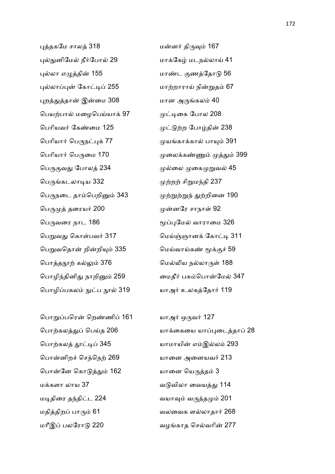புத்தகமே சாலத் 318 மன்னர் திருவும் 167 புல்நுனிமேல் நீர்போல் 29 மாக்கேழ் மடநல்லாய் 41 8லா எIதி 155 மாட 
ணேதா 56 புல்லாப்புன் கோட்டிப் 255 மாற்றாராய் நின்றுதம் 67 புறத்துத்தான் இன்மை 308 மான அருங்கலம் 40 ெபய!பா மைழெப)யா 97 ;7ைக ேபால 208 ெபாியவ# ேகைம 125 ;!ற ேபா3தி 238 பெரியார் பெருநட்புக் 77 முயங்காக்கால் பாயும் 391 ெபாியா# ெப1ைம 170 ைலகF 2 399 ெப1
வ2 ேபால 234 ைல ைகவ 45 பெருங்கடலாடிய 332 . முற்றற் சிறுமந்தி 237 பெருநடை தாம்பெறினும் 343 முற்றுற்றுந் துற்றினை 190 பெருமுத் தரையர் 200 மான முன்னரே சாநாள் 92 ெப1வைர நாட 186 H08ேம வாராைம 326 ெபவ2 ெகா\$பவ# 317 ெம)9ஞான ேகா;7 311 பெறுவதொன் றின்றியும் 335 மெய்வாய்கண் மூக்குச் 59

ெபாதV! க 376 ெம4ய நலா1\$ 188 பொழிந்தினிது நாறினும் 259 மைதீர் பசும்பொன்மேல் 347 பொழிப்பகலம் நுட்ப நூல் 319 பாஅர் உலகத்தோர் 119

பொறுப்பரென் றெண்ணிப் 161 யாஅர் ஒருவர் 127 பொற்கலத் தூட்டிப் 345 மாமாயின் எம்இல்லம் 293 பொன்னிறச் செந்நெற் 269 பானை அனையவர் 213 ெபாேன ெகா2 162 யாைன ெய1த 3 மக்களா லாய 37 பாலை வடுவிலா வையத்து 114 மடிதிரை தந்திட்ட 224 வயாவும் வருத்தமும் 201 மதித்திறப் பாரும் 61 வலை வலவைக ளல்லாதார் 268 மரீஇப் பலரோடு 220 பார் மாவாத செல்வரின் 277

பொற்கலத்துப் பெய்த 206 மாக்கையை யாப்புடைத்தாப் 28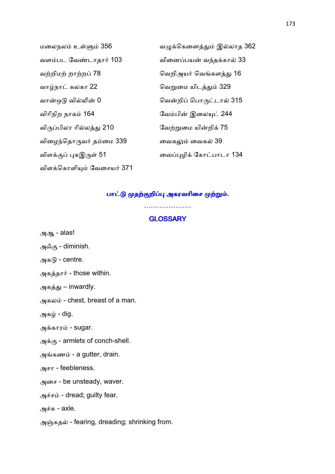| மலைநலம் உள்ளும் 356       | வழுக்கெனைத்தும் இல்லாத 362 |
|---------------------------|----------------------------|
| வளம்பட வேண்டாதார் 103     | வினைப்பயன் வந்தக்கால் 33   |
| வற்றிமற் றாற்றப் 78       | வெறிஅயர் வெங்களத்து 16     |
| வாழ்நாட் கலகா 22          | வெறுமை யிடத்தும் 329       |
| வான்ஒடு வில்லின் 0        | வென்றிப் பொருட்டால் 315    |
| விரிநிற நாகம் 164         | வேம்பின் இலையுட் 244       |
| விருப்பிலா ரில்லத்து 210  | வேற்றுமை யின்றிக் 75       |
| விழைந்தொருவர் தம்மை 339   | வைகலும் வைகல் 39           |
| விளக்குப் புகஇருள் 51     | வைப்புழிக் கோட்பாடா 134    |
| விளக்கொளியும் வேசையர் 371 |                            |

# பாட்டு முதற்குறிப்பு அகரவரிசை முற்றும்.

#### **GLOSSARY**

…………………

அஆ - alas!

அஃகு - diminish.

அகடு - centre.

அகத்தார் - those within.

அகத்து – inwardly.

அகலம் - chest, breast of a man.

அகழ் - dig.

அக்காரம் - sugar.

அக்கு - armlets of conch-shell.

அங்கணம் - a gutter, drain.

அசா - feebleness.

அைச - be unsteady, waver.

அச்சம் - dread; guilty fear.

அச்சு -  $axle$ .

அஞ்சுதல் - fearing, dreading; shrinking from.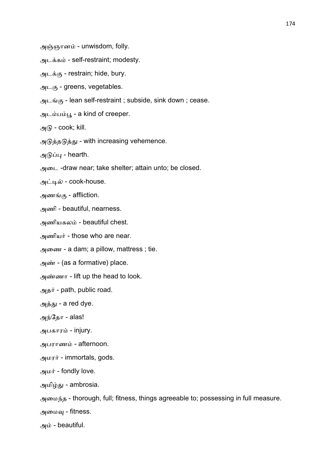அஞ்ஞானம் - unwisdom, folly.

அடக்கம் - self-restraint; modesty.

அடக்கு - restrain; hide, bury.

அடகு - greens, vegetables.

அடங்கு - lean self-restraint ; subside, sink down ; cease.

அடம்பம்பூ - a kind of creeper.

அடு - cook; kill.

அடுத்தடுத்து - with increasing vehemence.

அடுப்பு - hearth.

அைட -draw near; take shelter; attain unto; be closed.

அட்டில் - cook-house.

அணங்கு - affliction.

அணி - beautiful, nearness.

அணியகலம் - beautiful chest.

அணியர் - those who are near.

அைண - a dam; a pillow, mattress ; tie.

அண் - (as a formative) place.

அணா - lift up the head to look.

அதர் - path, public road.

அத்து - a red dye.

அந்தோ - alas!

அபகாரம் - injury.

அபராணம் - afternoon.

அமரர் - immortals, gods.

அமர் - fondly love.

அமிழ்து - ambrosia.

அமைந்த - thorough, full; fitness, things agreeable to; possessing in full measure.

அமைவு - fitness.

 $-$  beautiful.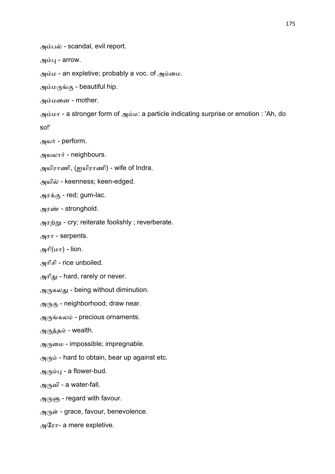அம்பல் - scandal, evil report.

அம்பு -  $arrow$ .

அம்ம - an expletive; probably a voc. of அம்மை.

அம்மருங்கு - beautiful hip.

அமைன - mother.

அமா - a stronger form of அம: a particle indicating surprise or emotion : 'Ah, do so!'

அயர் - perform.

அயலார் - neighbours.

அயிராணி, (ஐயிராணி) - wife of Indra.

அயில் - keenness; keen-edged.

அரக்கு - red; gum-lac.

அரண் - stronghold.

அரற்று - cry; reiterate foolishly ; reverberate.

அரா - serpents.

அரி $(\omega \pi)$  - lion.

அாிசி - rice unboiled.

அரிது - hard, rarely or never.

அருகலது - being without diminution.

அருகு - neighborhood; draw near.

அருங்கலம் - precious ornaments.

அருத்தம் - wealth.

அருமை - impossible; impregnable.

அரும் - hard to obtain, bear up against etc.

அரும்பு - a flower-bud.

அருவி - a water-fall.

அருளு - regard with favour.

அருள் - grace, favour, benevolence.

அேரா- a mere expletive.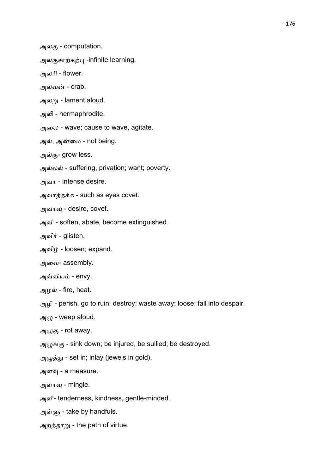அலகு - computation.

அலகுசாற்கற்பு -infinite learning.

அலாி - flower.

அலவன் -  $crab$ .

அலறு - lament aloud.

அலி - hermaphrodite.

அைல - wave; cause to wave, agitate.

அல், அன்மை - not being.

அல்கு- grow less.

அல்லல் - suffering, privation; want; poverty.

அவா - intense desire.

அவாத்தக்க - such as eyes covet.

அவாவு - desire, covet.

அவி - soften, abate, become extinguished.

அவிர் - glisten.

அவிழ் - loosen; expand.

அைவ- assembly.

அவ்வியம் - envy.

அழல் - fire, heat.

அழி - perish, go to ruin; destroy; waste away; loose; fall into despair.

 $\mathcal{A}(\mu)$  - weep aloud.

அழுகு - rot away.

அழுங்கு - sink down; be injured, be sullied; be destroyed.

அழுத்து - set in; inlay (jewels in gold).

அளவு - a measure.

அளாவு - mingle.

அளி- tenderness, kindness, gentle-minded.

அன்ளு - take by handfuls.

அறத்தாறு - the path of virtue.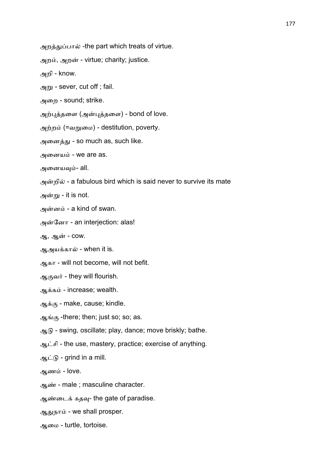அறத்துப்பால் -the part which treats of virtue.

அறம், அறன் - virtue; charity; justice.

அறி - know.

அறு - sever, cut off ; fail.

அைற - sound; strike.

அற்புத்தளை (அன்புத்தளை) - bond of love.

அற்றம் (=வறுமை) - destitution, poverty.

அனைத்து - so much as, such like.

அனையம் - we are as.

அனையவும்- all.

அன்றில் - a fabulous bird which is said never to survive its mate

அன்று - it is not.

அன்னம் - a kind of swan.

அன்னோ - an interjection: alas!

ஆ, ஆன் - cow.

ஆஅயக்கால் - when it is.

ஆகா - will not become, will not befit.

ஆகுவர் - they will flourish.

ஆக்கம் - increase; wealth.

ஆக்கு - make, cause; kindle.

ஆங்கு -there; then; just so; so; as.

 $\mathcal{A}_{\mathcal{A}}$  - swing, oscillate; play, dance; move briskly; bathe.

ஆட்சி - the use, mastery, practice; exercise of anything.

ஆட்டு - grind in a mill.

ஆணம் -  $love$ .

ஆண் - male ; masculine character.

ஆண்டைக் கதவு- the gate of paradise.

ஆதுநாம் - we shall prosper.

ஆைம - turtle, tortoise.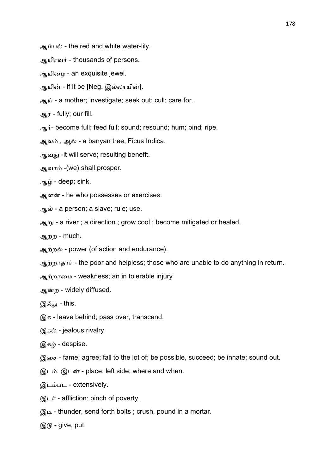ஆம்பல் - the red and white water-lily.

ஆயிரவர் - thousands of persons.

ஆயிழை - an exquisite jewel.

ஆயின் - if it be [Neg. இல்லாயின்].

ஆய் - a mother; investigate; seek out; cull; care for.

ஆர - fully; our fill.

ஆர்- become full; feed full; sound; resound; hum; bind; ripe.

ஆலம், ஆல் - a banyan tree, Ficus Indica.

ஆவது -it will serve; resulting benefit.

ஆவாம் -(we) shall prosper.

ஆம் - deep; sink.

ஆளன் - he who possesses or exercises.

ஆல் - a person; a slave; rule; use.

ஆறு - a river ; a direction ; grow cool ; become mitigated or healed.

ஆற்ற - much.

ஆற்றல் - power (of action and endurance).

ஆற்றாதார் - the poor and helpless; those who are unable to do anything in return.

ஆற்றாமை - weakness; an in tolerable injury

ஆற - widely diffused.

இஃது - this.

இக - leave behind; pass over, transcend.

இகல் - jealous rivalry.

இகழ் - despise.

இைச - fame; agree; fall to the lot of; be possible, succeed; be innate; sound out.

இடம், இடன் - place; left side; where and when.

இடபட - extensively.

 $\mathcal{D}$ டர் - affliction: pinch of poverty.

 $\mathcal{R}_{4}$  - thunder, send forth bolts; crush, pound in a mortar.

 $@G -$  give, put.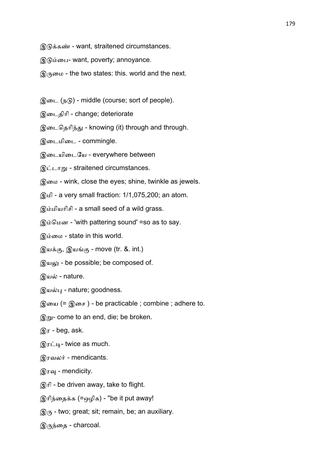- இடுக்கண் want, straitened circumstances.
- இைப- want, poverty; annoyance.
- இருமை the two states: this. world and the next.
- இடை (நடு) middle (course; sort of people).
- இைடதிாி change; deteriorate
- இடைதெரிந்து knowing (it) through and through.
- இைடமிைட commingle.
- இடையிடையே everywhere between
- இட்டாறு straitened circumstances.
- இைம wink, close the eyes; shine, twinkle as jewels.
- இமி a very small fraction: 1/1,075,200; an atom.
- இமியாிசி a small seed of a wild grass.
- இம்மென 'with pattering sound' =so as to say.
- இம்மை state in this world.
- இயக்கு, இயங்கு move (tr. &. int.)
- $\mathcal{R}$  use be possible; be composed of.
- இயல் nature.
- இயல்பு nature; goodness.
- இயை (= இசை) be practicable ; combine ; adhere to.
- $\mathcal{R}_{\text{m}}$  come to an end, die; be broken.
- $\mathcal{D}$ ர beg, ask.
- இரட்டி- twice as much.
- இரவலர் mendicants.
- இரவு mendicity.
- இாி be driven away, take to flight.
- இரிந்தைக்க (=ஒழிக) "be it put away!
- $\mathcal{A}_{\mathcal{I}}(\mathcal{F})$  two; great; sit; remain, be; an auxiliary.
- இருந்தை charcoal.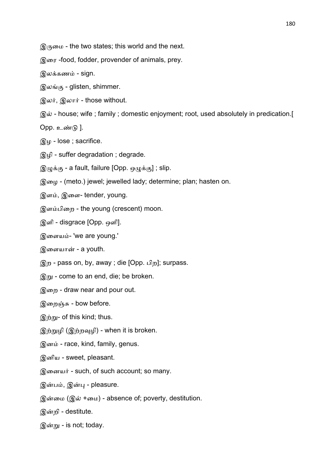இருமை - the two states; this world and the next.

இைர -food, fodder, provender of animals, prey.

இலக்கணம் - sign.

இலங்கு - glisten, shimmer.

இலர், இலார் - those without.

இல் - house; wife ; family ; domestic enjoyment; root, used absolutely in predication.[

Opp. உண்டு  $].$ 

இழ - lose ; sacrifice.

இழி - suffer degradation ; degrade.

இழுக்கு - a fault, failure [Opp. ஒழுக்கு]; slip.

இைழ - (meto.) jewel; jewelled lady; determine; plan; hasten on.

இளம், இளை- tender, young.

இளபிைற - the young (crescent) moon.

இளி - disgrace [Opp. ஒளி].

இளையம்- 'we are young.'

இளையான் - a youth.

- இற pass on, by, away ; die [Opp. பிற]; surpass.
- $\mathcal{R}_{m}$  come to an end, die; be broken.

இைற - draw near and pour out.

இறைஞ்சு - bow before.

 $\mathcal{D}_{\text{min}}$ - of this kind; thus.

- இற்றுழி (இற்றவுழி) when it is broken.
- இனம் race, kind, family, genus.
- இனிய sweet, pleasant.
- இனையர் such, of such account; so many.
- இன்பம், இன்பு pleasure.
- இன்மை (இல் +மை) absence of; poverty, destitution.

இறி - destitute.

இன்று - is not; today.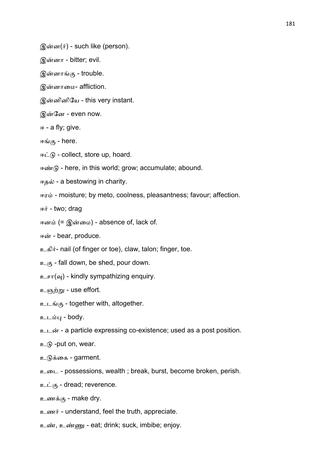இன்ன(ர்) - such like (person).

- இனா bitter; evil.
- இன்னாங்கு trouble.
- இனாைம- affliction.
- இனினிேய this very instant.
- இேன even now.
- ஈ a fly; give.
- ஈங்கு here.
- ஈட்டு collect, store up, hoard.
- ஈண்டு here, in this world; grow; accumulate; abound.
- ஈதல் a bestowing in charity.
- ஈரம் moisture; by meto, coolness, pleasantness; favour; affection.
- ஈர் two; drag
- ஈனம் (= இன்மை) absence of, lack of.
- ஈன் bear, produce.
- உகிர்- nail (of finger or toe), claw, talon; finger, toe.
- $2\epsilon$  fall down, be shed, pour down.
- $\epsilon$   $\epsilon$   $\pi(\omega)$  kindly sympathizing enquiry.
- உஞற்று use effort.
- உடங்கு together with, altogether.
- உடம்பு body.
- உடன் a particle expressing co-existence; used as a post position.
- $p_{\text{m}}$  -put on, wear.
- உடுக்கை garment.
- உைட possessions, wealth ; break, burst, become broken, perish.
- உட்கு dread; reverence.
- உணக்கு make dry.
- உணர் understand, feel the truth, appreciate.
- உண், உண்ணு eat; drink; suck, imbibe; enjoy.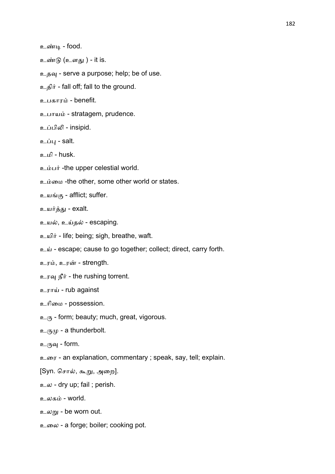உண்டி - food.

உண்டு (உளது) - it is.

உதவு - serve a purpose; help; be of use.

உதிர் - fall off; fall to the ground.

உபகாரம் - benefit.

உபாயம் - stratagem, prudence.

உப்பிலி - insipid.

உப்பு - salt.

உமி - husk.

உம்பர் -the upper celestial world.

உம்மை -the other, some other world or states.

உயங்கு - afflict; suffer.

உயர்த்து - exalt.

உயல், உய்தல் - escaping.

- உயிர் life; being; sigh, breathe, waft.
- உய் escape; cause to go together; collect; direct, carry forth.

உரம், உரன் - strength.

உரவு நீர் - the rushing torrent.

## உராய் - rub against

உரிமை - possession.

 $p_{(n)}$  - form; beauty; much, great, vigorous.

 $\mathfrak{p}_{\mathcal{A}}(\mathfrak{p}_{\mathcal{A}})$  - a thunderbolt.

உருவு - form.

உைர - an explanation, commentary ; speak, say, tell; explain.

[Syn. சொல், கூறு, அறை].

உல - dry up; fail ; perish.

உலகம் - world.

உலறு - be worn out.

உலை - a forge; boiler; cooking pot.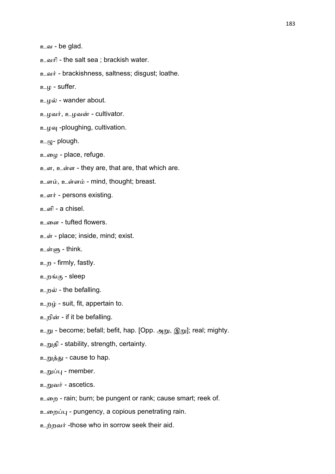உவ - be glad.

- உவாி the salt sea ; brackish water.
- உவர் brackishness, saltness; disgust; loathe.
- உழ suffer.
- உழல் wander about.
- உழவர், உழவன் cultivator.
- உழவு -ploughing, cultivation.
- $p(\mu \rho)$  plough.
- உைழ place, refuge.
- உள, உள்ள they are, that are, that which are.
- உளம், உள்ளம் mind, thought; breast.
- உளர் persons existing.
- உளி a chisel.
- உளை tufted flowers.
- உள் place; inside, mind; exist.
- உள்ளு think.
- உற firmly, fastly.
- உறங்கு sleep
- உறல் the befalling.
- உறழ் suit, fit, appertain to.
- உறின் if it be befalling.
- உறு become; befall; befit, hap. [Opp. அறு, இறு]; real; mighty.
- உதி stability, strength, certainty.
- உறுத்து cause to hap.
- உறுப்பு member.
- உறுவர் ascetics.
- உைற rain; burn; be pungent or rank; cause smart; reek of.
- உறைப்பு pungency, a copious penetrating rain.
- உற்றவர் -those who in sorrow seek their aid.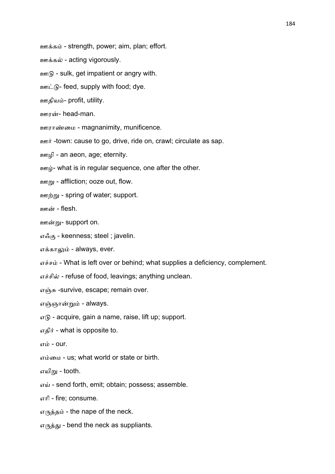ஊக்கம் - strength, power; aim, plan; effort.

ஊக்கல் - acting vigorously.

 $\mathfrak{p}_{\mathfrak{m}}(\mathfrak{h})$  - sulk, get impatient or angry with.

ஊட்டு- feed, supply with food; dye.

ஊதியம்- profit, utility.

ஊரன்- $head$ -man.

ஊராண்மை - magnanimity, munificence.

ஊர் -town: cause to go, drive, ride on, crawl; circulate as sap.

ஊழி - an aeon, age; eternity.

ஊழ்- what is in regular sequence, one after the other.

 $\sqrt{2m}$  - affliction; ooze out, flow.

ஊற்று - spring of water; support.

ஊன் - flesh.

ஊன்று- support on.

எஃ
- keenness; steel ; javelin.

எக்காலும் - always, ever.

எச்சம் - What is left over or behind; what supplies a deficiency, complement.

எச்சில் - refuse of food, leavings; anything unclean.

எஞ்சு -survive, escape; remain over.

எஞ்ஞான்றும் - always.

 $\sigma$  - acquire, gain a name, raise, lift up; support.

எதிர் - what is opposite to.

எம் -  $our.$ 

எம்மை - us: what world or state or birth.

எயிறு - tooth.

எய் - send forth, emit; obtain; possess; assemble.

எாி - fire; consume.

 $\sigma$ <sub>( $\eta$ </sub> $\dot{\sigma}$ <sub>5</sub> $\dot{\sigma}$ ) - the nape of the neck.

எருத்து - bend the neck as suppliants.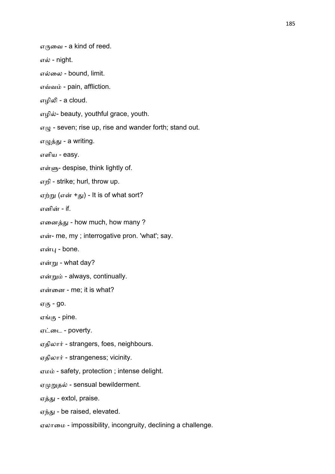எருவை - a kind of reed.

எல் - night.

எல்லை - bound, limit.

எவ்வம் - pain, affliction.

எழிலி - a cloud.

எழில்- beauty, youthful grace, youth.

 $\sigma(\mu)$  - seven; rise up, rise and wander forth; stand out.

எழுத்து - a writing.

எளிய - easy.

எள்ளு- despise, think lightly of.

எறி - strike; hurl, throw up.

ஏற்று (என் +து) - It is of what sort?

எனின் - if.

எனைத்து - how much, how many ?

என்- me, my; interrogative pron. 'what'; say.

என்பு - bone.

என்று - what day?

என்றும் - always, continually.

என்னை - me; it is what?

ஏகு **- go.** 

ஏங்கு - pine.

ஏட்டை - poverty.

ஏதிலார் - strangers, foes, neighbours.

ஏதிலார் - strangeness; vicinity.

ஏம - safety, protection ; intense delight.

ஏமுறுதல் - sensual bewilderment.

ஏத்து - extol, praise.

ஏந்து - be raised, elevated.

ஏலாைம - impossibility, incongruity, declining a challenge.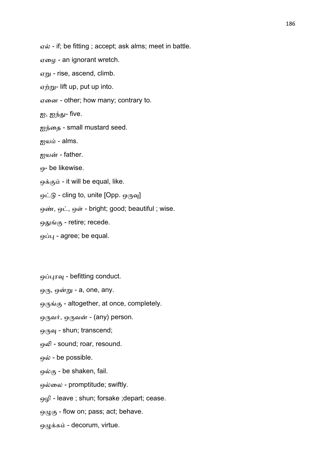ஏல் - if; be fitting ; accept; ask alms; meet in battle.

ஏைழ - an ignorant wretch.

 $\sigma$ <sub>m</sub> - rise, ascend, climb.

ஏற்று- lift up, put up into.

ஏைன - other; how many; contrary to.

ஐ, ஐந்து- five.

ஐந்தை - small mustard seed.

ஐயம் - alms.

ஐயன் - father.

ஒ- be likewise.

ஒக்கும் - it will be equal, like.

ஒட்டு - cling to, unite  $[Opp.$  ஒருவு

ஒண், ஒட், ஒள் - bright; good; beautiful ; wise.

ஒதுங்கு - retire; recede.

ஒப்பு - agree; be equal.

ஒப்புரவு - befitting conduct.

ஒரு, ஒன்று - a, one, any.

ஒருங்கு - altogether, at once, completely.

ஒருவர், ஒருவன் - (any) person.

ஒருவு - shun; transcend;

ஒலி - sound; roar, resound.

ஒல் - be possible.

ஒல்கு - be shaken, fail.

ஒல்லை - promptitude; swiftly.

ஒழி - leave ; shun; forsake ;depart; cease.

ஒழுகு - flow on; pass; act; behave.

ஒழுக்கம் - decorum, virtue.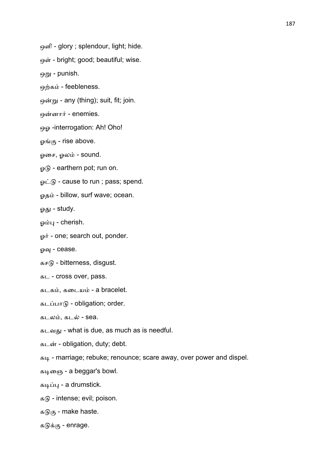ஒளி - glory ; splendour, light; hide.

ஒள் - bright; good; beautiful; wise.

ஒறு - punish.

ஒற்கம் - feebleness.

ஒன்று - any (thing); suit, fit; join.

ஒன்னார் - enemies.

ஒஓ -interrogation: Ah! Oho!

ஓங்கு - rise above.

ஓசை, ஓலம் - sound.

ஓடு - earthern pot; run on.

ஓட்டு - cause to run ; pass; spend.

ஓதம் - billow, surf wave; ocean.

ஓது - study.

ஓம்பு - cherish.

ஓர் - one; search out, ponder.

ஓவு - cease.

கசடு - bitterness, disgust.

கட - cross over, pass.

கடகம், கடையம் - a bracelet.

கடப்பாடு - obligation; order.

கடலம், கடல் - sea.

கடவது - what is due, as much as is needful.

கடன் - obligation, duty; debt.

கடி - marriage; rebuke; renounce; scare away, over power and dispel.

கடிகை - a beggar's bowl.

கடிப்பு - a drumstick.

கடு - intense; evil; poison.

கடுகு - make haste.

கடுக்கு - enrage.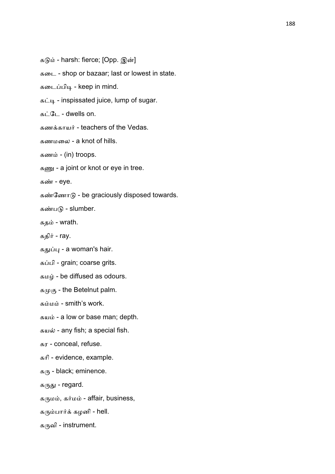கடும் - harsh: fierce; [Opp. இன்] கைட - shop or bazaar; last or lowest in state. கடைப்பிடி - keep in mind. கட்டி - inspissated juice, lump of sugar.  $\mathbf{B}$ ;  $\mathbf{G}$  - dwells on. கணக்காயர் - teachers of the Vedas. கணமைல - a knot of hills. கணம் -  $(in)$  troops. கணு - a joint or knot or eye in tree. கண் - eye. கண்ணோடு - be graciously disposed towards. கண்படு - slumber. கதம் - wrath. கதிர் - ray. கதுப்பு - a woman's hair. கப்பி - grain; coarse grits. கமழ் - be diffused as odours. கமுகு - the Betelnut palm. கம்மம் - smith's work. கயம் - a low or base man; depth. கயல் - any fish; a special fish. கர - conceal, refuse. காி - evidence, example.  $\mathfrak{g}_{\langle \mathsf{F} \rangle}$  - black; eminence. கருது - regard. கருமம், கர்மம் - affair, business, கரும்பார்க் கழனி - hell.

கருவி - instrument.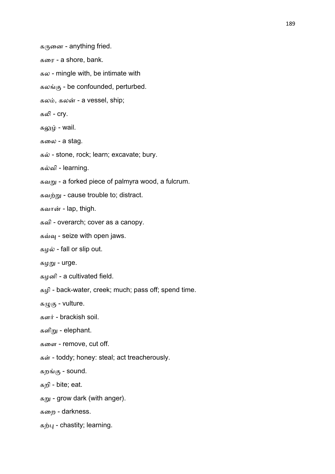கருனை - anything fried. கைர - a shore, bank. கல - mingle with, be intimate with கலங்கு - be confounded, perturbed. கலம், கலன் - a vessel, ship; கலி - cry. கலும் - wail. கைல - a stag. கல் - stone, rock; learn; excavate; bury. கவி - learning. கவறு - a forked piece of palmyra wood, a fulcrum. கவற்று - cause trouble to; distract. கவான் - lap, thigh. கவி - overarch; cover as a canopy. கவ்வு - seize with open jaws. கழல் - fall or slip out. கழ்று - urge. கழனி - a cultivated field. கழி - back-water, creek; much; pass off; spend time. கழுகு - vulture. களர் - brackish soil. களிறு - elephant. கைள - remove, cut off. கள் - toddy; honey: steal; act treacherously. கற
- sound. கறி - bite; eat. கறு - grow dark (with anger). கைற - darkness.

கற்பு - chastity; learning.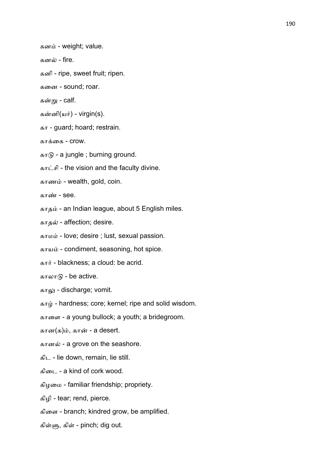கனம் - weight; value.

கனல் - fire.

கனி - ripe, sweet fruit; ripen.

கைன - sound; roar.

கன்று - calf.

கன்னி $(\mu \dot{\mathbf{r}})$  - virgin(s).

கா - guard; hoard; restrain.

காக்கை -  $C10W$ 

காடு - a jungle ; burning ground.

காட்சி - the vision and the faculty divine.

காணம் - wealth, gold, coin.

காண் -  $see.$ 

காதம் - an Indian league, about 5 English miles.

காதல் - affection; desire.

காமம் - love; desire ; lust, sexual passion.

காயம் - condiment, seasoning, hot spice.

கார் - blackness; a cloud: be acrid.

காலாடு - be active.

காலு - discharge; vomit.

காழ் - hardness; core; kernel; ripe and solid wisdom.

காைள - a young bullock; a youth; a bridegroom.

கான $(s)$ ம், கான் - a desert.

கானல் - a grove on the seashore.

கிட - lie down, remain, lie still.

கிைட - a kind of cork wood.

கிழைம - familiar friendship; propriety.

கிழி - tear; rend, pierce.

கிைள - branch; kindred grow, be amplified.

கிள்ளு, கிள் - pinch; dig out.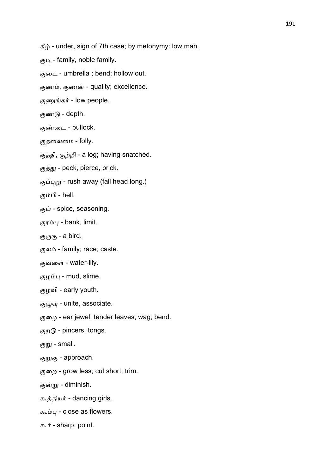$\mathcal{L}$  ie - under, sign of 7th case; by metonymy: low man.

 $7.44$  - family, noble family.

ைட - umbrella ; bend; hollow out.

குணம், குணன் - quality; excellence.

குணுங்கர் - low people.

குண்டு - depth.

ைட - bullock.

தைலைம - folly.

குத்தி, குற்றி - a log; having snatched.

குத்து - peck, pierce, prick.

 $(5.40)$  - rush away (fall head long.)

கும்பி - hell.

 $(5, \mu)$  - spice, seasoning.

குரம்பு - bank, limit.

 $(5,16)$  - a bird.

குலம் - family; race; caste.

வைள - water-lily.

குழம்பு - mud, slime.

ழவி - early youth.

 $\mathfrak{G}_{\mu}(\mu)$  - unite, associate.

ைழ - ear jewel; tender leaves; wag, bend.

குறடு - pincers, tongs.

குறு - small.

குறுகு - approach.

ைற - grow less; cut short; trim.

குன்று - diminish.

கூத்தியர் - dancing girls.

 $\frac{1}{2}$  - close as flowers.

கூர் - sharp; point.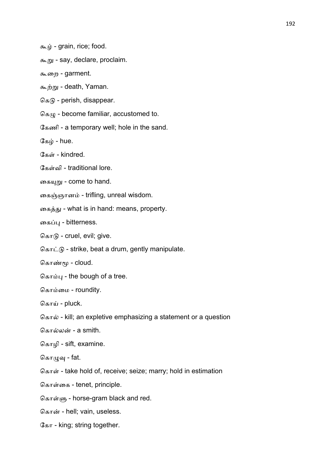கூழ் - grain, rice; food.

கூறு - say, declare, proclaim.

கூறை - garment.

கூற்று - death, Yaman.

 $G_{\mathcal{B}}$  - perish, disappear.

 $G_{\mathcal{B}\cup\mathcal{D}}$  - become familiar, accustomed to.

ேகணி - a temporary well; hole in the sand.

கேம் - hue.

கேள் - kindred.

கேள்வி - traditional lore.

கையுறு - come to hand.

கைஞ்ஞானம் - trifling, unreal wisdom.

கைத்து - what is in hand: means, property.

கைப்பு - bitterness.

கொடு - cruel, evil; give.

 $G_{\text{B}}$   $\pi$   $\hat{G}$  - strike, beat a drum, gently manipulate.

கொண்மூ - cloud.

 $\sqrt{a}$  - the bough of a tree.

கொம்மை - roundity.

கொய் - pluck.

கொல் - kill; an expletive emphasizing a statement or a question

கொல்லன் - a smith.

ெகாழி - sift, examine.

கொழுவு - fat.

கொள் - take hold of, receive; seize; marry; hold in estimation

கொள்கை - tenet, principle.

கொள்ளு - horse-gram black and red.

கொன் - hell; vain, useless.

கோ - king; string together.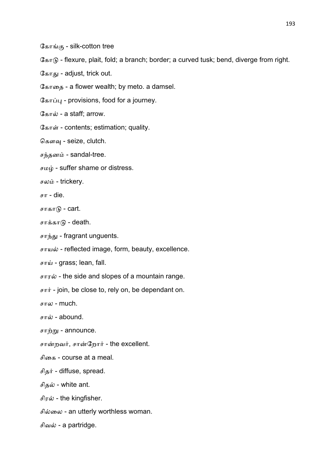கோங்கு - silk-cotton tree

 $G_{\text{diff}}$  - flexure, plait, fold; a branch; border; a curved tusk; bend, diverge from right.

கோது - adjust, trick out.

ேகாைத - a flower wealth; by meto. a damsel.

கோப்பு - provisions, food for a journey.

கோல் - a staff: arrow.

கோள் - contents; estimation; quality.

கௌவு - seize, clutch.

சந்தனம் - sandal-tree.

 $\sigma$ மழ் - suffer shame or distress.

சலம் - trickery.

 $F -$  die.

சாகாடு - cart.

சாக்காடு - death.

சாந்து - fragrant unguents.

சாயல் - reflected image, form, beauty, excellence.

சாய் - grass; lean, fall.

சாரல் - the side and slopes of a mountain range.

 $\pi r$  - join, be close to, rely on, be dependant on.

சால - much.

சால் - abound.

சாற்று - announce.

சான்றவர், சான்றோர் - the excellent.

சிைக - course at a meal.

சிதர் - diffuse, spread.

சிதல் - white ant.

சிரல் - the kingfisher.

சில்லை - an utterly worthless woman.

சிவல் - a partridge.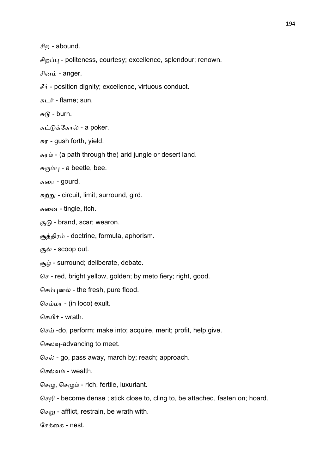சிற - abound.

சிறப்பு - politeness, courtesy; excellence, splendour; renown.

சினம் - anger.

 $\mathcal{F}$  - position dignity; excellence, virtuous conduct.

 $E_{\text{H}} = 2$  flame; sun.

 $F(\mathfrak{h})$  - burn.

சுட்டுக்கோல் - a poker.

 $\pi$ r - gush forth, yield.

 $\pi \pi \dot{\omega}$  - (a path through the) arid jungle or desert land.

 $\pi$ <sup>( $\pi$ ) $\mu$  - a beetle, bee.</sup>

சுரை - gourd.

சுற்று - circuit, limit; surround, gird.

சுனை - tingle, itch.

 $\mathcal{F}_5$  - brand, scar; wearon.

சூத்திரம் - doctrine, formula, aphorism.

சூல் - scoop out.

 $\alpha$ <sub>4</sub> $\dot{\mu}$  - surround; deliberate, debate.

 $G_{\mathcal{F}}$  - red, bright yellow, golden; by meto fiery; right, good.

செம்புனல் - the fresh, pure flood.

செம்மா - (in loco) exult.

செயிர் - wrath.

 $\sigma$  $\sigma$  $\dot{\mu}$  -do, perform; make into; acquire, merit; profit, help,give.

செலவு-advancing to meet.

செல் - go, pass away, march by; reach; approach.

செல்வம் - wealth.

 $G_{\mathcal{F}(\mu)}$ ,  $G_{\mathcal{F}(\mu)}$  - rich, fertile, luxuriant.

ெசறி - become dense ; stick close to, cling to, be attached, fasten on; hoard.

 $G_{\text{F}}$  - afflict, restrain, be wrath with.

சேக்கை - nest.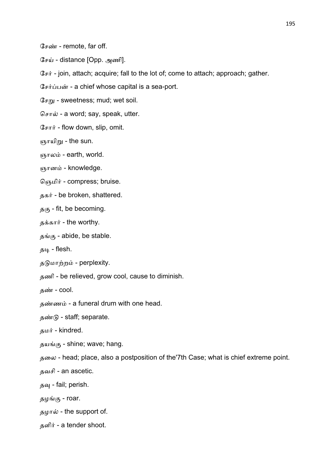சேண் - remote, far off.

சேய் - distance [Opp. அணி].

 $G_{\text{F}}$  - join, attach; acquire; fall to the lot of; come to attach; approach; gather.

சேர்ப்பன் - a chief whose capital is a sea-port.

 $G_{\text{F}}$  - sweetness; mud; wet soil.

சொல் - a word; say, speak, utter.

சோர் - flow down, slip, omit.

ஞாயிறு - the sun.

ஞாலம் - earth, world.

ஞானம் - knowledge.

தெமிர் - compress; bruise.

தகர் - be broken, shattered.

 $\mathfrak{g}_{6}$  - fit, be becoming.

தக்கார் - the worthy.

தங்கு - abide, be stable.

தடி - flesh.

தடுமாற்றம் - perplexity.

தணி - be relieved, grow cool, cause to diminish.

தண் - cool.

தண்ணம் - a funeral drum with one head.

தண்டு - staff; separate.

தமர் - kindred.

தயங்கு - shine; wave; hang.

தைல - head; place, also a postposition of the'7th Case; what is chief extreme point.

தவசி - an ascetic.

தவு - fail; perish.

தழங்கு - roar.

தழால் - the support of.

தளிர் - a tender shoot.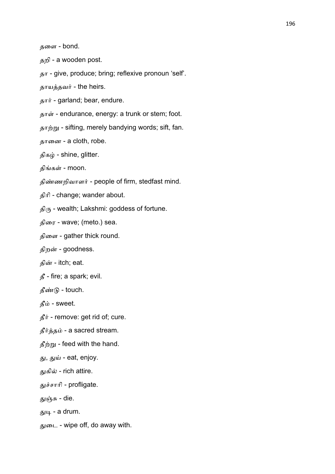தறி - a wooden post.

தா - give, produce; bring; reflexive pronoun 'self'.

தாயத்தவர் - the heirs.

தார் - garland; bear, endure.

தாள் - endurance, energy: a trunk or stem; foot.

தாற்று - sifting, merely bandying words; sift, fan.

தானை - a cloth, robe.

திகம் - shine, glitter.

திங்கள் - moon.

திண்ணறிவாளர் - people of firm, stedfast mind.

திாி - change; wander about.

 $\mathfrak{g}_{\langle \mathsf{f} \rangle}$  - wealth; Lakshmi: goddess of fortune.

திைர - wave; (meto.) sea.

திளை - gather thick round.

திறன் - goodness.

தின் - itch; eat.

தீ - fire; a spark; evil.

தீண்டு - touch.

தீம் - sweet.

 $\mathbf{\hat{s}}$   $\mathbf{\hat{r}}$  - remove: get rid of; cure.

தீர்த்தம் - a sacred stream.

 $\mathbf{\hat{s}}$ ற்று - feed with the hand.

து, துய் - eat, enjoy.

துகில் - rich attire.

2சாாி - profligate.

துஞ்சு - die.

துடி - a drum.

துடை - wipe off, do away with.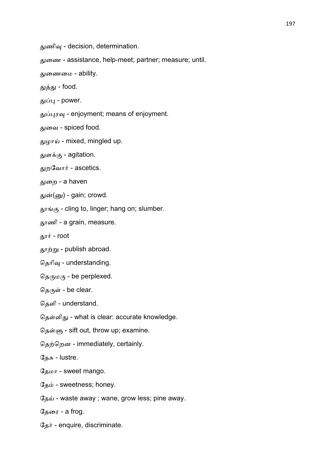துணிவு - decision, determination.

2ைண - assistance, help-meet; partner; measure; until.

2ைணைம - ability.

துத்து - food.

துப்பு - power.

துப்புரவு - enjoyment; means of enjoyment.

துவை - spiced food.

துமாய் - mixed, mingled up.

துளக்கு - agitation.

துறவோர் - ascetics.

துறை - a haven

துன்(னு) - gain; crowd.

தூங்கு - cling to, linger; hang on; slumber.

6ணி - a grain, measure.

தூர் - root

தூற்று - publish abroad.

தெரிவு - understanding.

தெருமரு - be perplexed.

தெருள் - be clear.

தெளி - understand.

தெள்ளிது - what is clear: accurate knowledge.

தெள்ளு - sift out, throw up; examine.

தெற்றென - immediately, certainly.

தேசு - lustre.

ேதமா - sweet mango.

தேம் - sweetness; honey.

தேய் - waste away ; wane, grow less; pine away.

தேரை - a frog.

 $\Im$ தர் - enquire, discriminate.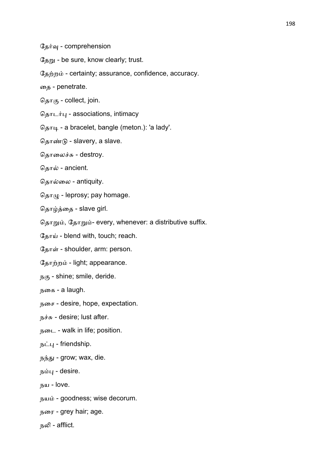$\mathbb{G}_{\underline{\sigma},m}$  - be sure, know clearly; trust.

தேற்றம் - certainty; assurance, confidence, accuracy.

ைத - penetrate.

தொகு - collect, join.

தொடர்பு - associations, intimacy

தொடி - a bracelet, bangle (meton.): 'a lady'.

தொண்டு - slavery, a slave.

தொலைச்சு - destroy.

தொல் - ancient.

ெதாைல - antiquity.

 $\Im_{\mathcal{B}} \pi(\mu)$  - leprosy; pay homage.

தொழ்த்தை - slave girl.

தொறும், தோறும்- every, whenever: a distributive suffix.

தோய் - blend with, touch; reach.

தோள் - shoulder, arm: person.

தோற்றம் - light; appearance.

 $B(45 - 5)$  shine; smile, deride.

நைக - a laugh.

நைச - desire, hope, expectation.

 $\overline{B}$  $\overline{B}$   $\overline{B}$  - desire; lust after.

நைட - walk in life; position.

 $\overline{B}$ ட்பு - friendship.

நந்து - grow; wax, die.

 $\mathbf{b}$ ம்பு - desire.

 $n<sub>5</sub>$ ш - love.

நயம் - goodness; wise decorum.

நைர - grey hair; age.

நலி - afflict.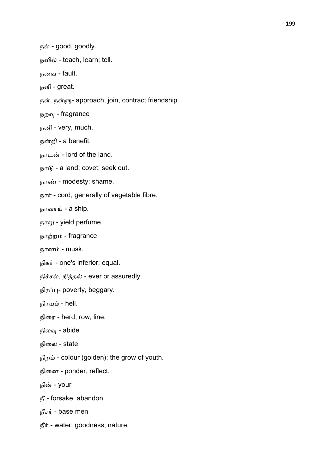நல் - good, goodly.

நவில் - teach, learn; tell.

நைவ - fault.

நளி - great.

நள், நள்ளு- approach, join, contract friendship.

நறவு - fragrance

நனி - very, much.

நறி - a benefit.

நாடன் - lord of the land.

 $b_{\text{b}}$  - a land; covet; seek out.

நாண் - modesty; shame.

நார் - cord, generally of vegetable fibre.

நாவாய் - a ship.

நாறு - yield perfume.

நாற்றம் - fragrance.

நானம் - musk.

நிகர் - one's inferior; equal.

நிச்சல், நித்தல் - ever or assuredly.

நிரப்பு- poverty, beggary.

நிரயம் - hell.

நிைர - herd, row, line.

நிலவு - abide

நிலை - state

நிறம் - colour (golden); the grow of youth.

நினை - ponder, reflect.

நின் - your

நீ - forsake; abandon.

நீசர் - base men

 $f$  $\ddot{f}$  - water; goodness; nature.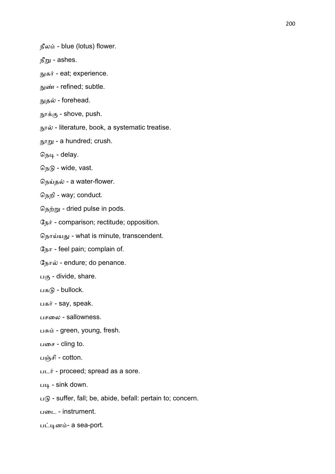நீலம் - blue (lotus) flower.

 $f_{\text{m}}$  - ashes.

- நுகர் eat; experience.
- நுண் refined; subtle.
- நுதல் forehead.
- $\mathfrak{m}_{\mathsf{F}}\mathfrak{s}_{\mathsf{G}}$  shove, push.
- $m\pi \dot{\omega}$  literature, book, a systematic treatise.

 $m_{\text{F}}$  - a hundred; crush.

நெடி - delay.

 $G_{15}$  - wide, vast.

நெய்தல் - a water-flower.

ெநறி - way; conduct.

நெற்று - dried pulse in pods.

 $\mathbb{G}_{\mathbb{D}}$   $\dot{\mathbb{F}}$  - comparison; rectitude; opposition.

தொய்யது - what is minute, transcendent.

 $G_{IbT}$  - feel pain; complain of.

நோல் - endure; do penance.

 $L(\mathfrak{G} -$  divide, share.

பகடு - bullock.

பகர் - say, speak.

பசலை - sallowness.

பசும் - green, young, fresh.

பசை - cling to.

பஞ்சி - cotton.

படர் - proceed; spread as a sore.

 $\overline{u}$  - sink down.

 $\Box$   $\Box$  - suffer, fall; be, abide, befall: pertain to; concern.

பைட - instrument.

பட்டினம்- a sea-port.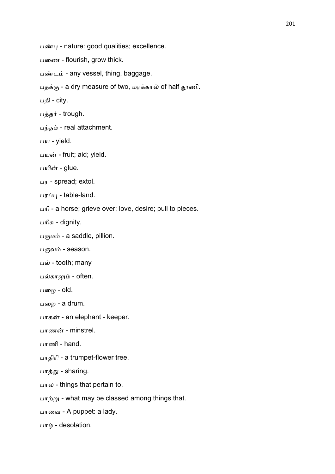பண்பு - nature: good qualities; excellence.

பணை - flourish, grow thick.

பண்டம் - any vessel, thing, baggage.

பதக்கு - a dry measure of two, மரக்கால் of half தூணி.

பதி - city.

பத்தர் - trough.

பந்தம் - real attachment.

பய - yield.

பயன் - fruit; aid; yield.

பயின் - glue.

பர - spread; extol.

பரப்பு - table-land.

பாி - a horse; grieve over; love, desire; pull to pieces.

பரிசு - dignity.

பருமம் - a saddle, pillion.

 $L(f)$ வம் - season.

பல் - tooth; many

பல்காலும் - often.

பழை - old.

பறை - a drum.

பாகன் - an elephant - keeper.

பாணன் - minstrel.

பாணி - hand.

பாதிாி - a trumpet-flower tree.

பாத்து - sharing.

பால - things that pertain to.

பாற்று - what may be classed among things that.

பாவை - A puppet: a lady.

பாழ் - desolation.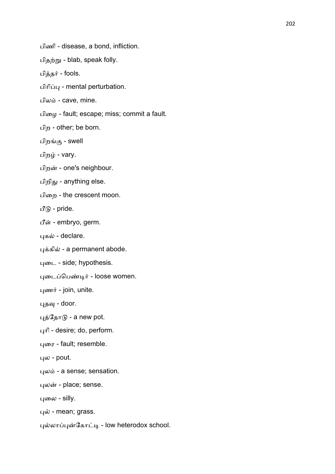பிணி - disease, a bond, infliction.

பிதற்று - blab, speak folly.

பித்தர் - fools.

பிரிப்பு - mental perturbation.

பிலம் - cave, mine.

பிமை - fault; escape; miss; commit a fault.

பிற - other; be born.

பிறங்கு - swell

பிறழ் - vary.

பிறன் - one's neighbour.

பிறிது - anything else.

பிறை - the crescent moon.

பீடு - pride.

பீள் - embryo, germ.

புகல் - declare.

புக்கில் - a permanent abode.

புடை - side; hypothesis.

புடைப்பெண்டிர் - loose women.

புணர் - join, unite.

புதவு - door.

புத்தோடு - a new pot.

புரி - desire; do, perform.

புரை - fault; resemble.

 $40 - 1$ pout.

புலம் - a sense; sensation.

புலன் - place; sense.

புலை - silly.

புல் - mean; grass.

புல்லாப்புன்கோட்டி - low heterodox school.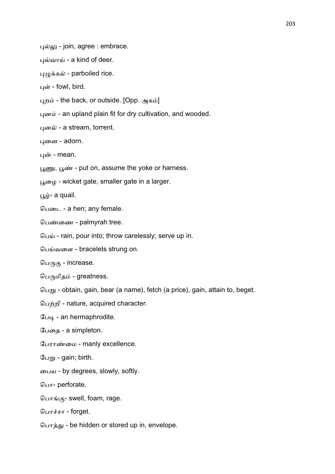புல்லு - join, agree : embrace.

புல்வாய் - a kind of deer.

புழுக்கல் - parboiled rice.

புள் - fowl, bird.

புறம் - the back, or outside. [Opp. அகம்]

புனம் - an upland plain fit for dry cultivation, and wooded.

புனல் - a stream, torrent.

புனை - adorn.

புன் - mean.

பூணு, பூண் - put on, assume the yoke or harness.

 $\mu_{\mathbf{D}}$  - wicket gate, smaller gate in a larger.

 $\mu$  - a quail.

 $GL<sub>CD</sub> - a hen$ ; any female.

பெண்ணை - palmyrah tree.

பெய் - rain, pour into; throw carelessly; serve up in.

பெய்வளை - bracelets strung on.

பெருகு - increase.

பெருமிதம் - greatness.

 $G_{L_1}$  - obtain, gain, bear (a name), fetch (a price), gain, attain to, beget.

பெற்றி - nature, acquired character.

பேடி - an hermaphrodite.

பேதை - a simpleton.

பேராண்மை - manly excellence.

பேறு - gain; birth.

ைபய - by degrees, slowly, softly.

ெபா- perforate.

பொங்கு- swell, foam, rage.

பொச்சா - forget.

பொத்து - be hidden or stored up in, envelope.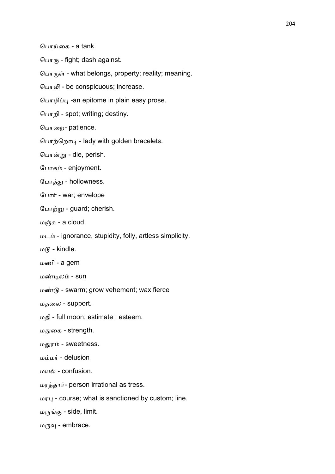பொய்கை - a tank.

 $Q_{LIT/IF}$  - fight; dash against.

பொருள் - what belongs, property; reality; meaning.

பொலி - be conspicuous; increase.

பொழிப்பு -an epitome in plain easy prose.

ெபாறி - spot; writing; destiny.

பொறை- patience.

பொற்றொடி - lady with golden bracelets.

பொன்று - die, perish.

போகம் - enjoyment.

போக்கு - hollowness.

போர் - war; envelope

போற்று - guard; cherish.

மஞ்சு - a cloud.

மட - ignorance, stupidity, folly, artless simplicity.

மடு - kindle.

மணி - a gem

மண்டிலம் - sun

மண்டு - swarm; grow vehement; wax fierce

மதைல - support.

மதி - full moon; estimate ; esteem.

மதுகை - strength.

மதுரம் - sweetness.

மம்மர் - delusion

மயல் - confusion.

மரத்தார்- person irrational as tress.

மர8 - course; what is sanctioned by custom; line.

மருங்கு - side, limit.

மருவு - embrace.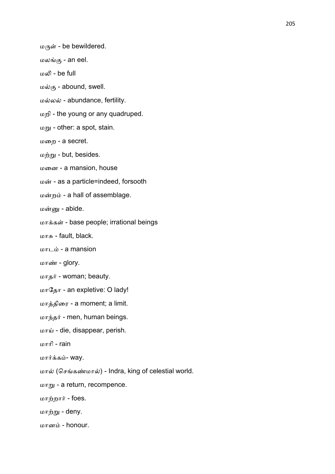மருள் - be bewildered.

- மலங்கு an eel.
- மலி be full
- மல்கு abound, swell.
- மல்லல் abundance, fertility.
- மறி the young or any quadruped.
- மறு other: a spot, stain.
- மைற a secret.
- $\omega$  *inn* $\omega$  but, besides.
- மைன a mansion, house
- மன் as a particle=indeed, forsooth
- மன்றம் a hall of assemblage.
- மன்னு abide.
- மாக்கள் base people; irrational beings
- $m_{\text{F}}$  fault, black.
- மாடம் a mansion
- மாண் glory.
- மாதர் woman; beauty.
- மாேதா an expletive: O lady!
- மாத்திரை a moment; a limit.
- மாந்தர் men, human beings.
- மாய் die, disappear, perish.
- மாாி rain
- மார்க்கம்- way.
- மால் (செங்கண்மால்) Indra, king of celestial world.
- மாறு a return, recompence.
- மாற்றார் foes.
- மாற்று deny.
- மானம் honour.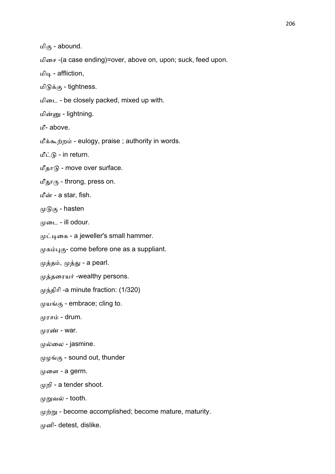மிகு - abound.

மிைச -(a case ending)=over, above on, upon; suck, feed upon.

மிடி - affliction,

மிடுக்கு - tightness.

மிடை - be closely packed, mixed up with.

மின்னு - lightning.

மீ- above.

மீக்கூற்றம் - eulogy, praise ; authority in words.

மீட்டு - in return.

மீதாடு - move over surface.

மீதாரு - throng, press on.

மீன் - a star, fish.

 $(\mu)$  $\theta$  $\sigma$  - hasten

 $(\mu \infty)$ ட் - ill odour.

முட்டிகை - a jeweller's small hammer.

முகம்புகு - come before one as a suppliant.

முத்தம், முத்து - a pearl.

முத்தரையர் -wealthy persons.

முந்திரி -a minute fraction: (1/320)

முயங்கு - embrace; cling to.

முரசம் - drum.

 $(\mu \text{F} \cdot \text{F} \cdot \text{F})$ 

முல்லை - jasmine.

முழங்கு - sound out, thunder

 $(\mu \omega)$ ை - a germ.

றி - a tender shoot.

முறுவல் - tooth.

 $\mu$ ற்று - become accomplished; become mature, maturity.

னி- detest, dislike.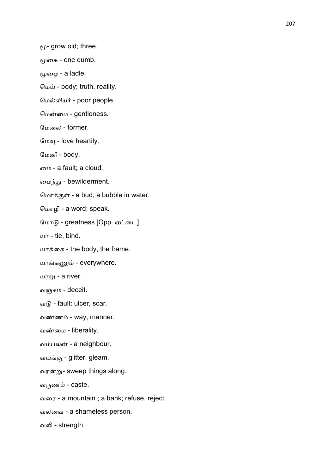$e\psi$ - grow old; three.

மூகை - one dumb.

மூழை - a ladle.

ெம) - body; truth, reality.

மெல்லியர் - poor people.

மென்மை - gentleness.

ேமைல - former.

மேவு - love heartily.

ேமனி - body.

ைம - a fault; a cloud.

மைந்து - bewilderment.

மொக்குள் - a bud; a bubble in water.

ெமாழி - a word; speak.

மோடு - greatness [Opp. ஏட்டை]

யா - tie, bind.

யாைக - the body, the frame.

யாங்கணும் - everywhere.

ш $\pi$  - а river.

வஞ்சம் - deceit.

வடு - fault: ulcer, scar.

வண்ணம் - way, manner.

வண்மை - liberality.

வம்பலன் - a neighbour.

வயங்கு - glitter, gleam.

வரன்று- sweep things along.

வருணம் - caste.

வைர - a mountain ; a bank; refuse, reject.

வலைவ - a shameless person.

வலி - strength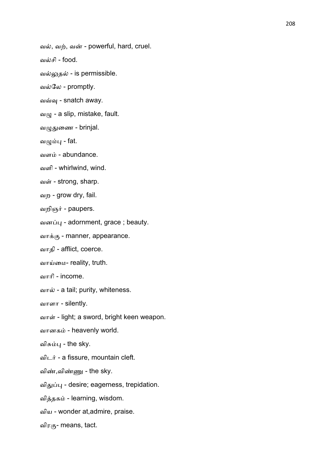வல், வற், வன் - powerful, hard, cruel.

வசி - food.

வல்லுதல் - is permissible.

வல்லே - promptly.

வவ்வு - snatch away.

 $\omega/\mu$  - a slip, mistake, fault.

வழுதுணை - brinjal.

வழும்பு - fat.

வளம் - abundance.

வளி - whirlwind, wind.

வள் - strong, sharp.

வற - grow dry, fail.

வறிஞர் - paupers.

வனப்பு - adornment, grace ; beauty.

வாக்கு - manner, appearance.

வாதி - afflict, coerce.

வாய்மை- reality, truth.

வாரி - income.

வால் - a tail; purity, whiteness.

வாளா - silently.

வாள் - light; a sword, bright keen weapon.

வானகம் - heavenly world.

விசும்பு - the sky.

விடர் - a fissure, mountain cleft.

விண்,விண்ணு - the sky.

விதுப்பு - desire; eagerness, trepidation.

வித்தகம் - learning, wisdom.

விய - wonder at,admire, praise.

விரகு- means, tact.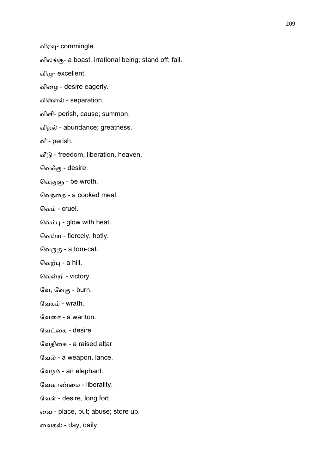வில - a boast, irrational being; stand off; fail.

விழு- excellent.

விைழ - desire eagerly.

விள்ளல் - separation.

விளி- perish, cause; summon.

விறல் - abundance; greatness.

வீ - perish.

 $\mathfrak{a}\mathfrak{F}_0$  - freedom, liberation, heaven.

வெ $\mathcal{S}_{(4)}$  - desire.

வெகுளு - be wroth.

வெந்தை - a cooked meal.

வெம் - cruel.

வெம்பு - glow with heat.

வெய்ய - fiercely, hotly.

வெருகு - a tom-cat.

வெற்பு - a hill.

வென்றி - victory.

வே, வேகு - burn.

வேகம் - wrath.

ேவைச - a wanton.

வேட்கை - desire

ேவதிைக - a raised altar

வேல் - a weapon, lance.

வேழம் - an elephant.

வேளாண்மை - liberality.

வேள் - desire, long fort.

ைவ - place, put; abuse; store up.

வைகல் - day, daily.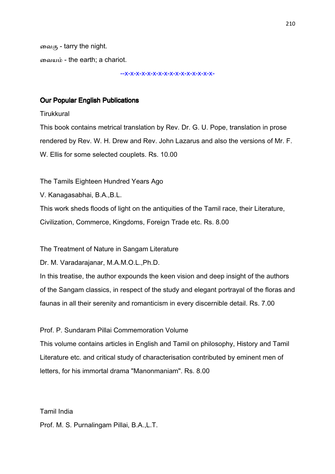வைகு - tarry the night. வையம் - the earth: a chariot.

--x-x-x-x-x-x-x-x-x-x-x-x-x-x-x-x-

## **Our Popular English Publications**

**Tirukkural** 

This book contains metrical translation by Rev. Dr. G. U. Pope, translation in prose rendered by Rev. W. H. Drew and Rev. John Lazarus and also the versions of Mr. F. W. Ellis for some selected couplets. Rs. 10.00

The Tamils Eighteen Hundred Years Ago

V. Kanagasabhai, B.A.,B.L.

This work sheds floods of light on the antiquities of the Tamil race, their Literature, Civilization, Commerce, Kingdoms, Foreign Trade etc. Rs. 8.00

The Treatment of Nature in Sangam Literature

Dr. M. Varadarajanar, M.A.M.O.L.,Ph.D.

In this treatise, the author expounds the keen vision and deep insight of the authors of the Sangam classics, in respect of the study and elegant portrayal of the floras and faunas in all their serenity and romanticism in every discernible detail. Rs. 7.00

Prof. P. Sundaram Pillai Commemoration Volume

This volume contains articles in English and Tamil on philosophy, History and Tamil Literature etc. and critical study of characterisation contributed by eminent men of letters, for his immortal drama "Manonmaniam". Rs. 8.00

Tamil India

Prof. M. S. Purnalingam Pillai, B.A.,L.T.